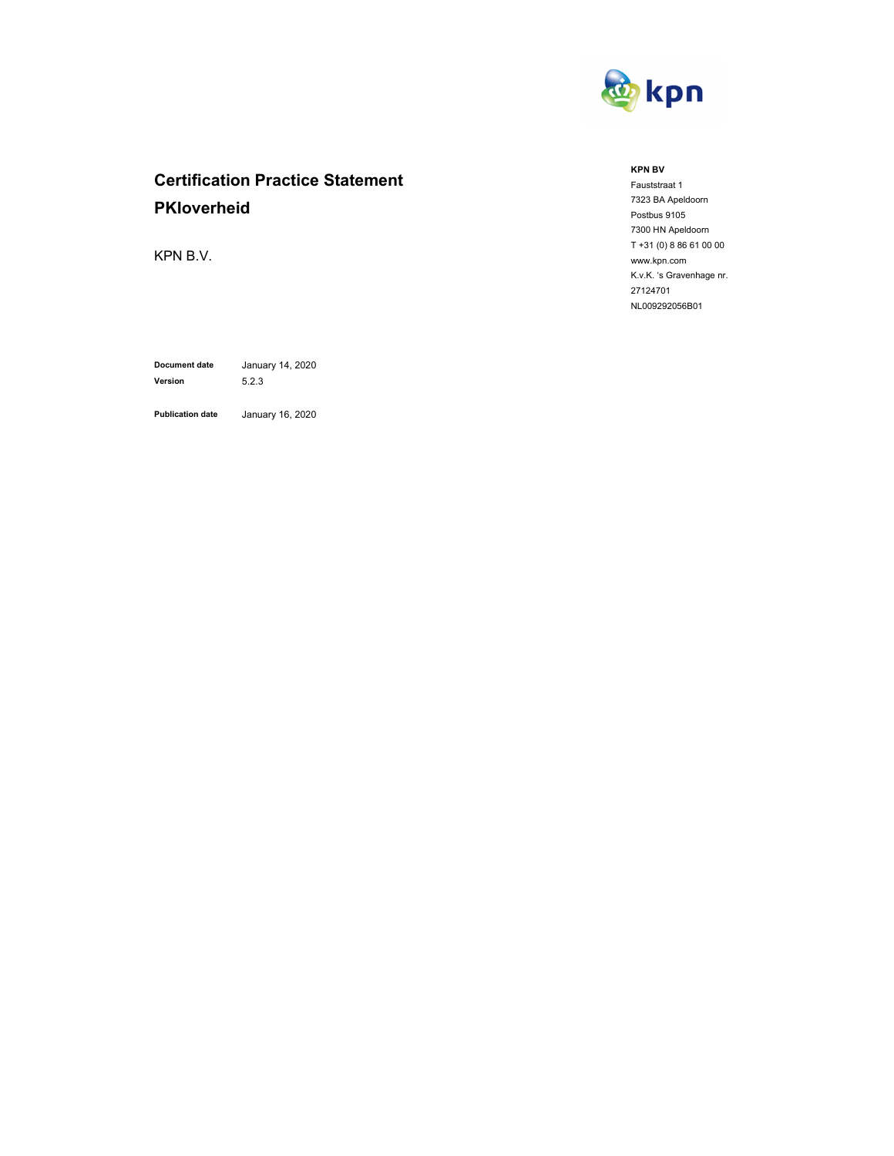

# **Certification Practice Statement PKIoverheid**

KPN B.V.

**Document date** January 14, 2020 **Version** 5.2.3

**Publication date** January 16, 2020

#### **KPN BV**

Fauststraat 1 7323 BA Apeldoorn Postbus 9105 7300 HN Apeldoorn T +31 (0) 8 86 61 00 00 www.kpn.com K.v.K. 's Gravenhage nr. 27124701 NL009292056B01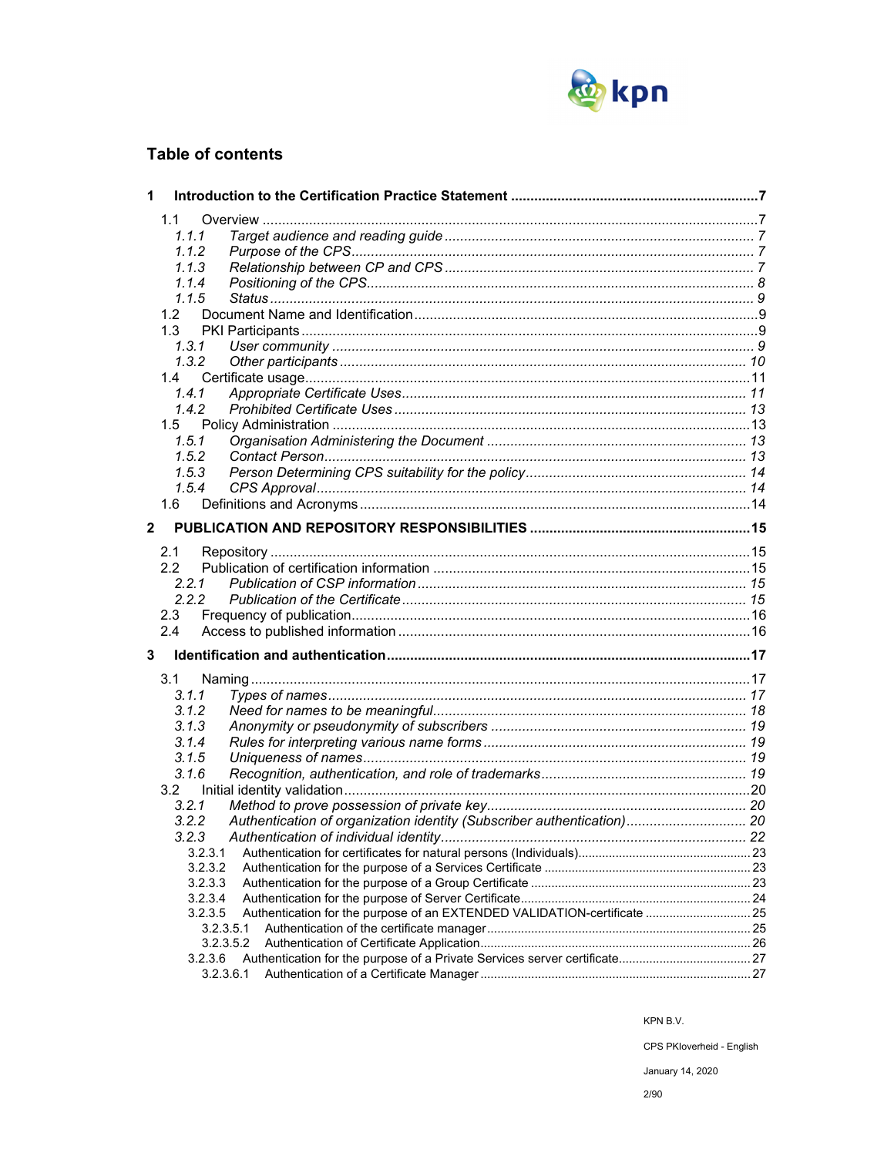

## **Table of contents**

| 1                       |                                                                                     |  |
|-------------------------|-------------------------------------------------------------------------------------|--|
|                         | 1.1                                                                                 |  |
|                         | 1.1.1                                                                               |  |
|                         | 1.1.2                                                                               |  |
|                         | 1.1.3                                                                               |  |
|                         | 1.1.4                                                                               |  |
|                         | 1.1.5                                                                               |  |
|                         | 1.2 <sub>1</sub>                                                                    |  |
|                         | 1.3                                                                                 |  |
|                         | 1, 3, 1                                                                             |  |
|                         | 1.3.2                                                                               |  |
|                         | 1.4                                                                                 |  |
|                         | 1.4.1                                                                               |  |
|                         | 1.4.2                                                                               |  |
|                         | 1.5                                                                                 |  |
|                         | 1.5.1                                                                               |  |
|                         | 1.5.2                                                                               |  |
|                         | 1.5.3                                                                               |  |
|                         | 1.5.4                                                                               |  |
|                         | 1.6                                                                                 |  |
| $\overline{\mathbf{2}}$ |                                                                                     |  |
|                         |                                                                                     |  |
|                         | 2.1                                                                                 |  |
|                         | 2.2                                                                                 |  |
|                         | 2.2.1                                                                               |  |
|                         | 2.2.2                                                                               |  |
|                         | 2.3                                                                                 |  |
|                         | 2.4                                                                                 |  |
| 3                       |                                                                                     |  |
|                         | 3.1                                                                                 |  |
|                         | 3.1.1                                                                               |  |
|                         | 3.1.2                                                                               |  |
|                         | 3.1.3                                                                               |  |
|                         | 3.1.4                                                                               |  |
|                         | 3.1.5                                                                               |  |
|                         | 3.1.6                                                                               |  |
|                         | 3.2                                                                                 |  |
|                         | 3.2.1                                                                               |  |
|                         | Authentication of organization identity (Subscriber authentication) 20<br>3.2.2     |  |
|                         | 3.2.3                                                                               |  |
|                         | 3.2.3.1                                                                             |  |
|                         | 3.2.3.2                                                                             |  |
|                         | 3.2.3.3                                                                             |  |
|                         | 3.2.3.4                                                                             |  |
|                         | Authentication for the purpose of an EXTENDED VALIDATION-certificate  25<br>3.2.3.5 |  |
|                         | 3.2.3.5.1                                                                           |  |
|                         | 3.2.3.5.2                                                                           |  |
|                         | 3.2.3.6                                                                             |  |
|                         | 3.2.3.6.1                                                                           |  |

KPN B.V.

CPS PKloverheid - English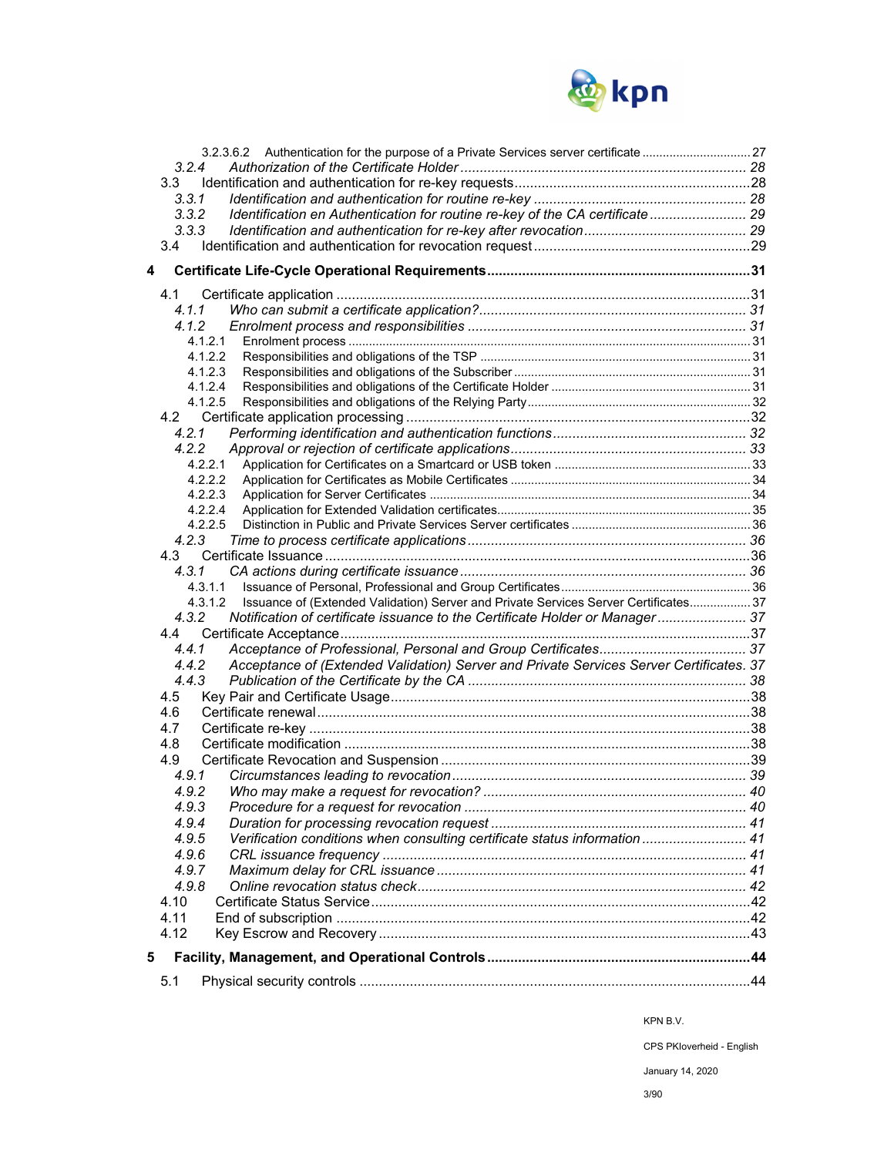

|   | 3.2.4                                                                                            |  |
|---|--------------------------------------------------------------------------------------------------|--|
|   | 3.3                                                                                              |  |
|   | 3.3.1                                                                                            |  |
|   | Identification en Authentication for routine re-key of the CA certificate 29<br>3.3.2            |  |
|   | 3.3.3                                                                                            |  |
|   | 3.4                                                                                              |  |
|   |                                                                                                  |  |
| 4 |                                                                                                  |  |
|   | 4.1                                                                                              |  |
|   | 4.1.1                                                                                            |  |
|   | 4.1.2                                                                                            |  |
|   | 4.1.2.1                                                                                          |  |
|   | 4.1.2.2                                                                                          |  |
|   | 4.1.2.3                                                                                          |  |
|   | 4.1.2.4                                                                                          |  |
|   | 4.1.2.5                                                                                          |  |
|   |                                                                                                  |  |
|   | 4.2.1                                                                                            |  |
|   | 4.2.2                                                                                            |  |
|   | 4.2.2.1                                                                                          |  |
|   | 4.2.2.2                                                                                          |  |
|   | 4.2.2.3                                                                                          |  |
|   | 4.2.2.4<br>4.2.2.5                                                                               |  |
|   | 4.2.3                                                                                            |  |
|   | 4.3                                                                                              |  |
|   | 4.3.1                                                                                            |  |
|   | 4.3.1.1                                                                                          |  |
|   | Issuance of (Extended Validation) Server and Private Services Server Certificates 37<br>4.3.1.2  |  |
|   | Notification of certificate issuance to the Certificate Holder or Manager 37<br>4.3.2            |  |
|   | 4.4                                                                                              |  |
|   | 4.4.1                                                                                            |  |
|   | Acceptance of (Extended Validation) Server and Private Services Server Certificates. 37<br>4.4.2 |  |
|   | 4.4.3                                                                                            |  |
|   | 4.5                                                                                              |  |
|   | 4.6                                                                                              |  |
|   | 4.7                                                                                              |  |
|   | 4.8                                                                                              |  |
|   | 4.9                                                                                              |  |
|   | 4.9.1                                                                                            |  |
|   | 4.9.2                                                                                            |  |
|   | 4.9.3                                                                                            |  |
|   | 4.9.4                                                                                            |  |
|   | Verification conditions when consulting certificate status information  41<br>4.9.5              |  |
|   | 4.9.6                                                                                            |  |
|   | 4.9.7                                                                                            |  |
|   | 4.9.8                                                                                            |  |
|   | 4.10                                                                                             |  |
|   | 4.11                                                                                             |  |
|   | 4.12                                                                                             |  |
| 5 |                                                                                                  |  |
|   | 5.1                                                                                              |  |
|   |                                                                                                  |  |

KPN B.V.

CPS PKIoverheid - English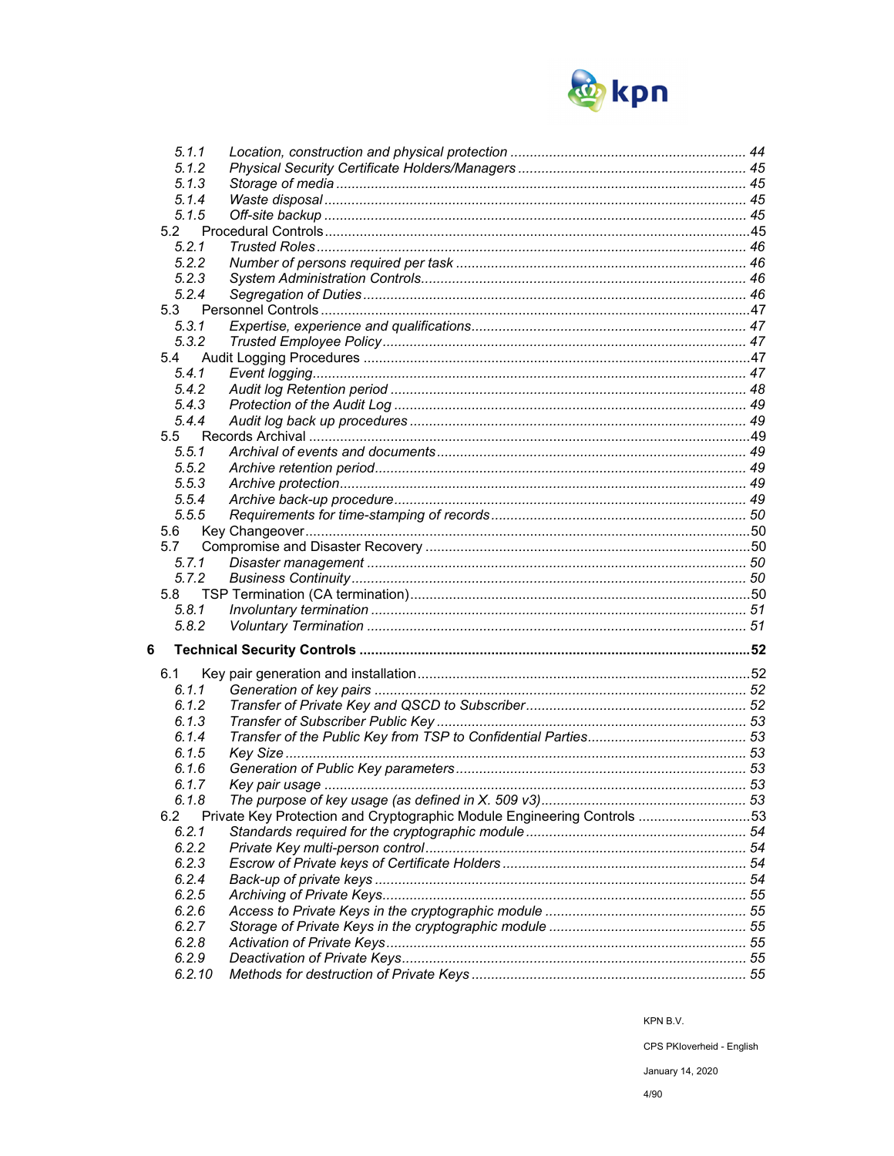

| 5.1.1           |                                                                         |  |
|-----------------|-------------------------------------------------------------------------|--|
| 5.1.2           |                                                                         |  |
| 5.1.3           |                                                                         |  |
|                 |                                                                         |  |
| 5.1.4           |                                                                         |  |
| 5.1.5           |                                                                         |  |
| 5.2             |                                                                         |  |
| 5.2.1           |                                                                         |  |
| 5.2.2           |                                                                         |  |
| 5.2.3           |                                                                         |  |
| 5.2.4           |                                                                         |  |
| 5.3             |                                                                         |  |
| 5.3.1           |                                                                         |  |
| 5.3.2           |                                                                         |  |
|                 |                                                                         |  |
| 5.4             |                                                                         |  |
| 5.4.1           |                                                                         |  |
| 5.4.2           |                                                                         |  |
| 5.4.3           |                                                                         |  |
| 5.4.4           |                                                                         |  |
| 5.5             |                                                                         |  |
| 5.5.1           |                                                                         |  |
| 5.5.2           |                                                                         |  |
| 5.5.3           |                                                                         |  |
| 5.5.4           |                                                                         |  |
| 5.5.5           |                                                                         |  |
|                 |                                                                         |  |
| 5.6             |                                                                         |  |
| 5.7             |                                                                         |  |
| 5.7.1           |                                                                         |  |
|                 |                                                                         |  |
| 5.7.2           |                                                                         |  |
| 5.8             |                                                                         |  |
| 5.8.1           |                                                                         |  |
| 5.8.2           |                                                                         |  |
|                 |                                                                         |  |
| 6               |                                                                         |  |
|                 |                                                                         |  |
| 6.1             |                                                                         |  |
| 6.1.1           |                                                                         |  |
| 6.1.2           |                                                                         |  |
| 6.1.3           |                                                                         |  |
| 6.1.4           |                                                                         |  |
| 6.1.5           |                                                                         |  |
| 6.1.6           |                                                                         |  |
| 6.1.7           |                                                                         |  |
| 6.1.8           |                                                                         |  |
| 6.2             |                                                                         |  |
| 6.2.1           | Private Key Protection and Cryptographic Module Engineering Controls 53 |  |
|                 |                                                                         |  |
| 6.2.2           |                                                                         |  |
| 6.2.3           |                                                                         |  |
| 6.2.4           |                                                                         |  |
| 6.2.5           |                                                                         |  |
| 6.2.6           |                                                                         |  |
| 6.2.7           |                                                                         |  |
| 6.2.8           |                                                                         |  |
| 6.2.9<br>6.2.10 |                                                                         |  |

CPS PKloverheid - English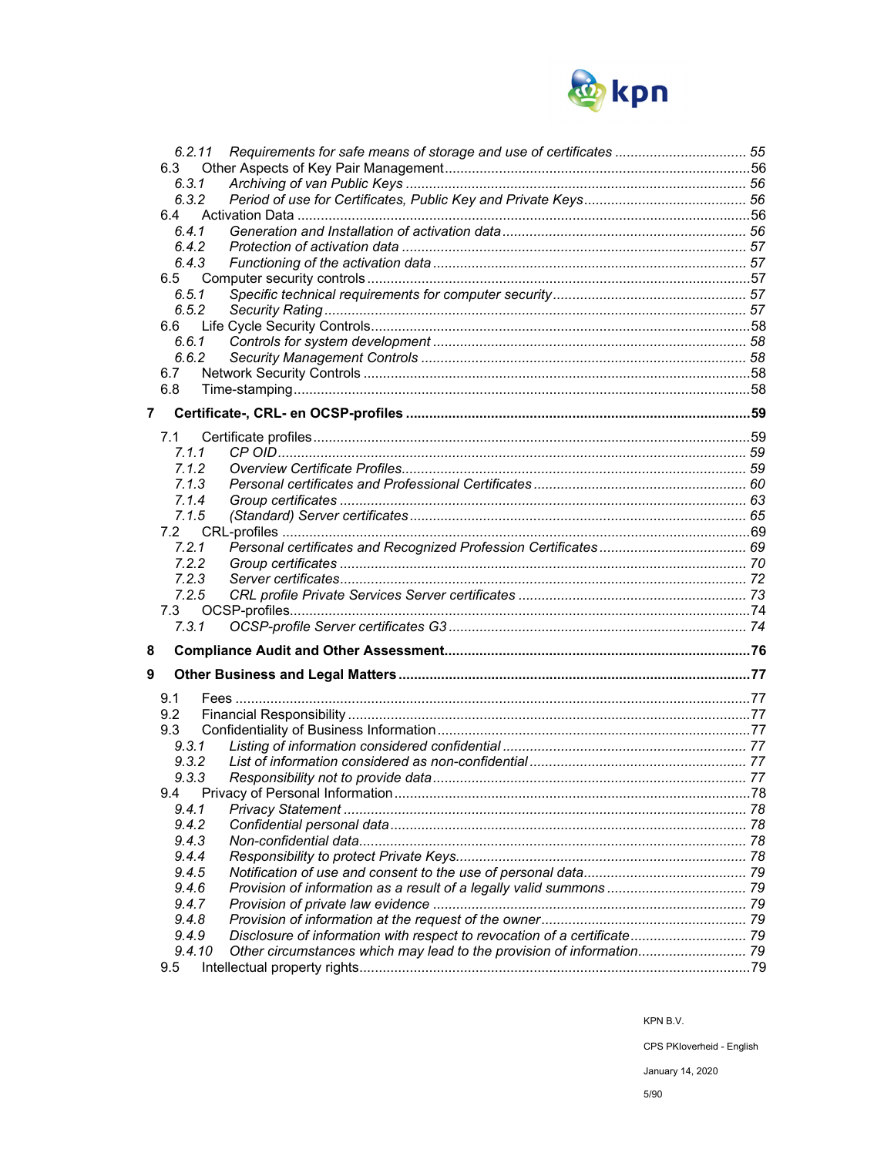

|                | 6.2.11 |                                                                          |  |
|----------------|--------|--------------------------------------------------------------------------|--|
|                | 6.3    |                                                                          |  |
|                | 6.3.1  |                                                                          |  |
|                | 6.3.2  |                                                                          |  |
|                | 6.4    |                                                                          |  |
|                | 6.4.1  |                                                                          |  |
|                | 6.4.2  |                                                                          |  |
|                |        |                                                                          |  |
|                | 6.4.3  |                                                                          |  |
|                | 6.5    |                                                                          |  |
|                | 6.5.1  |                                                                          |  |
|                | 6.5.2  |                                                                          |  |
|                | 6.6    |                                                                          |  |
|                | 6.6.1  |                                                                          |  |
|                | 6.6.2  |                                                                          |  |
|                |        |                                                                          |  |
|                | 6.7    |                                                                          |  |
|                | 6.8    |                                                                          |  |
| $\overline{7}$ |        |                                                                          |  |
|                |        |                                                                          |  |
|                | 7.1    |                                                                          |  |
|                | 7.1.1  |                                                                          |  |
|                | 7.1.2  |                                                                          |  |
|                | 7.1.3  |                                                                          |  |
|                |        |                                                                          |  |
|                | 7.1.4  |                                                                          |  |
|                | 7.1.5  |                                                                          |  |
|                | 7.2    |                                                                          |  |
|                | 7.2.1  |                                                                          |  |
|                | 7.2.2  |                                                                          |  |
|                | 7.2.3  |                                                                          |  |
|                | 7.2.5  |                                                                          |  |
|                |        |                                                                          |  |
|                | 7.3    |                                                                          |  |
|                | 7.3.1  |                                                                          |  |
| 8              |        |                                                                          |  |
|                |        |                                                                          |  |
| 9              |        |                                                                          |  |
|                |        |                                                                          |  |
|                | 9.1    |                                                                          |  |
|                | 9.2    |                                                                          |  |
|                | 9.3    |                                                                          |  |
|                | 9.3.1  |                                                                          |  |
|                | 9.3.2  |                                                                          |  |
|                | 9.3.3  |                                                                          |  |
|                |        |                                                                          |  |
|                | 9.4    | Privacy of Personal Information                                          |  |
|                | 9.4.1  |                                                                          |  |
|                | 9.4.2  |                                                                          |  |
|                | 9.4.3  |                                                                          |  |
|                | 9.4.4  |                                                                          |  |
|                | 9.4.5  |                                                                          |  |
|                | 9.4.6  |                                                                          |  |
|                |        |                                                                          |  |
|                | 9.4.7  |                                                                          |  |
|                | 9.4.8  |                                                                          |  |
|                | 9.4.9  | Disclosure of information with respect to revocation of a certificate 79 |  |
|                | 9.4.10 |                                                                          |  |
|                |        |                                                                          |  |
|                | 9.5    |                                                                          |  |

KPN B.V.

CPS PKloverheid - English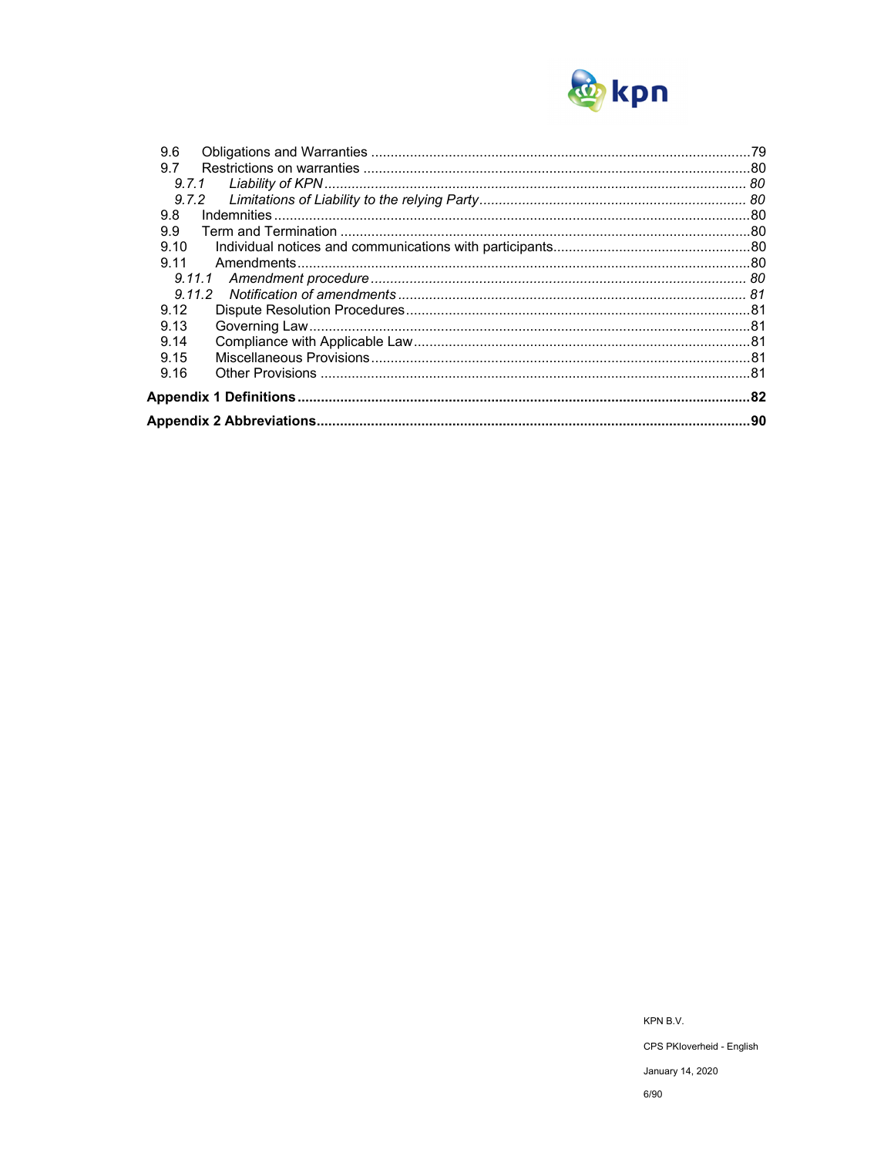

| 9.6    |  |
|--------|--|
| 9.7    |  |
| 9.7.1  |  |
| 9.7.2  |  |
| 9.8    |  |
| 9.9    |  |
| 9.10   |  |
| 9.11   |  |
| 9.11.1 |  |
|        |  |
| 9.12   |  |
| 9.13   |  |
| 9.14   |  |
| 9.15   |  |
| 9.16   |  |
|        |  |
|        |  |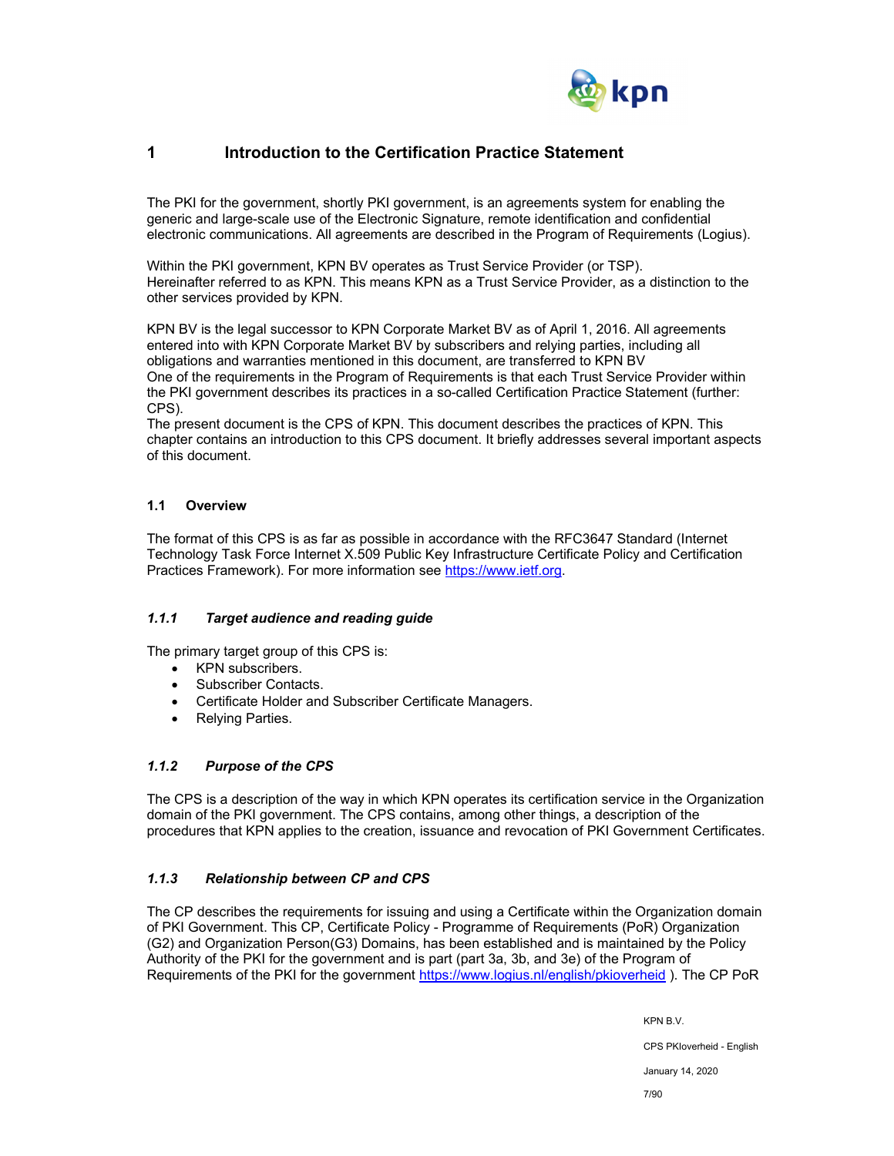

## **1 Introduction to the Certification Practice Statement**

The PKI for the government, shortly PKI government, is an agreements system for enabling the generic and large-scale use of the Electronic Signature, remote identification and confidential electronic communications. All agreements are described in the Program of Requirements (Logius).

Within the PKI government, KPN BV operates as Trust Service Provider (or TSP). Hereinafter referred to as KPN. This means KPN as a Trust Service Provider, as a distinction to the other services provided by KPN.

KPN BV is the legal successor to KPN Corporate Market BV as of April 1, 2016. All agreements entered into with KPN Corporate Market BV by subscribers and relying parties, including all obligations and warranties mentioned in this document, are transferred to KPN BV One of the requirements in the Program of Requirements is that each Trust Service Provider within the PKI government describes its practices in a so-called Certification Practice Statement (further: CPS).

The present document is the CPS of KPN. This document describes the practices of KPN. This chapter contains an introduction to this CPS document. It briefly addresses several important aspects of this document.

## **1.1 Overview**

The format of this CPS is as far as possible in accordance with the RFC3647 Standard (Internet Technology Task Force Internet X.509 Public Key Infrastructure Certificate Policy and Certification Practices Framework). For more information see https://www.ietf.org.

## *1.1.1 Target audience and reading guide*

The primary target group of this CPS is:

- KPN subscribers.
- Subscriber Contacts.
- Certificate Holder and Subscriber Certificate Managers.
- Relying Parties.

## *1.1.2 Purpose of the CPS*

The CPS is a description of the way in which KPN operates its certification service in the Organization domain of the PKI government. The CPS contains, among other things, a description of the procedures that KPN applies to the creation, issuance and revocation of PKI Government Certificates.

## *1.1.3 Relationship between CP and CPS*

The CP describes the requirements for issuing and using a Certificate within the Organization domain of PKI Government. This CP, Certificate Policy - Programme of Requirements (PoR) Organization (G2) and Organization Person(G3) Domains, has been established and is maintained by the Policy Authority of the PKI for the government and is part (part 3a, 3b, and 3e) of the Program of Requirements of the PKI for the government https://www.logius.nl/english/pkioverheid ). The CP PoR

KPN B.V.

CPS PKIoverheid - English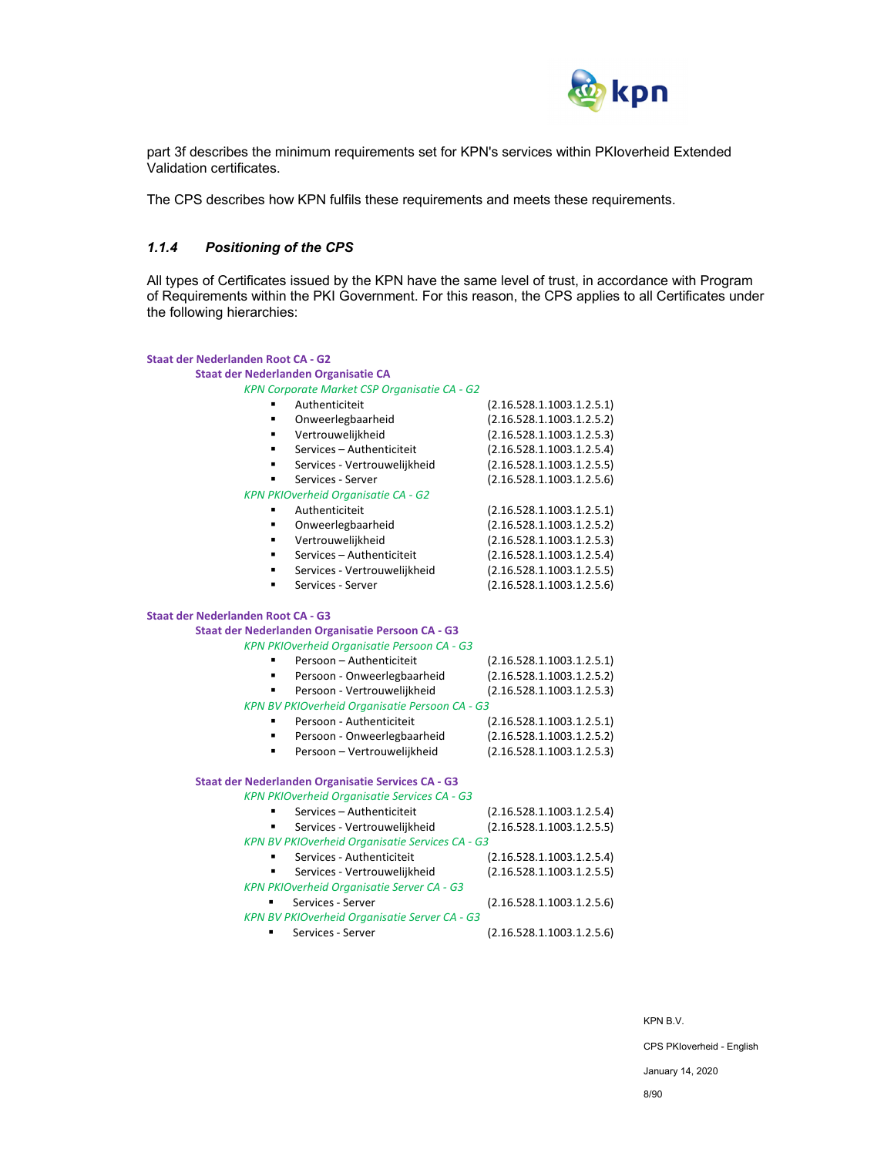

part 3f describes the minimum requirements set for KPN's services within PKIoverheid Extended Validation certificates.

The CPS describes how KPN fulfils these requirements and meets these requirements.

## *1.1.4 Positioning of the CPS*

All types of Certificates issued by the KPN have the same level of trust, in accordance with Program of Requirements within the PKI Government. For this reason, the CPS applies to all Certificates under the following hierarchies:

| <b>Staat der Nederlanden Root CA - G2</b> |                                                     |                           |
|-------------------------------------------|-----------------------------------------------------|---------------------------|
|                                           | Staat der Nederlanden Organisatie CA                |                           |
|                                           | KPN Corporate Market CSP Organisatie CA - G2        |                           |
|                                           | Authenticiteit                                      | (2.16.528.1.1003.1.2.5.1) |
| $\blacksquare$                            | Onweerlegbaarheid                                   | (2.16.528.1.1003.1.2.5.2) |
| $\blacksquare$                            | Vertrouwelijkheid                                   | (2.16.528.1.1003.1.2.5.3) |
| ٠                                         | Services - Authenticiteit                           | (2.16.528.1.1003.1.2.5.4) |
| ٠                                         | Services - Vertrouwelijkheid                        | (2.16.528.1.1003.1.2.5.5) |
| ٠                                         | Services - Server                                   | (2.16.528.1.1003.1.2.5.6) |
|                                           | KPN PKIOverheid Organisatie CA - G2                 |                           |
|                                           | Authenticiteit                                      | (2.16.528.1.1003.1.2.5.1) |
|                                           | Onweerlegbaarheid                                   | (2.16.528.1.1003.1.2.5.2) |
| ٠                                         | Vertrouwelijkheid                                   | (2.16.528.1.1003.1.2.5.3) |
| ٠                                         | Services - Authenticiteit                           | (2.16.528.1.1003.1.2.5.4) |
| ٠                                         | Services - Vertrouwelijkheid                        | (2.16.528.1.1003.1.2.5.5) |
|                                           | Services - Server                                   | (2.16.528.1.1003.1.2.5.6) |
| <b>Staat der Nederlanden Root CA - G3</b> |                                                     |                           |
|                                           | Staat der Nederlanden Organisatie Persoon CA - G3   |                           |
|                                           | KPN PKIOverheid Organisatie Persoon CA - G3         |                           |
|                                           | Persoon - Authenticiteit                            | (2.16.528.1.1003.1.2.5.1) |
| $\blacksquare$                            | Persoon - Onweerlegbaarheid                         | (2.16.528.1.1003.1.2.5.2) |
| ٠                                         | Persoon - Vertrouwelijkheid                         | (2.16.528.1.1003.1.2.5.3) |
|                                           | KPN BV PKIOverheid Organisatie Persoon CA - G3      |                           |
|                                           | Persoon - Authenticiteit                            | (2.16.528.1.1003.1.2.5.1) |
|                                           | Persoon - Onweerlegbaarheid                         | (2.16.528.1.1003.1.2.5.2) |
|                                           | Persoon - Vertrouwelijkheid                         | (2.16.528.1.1003.1.2.5.3) |
|                                           | Staat der Nederlanden Organisatie Services CA - G3  |                           |
|                                           | <b>KPN PKIOverheid Organisatie Services CA - G3</b> |                           |
|                                           | Services - Authenticiteit                           | (2.16.528.1.1003.1.2.5.4) |
|                                           | Services - Vertrouwelijkheid                        | (2.16.528.1.1003.1.2.5.5) |
|                                           | KPN BV PKIOverheid Organisatie Services CA - G3     |                           |
| ٠                                         | Services - Authenticiteit                           | (2.16.528.1.1003.1.2.5.4) |
|                                           | Services - Vertrouwelijkheid                        | (2.16.528.1.1003.1.2.5.5) |
|                                           | <b>KPN PKIOverheid Organisatie Server CA - G3</b>   |                           |
|                                           | Services - Server                                   | (2.16.528.1.1003.1.2.5.6) |
|                                           | KPN BV PKIOverheid Organisatie Server CA - G3       |                           |
| ٠                                         | Services - Server                                   | (2.16.528.1.1003.1.2.5.6) |

KPN B.V.

CPS PKIoverheid - English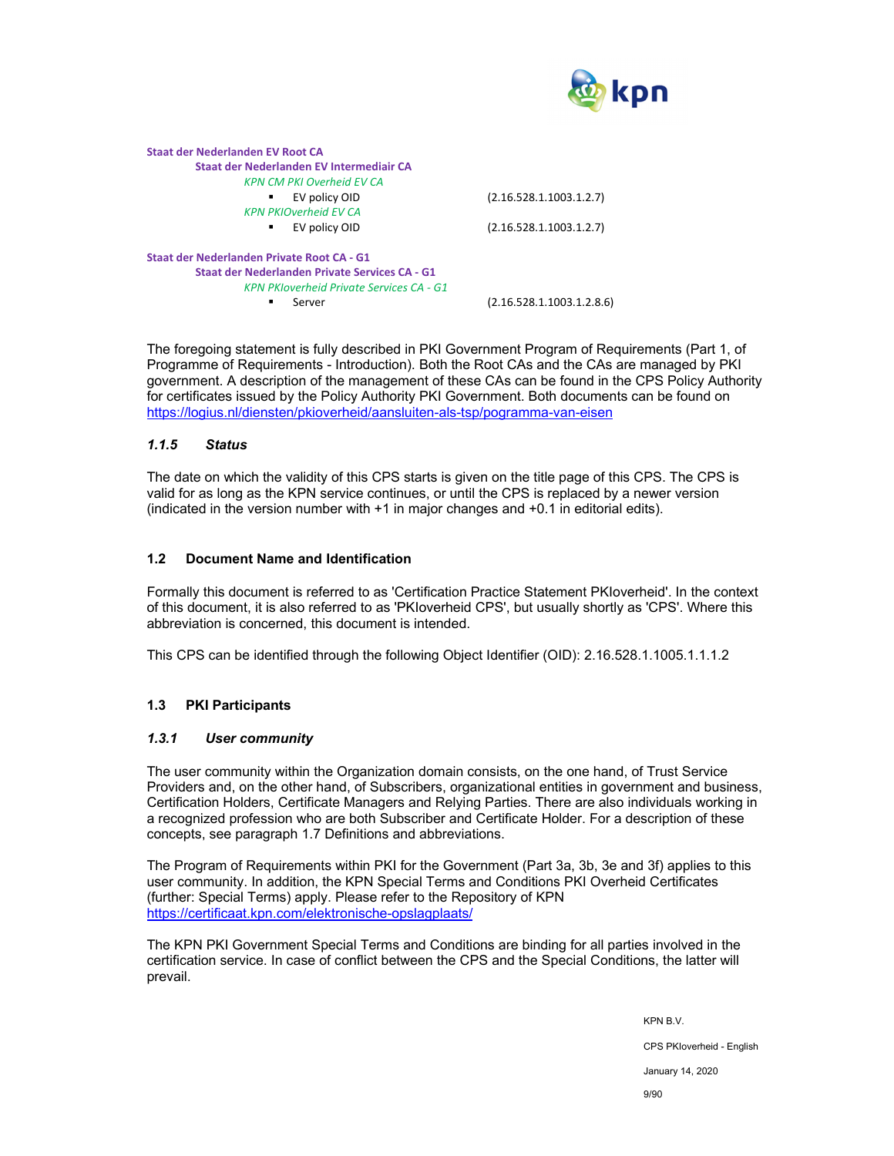

| Staat der Nederlanden EV Root CA                |                           |
|-------------------------------------------------|---------------------------|
| Staat der Nederlanden EV Intermediair CA        |                           |
| <b>KPN CM PKI Overheid EV CA</b>                |                           |
| EV policy OID                                   | (2.16.528.1.1003.1.2.7)   |
| <b>KPN PKIOverheid FV CA</b>                    |                           |
| EV policy OID<br>٠                              | (2.16.528.1.1003.1.2.7)   |
| Staat der Nederlanden Private Root CA - G1      |                           |
| Staat der Nederlanden Private Services CA - G1  |                           |
| <b>KPN PKloverheid Private Services CA - G1</b> |                           |
| Server                                          | (2.16.528.1.1003.1.2.8.6) |
|                                                 |                           |

The foregoing statement is fully described in PKI Government Program of Requirements (Part 1, of Programme of Requirements - Introduction). Both the Root CAs and the CAs are managed by PKI government. A description of the management of these CAs can be found in the CPS Policy Authority for certificates issued by the Policy Authority PKI Government. Both documents can be found on https://logius.nl/diensten/pkioverheid/aansluiten-als-tsp/pogramma-van-eisen

### *1.1.5 Status*

The date on which the validity of this CPS starts is given on the title page of this CPS. The CPS is valid for as long as the KPN service continues, or until the CPS is replaced by a newer version (indicated in the version number with +1 in major changes and +0.1 in editorial edits).

#### **1.2 Document Name and Identification**

Formally this document is referred to as 'Certification Practice Statement PKIoverheid'. In the context of this document, it is also referred to as 'PKIoverheid CPS', but usually shortly as 'CPS'. Where this abbreviation is concerned, this document is intended.

This CPS can be identified through the following Object Identifier (OID): 2.16.528.1.1005.1.1.1.2

## **1.3 PKI Participants**

#### *1.3.1 User community*

The user community within the Organization domain consists, on the one hand, of Trust Service Providers and, on the other hand, of Subscribers, organizational entities in government and business, Certification Holders, Certificate Managers and Relying Parties. There are also individuals working in a recognized profession who are both Subscriber and Certificate Holder. For a description of these concepts, see paragraph 1.7 Definitions and abbreviations.

The Program of Requirements within PKI for the Government (Part 3a, 3b, 3e and 3f) applies to this user community. In addition, the KPN Special Terms and Conditions PKI Overheid Certificates (further: Special Terms) apply. Please refer to the Repository of KPN https://certificaat.kpn.com/elektronische-opslagplaats/

The KPN PKI Government Special Terms and Conditions are binding for all parties involved in the certification service. In case of conflict between the CPS and the Special Conditions, the latter will prevail.

> KPN B.V. CPS PKIoverheid - English January 14, 2020

9/90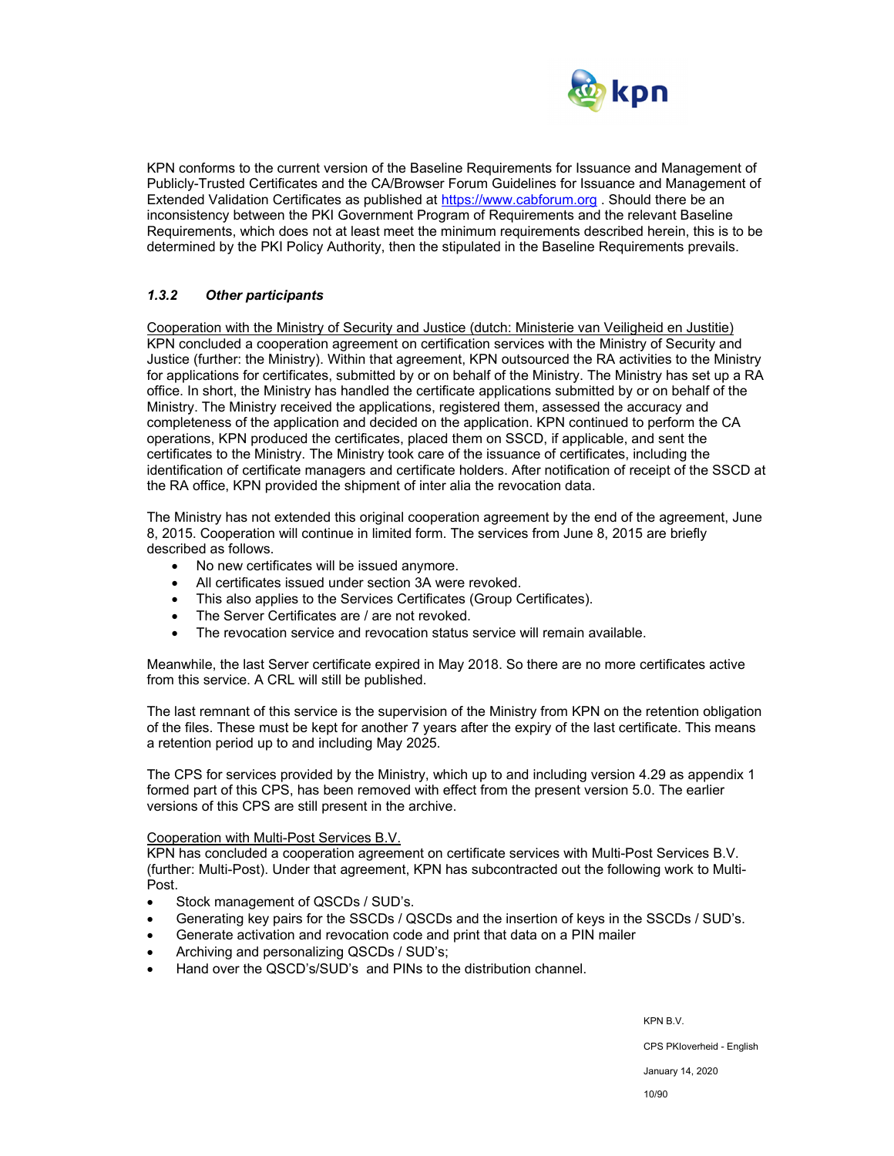

KPN conforms to the current version of the Baseline Requirements for Issuance and Management of Publicly-Trusted Certificates and the CA/Browser Forum Guidelines for Issuance and Management of Extended Validation Certificates as published at https://www.cabforum.org . Should there be an inconsistency between the PKI Government Program of Requirements and the relevant Baseline Requirements, which does not at least meet the minimum requirements described herein, this is to be determined by the PKI Policy Authority, then the stipulated in the Baseline Requirements prevails.

## *1.3.2 Other participants*

Cooperation with the Ministry of Security and Justice (dutch: Ministerie van Veiligheid en Justitie) KPN concluded a cooperation agreement on certification services with the Ministry of Security and Justice (further: the Ministry). Within that agreement, KPN outsourced the RA activities to the Ministry for applications for certificates, submitted by or on behalf of the Ministry. The Ministry has set up a RA office. In short, the Ministry has handled the certificate applications submitted by or on behalf of the Ministry. The Ministry received the applications, registered them, assessed the accuracy and completeness of the application and decided on the application. KPN continued to perform the CA operations, KPN produced the certificates, placed them on SSCD, if applicable, and sent the certificates to the Ministry. The Ministry took care of the issuance of certificates, including the identification of certificate managers and certificate holders. After notification of receipt of the SSCD at the RA office, KPN provided the shipment of inter alia the revocation data.

The Ministry has not extended this original cooperation agreement by the end of the agreement, June 8, 2015. Cooperation will continue in limited form. The services from June 8, 2015 are briefly described as follows.

- No new certificates will be issued anymore.
- All certificates issued under section 3A were revoked.
- This also applies to the Services Certificates (Group Certificates).
- The Server Certificates are / are not revoked.
- The revocation service and revocation status service will remain available.

Meanwhile, the last Server certificate expired in May 2018. So there are no more certificates active from this service. A CRL will still be published.

The last remnant of this service is the supervision of the Ministry from KPN on the retention obligation of the files. These must be kept for another 7 years after the expiry of the last certificate. This means a retention period up to and including May 2025.

The CPS for services provided by the Ministry, which up to and including version 4.29 as appendix 1 formed part of this CPS, has been removed with effect from the present version 5.0. The earlier versions of this CPS are still present in the archive.

#### Cooperation with Multi-Post Services B.V.

KPN has concluded a cooperation agreement on certificate services with Multi-Post Services B.V. (further: Multi-Post). Under that agreement, KPN has subcontracted out the following work to Multi-Post.

- Stock management of QSCDs / SUD's.
- Generating key pairs for the SSCDs / QSCDs and the insertion of keys in the SSCDs / SUD's.
- Generate activation and revocation code and print that data on a PIN mailer
- Archiving and personalizing QSCDs / SUD's;
- Hand over the QSCD's/SUD's and PINs to the distribution channel.

KPN B.V. CPS PKIoverheid - English January 14, 2020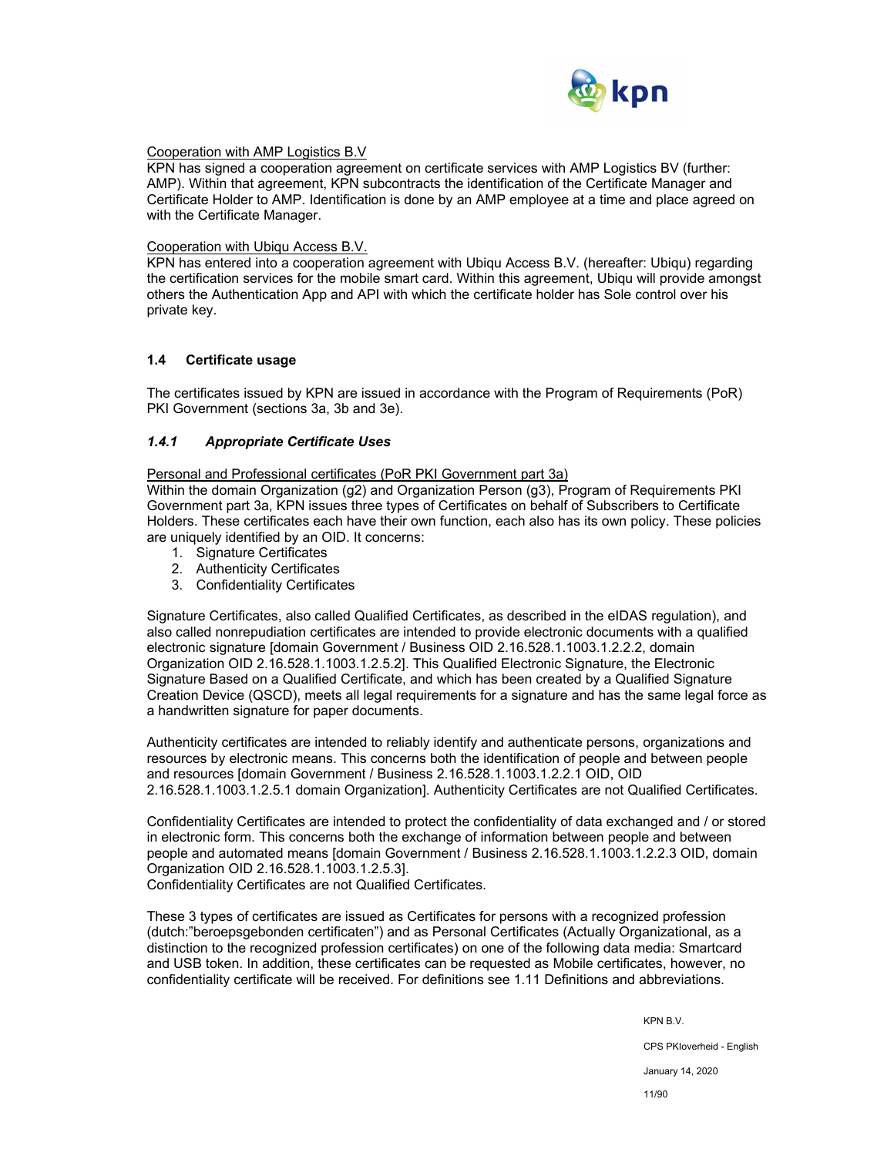

#### Cooperation with AMP Logistics B.V

KPN has signed a cooperation agreement on certificate services with AMP Logistics BV (further: AMP). Within that agreement, KPN subcontracts the identification of the Certificate Manager and Certificate Holder to AMP. Identification is done by an AMP employee at a time and place agreed on with the Certificate Manager.

#### Cooperation with Ubiqu Access B.V.

KPN has entered into a cooperation agreement with Ubiqu Access B.V. (hereafter: Ubiqu) regarding the certification services for the mobile smart card. Within this agreement, Ubiqu will provide amongst others the Authentication App and API with which the certificate holder has Sole control over his private key.

#### **1.4 Certificate usage**

The certificates issued by KPN are issued in accordance with the Program of Requirements (PoR) PKI Government (sections 3a, 3b and 3e).

#### *1.4.1 Appropriate Certificate Uses*

Personal and Professional certificates (PoR PKI Government part 3a)

Within the domain Organization (g2) and Organization Person (g3), Program of Requirements PKI Government part 3a, KPN issues three types of Certificates on behalf of Subscribers to Certificate Holders. These certificates each have their own function, each also has its own policy. These policies are uniquely identified by an OID. It concerns:

- 1. Signature Certificates
- 2. Authenticity Certificates
- 3. Confidentiality Certificates

Signature Certificates, also called Qualified Certificates, as described in the eIDAS regulation), and also called nonrepudiation certificates are intended to provide electronic documents with a qualified electronic signature [domain Government / Business OID 2.16.528.1.1003.1.2.2.2, domain Organization OID 2.16.528.1.1003.1.2.5.2]. This Qualified Electronic Signature, the Electronic Signature Based on a Qualified Certificate, and which has been created by a Qualified Signature Creation Device (QSCD), meets all legal requirements for a signature and has the same legal force as a handwritten signature for paper documents.

Authenticity certificates are intended to reliably identify and authenticate persons, organizations and resources by electronic means. This concerns both the identification of people and between people and resources [domain Government / Business 2.16.528.1.1003.1.2.2.1 OID, OID 2.16.528.1.1003.1.2.5.1 domain Organization]. Authenticity Certificates are not Qualified Certificates.

Confidentiality Certificates are intended to protect the confidentiality of data exchanged and / or stored in electronic form. This concerns both the exchange of information between people and between people and automated means [domain Government / Business 2.16.528.1.1003.1.2.2.3 OID, domain Organization OID 2.16.528.1.1003.1.2.5.3].

Confidentiality Certificates are not Qualified Certificates.

These 3 types of certificates are issued as Certificates for persons with a recognized profession (dutch:"beroepsgebonden certificaten") and as Personal Certificates (Actually Organizational, as a distinction to the recognized profession certificates) on one of the following data media: Smartcard and USB token. In addition, these certificates can be requested as Mobile certificates, however, no confidentiality certificate will be received. For definitions see 1.11 Definitions and abbreviations.

KPN B.V.

CPS PKIoverheid - English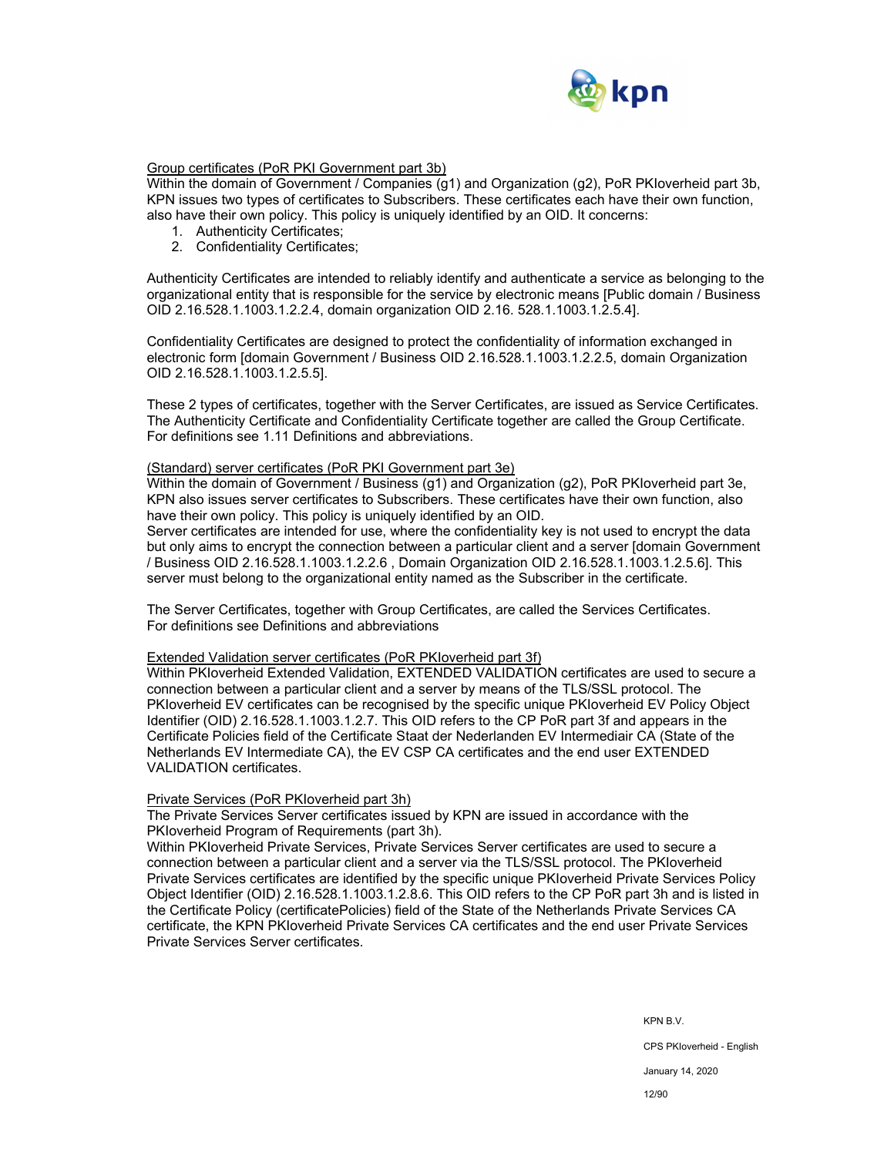

## Group certificates (PoR PKI Government part 3b)

Within the domain of Government / Companies (g1) and Organization (g2), PoR PKIoverheid part 3b, KPN issues two types of certificates to Subscribers. These certificates each have their own function, also have their own policy. This policy is uniquely identified by an OID. It concerns:

- 1. Authenticity Certificates;
- 2. Confidentiality Certificates;

Authenticity Certificates are intended to reliably identify and authenticate a service as belonging to the organizational entity that is responsible for the service by electronic means [Public domain / Business OID 2.16.528.1.1003.1.2.2.4, domain organization OID 2.16. 528.1.1003.1.2.5.4].

Confidentiality Certificates are designed to protect the confidentiality of information exchanged in electronic form [domain Government / Business OID 2.16.528.1.1003.1.2.2.5, domain Organization OID 2.16.528.1.1003.1.2.5.5].

These 2 types of certificates, together with the Server Certificates, are issued as Service Certificates. The Authenticity Certificate and Confidentiality Certificate together are called the Group Certificate. For definitions see 1.11 Definitions and abbreviations.

#### (Standard) server certificates (PoR PKI Government part 3e)

Within the domain of Government / Business (g1) and Organization (g2), PoR PKIoverheid part 3e, KPN also issues server certificates to Subscribers. These certificates have their own function, also have their own policy. This policy is uniquely identified by an OID.

Server certificates are intended for use, where the confidentiality key is not used to encrypt the data but only aims to encrypt the connection between a particular client and a server [domain Government / Business OID 2.16.528.1.1003.1.2.2.6 , Domain Organization OID 2.16.528.1.1003.1.2.5.6]. This server must belong to the organizational entity named as the Subscriber in the certificate.

The Server Certificates, together with Group Certificates, are called the Services Certificates. For definitions see Definitions and abbreviations

#### Extended Validation server certificates (PoR PKIoverheid part 3f)

Within PKIoverheid Extended Validation, EXTENDED VALIDATION certificates are used to secure a connection between a particular client and a server by means of the TLS/SSL protocol. The PKIoverheid EV certificates can be recognised by the specific unique PKIoverheid EV Policy Object Identifier (OID) 2.16.528.1.1003.1.2.7. This OID refers to the CP PoR part 3f and appears in the Certificate Policies field of the Certificate Staat der Nederlanden EV Intermediair CA (State of the Netherlands EV Intermediate CA), the EV CSP CA certificates and the end user EXTENDED VALIDATION certificates.

#### Private Services (PoR PKIoverheid part 3h)

The Private Services Server certificates issued by KPN are issued in accordance with the PKIoverheid Program of Requirements (part 3h).

Within PKIoverheid Private Services, Private Services Server certificates are used to secure a connection between a particular client and a server via the TLS/SSL protocol. The PKIoverheid Private Services certificates are identified by the specific unique PKIoverheid Private Services Policy Object Identifier (OID) 2.16.528.1.1003.1.2.8.6. This OID refers to the CP PoR part 3h and is listed in the Certificate Policy (certificatePolicies) field of the State of the Netherlands Private Services CA certificate, the KPN PKIoverheid Private Services CA certificates and the end user Private Services Private Services Server certificates.

KPN B.V.

CPS PKIoverheid - English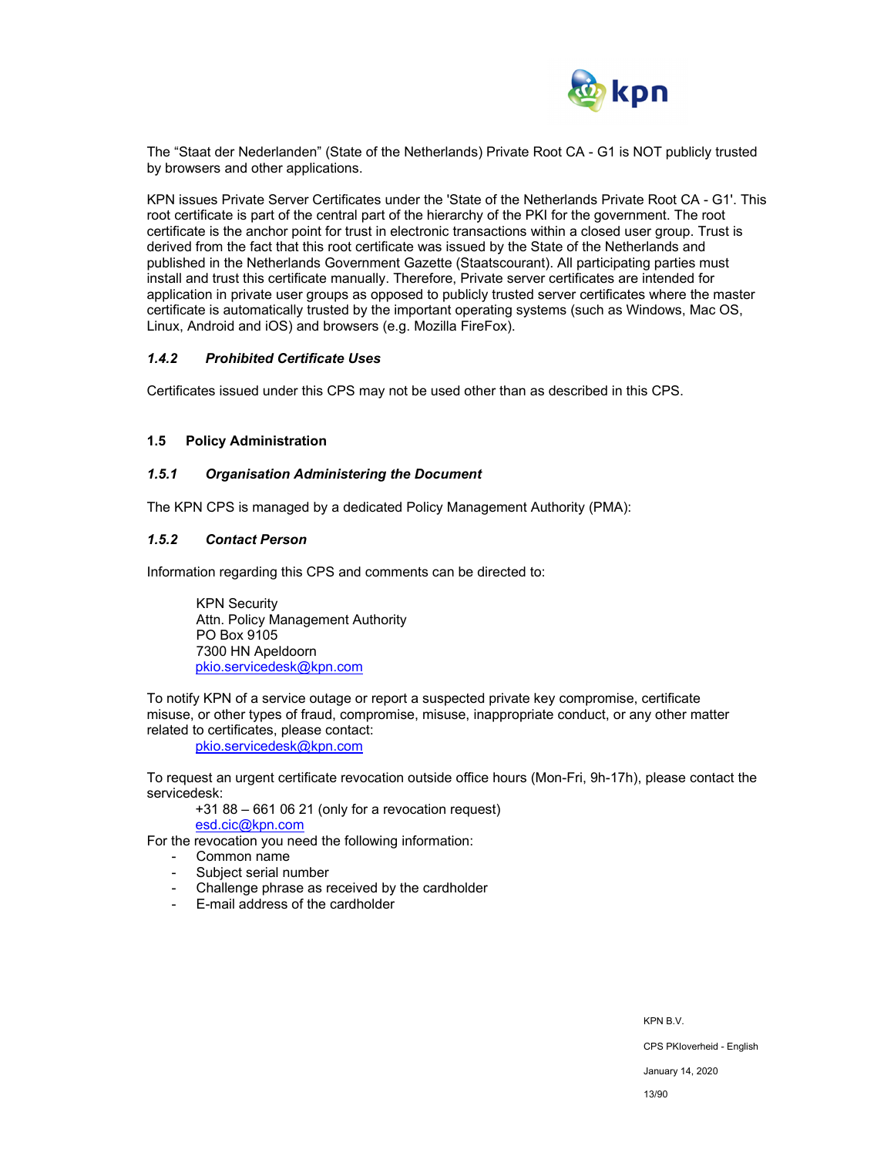

The "Staat der Nederlanden" (State of the Netherlands) Private Root CA - G1 is NOT publicly trusted by browsers and other applications.

KPN issues Private Server Certificates under the 'State of the Netherlands Private Root CA - G1'. This root certificate is part of the central part of the hierarchy of the PKI for the government. The root certificate is the anchor point for trust in electronic transactions within a closed user group. Trust is derived from the fact that this root certificate was issued by the State of the Netherlands and published in the Netherlands Government Gazette (Staatscourant). All participating parties must install and trust this certificate manually. Therefore, Private server certificates are intended for application in private user groups as opposed to publicly trusted server certificates where the master certificate is automatically trusted by the important operating systems (such as Windows, Mac OS, Linux, Android and iOS) and browsers (e.g. Mozilla FireFox).

#### *1.4.2 Prohibited Certificate Uses*

Certificates issued under this CPS may not be used other than as described in this CPS.

#### **1.5 Policy Administration**

#### *1.5.1 Organisation Administering the Document*

The KPN CPS is managed by a dedicated Policy Management Authority (PMA):

#### *1.5.2 Contact Person*

Information regarding this CPS and comments can be directed to:

KPN Security Attn. Policy Management Authority PO Box 9105 7300 HN Apeldoorn pkio.servicedesk@kpn.com

To notify KPN of a service outage or report a suspected private key compromise, certificate misuse, or other types of fraud, compromise, misuse, inappropriate conduct, or any other matter related to certificates, please contact:

pkio.servicedesk@kpn.com

To request an urgent certificate revocation outside office hours (Mon-Fri, 9h-17h), please contact the servicedesk:

+31 88 – 661 06 21 (only for a revocation request)

esd.cic@kpn.com

For the revocation you need the following information:

- Common name
- Subject serial number
- Challenge phrase as received by the cardholder
- E-mail address of the cardholder

CPS PKIoverheid - English

January 14, 2020

13/90

KPN B.V.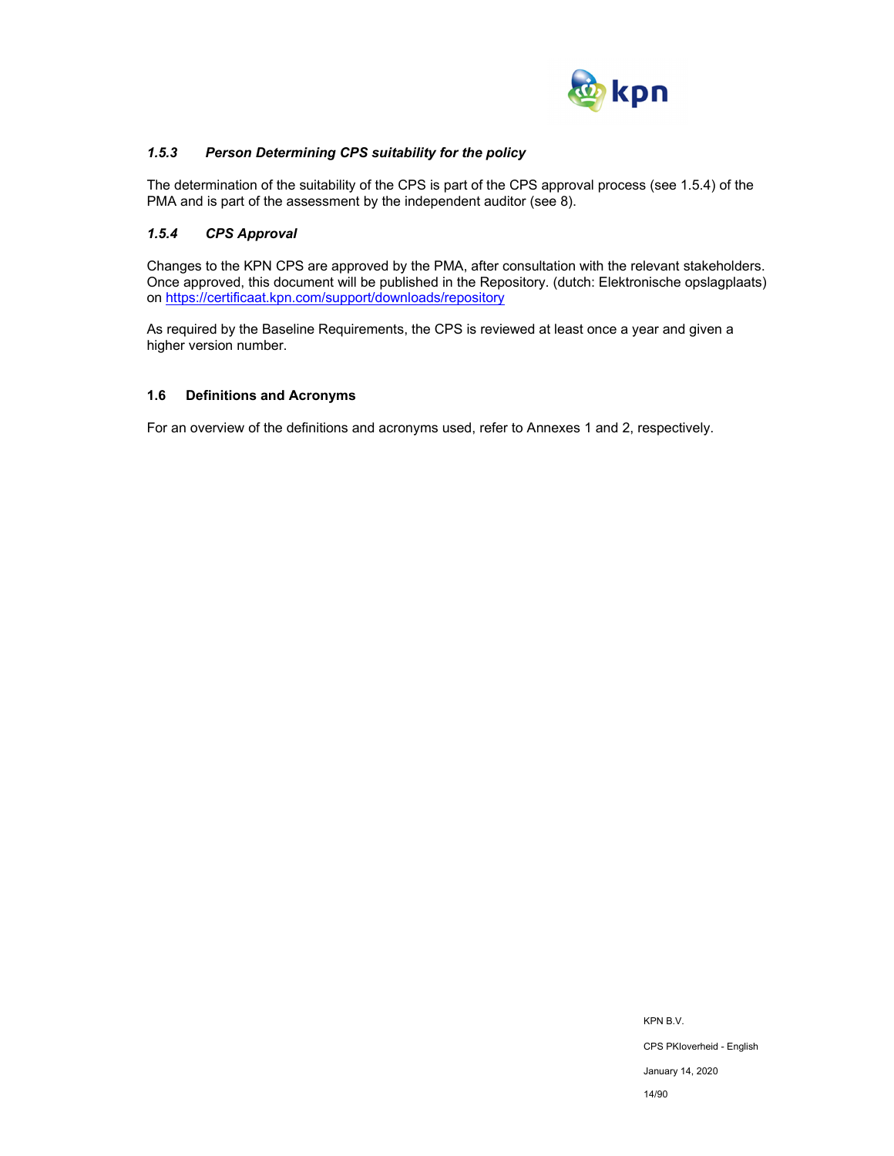

## *1.5.3 Person Determining CPS suitability for the policy*

The determination of the suitability of the CPS is part of the CPS approval process (see 1.5.4) of the PMA and is part of the assessment by the independent auditor (see 8).

## *1.5.4 CPS Approval*

Changes to the KPN CPS are approved by the PMA, after consultation with the relevant stakeholders. Once approved, this document will be published in the Repository. (dutch: Elektronische opslagplaats) on https://certificaat.kpn.com/support/downloads/repository

As required by the Baseline Requirements, the CPS is reviewed at least once a year and given a higher version number.

## **1.6 Definitions and Acronyms**

For an overview of the definitions and acronyms used, refer to Annexes 1 and 2, respectively.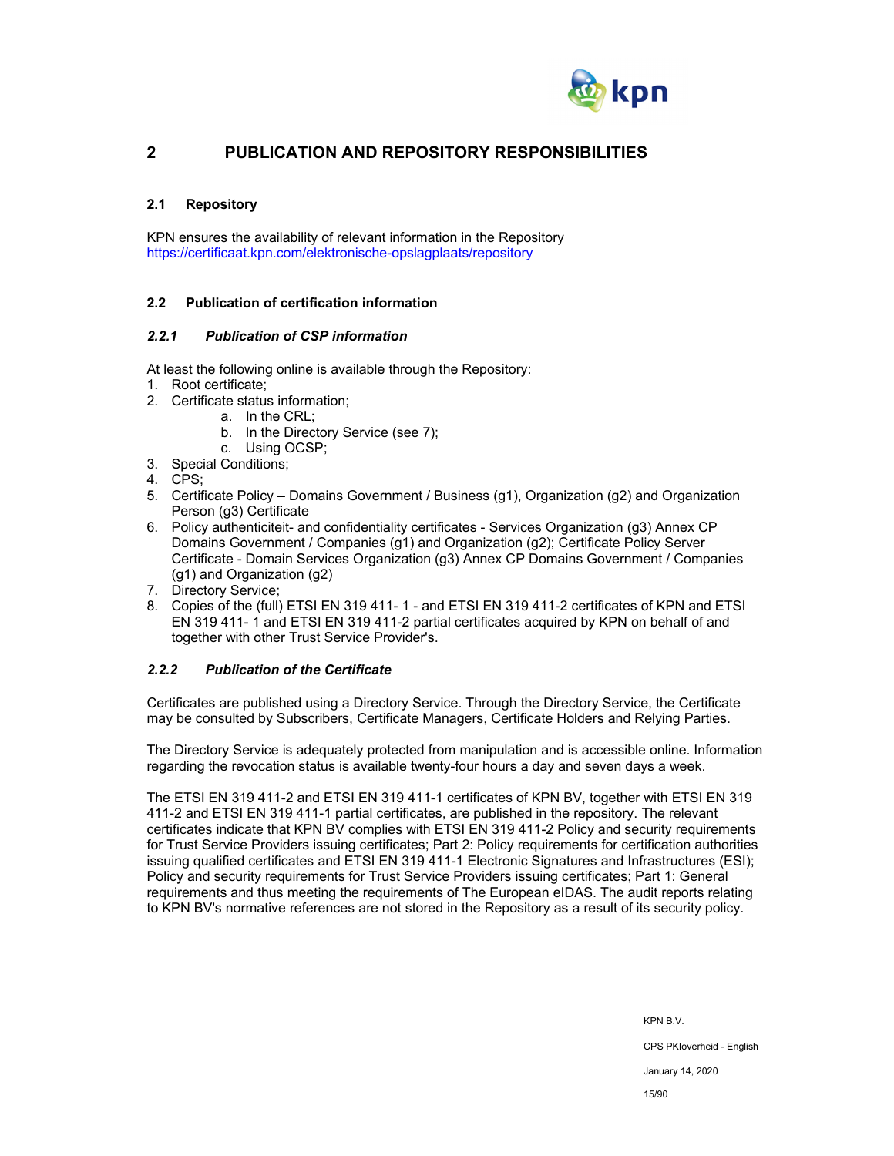

## **2 PUBLICATION AND REPOSITORY RESPONSIBILITIES**

## **2.1 Repository**

KPN ensures the availability of relevant information in the Repository https://certificaat.kpn.com/elektronische-opslagplaats/repository

## **2.2 Publication of certification information**

#### *2.2.1 Publication of CSP information*

At least the following online is available through the Repository:

- 1. Root certificate;
- 2. Certificate status information;
	- a. In the CRL;
	- b. In the Directory Service (see 7);
	- c. Using OCSP;
- 3. Special Conditions;
- 4. CPS;
- 5. Certificate Policy Domains Government / Business (g1), Organization (g2) and Organization Person (g3) Certificate
- 6. Policy authenticiteit- and confidentiality certificates Services Organization (g3) Annex CP Domains Government / Companies (g1) and Organization (g2); Certificate Policy Server Certificate - Domain Services Organization (g3) Annex CP Domains Government / Companies (g1) and Organization (g2)
- 7. Directory Service;
- 8. Copies of the (full) ETSI EN 319 411- 1 and ETSI EN 319 411-2 certificates of KPN and ETSI EN 319 411- 1 and ETSI EN 319 411-2 partial certificates acquired by KPN on behalf of and together with other Trust Service Provider's.

## *2.2.2 Publication of the Certificate*

Certificates are published using a Directory Service. Through the Directory Service, the Certificate may be consulted by Subscribers, Certificate Managers, Certificate Holders and Relying Parties.

The Directory Service is adequately protected from manipulation and is accessible online. Information regarding the revocation status is available twenty-four hours a day and seven days a week.

The ETSI EN 319 411-2 and ETSI EN 319 411-1 certificates of KPN BV, together with ETSI EN 319 411-2 and ETSI EN 319 411-1 partial certificates, are published in the repository. The relevant certificates indicate that KPN BV complies with ETSI EN 319 411-2 Policy and security requirements for Trust Service Providers issuing certificates; Part 2: Policy requirements for certification authorities issuing qualified certificates and ETSI EN 319 411-1 Electronic Signatures and Infrastructures (ESI); Policy and security requirements for Trust Service Providers issuing certificates; Part 1: General requirements and thus meeting the requirements of The European eIDAS. The audit reports relating to KPN BV's normative references are not stored in the Repository as a result of its security policy.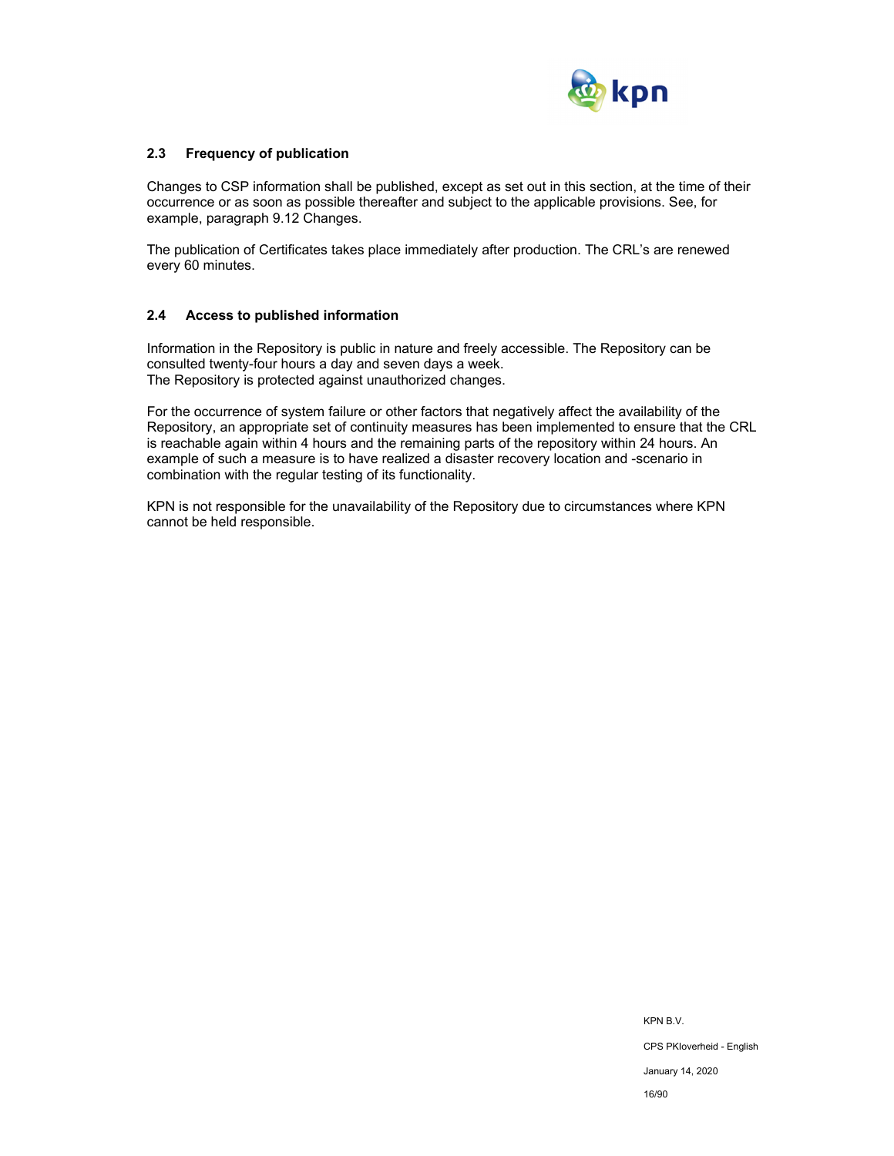

## **2.3 Frequency of publication**

Changes to CSP information shall be published, except as set out in this section, at the time of their occurrence or as soon as possible thereafter and subject to the applicable provisions. See, for example, paragraph 9.12 Changes.

The publication of Certificates takes place immediately after production. The CRL's are renewed every 60 minutes.

#### **2.4 Access to published information**

Information in the Repository is public in nature and freely accessible. The Repository can be consulted twenty-four hours a day and seven days a week. The Repository is protected against unauthorized changes.

For the occurrence of system failure or other factors that negatively affect the availability of the Repository, an appropriate set of continuity measures has been implemented to ensure that the CRL is reachable again within 4 hours and the remaining parts of the repository within 24 hours. An example of such a measure is to have realized a disaster recovery location and -scenario in combination with the regular testing of its functionality.

KPN is not responsible for the unavailability of the Repository due to circumstances where KPN cannot be held responsible.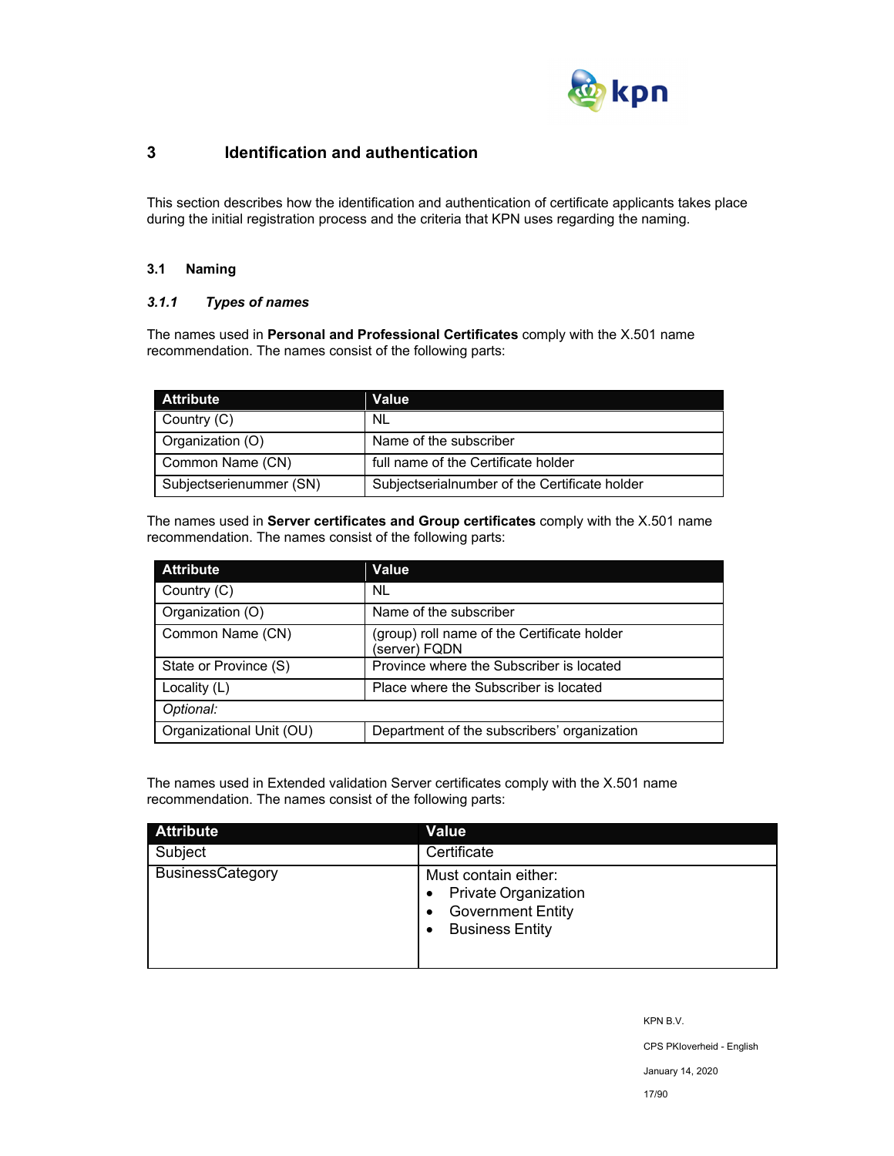

## **3 Identification and authentication**

This section describes how the identification and authentication of certificate applicants takes place during the initial registration process and the criteria that KPN uses regarding the naming.

## **3.1 Naming**

## *3.1.1 Types of names*

The names used in **Personal and Professional Certificates** comply with the X.501 name recommendation. The names consist of the following parts:

| <b>Attribute</b>        | Value                                         |
|-------------------------|-----------------------------------------------|
| Country (C)             | NL                                            |
| Organization (O)        | Name of the subscriber                        |
| Common Name (CN)        | full name of the Certificate holder           |
| Subjectserienummer (SN) | Subjectserialnumber of the Certificate holder |

The names used in **Server certificates and Group certificates** comply with the X.501 name recommendation. The names consist of the following parts:

| <b>Attribute</b>         | Value                                                        |
|--------------------------|--------------------------------------------------------------|
| Country (C)              | NL.                                                          |
| Organization (O)         | Name of the subscriber                                       |
| Common Name (CN)         | (group) roll name of the Certificate holder<br>(server) FQDN |
| State or Province (S)    | Province where the Subscriber is located                     |
| Locality (L)             | Place where the Subscriber is located                        |
| Optional:                |                                                              |
| Organizational Unit (OU) | Department of the subscribers' organization                  |

The names used in Extended validation Server certificates comply with the X.501 name recommendation. The names consist of the following parts:

| <b>Attribute</b>        | <b>Value</b>                                                                                              |
|-------------------------|-----------------------------------------------------------------------------------------------------------|
| Subject                 | Certificate                                                                                               |
| <b>BusinessCategory</b> | Must contain either:<br><b>Private Organization</b><br><b>Government Entity</b><br><b>Business Entity</b> |

KPN B.V.

CPS PKIoverheid - English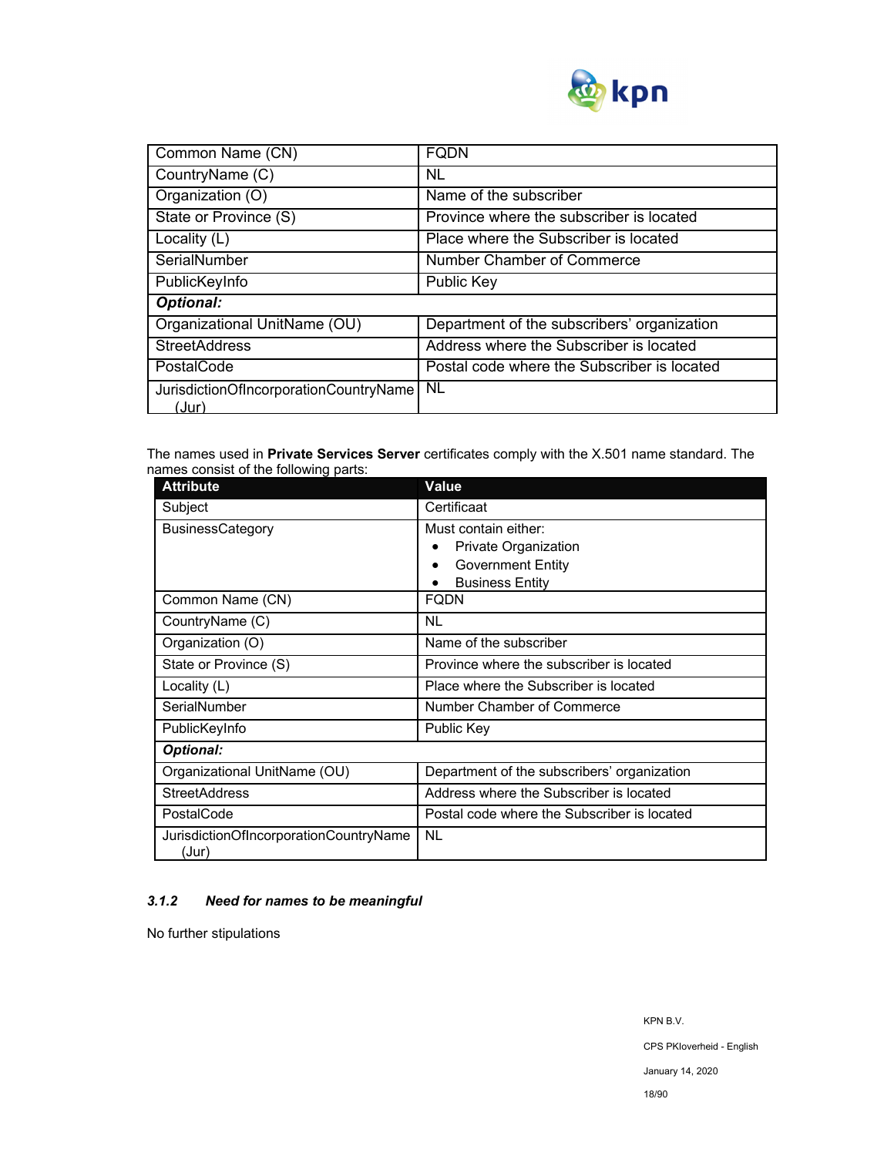

| Common Name (CN)                                | <b>FODN</b>                                 |
|-------------------------------------------------|---------------------------------------------|
| CountryName (C)                                 | NL                                          |
| Organization (O)                                | Name of the subscriber                      |
| State or Province (S)                           | Province where the subscriber is located    |
| Locality (L)                                    | Place where the Subscriber is located       |
| SerialNumber                                    | Number Chamber of Commerce                  |
| PublicKeyInfo                                   | <b>Public Key</b>                           |
| <b>Optional:</b>                                |                                             |
| Organizational UnitName (OU)                    | Department of the subscribers' organization |
| <b>StreetAddress</b>                            | Address where the Subscriber is located     |
| PostalCode                                      | Postal code where the Subscriber is located |
| JurisdictionOfIncorporationCountryName<br>(Jur) | <b>NL</b>                                   |

The names used in **Private Services Server** certificates comply with the X.501 name standard. The names consist of the following parts:

| <b>Attribute</b>                                | Value                                       |  |
|-------------------------------------------------|---------------------------------------------|--|
| Subject                                         | Certificaat                                 |  |
| <b>BusinessCategory</b>                         | Must contain either:                        |  |
|                                                 | <b>Private Organization</b>                 |  |
|                                                 | <b>Government Entity</b>                    |  |
|                                                 | <b>Business Entity</b>                      |  |
| Common Name (CN)                                | FQDN                                        |  |
| CountryName (C)                                 | <b>NL</b>                                   |  |
| Organization (O)                                | Name of the subscriber                      |  |
| State or Province (S)                           | Province where the subscriber is located    |  |
| Locality $(L)$                                  | Place where the Subscriber is located       |  |
| SerialNumber                                    | Number Chamber of Commerce                  |  |
| PublicKeyInfo                                   | Public Key                                  |  |
| <b>Optional:</b>                                |                                             |  |
| Organizational UnitName (OU)                    | Department of the subscribers' organization |  |
| <b>StreetAddress</b>                            | Address where the Subscriber is located     |  |
| PostalCode                                      | Postal code where the Subscriber is located |  |
| JurisdictionOfIncorporationCountryName<br>(Jur) | <b>NL</b>                                   |  |

## *3.1.2 Need for names to be meaningful*

No further stipulations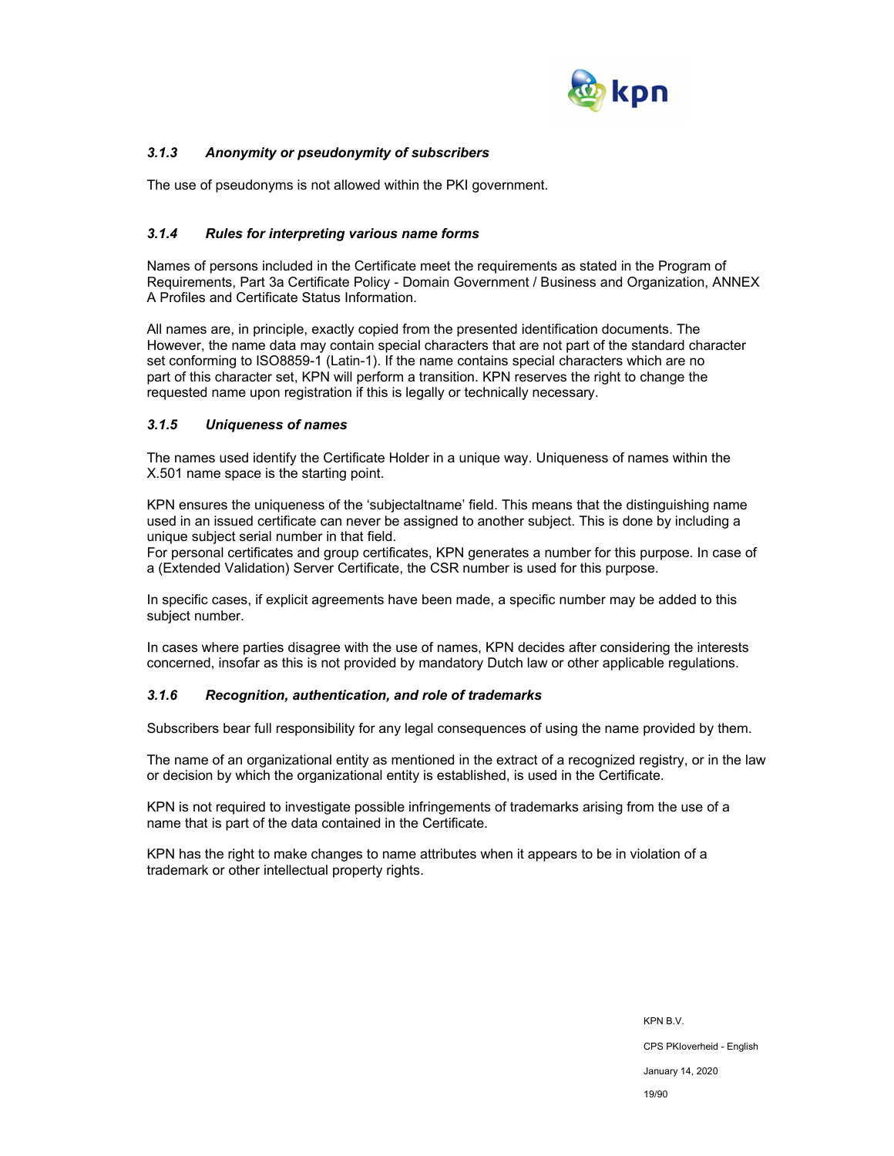

## *3.1.3 Anonymity or pseudonymity of subscribers*

The use of pseudonyms is not allowed within the PKI government.

## *3.1.4 Rules for interpreting various name forms*

Names of persons included in the Certificate meet the requirements as stated in the Program of Requirements, Part 3a Certificate Policy - Domain Government / Business and Organization, ANNEX A Profiles and Certificate Status Information.

All names are, in principle, exactly copied from the presented identification documents. The However, the name data may contain special characters that are not part of the standard character set conforming to ISO8859-1 (Latin-1). If the name contains special characters which are no part of this character set, KPN will perform a transition. KPN reserves the right to change the requested name upon registration if this is legally or technically necessary.

## *3.1.5 Uniqueness of names*

The names used identify the Certificate Holder in a unique way. Uniqueness of names within the X.501 name space is the starting point.

KPN ensures the uniqueness of the 'subjectaltname' field. This means that the distinguishing name used in an issued certificate can never be assigned to another subject. This is done by including a unique subject serial number in that field.

For personal certificates and group certificates, KPN generates a number for this purpose. In case of a (Extended Validation) Server Certificate, the CSR number is used for this purpose.

In specific cases, if explicit agreements have been made, a specific number may be added to this subject number.

In cases where parties disagree with the use of names, KPN decides after considering the interests concerned, insofar as this is not provided by mandatory Dutch law or other applicable regulations.

## *3.1.6 Recognition, authentication, and role of trademarks*

Subscribers bear full responsibility for any legal consequences of using the name provided by them.

The name of an organizational entity as mentioned in the extract of a recognized registry, or in the law or decision by which the organizational entity is established, is used in the Certificate.

KPN is not required to investigate possible infringements of trademarks arising from the use of a name that is part of the data contained in the Certificate.

KPN has the right to make changes to name attributes when it appears to be in violation of a trademark or other intellectual property rights.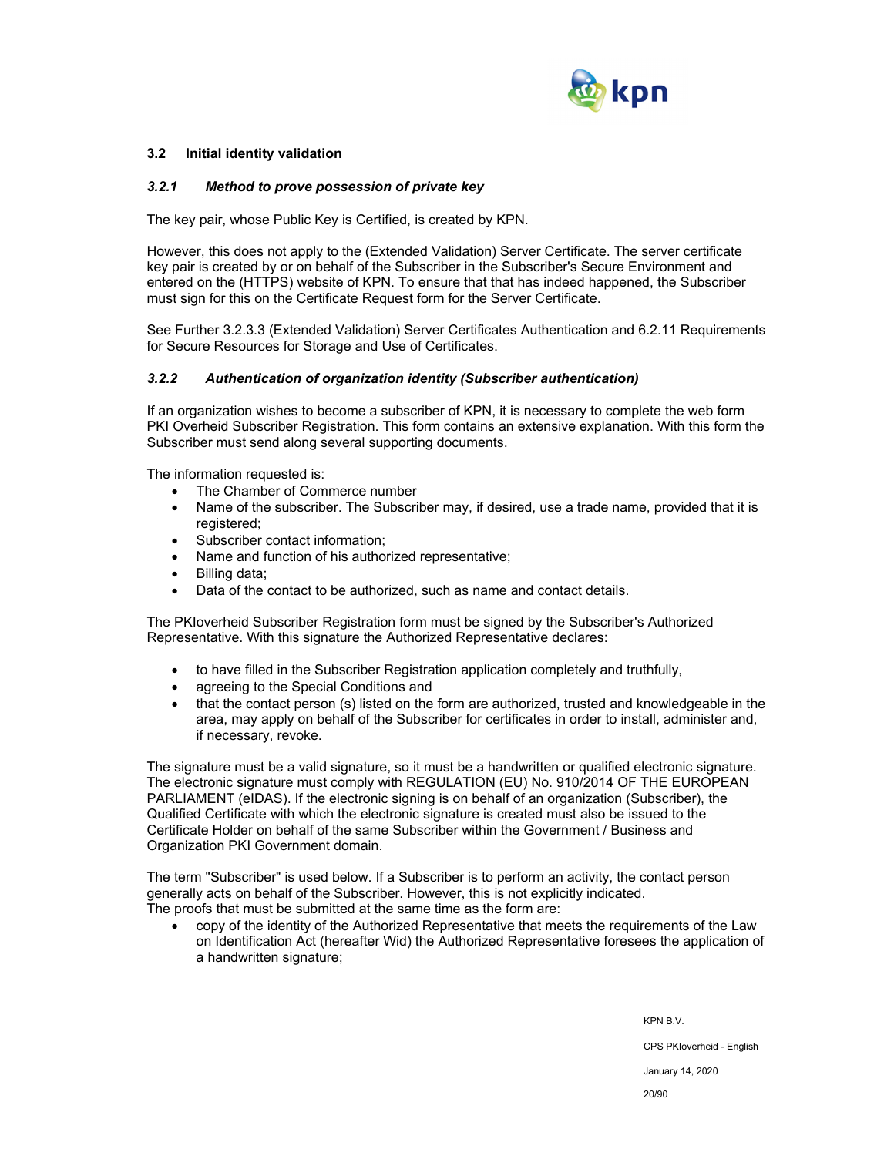

## **3.2 Initial identity validation**

#### *3.2.1 Method to prove possession of private key*

The key pair, whose Public Key is Certified, is created by KPN.

However, this does not apply to the (Extended Validation) Server Certificate. The server certificate key pair is created by or on behalf of the Subscriber in the Subscriber's Secure Environment and entered on the (HTTPS) website of KPN. To ensure that that has indeed happened, the Subscriber must sign for this on the Certificate Request form for the Server Certificate.

See Further 3.2.3.3 (Extended Validation) Server Certificates Authentication and 6.2.11 Requirements for Secure Resources for Storage and Use of Certificates.

#### *3.2.2 Authentication of organization identity (Subscriber authentication)*

If an organization wishes to become a subscriber of KPN, it is necessary to complete the web form PKI Overheid Subscriber Registration. This form contains an extensive explanation. With this form the Subscriber must send along several supporting documents.

The information requested is:

- The Chamber of Commerce number
- Name of the subscriber. The Subscriber may, if desired, use a trade name, provided that it is registered;
- Subscriber contact information:
- Name and function of his authorized representative;
- Billing data;
- Data of the contact to be authorized, such as name and contact details.

The PKIoverheid Subscriber Registration form must be signed by the Subscriber's Authorized Representative. With this signature the Authorized Representative declares:

- to have filled in the Subscriber Registration application completely and truthfully,
- agreeing to the Special Conditions and
- that the contact person (s) listed on the form are authorized, trusted and knowledgeable in the area, may apply on behalf of the Subscriber for certificates in order to install, administer and, if necessary, revoke.

The signature must be a valid signature, so it must be a handwritten or qualified electronic signature. The electronic signature must comply with REGULATION (EU) No. 910/2014 OF THE EUROPEAN PARLIAMENT (eIDAS). If the electronic signing is on behalf of an organization (Subscriber), the Qualified Certificate with which the electronic signature is created must also be issued to the Certificate Holder on behalf of the same Subscriber within the Government / Business and Organization PKI Government domain.

The term "Subscriber" is used below. If a Subscriber is to perform an activity, the contact person generally acts on behalf of the Subscriber. However, this is not explicitly indicated. The proofs that must be submitted at the same time as the form are:

 copy of the identity of the Authorized Representative that meets the requirements of the Law on Identification Act (hereafter Wid) the Authorized Representative foresees the application of a handwritten signature;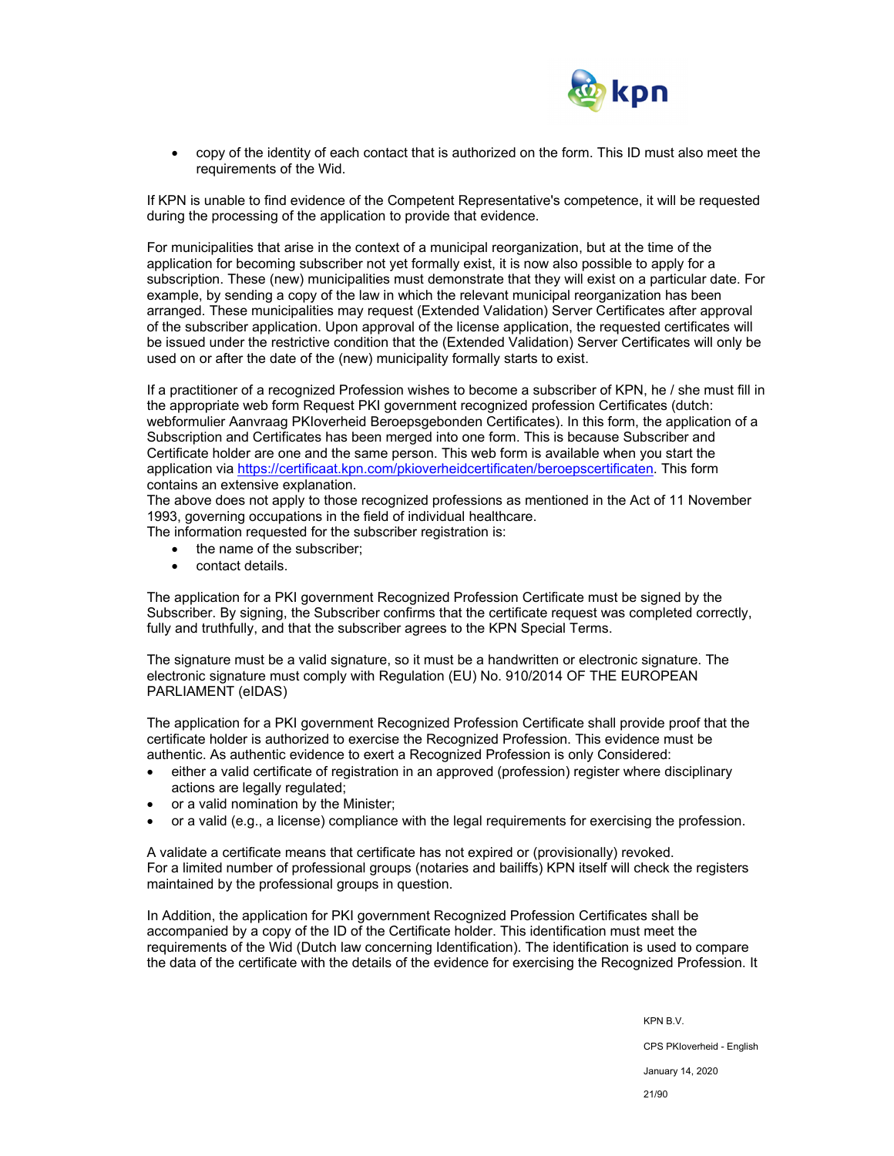

 copy of the identity of each contact that is authorized on the form. This ID must also meet the requirements of the Wid.

If KPN is unable to find evidence of the Competent Representative's competence, it will be requested during the processing of the application to provide that evidence.

For municipalities that arise in the context of a municipal reorganization, but at the time of the application for becoming subscriber not yet formally exist, it is now also possible to apply for a subscription. These (new) municipalities must demonstrate that they will exist on a particular date. For example, by sending a copy of the law in which the relevant municipal reorganization has been arranged. These municipalities may request (Extended Validation) Server Certificates after approval of the subscriber application. Upon approval of the license application, the requested certificates will be issued under the restrictive condition that the (Extended Validation) Server Certificates will only be used on or after the date of the (new) municipality formally starts to exist.

If a practitioner of a recognized Profession wishes to become a subscriber of KPN, he / she must fill in the appropriate web form Request PKI government recognized profession Certificates (dutch: webformulier Aanvraag PKIoverheid Beroepsgebonden Certificates). In this form, the application of a Subscription and Certificates has been merged into one form. This is because Subscriber and Certificate holder are one and the same person. This web form is available when you start the application via https://certificaat.kpn.com/pkioverheidcertificaten/beroepscertificaten. This form contains an extensive explanation.

The above does not apply to those recognized professions as mentioned in the Act of 11 November 1993, governing occupations in the field of individual healthcare.

The information requested for the subscriber registration is:

- the name of the subscriber:
- contact details.

The application for a PKI government Recognized Profession Certificate must be signed by the Subscriber. By signing, the Subscriber confirms that the certificate request was completed correctly. fully and truthfully, and that the subscriber agrees to the KPN Special Terms.

The signature must be a valid signature, so it must be a handwritten or electronic signature. The electronic signature must comply with Regulation (EU) No. 910/2014 OF THE EUROPEAN PARLIAMENT (eIDAS)

The application for a PKI government Recognized Profession Certificate shall provide proof that the certificate holder is authorized to exercise the Recognized Profession. This evidence must be authentic. As authentic evidence to exert a Recognized Profession is only Considered:

- either a valid certificate of registration in an approved (profession) register where disciplinary actions are legally regulated;
- or a valid nomination by the Minister;
- or a valid (e.g., a license) compliance with the legal requirements for exercising the profession.

A validate a certificate means that certificate has not expired or (provisionally) revoked. For a limited number of professional groups (notaries and bailiffs) KPN itself will check the registers maintained by the professional groups in question.

In Addition, the application for PKI government Recognized Profession Certificates shall be accompanied by a copy of the ID of the Certificate holder. This identification must meet the requirements of the Wid (Dutch law concerning Identification). The identification is used to compare the data of the certificate with the details of the evidence for exercising the Recognized Profession. It

> KPN B.V. CPS PKIoverheid - English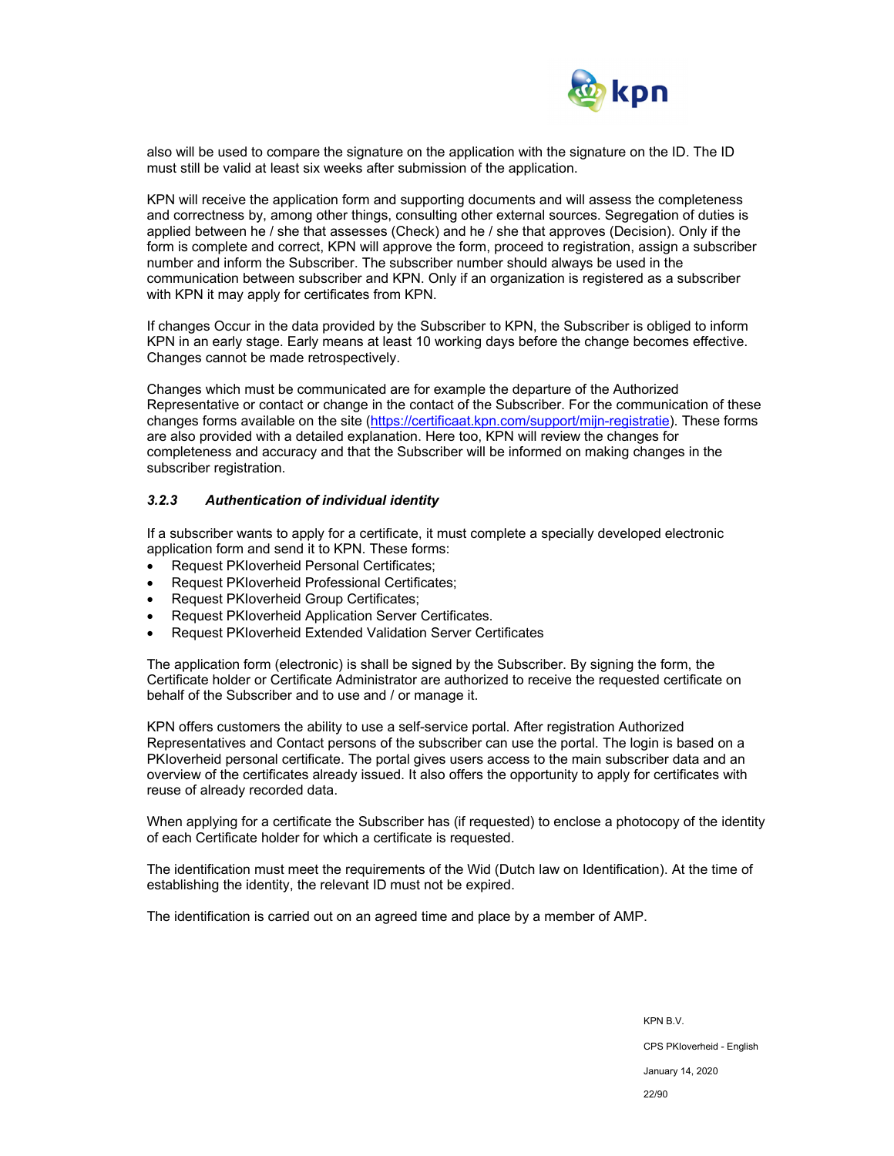

also will be used to compare the signature on the application with the signature on the ID. The ID must still be valid at least six weeks after submission of the application.

KPN will receive the application form and supporting documents and will assess the completeness and correctness by, among other things, consulting other external sources. Segregation of duties is applied between he / she that assesses (Check) and he / she that approves (Decision). Only if the form is complete and correct, KPN will approve the form, proceed to registration, assign a subscriber number and inform the Subscriber. The subscriber number should always be used in the communication between subscriber and KPN. Only if an organization is registered as a subscriber with KPN it may apply for certificates from KPN.

If changes Occur in the data provided by the Subscriber to KPN, the Subscriber is obliged to inform KPN in an early stage. Early means at least 10 working days before the change becomes effective. Changes cannot be made retrospectively.

Changes which must be communicated are for example the departure of the Authorized Representative or contact or change in the contact of the Subscriber. For the communication of these changes forms available on the site (https://certificaat.kpn.com/support/mijn-registratie). These forms are also provided with a detailed explanation. Here too, KPN will review the changes for completeness and accuracy and that the Subscriber will be informed on making changes in the subscriber registration.

#### *3.2.3 Authentication of individual identity*

If a subscriber wants to apply for a certificate, it must complete a specially developed electronic application form and send it to KPN. These forms:

- Request PKIoverheid Personal Certificates;
- Request PKIoverheid Professional Certificates;
- Request PKIoverheid Group Certificates;
- Request PKIoverheid Application Server Certificates.
- Request PKIoverheid Extended Validation Server Certificates

The application form (electronic) is shall be signed by the Subscriber. By signing the form, the Certificate holder or Certificate Administrator are authorized to receive the requested certificate on behalf of the Subscriber and to use and / or manage it.

KPN offers customers the ability to use a self-service portal. After registration Authorized Representatives and Contact persons of the subscriber can use the portal. The login is based on a PKIoverheid personal certificate. The portal gives users access to the main subscriber data and an overview of the certificates already issued. It also offers the opportunity to apply for certificates with reuse of already recorded data.

When applying for a certificate the Subscriber has (if requested) to enclose a photocopy of the identity of each Certificate holder for which a certificate is requested.

The identification must meet the requirements of the Wid (Dutch law on Identification). At the time of establishing the identity, the relevant ID must not be expired.

The identification is carried out on an agreed time and place by a member of AMP.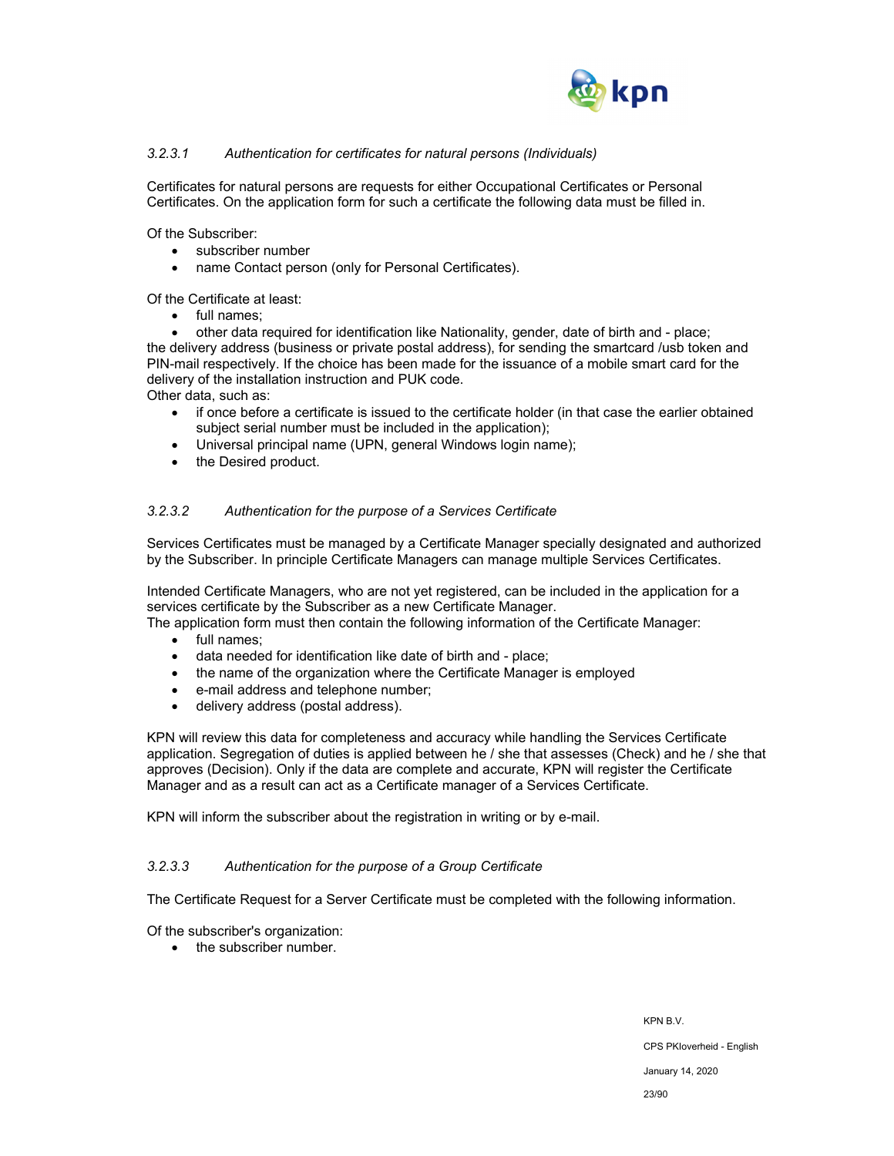

## *3.2.3.1 Authentication for certificates for natural persons (Individuals)*

Certificates for natural persons are requests for either Occupational Certificates or Personal Certificates. On the application form for such a certificate the following data must be filled in.

Of the Subscriber:

- subscriber number
- name Contact person (only for Personal Certificates).

Of the Certificate at least:

• full names;

 other data required for identification like Nationality, gender, date of birth and - place; the delivery address (business or private postal address), for sending the smartcard /usb token and PIN-mail respectively. If the choice has been made for the issuance of a mobile smart card for the delivery of the installation instruction and PUK code.

Other data, such as:

- if once before a certificate is issued to the certificate holder (in that case the earlier obtained subject serial number must be included in the application);
- Universal principal name (UPN, general Windows login name);
- the Desired product.

#### *3.2.3.2 Authentication for the purpose of a Services Certificate*

Services Certificates must be managed by a Certificate Manager specially designated and authorized by the Subscriber. In principle Certificate Managers can manage multiple Services Certificates.

Intended Certificate Managers, who are not yet registered, can be included in the application for a services certificate by the Subscriber as a new Certificate Manager.

The application form must then contain the following information of the Certificate Manager:

- full names;
- data needed for identification like date of birth and place;
- the name of the organization where the Certificate Manager is employed
- e-mail address and telephone number;
- delivery address (postal address).

KPN will review this data for completeness and accuracy while handling the Services Certificate application. Segregation of duties is applied between he / she that assesses (Check) and he / she that approves (Decision). Only if the data are complete and accurate, KPN will register the Certificate Manager and as a result can act as a Certificate manager of a Services Certificate.

KPN will inform the subscriber about the registration in writing or by e-mail.

#### *3.2.3.3 Authentication for the purpose of a Group Certificate*

The Certificate Request for a Server Certificate must be completed with the following information.

Of the subscriber's organization:

• the subscriber number.

KPN B.V. CPS PKIoverheid - English January 14, 2020 23/90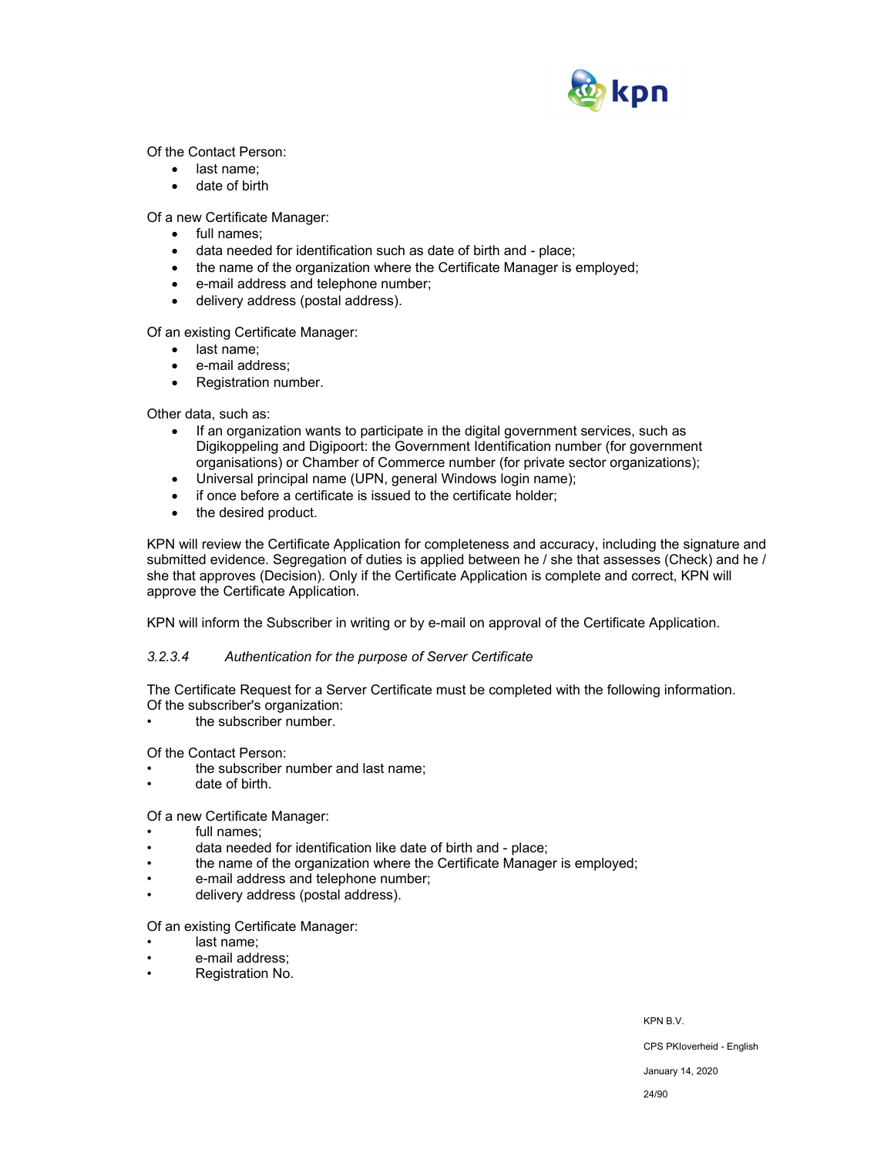

Of the Contact Person:

- last name;
- date of birth

Of a new Certificate Manager:

- full names;
- data needed for identification such as date of birth and place;
- the name of the organization where the Certificate Manager is employed;
- e-mail address and telephone number;
- delivery address (postal address).

Of an existing Certificate Manager:

- last name:
- e-mail address;
- Registration number.

Other data, such as:

- If an organization wants to participate in the digital government services, such as Digikoppeling and Digipoort: the Government Identification number (for government organisations) or Chamber of Commerce number (for private sector organizations);
- Universal principal name (UPN, general Windows login name);
- if once before a certificate is issued to the certificate holder;
- the desired product.

KPN will review the Certificate Application for completeness and accuracy, including the signature and submitted evidence. Segregation of duties is applied between he / she that assesses (Check) and he / she that approves (Decision). Only if the Certificate Application is complete and correct, KPN will approve the Certificate Application.

KPN will inform the Subscriber in writing or by e-mail on approval of the Certificate Application.

#### *3.2.3.4 Authentication for the purpose of Server Certificate*

The Certificate Request for a Server Certificate must be completed with the following information. Of the subscriber's organization:

the subscriber number.

Of the Contact Person:

- the subscriber number and last name;
- date of birth.

#### Of a new Certificate Manager:

- full names:
- data needed for identification like date of birth and place;
- the name of the organization where the Certificate Manager is employed;
- e-mail address and telephone number;
- delivery address (postal address).

Of an existing Certificate Manager:

- last name:
- e-mail address;
- Registration No.

KPN B.V.

CPS PKIoverheid - English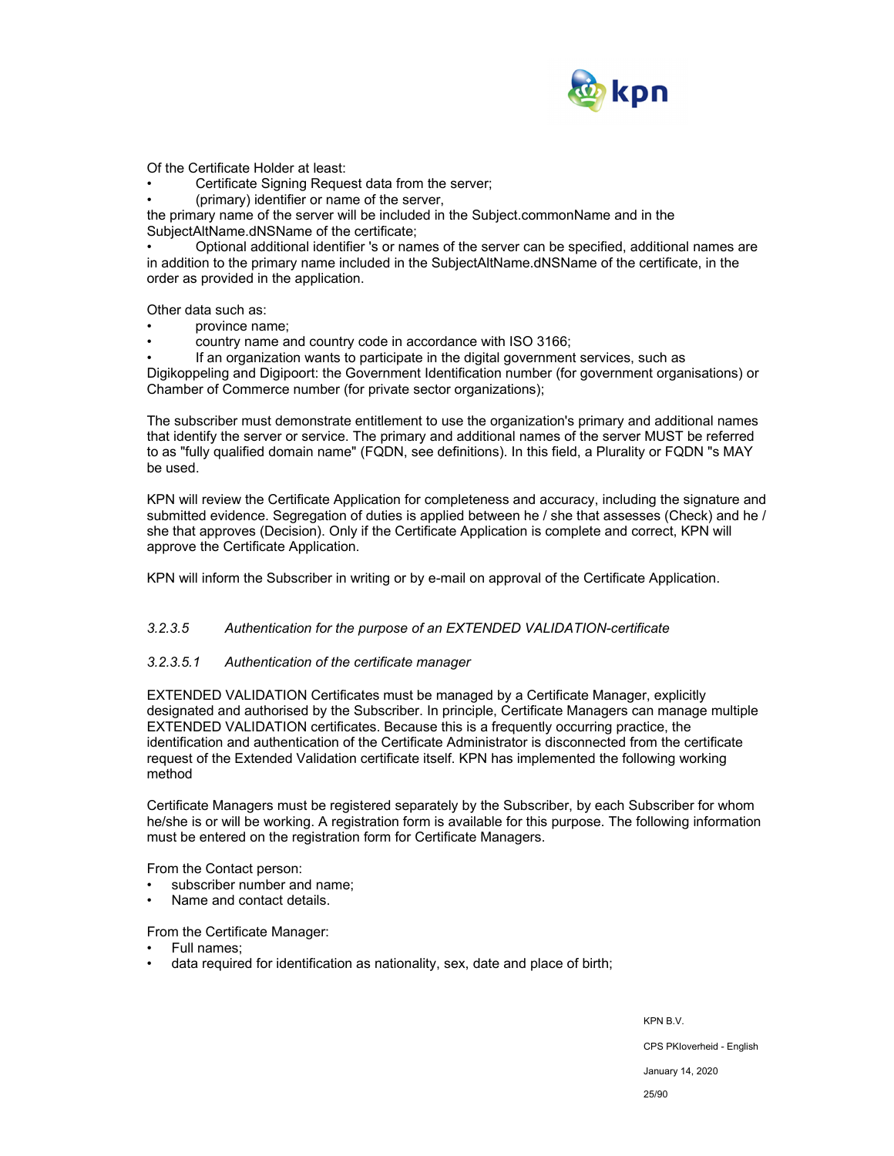

Of the Certificate Holder at least:

Certificate Signing Request data from the server;

• (primary) identifier or name of the server,

the primary name of the server will be included in the Subject.commonName and in the SubjectAltName.dNSName of the certificate;

• Optional additional identifier 's or names of the server can be specified, additional names are in addition to the primary name included in the SubjectAltName.dNSName of the certificate, in the order as provided in the application.

Other data such as:

- province name;
- country name and country code in accordance with ISO 3166;

• If an organization wants to participate in the digital government services, such as Digikoppeling and Digipoort: the Government Identification number (for government organisations) or Chamber of Commerce number (for private sector organizations);

The subscriber must demonstrate entitlement to use the organization's primary and additional names that identify the server or service. The primary and additional names of the server MUST be referred to as "fully qualified domain name" (FQDN, see definitions). In this field, a Plurality or FQDN "s MAY be used.

KPN will review the Certificate Application for completeness and accuracy, including the signature and submitted evidence. Segregation of duties is applied between he / she that assesses (Check) and he / she that approves (Decision). Only if the Certificate Application is complete and correct, KPN will approve the Certificate Application.

KPN will inform the Subscriber in writing or by e-mail on approval of the Certificate Application.

#### *3.2.3.5 Authentication for the purpose of an EXTENDED VALIDATION-certificate*

#### *3.2.3.5.1 Authentication of the certificate manager*

EXTENDED VALIDATION Certificates must be managed by a Certificate Manager, explicitly designated and authorised by the Subscriber. In principle, Certificate Managers can manage multiple EXTENDED VALIDATION certificates. Because this is a frequently occurring practice, the identification and authentication of the Certificate Administrator is disconnected from the certificate request of the Extended Validation certificate itself. KPN has implemented the following working method

Certificate Managers must be registered separately by the Subscriber, by each Subscriber for whom he/she is or will be working. A registration form is available for this purpose. The following information must be entered on the registration form for Certificate Managers.

From the Contact person:

- subscriber number and name;
- Name and contact details.

From the Certificate Manager:

- Full names;
- data required for identification as nationality, sex, date and place of birth;

KPN B.V. CPS PKIoverheid - English January 14, 2020 25/90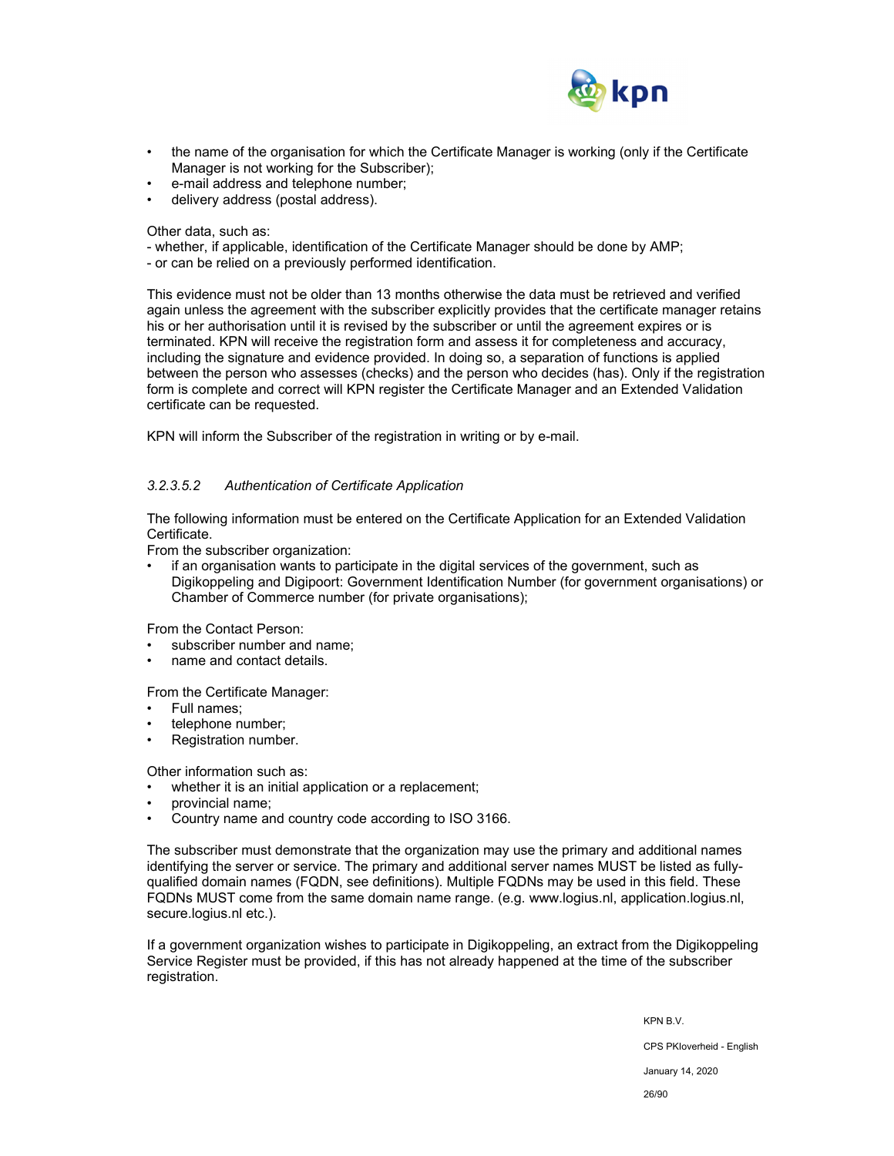

- the name of the organisation for which the Certificate Manager is working (only if the Certificate Manager is not working for the Subscriber);
- e-mail address and telephone number;
- delivery address (postal address).

Other data, such as:

- whether, if applicable, identification of the Certificate Manager should be done by AMP;
- or can be relied on a previously performed identification.

This evidence must not be older than 13 months otherwise the data must be retrieved and verified again unless the agreement with the subscriber explicitly provides that the certificate manager retains his or her authorisation until it is revised by the subscriber or until the agreement expires or is terminated. KPN will receive the registration form and assess it for completeness and accuracy, including the signature and evidence provided. In doing so, a separation of functions is applied between the person who assesses (checks) and the person who decides (has). Only if the registration form is complete and correct will KPN register the Certificate Manager and an Extended Validation certificate can be requested.

KPN will inform the Subscriber of the registration in writing or by e-mail.

## *3.2.3.5.2 Authentication of Certificate Application*

The following information must be entered on the Certificate Application for an Extended Validation Certificate.

From the subscriber organization:

• if an organisation wants to participate in the digital services of the government, such as Digikoppeling and Digipoort: Government Identification Number (for government organisations) or Chamber of Commerce number (for private organisations);

From the Contact Person:

- subscriber number and name;
- name and contact details.

From the Certificate Manager:

- Full names;
- telephone number;
- Registration number.

Other information such as:

whether it is an initial application or a replacement;

- provincial name;
- Country name and country code according to ISO 3166.

The subscriber must demonstrate that the organization may use the primary and additional names identifying the server or service. The primary and additional server names MUST be listed as fullyqualified domain names (FQDN, see definitions). Multiple FQDNs may be used in this field. These FQDNs MUST come from the same domain name range. (e.g. www.logius.nl, application.logius.nl, secure.logius.nl etc.).

If a government organization wishes to participate in Digikoppeling, an extract from the Digikoppeling Service Register must be provided, if this has not already happened at the time of the subscriber registration.

> KPN B.V. CPS PKIoverheid - English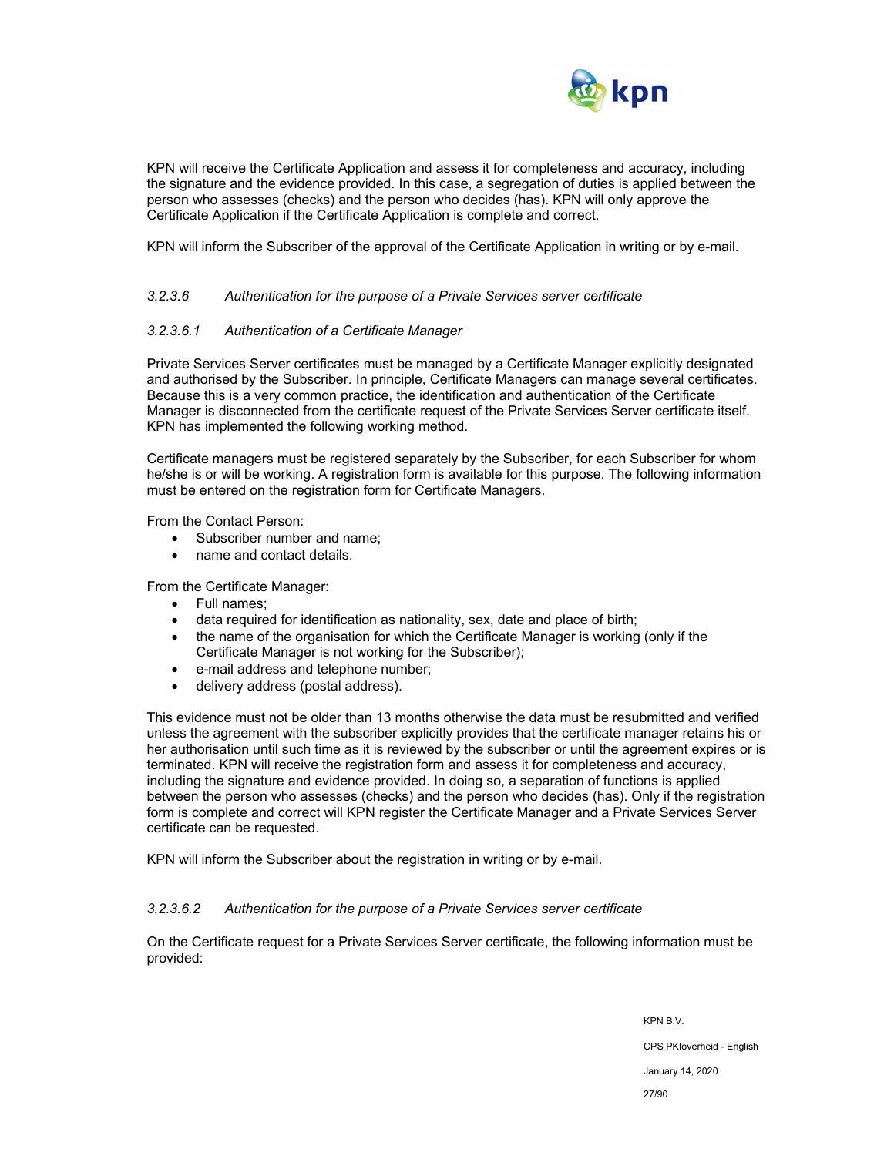

KPN will receive the Certificate Application and assess it for completeness and accuracy, including the signature and the evidence provided. In this case, a segregation of duties is applied between the person who assesses (checks) and the person who decides (has). KPN will only approve the Certificate Application if the Certificate Application is complete and correct.

KPN will inform the Subscriber of the approval of the Certificate Application in writing or by e-mail.

#### *3.2.3.6 Authentication for the purpose of a Private Services server certificate*

#### *3.2.3.6.1 Authentication of a Certificate Manager*

Private Services Server certificates must be managed by a Certificate Manager explicitly designated and authorised by the Subscriber. In principle, Certificate Managers can manage several certificates. Because this is a very common practice, the identification and authentication of the Certificate Manager is disconnected from the certificate request of the Private Services Server certificate itself. KPN has implemented the following working method.

Certificate managers must be registered separately by the Subscriber, for each Subscriber for whom he/she is or will be working. A registration form is available for this purpose. The following information must be entered on the registration form for Certificate Managers.

From the Contact Person:

- Subscriber number and name;
- name and contact details.

From the Certificate Manager:

- Full names;
- data required for identification as nationality, sex, date and place of birth;
- the name of the organisation for which the Certificate Manager is working (only if the Certificate Manager is not working for the Subscriber);
- e-mail address and telephone number;
- delivery address (postal address).

This evidence must not be older than 13 months otherwise the data must be resubmitted and verified unless the agreement with the subscriber explicitly provides that the certificate manager retains his or her authorisation until such time as it is reviewed by the subscriber or until the agreement expires or is terminated. KPN will receive the registration form and assess it for completeness and accuracy, including the signature and evidence provided. In doing so, a separation of functions is applied between the person who assesses (checks) and the person who decides (has). Only if the registration form is complete and correct will KPN register the Certificate Manager and a Private Services Server certificate can be requested.

KPN will inform the Subscriber about the registration in writing or by e-mail.

#### *3.2.3.6.2 Authentication for the purpose of a Private Services server certificate*

On the Certificate request for a Private Services Server certificate, the following information must be provided: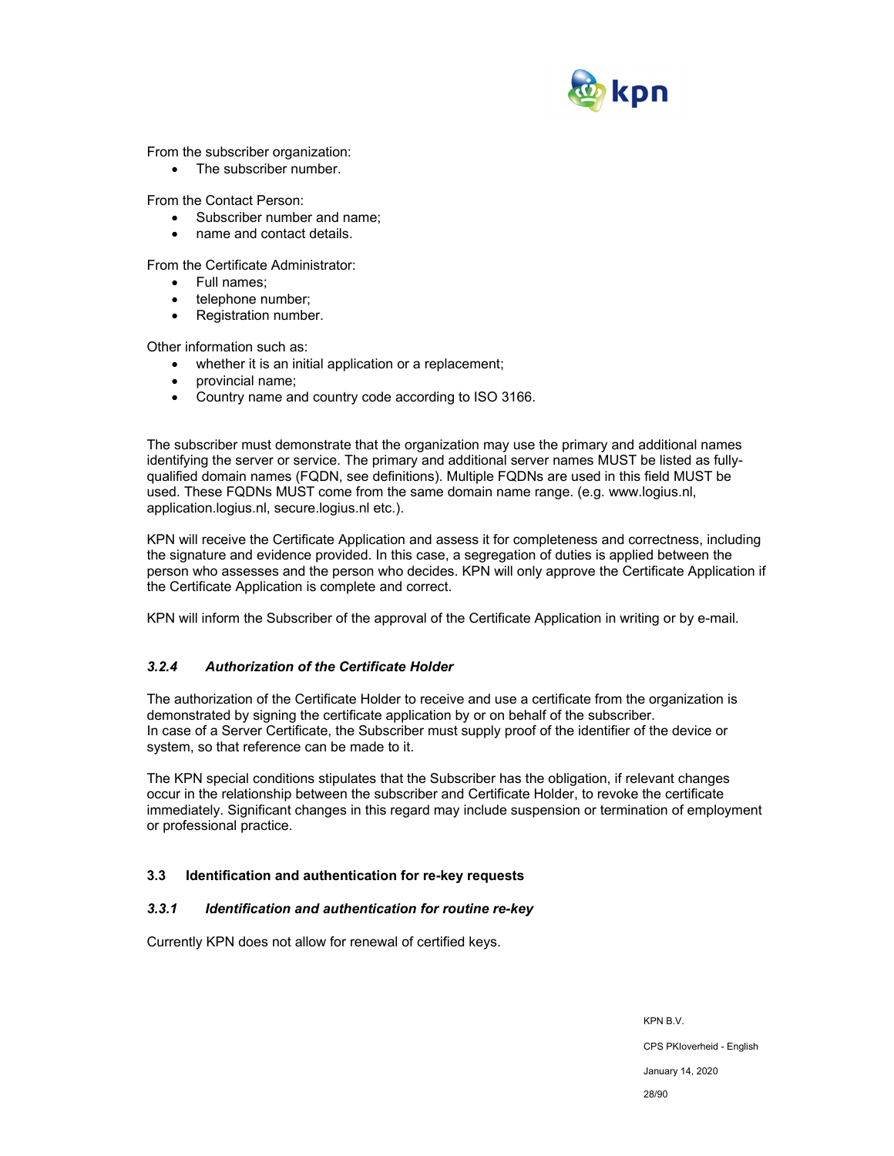

From the subscriber organization:

• The subscriber number.

From the Contact Person:

- Subscriber number and name;
- name and contact details.

From the Certificate Administrator:

- Full names:
- telephone number;
- Registration number.

Other information such as:

- whether it is an initial application or a replacement;
- provincial name:
- Country name and country code according to ISO 3166.

The subscriber must demonstrate that the organization may use the primary and additional names identifying the server or service. The primary and additional server names MUST be listed as fullyqualified domain names (FQDN, see definitions). Multiple FQDNs are used in this field MUST be used. These FQDNs MUST come from the same domain name range. (e.g. www.logius.nl, application.logius.nl, secure.logius.nl etc.).

KPN will receive the Certificate Application and assess it for completeness and correctness, including the signature and evidence provided. In this case, a segregation of duties is applied between the person who assesses and the person who decides. KPN will only approve the Certificate Application if the Certificate Application is complete and correct.

KPN will inform the Subscriber of the approval of the Certificate Application in writing or by e-mail.

## *3.2.4 Authorization of the Certificate Holder*

The authorization of the Certificate Holder to receive and use a certificate from the organization is demonstrated by signing the certificate application by or on behalf of the subscriber. In case of a Server Certificate, the Subscriber must supply proof of the identifier of the device or system, so that reference can be made to it.

The KPN special conditions stipulates that the Subscriber has the obligation, if relevant changes occur in the relationship between the subscriber and Certificate Holder, to revoke the certificate immediately. Significant changes in this regard may include suspension or termination of employment or professional practice.

## **3.3 Identification and authentication for re-key requests**

## *3.3.1 Identification and authentication for routine re-key*

Currently KPN does not allow for renewal of certified keys.

KPN B.V. CPS PKIoverheid - English January 14, 2020 28/90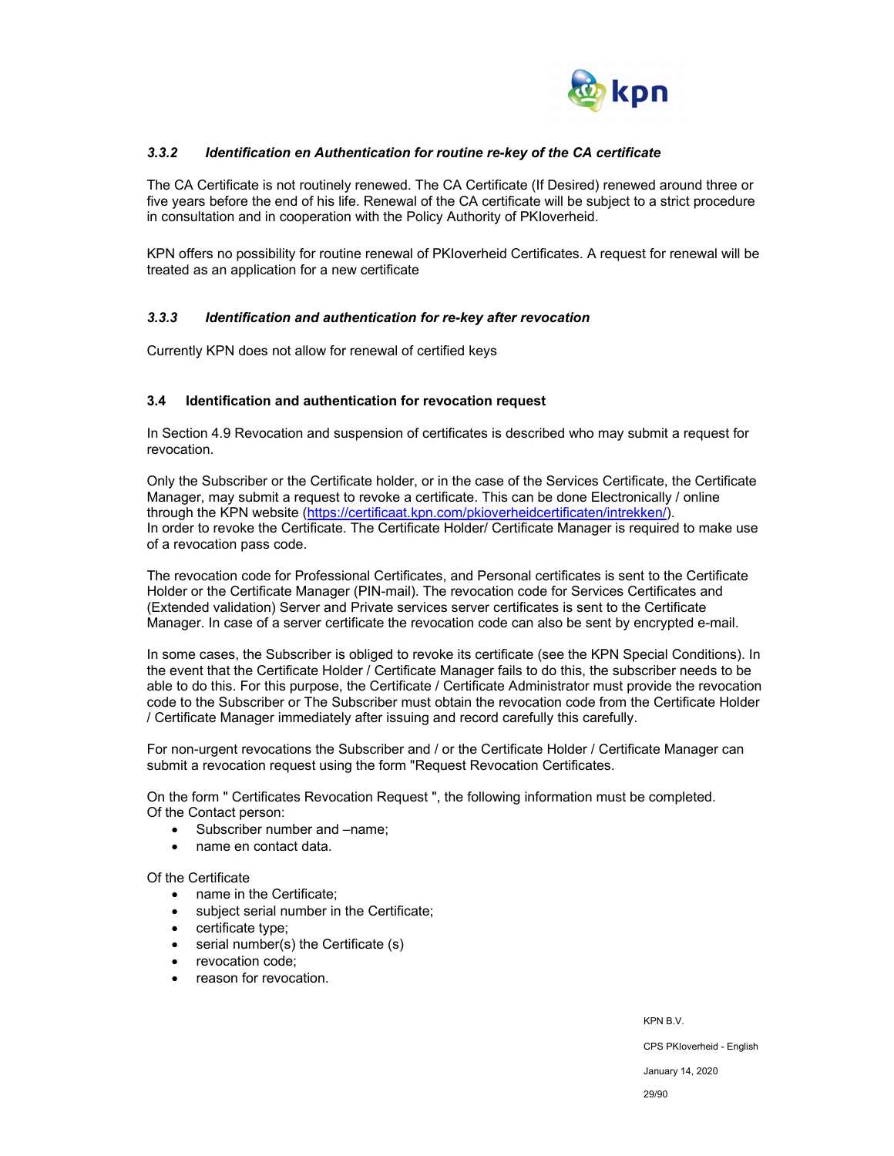

## *3.3.2 Identification en Authentication for routine re-key of the CA certificate*

The CA Certificate is not routinely renewed. The CA Certificate (If Desired) renewed around three or five years before the end of his life. Renewal of the CA certificate will be subject to a strict procedure in consultation and in cooperation with the Policy Authority of PKIoverheid.

KPN offers no possibility for routine renewal of PKIoverheid Certificates. A request for renewal will be treated as an application for a new certificate

## *3.3.3 Identification and authentication for re-key after revocation*

Currently KPN does not allow for renewal of certified keys

#### **3.4 Identification and authentication for revocation request**

In Section 4.9 Revocation and suspension of certificates is described who may submit a request for revocation.

Only the Subscriber or the Certificate holder, or in the case of the Services Certificate, the Certificate Manager, may submit a request to revoke a certificate. This can be done Electronically / online through the KPN website (https://certificaat.kpn.com/pkioverheidcertificaten/intrekken/). In order to revoke the Certificate. The Certificate Holder/ Certificate Manager is required to make use of a revocation pass code.

The revocation code for Professional Certificates, and Personal certificates is sent to the Certificate Holder or the Certificate Manager (PIN-mail). The revocation code for Services Certificates and (Extended validation) Server and Private services server certificates is sent to the Certificate Manager. In case of a server certificate the revocation code can also be sent by encrypted e-mail.

In some cases, the Subscriber is obliged to revoke its certificate (see the KPN Special Conditions). In the event that the Certificate Holder / Certificate Manager fails to do this, the subscriber needs to be able to do this. For this purpose, the Certificate / Certificate Administrator must provide the revocation code to the Subscriber or The Subscriber must obtain the revocation code from the Certificate Holder / Certificate Manager immediately after issuing and record carefully this carefully.

For non-urgent revocations the Subscriber and / or the Certificate Holder / Certificate Manager can submit a revocation request using the form "Request Revocation Certificates.

On the form " Certificates Revocation Request ", the following information must be completed. Of the Contact person:

- Subscriber number and –name;
- name en contact data.

#### Of the Certificate

- name in the Certificate:
- subject serial number in the Certificate;
- certificate type;
- serial number(s) the Certificate (s)
- revocation code:
- reason for revocation.

KPN B.V. CPS PKIoverheid - English January 14, 2020 29/90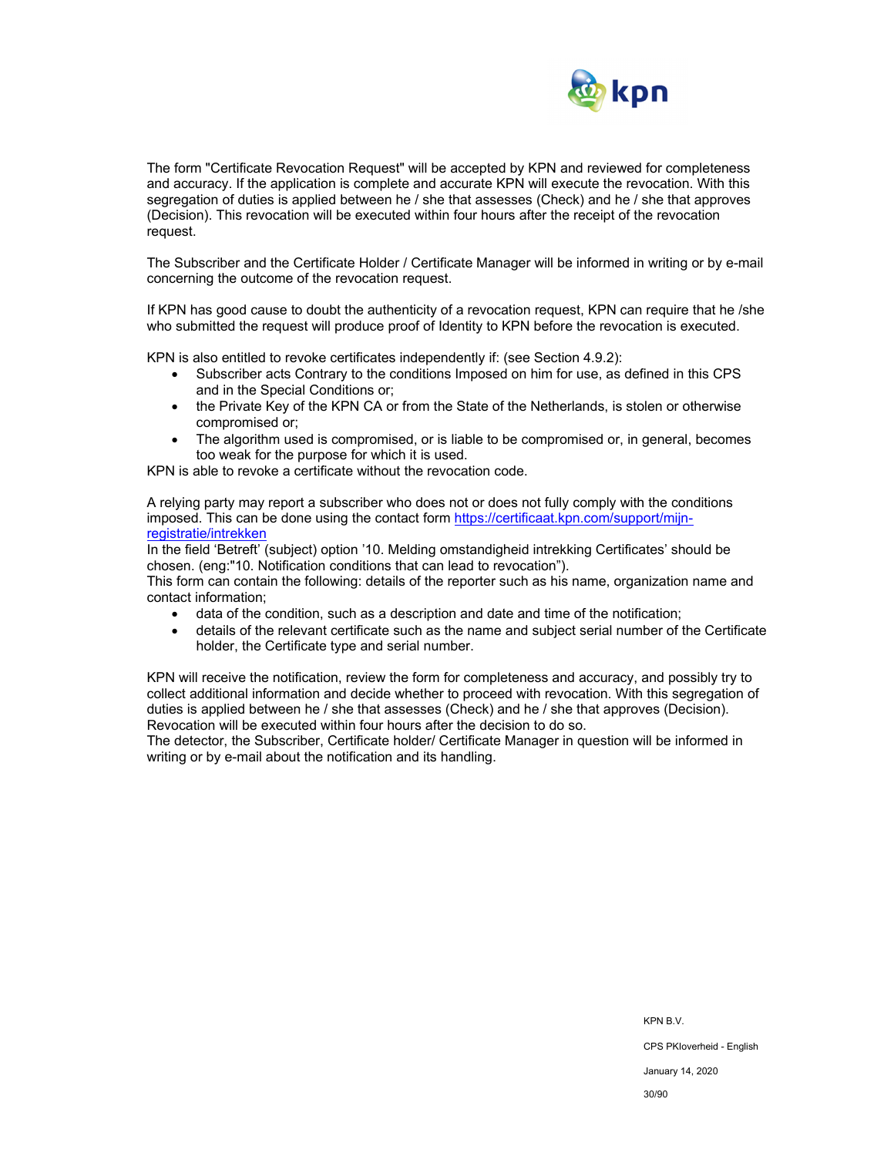

The form "Certificate Revocation Request" will be accepted by KPN and reviewed for completeness and accuracy. If the application is complete and accurate KPN will execute the revocation. With this segregation of duties is applied between he / she that assesses (Check) and he / she that approves (Decision). This revocation will be executed within four hours after the receipt of the revocation request.

The Subscriber and the Certificate Holder / Certificate Manager will be informed in writing or by e-mail concerning the outcome of the revocation request.

If KPN has good cause to doubt the authenticity of a revocation request, KPN can require that he /she who submitted the request will produce proof of Identity to KPN before the revocation is executed.

KPN is also entitled to revoke certificates independently if: (see Section 4.9.2):

- Subscriber acts Contrary to the conditions Imposed on him for use, as defined in this CPS and in the Special Conditions or;
- the Private Key of the KPN CA or from the State of the Netherlands, is stolen or otherwise compromised or;
- The algorithm used is compromised, or is liable to be compromised or, in general, becomes too weak for the purpose for which it is used.

KPN is able to revoke a certificate without the revocation code.

A relying party may report a subscriber who does not or does not fully comply with the conditions imposed. This can be done using the contact form https://certificaat.kpn.com/support/mijnregistratie/intrekken

In the field 'Betreft' (subject) option '10. Melding omstandigheid intrekking Certificates' should be chosen. (eng:"10. Notification conditions that can lead to revocation").

This form can contain the following: details of the reporter such as his name, organization name and contact information;

- data of the condition, such as a description and date and time of the notification;
- details of the relevant certificate such as the name and subject serial number of the Certificate holder, the Certificate type and serial number.

KPN will receive the notification, review the form for completeness and accuracy, and possibly try to collect additional information and decide whether to proceed with revocation. With this segregation of duties is applied between he / she that assesses (Check) and he / she that approves (Decision). Revocation will be executed within four hours after the decision to do so.

The detector, the Subscriber, Certificate holder/ Certificate Manager in question will be informed in writing or by e-mail about the notification and its handling.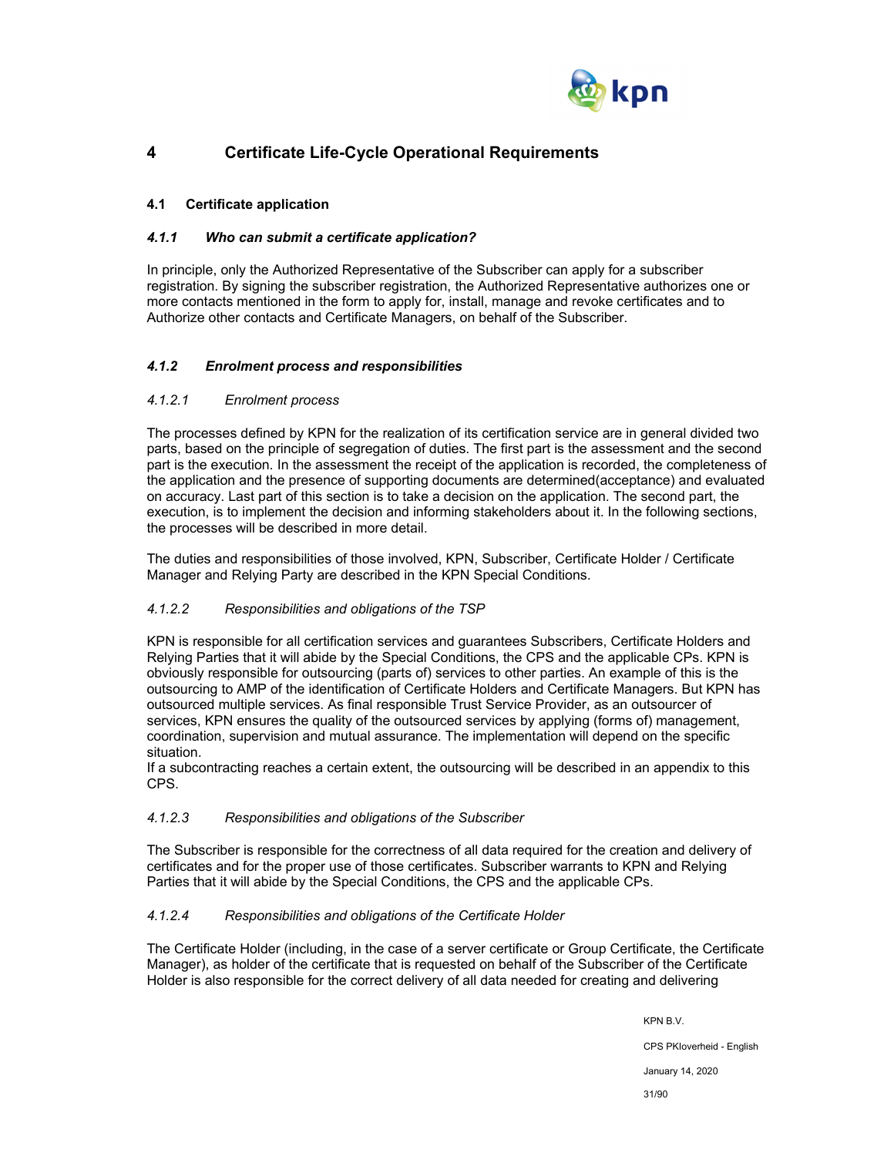

## **4 Certificate Life-Cycle Operational Requirements**

## **4.1 Certificate application**

## *4.1.1 Who can submit a certificate application?*

In principle, only the Authorized Representative of the Subscriber can apply for a subscriber registration. By signing the subscriber registration, the Authorized Representative authorizes one or more contacts mentioned in the form to apply for, install, manage and revoke certificates and to Authorize other contacts and Certificate Managers, on behalf of the Subscriber.

## *4.1.2 Enrolment process and responsibilities*

#### *4.1.2.1 Enrolment process*

The processes defined by KPN for the realization of its certification service are in general divided two parts, based on the principle of segregation of duties. The first part is the assessment and the second part is the execution. In the assessment the receipt of the application is recorded, the completeness of the application and the presence of supporting documents are determined(acceptance) and evaluated on accuracy. Last part of this section is to take a decision on the application. The second part, the execution, is to implement the decision and informing stakeholders about it. In the following sections, the processes will be described in more detail.

The duties and responsibilities of those involved, KPN, Subscriber, Certificate Holder / Certificate Manager and Relying Party are described in the KPN Special Conditions.

## *4.1.2.2 Responsibilities and obligations of the TSP*

KPN is responsible for all certification services and guarantees Subscribers, Certificate Holders and Relying Parties that it will abide by the Special Conditions, the CPS and the applicable CPs. KPN is obviously responsible for outsourcing (parts of) services to other parties. An example of this is the outsourcing to AMP of the identification of Certificate Holders and Certificate Managers. But KPN has outsourced multiple services. As final responsible Trust Service Provider, as an outsourcer of services, KPN ensures the quality of the outsourced services by applying (forms of) management, coordination, supervision and mutual assurance. The implementation will depend on the specific situation.

If a subcontracting reaches a certain extent, the outsourcing will be described in an appendix to this CPS.

#### *4.1.2.3 Responsibilities and obligations of the Subscriber*

The Subscriber is responsible for the correctness of all data required for the creation and delivery of certificates and for the proper use of those certificates. Subscriber warrants to KPN and Relying Parties that it will abide by the Special Conditions, the CPS and the applicable CPs.

## *4.1.2.4 Responsibilities and obligations of the Certificate Holder*

The Certificate Holder (including, in the case of a server certificate or Group Certificate, the Certificate Manager), as holder of the certificate that is requested on behalf of the Subscriber of the Certificate Holder is also responsible for the correct delivery of all data needed for creating and delivering

> KPN B.V. CPS PKIoverheid - English January 14, 2020 31/90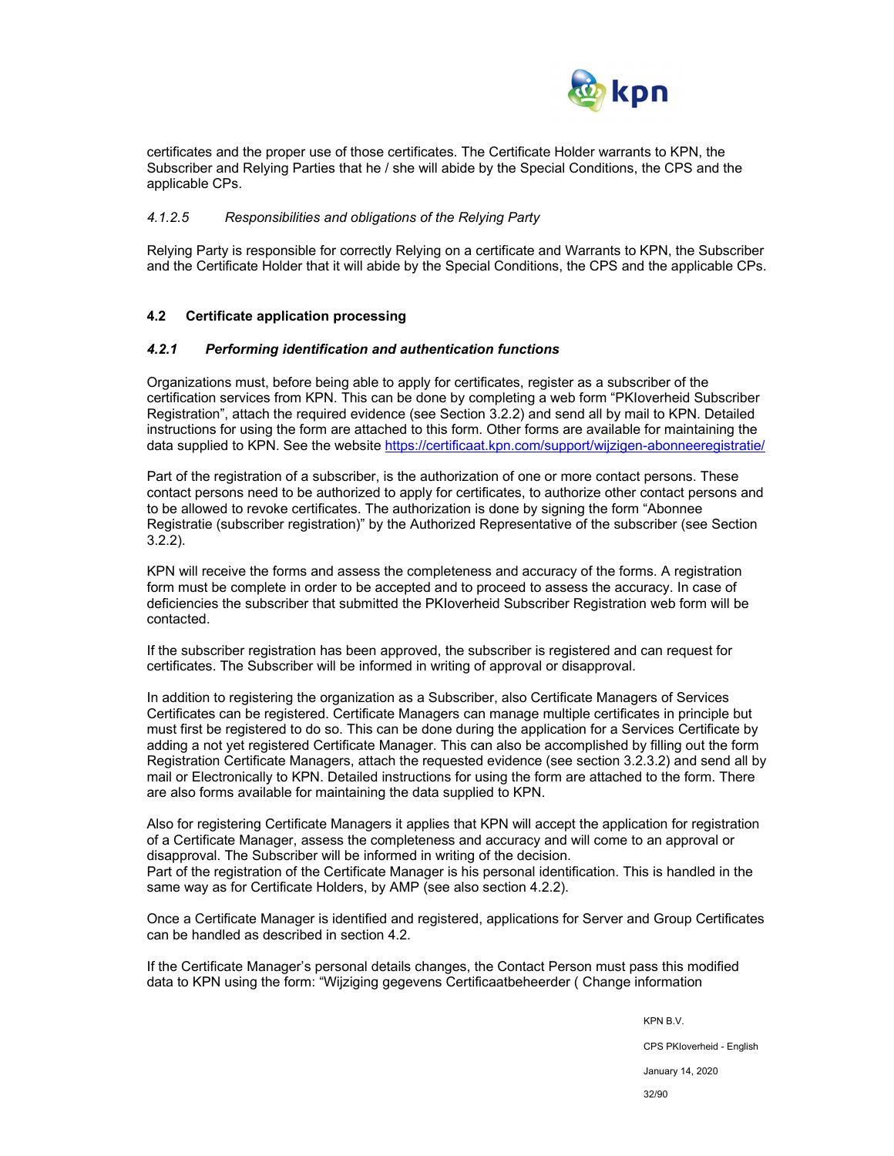

certificates and the proper use of those certificates. The Certificate Holder warrants to KPN, the Subscriber and Relying Parties that he / she will abide by the Special Conditions, the CPS and the applicable CPs.

#### *4.1.2.5 Responsibilities and obligations of the Relying Party*

Relying Party is responsible for correctly Relying on a certificate and Warrants to KPN, the Subscriber and the Certificate Holder that it will abide by the Special Conditions, the CPS and the applicable CPs.

#### **4.2 Certificate application processing**

#### *4.2.1 Performing identification and authentication functions*

Organizations must, before being able to apply for certificates, register as a subscriber of the certification services from KPN. This can be done by completing a web form "PKIoverheid Subscriber Registration", attach the required evidence (see Section 3.2.2) and send all by mail to KPN. Detailed instructions for using the form are attached to this form. Other forms are available for maintaining the data supplied to KPN. See the website https://certificaat.kpn.com/support/wijzigen-abonneeregistratie/

Part of the registration of a subscriber, is the authorization of one or more contact persons. These contact persons need to be authorized to apply for certificates, to authorize other contact persons and to be allowed to revoke certificates. The authorization is done by signing the form "Abonnee Registratie (subscriber registration)" by the Authorized Representative of the subscriber (see Section 3.2.2).

KPN will receive the forms and assess the completeness and accuracy of the forms. A registration form must be complete in order to be accepted and to proceed to assess the accuracy. In case of deficiencies the subscriber that submitted the PKIoverheid Subscriber Registration web form will be contacted.

If the subscriber registration has been approved, the subscriber is registered and can request for certificates. The Subscriber will be informed in writing of approval or disapproval.

In addition to registering the organization as a Subscriber, also Certificate Managers of Services Certificates can be registered. Certificate Managers can manage multiple certificates in principle but must first be registered to do so. This can be done during the application for a Services Certificate by adding a not yet registered Certificate Manager. This can also be accomplished by filling out the form Registration Certificate Managers, attach the requested evidence (see section 3.2.3.2) and send all by mail or Electronically to KPN. Detailed instructions for using the form are attached to the form. There are also forms available for maintaining the data supplied to KPN.

Also for registering Certificate Managers it applies that KPN will accept the application for registration of a Certificate Manager, assess the completeness and accuracy and will come to an approval or disapproval. The Subscriber will be informed in writing of the decision. Part of the registration of the Certificate Manager is his personal identification. This is handled in the same way as for Certificate Holders, by AMP (see also section 4.2.2).

Once a Certificate Manager is identified and registered, applications for Server and Group Certificates can be handled as described in section 4.2.

If the Certificate Manager's personal details changes, the Contact Person must pass this modified data to KPN using the form: "Wijziging gegevens Certificaatbeheerder ( Change information

KPN B.V.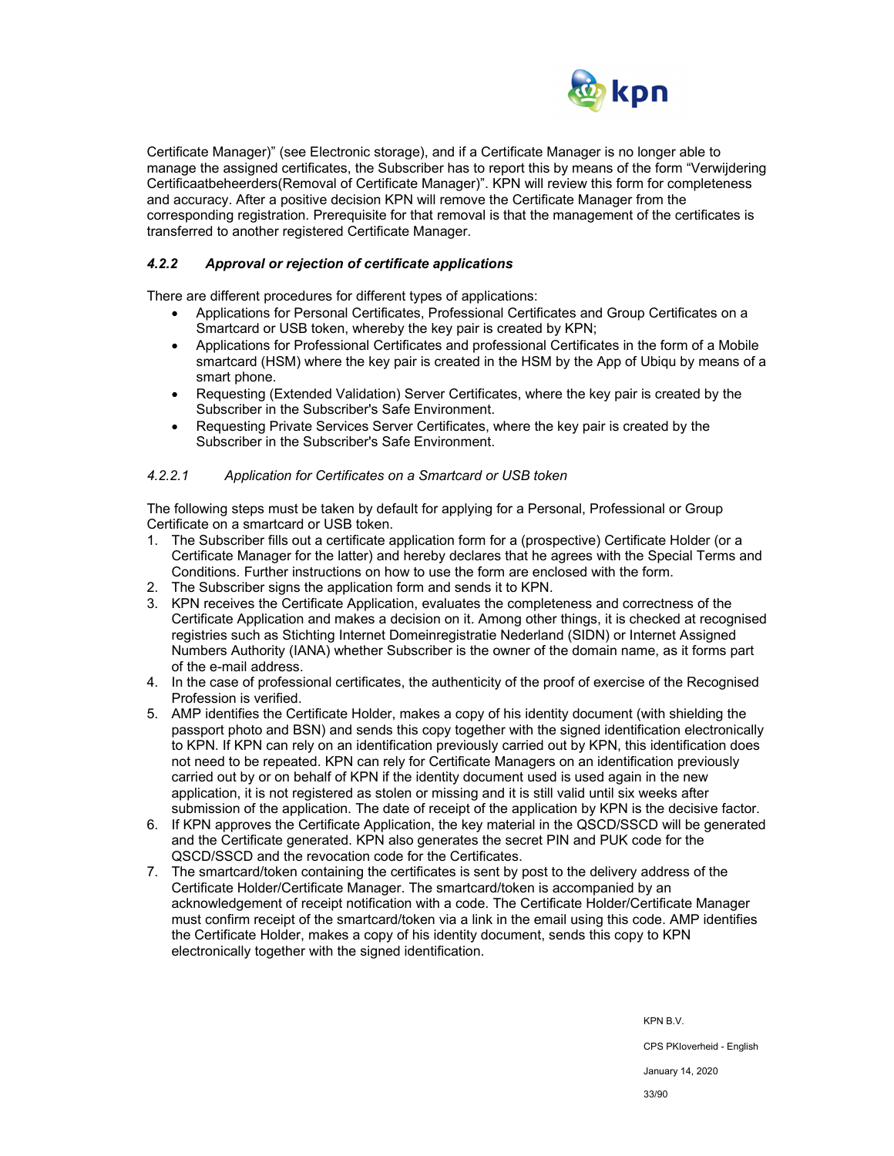

Certificate Manager)" (see Electronic storage), and if a Certificate Manager is no longer able to manage the assigned certificates, the Subscriber has to report this by means of the form "Verwijdering Certificaatbeheerders(Removal of Certificate Manager)". KPN will review this form for completeness and accuracy. After a positive decision KPN will remove the Certificate Manager from the corresponding registration. Prerequisite for that removal is that the management of the certificates is transferred to another registered Certificate Manager.

## *4.2.2 Approval or rejection of certificate applications*

There are different procedures for different types of applications:

- Applications for Personal Certificates, Professional Certificates and Group Certificates on a Smartcard or USB token, whereby the key pair is created by KPN;
- Applications for Professional Certificates and professional Certificates in the form of a Mobile smartcard (HSM) where the key pair is created in the HSM by the App of Ubiqu by means of a smart phone.
- Requesting (Extended Validation) Server Certificates, where the key pair is created by the Subscriber in the Subscriber's Safe Environment.
- Requesting Private Services Server Certificates, where the key pair is created by the Subscriber in the Subscriber's Safe Environment.

#### *4.2.2.1 Application for Certificates on a Smartcard or USB token*

The following steps must be taken by default for applying for a Personal, Professional or Group Certificate on a smartcard or USB token.

- 1. The Subscriber fills out a certificate application form for a (prospective) Certificate Holder (or a Certificate Manager for the latter) and hereby declares that he agrees with the Special Terms and Conditions. Further instructions on how to use the form are enclosed with the form.
- 2. The Subscriber signs the application form and sends it to KPN.
- 3. KPN receives the Certificate Application, evaluates the completeness and correctness of the Certificate Application and makes a decision on it. Among other things, it is checked at recognised registries such as Stichting Internet Domeinregistratie Nederland (SIDN) or Internet Assigned Numbers Authority (IANA) whether Subscriber is the owner of the domain name, as it forms part of the e-mail address.
- 4. In the case of professional certificates, the authenticity of the proof of exercise of the Recognised Profession is verified.
- 5. AMP identifies the Certificate Holder, makes a copy of his identity document (with shielding the passport photo and BSN) and sends this copy together with the signed identification electronically to KPN. If KPN can rely on an identification previously carried out by KPN, this identification does not need to be repeated. KPN can rely for Certificate Managers on an identification previously carried out by or on behalf of KPN if the identity document used is used again in the new application, it is not registered as stolen or missing and it is still valid until six weeks after submission of the application. The date of receipt of the application by KPN is the decisive factor.
- 6. If KPN approves the Certificate Application, the key material in the QSCD/SSCD will be generated and the Certificate generated. KPN also generates the secret PIN and PUK code for the QSCD/SSCD and the revocation code for the Certificates.
- 7. The smartcard/token containing the certificates is sent by post to the delivery address of the Certificate Holder/Certificate Manager. The smartcard/token is accompanied by an acknowledgement of receipt notification with a code. The Certificate Holder/Certificate Manager must confirm receipt of the smartcard/token via a link in the email using this code. AMP identifies the Certificate Holder, makes a copy of his identity document, sends this copy to KPN electronically together with the signed identification.

KPN B.V. CPS PKIoverheid - English January 14, 2020 33/90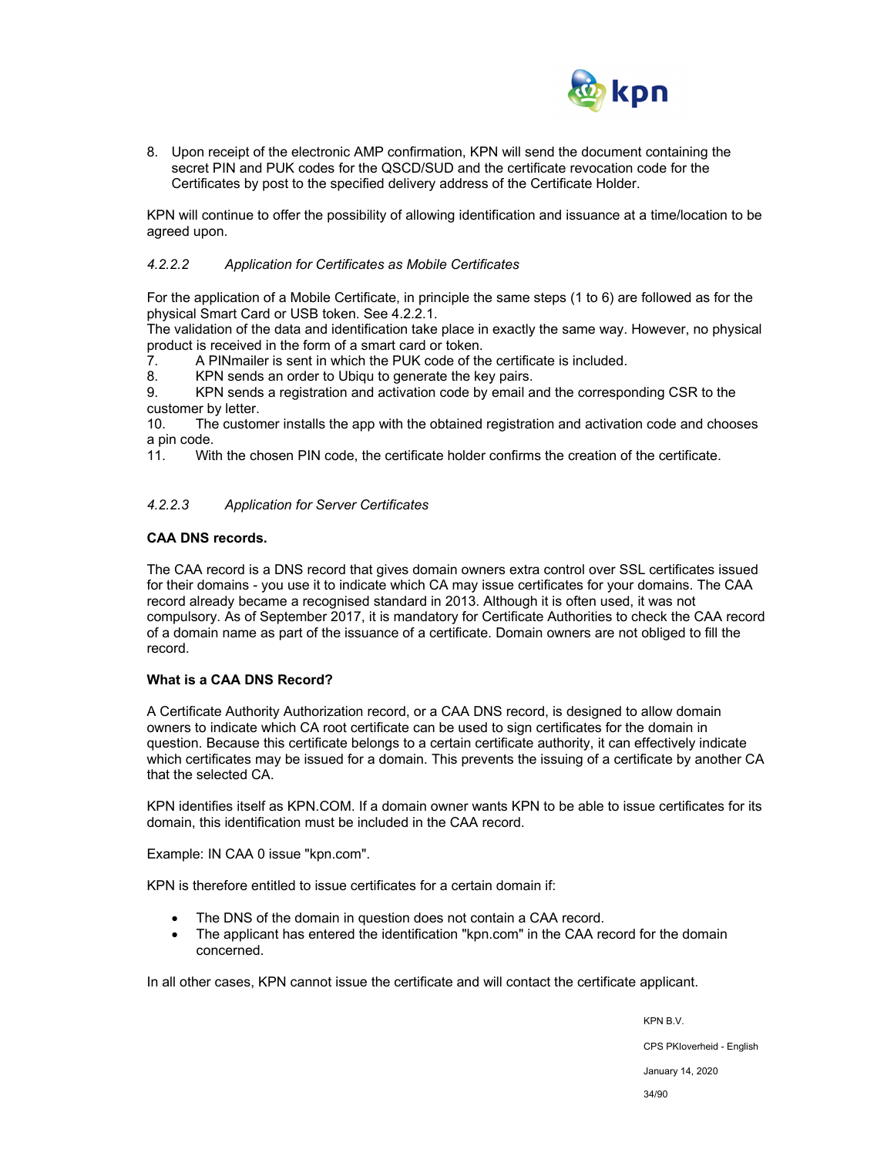

8. Upon receipt of the electronic AMP confirmation, KPN will send the document containing the secret PIN and PUK codes for the QSCD/SUD and the certificate revocation code for the Certificates by post to the specified delivery address of the Certificate Holder.

KPN will continue to offer the possibility of allowing identification and issuance at a time/location to be agreed upon.

#### *4.2.2.2 Application for Certificates as Mobile Certificates*

For the application of a Mobile Certificate, in principle the same steps (1 to 6) are followed as for the physical Smart Card or USB token. See 4.2.2.1.

The validation of the data and identification take place in exactly the same way. However, no physical product is received in the form of a smart card or token.

7. A PINmailer is sent in which the PUK code of the certificate is included.

8. KPN sends an order to Ubiqu to generate the key pairs.

9. KPN sends a registration and activation code by email and the corresponding CSR to the customer by letter.

10. The customer installs the app with the obtained registration and activation code and chooses a pin code.

11. With the chosen PIN code, the certificate holder confirms the creation of the certificate.

#### *4.2.2.3 Application for Server Certificates*

## **CAA DNS records.**

The CAA record is a DNS record that gives domain owners extra control over SSL certificates issued for their domains - you use it to indicate which CA may issue certificates for your domains. The CAA record already became a recognised standard in 2013. Although it is often used, it was not compulsory. As of September 2017, it is mandatory for Certificate Authorities to check the CAA record of a domain name as part of the issuance of a certificate. Domain owners are not obliged to fill the record.

#### **What is a CAA DNS Record?**

A Certificate Authority Authorization record, or a CAA DNS record, is designed to allow domain owners to indicate which CA root certificate can be used to sign certificates for the domain in question. Because this certificate belongs to a certain certificate authority, it can effectively indicate which certificates may be issued for a domain. This prevents the issuing of a certificate by another CA that the selected CA.

KPN identifies itself as KPN.COM. If a domain owner wants KPN to be able to issue certificates for its domain, this identification must be included in the CAA record.

Example: IN CAA 0 issue "kpn.com".

KPN is therefore entitled to issue certificates for a certain domain if:

- The DNS of the domain in question does not contain a CAA record.
- The applicant has entered the identification "kpn.com" in the CAA record for the domain concerned.

In all other cases, KPN cannot issue the certificate and will contact the certificate applicant.

KPN B.V. CPS PKIoverheid - English January 14, 2020 34/90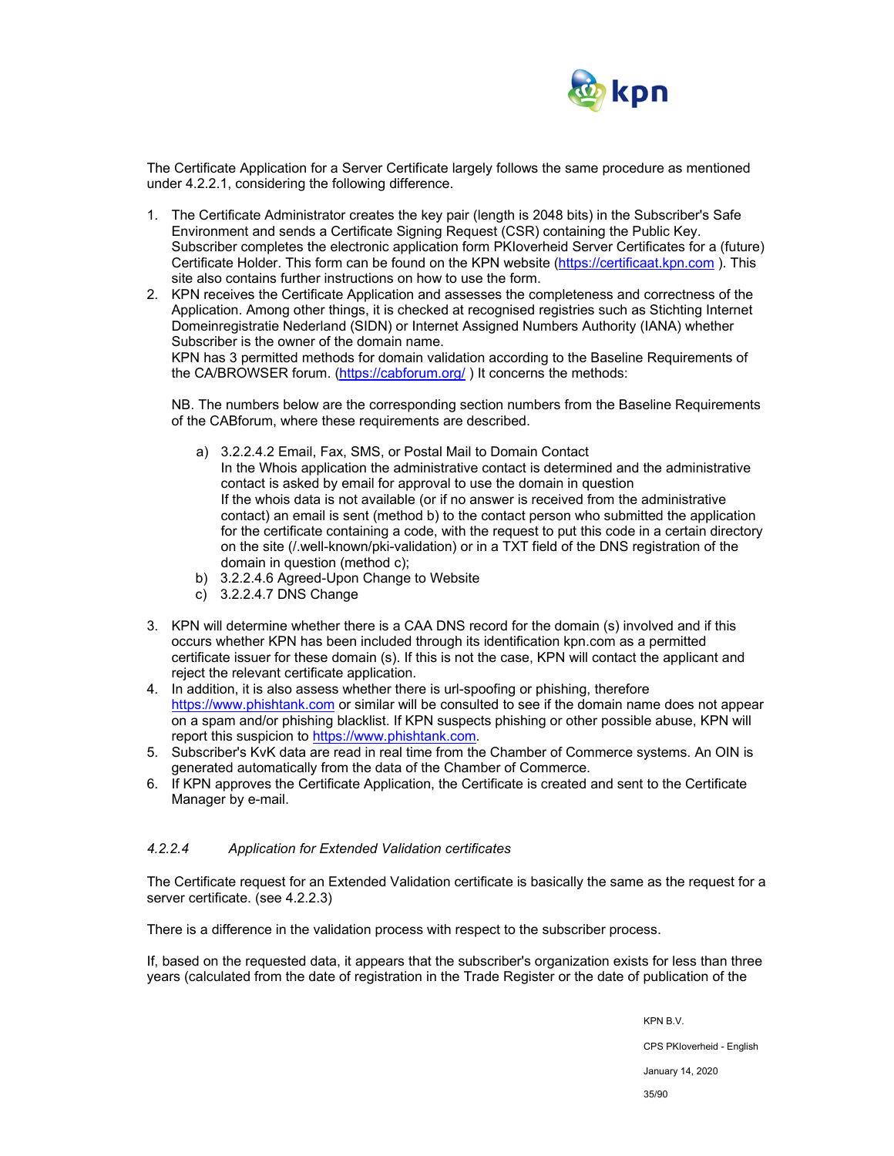

The Certificate Application for a Server Certificate largely follows the same procedure as mentioned under 4.2.2.1, considering the following difference.

- 1. The Certificate Administrator creates the key pair (length is 2048 bits) in the Subscriber's Safe Environment and sends a Certificate Signing Request (CSR) containing the Public Key. Subscriber completes the electronic application form PKIoverheid Server Certificates for a (future) Certificate Holder. This form can be found on the KPN website (https://certificaat.kpn.com ). This site also contains further instructions on how to use the form.
- 2. KPN receives the Certificate Application and assesses the completeness and correctness of the Application. Among other things, it is checked at recognised registries such as Stichting Internet Domeinregistratie Nederland (SIDN) or Internet Assigned Numbers Authority (IANA) whether Subscriber is the owner of the domain name.

KPN has 3 permitted methods for domain validation according to the Baseline Requirements of the CA/BROWSER forum. (https://cabforum.org/ ) It concerns the methods:

NB. The numbers below are the corresponding section numbers from the Baseline Requirements of the CABforum, where these requirements are described.

- a) 3.2.2.4.2 Email, Fax, SMS, or Postal Mail to Domain Contact In the Whois application the administrative contact is determined and the administrative contact is asked by email for approval to use the domain in question If the whois data is not available (or if no answer is received from the administrative contact) an email is sent (method b) to the contact person who submitted the application for the certificate containing a code, with the request to put this code in a certain directory on the site (/.well-known/pki-validation) or in a TXT field of the DNS registration of the domain in question (method c);
- b) 3.2.2.4.6 Agreed-Upon Change to Website
- c) 3.2.2.4.7 DNS Change
- 3. KPN will determine whether there is a CAA DNS record for the domain (s) involved and if this occurs whether KPN has been included through its identification kpn.com as a permitted certificate issuer for these domain (s). If this is not the case, KPN will contact the applicant and reject the relevant certificate application.
- 4. In addition, it is also assess whether there is url-spoofing or phishing, therefore https://www.phishtank.com or similar will be consulted to see if the domain name does not appear on a spam and/or phishing blacklist. If KPN suspects phishing or other possible abuse, KPN will report this suspicion to https://www.phishtank.com.
- 5. Subscriber's KvK data are read in real time from the Chamber of Commerce systems. An OIN is generated automatically from the data of the Chamber of Commerce.
- 6. If KPN approves the Certificate Application, the Certificate is created and sent to the Certificate Manager by e-mail.

#### *4.2.2.4 Application for Extended Validation certificates*

The Certificate request for an Extended Validation certificate is basically the same as the request for a server certificate. (see 4.2.2.3)

There is a difference in the validation process with respect to the subscriber process.

If, based on the requested data, it appears that the subscriber's organization exists for less than three years (calculated from the date of registration in the Trade Register or the date of publication of the

KPN B.V.

CPS PKIoverheid - English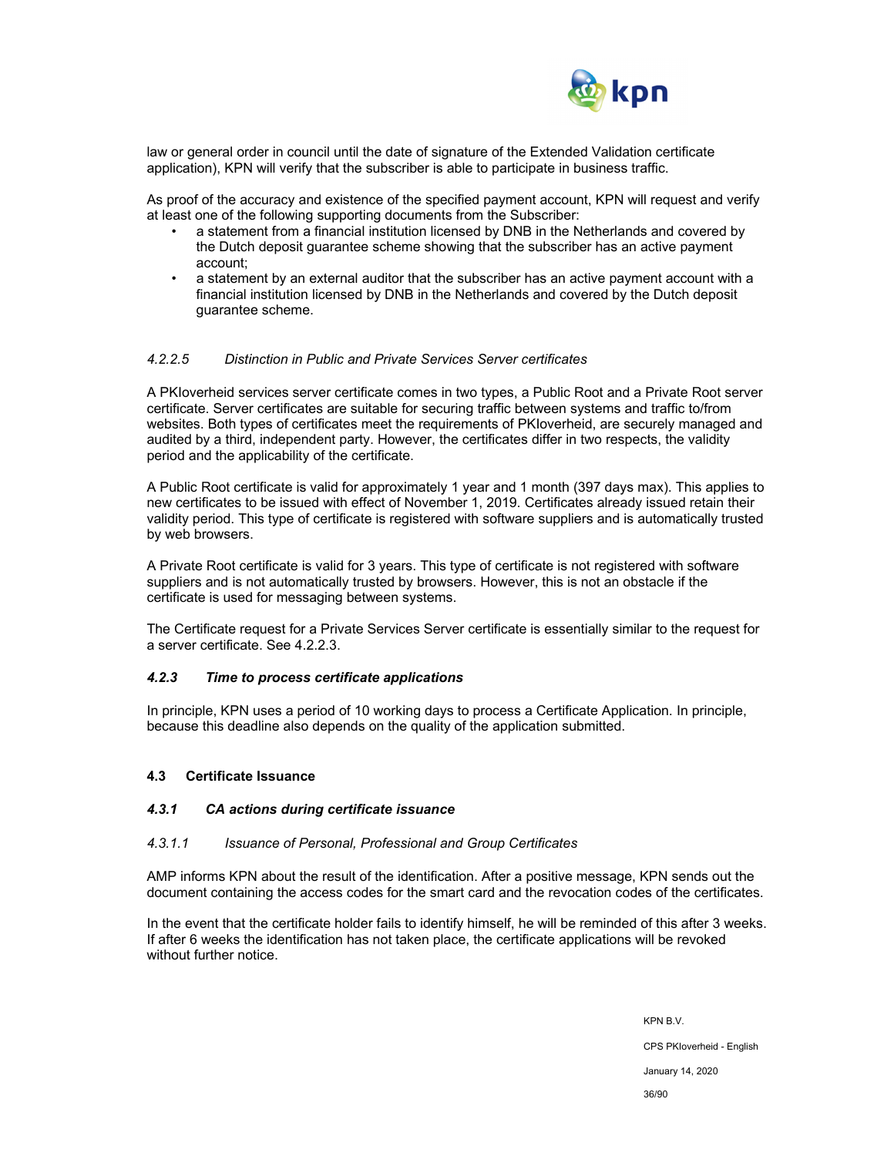

law or general order in council until the date of signature of the Extended Validation certificate application), KPN will verify that the subscriber is able to participate in business traffic.

As proof of the accuracy and existence of the specified payment account, KPN will request and verify at least one of the following supporting documents from the Subscriber:

- a statement from a financial institution licensed by DNB in the Netherlands and covered by the Dutch deposit guarantee scheme showing that the subscriber has an active payment account;
- a statement by an external auditor that the subscriber has an active payment account with a financial institution licensed by DNB in the Netherlands and covered by the Dutch deposit guarantee scheme.

#### *4.2.2.5 Distinction in Public and Private Services Server certificates*

A PKIoverheid services server certificate comes in two types, a Public Root and a Private Root server certificate. Server certificates are suitable for securing traffic between systems and traffic to/from websites. Both types of certificates meet the requirements of PKIoverheid, are securely managed and audited by a third, independent party. However, the certificates differ in two respects, the validity period and the applicability of the certificate.

A Public Root certificate is valid for approximately 1 year and 1 month (397 days max). This applies to new certificates to be issued with effect of November 1, 2019. Certificates already issued retain their validity period. This type of certificate is registered with software suppliers and is automatically trusted by web browsers.

A Private Root certificate is valid for 3 years. This type of certificate is not registered with software suppliers and is not automatically trusted by browsers. However, this is not an obstacle if the certificate is used for messaging between systems.

The Certificate request for a Private Services Server certificate is essentially similar to the request for a server certificate. See 4.2.2.3.

#### *4.2.3 Time to process certificate applications*

In principle, KPN uses a period of 10 working days to process a Certificate Application. In principle, because this deadline also depends on the quality of the application submitted.

#### **4.3 Certificate Issuance**

#### *4.3.1 CA actions during certificate issuance*

#### *4.3.1.1 Issuance of Personal, Professional and Group Certificates*

AMP informs KPN about the result of the identification. After a positive message, KPN sends out the document containing the access codes for the smart card and the revocation codes of the certificates.

In the event that the certificate holder fails to identify himself, he will be reminded of this after 3 weeks. If after 6 weeks the identification has not taken place, the certificate applications will be revoked without further notice.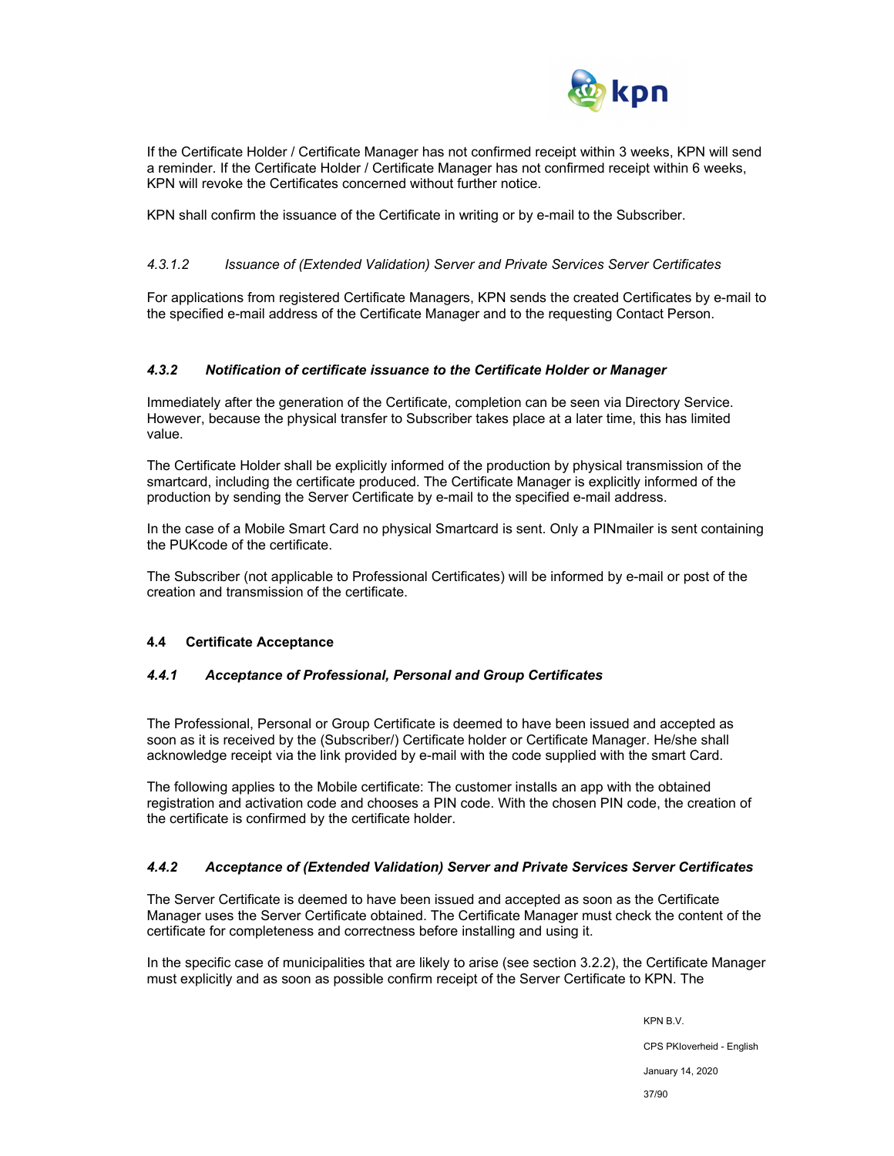

If the Certificate Holder / Certificate Manager has not confirmed receipt within 3 weeks, KPN will send a reminder. If the Certificate Holder / Certificate Manager has not confirmed receipt within 6 weeks, KPN will revoke the Certificates concerned without further notice.

KPN shall confirm the issuance of the Certificate in writing or by e-mail to the Subscriber.

### *4.3.1.2 Issuance of (Extended Validation) Server and Private Services Server Certificates*

For applications from registered Certificate Managers, KPN sends the created Certificates by e-mail to the specified e-mail address of the Certificate Manager and to the requesting Contact Person.

#### *4.3.2 Notification of certificate issuance to the Certificate Holder or Manager*

Immediately after the generation of the Certificate, completion can be seen via Directory Service. However, because the physical transfer to Subscriber takes place at a later time, this has limited value.

The Certificate Holder shall be explicitly informed of the production by physical transmission of the smartcard, including the certificate produced. The Certificate Manager is explicitly informed of the production by sending the Server Certificate by e-mail to the specified e-mail address.

In the case of a Mobile Smart Card no physical Smartcard is sent. Only a PINmailer is sent containing the PUKcode of the certificate.

The Subscriber (not applicable to Professional Certificates) will be informed by e-mail or post of the creation and transmission of the certificate.

#### **4.4 Certificate Acceptance**

#### *4.4.1 Acceptance of Professional, Personal and Group Certificates*

The Professional, Personal or Group Certificate is deemed to have been issued and accepted as soon as it is received by the (Subscriber/) Certificate holder or Certificate Manager. He/she shall acknowledge receipt via the link provided by e-mail with the code supplied with the smart Card.

The following applies to the Mobile certificate: The customer installs an app with the obtained registration and activation code and chooses a PIN code. With the chosen PIN code, the creation of the certificate is confirmed by the certificate holder.

#### *4.4.2 Acceptance of (Extended Validation) Server and Private Services Server Certificates*

The Server Certificate is deemed to have been issued and accepted as soon as the Certificate Manager uses the Server Certificate obtained. The Certificate Manager must check the content of the certificate for completeness and correctness before installing and using it.

In the specific case of municipalities that are likely to arise (see section 3.2.2), the Certificate Manager must explicitly and as soon as possible confirm receipt of the Server Certificate to KPN. The

> KPN B.V. CPS PKIoverheid - English January 14, 2020 37/90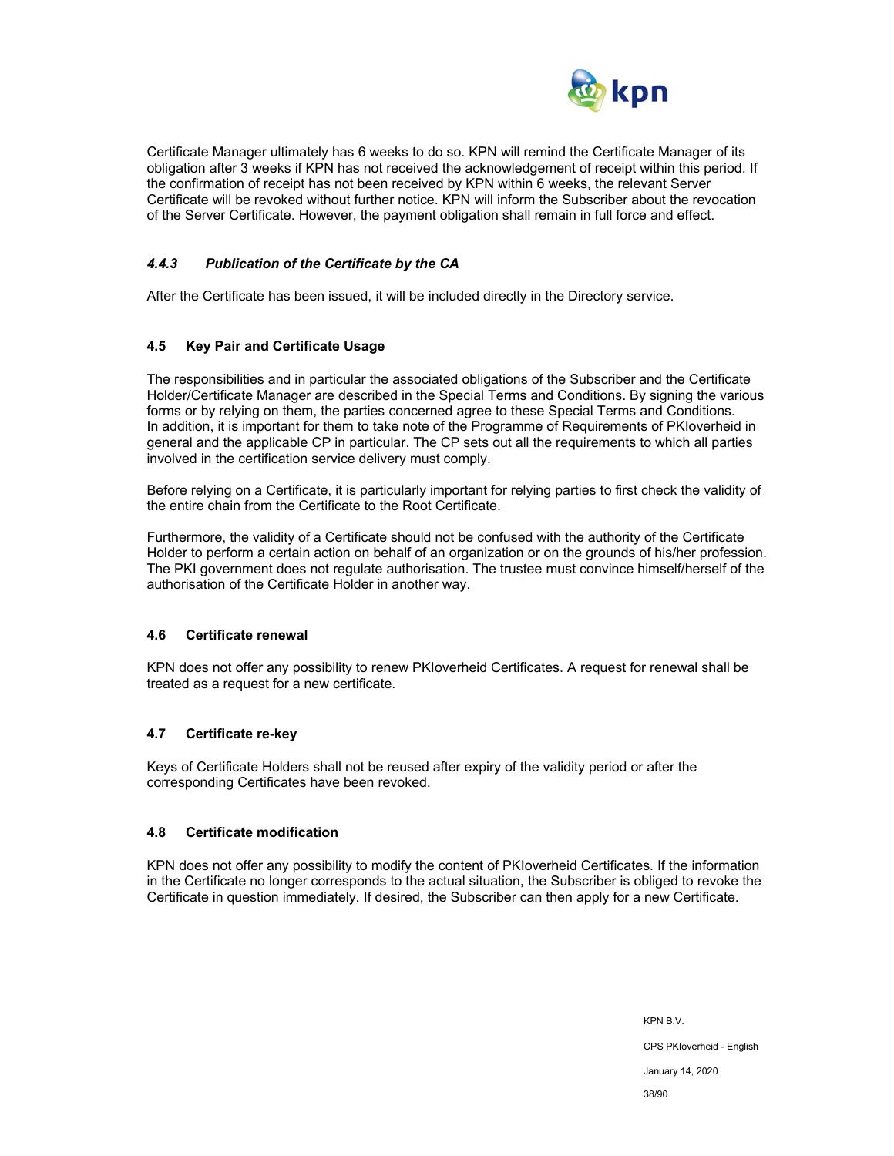

Certificate Manager ultimately has 6 weeks to do so. KPN will remind the Certificate Manager of its obligation after 3 weeks if KPN has not received the acknowledgement of receipt within this period. If the confirmation of receipt has not been received by KPN within 6 weeks, the relevant Server Certificate will be revoked without further notice. KPN will inform the Subscriber about the revocation of the Server Certificate. However, the payment obligation shall remain in full force and effect.

### *4.4.3 Publication of the Certificate by the CA*

After the Certificate has been issued, it will be included directly in the Directory service.

#### **4.5 Key Pair and Certificate Usage**

The responsibilities and in particular the associated obligations of the Subscriber and the Certificate Holder/Certificate Manager are described in the Special Terms and Conditions. By signing the various forms or by relying on them, the parties concerned agree to these Special Terms and Conditions. In addition, it is important for them to take note of the Programme of Requirements of PKIoverheid in general and the applicable CP in particular. The CP sets out all the requirements to which all parties involved in the certification service delivery must comply.

Before relying on a Certificate, it is particularly important for relying parties to first check the validity of the entire chain from the Certificate to the Root Certificate.

Furthermore, the validity of a Certificate should not be confused with the authority of the Certificate Holder to perform a certain action on behalf of an organization or on the grounds of his/her profession. The PKI government does not regulate authorisation. The trustee must convince himself/herself of the authorisation of the Certificate Holder in another way.

#### **4.6 Certificate renewal**

KPN does not offer any possibility to renew PKIoverheid Certificates. A request for renewal shall be treated as a request for a new certificate.

#### **4.7 Certificate re-key**

Keys of Certificate Holders shall not be reused after expiry of the validity period or after the corresponding Certificates have been revoked.

#### **4.8 Certificate modification**

KPN does not offer any possibility to modify the content of PKIoverheid Certificates. If the information in the Certificate no longer corresponds to the actual situation, the Subscriber is obliged to revoke the Certificate in question immediately. If desired, the Subscriber can then apply for a new Certificate.

> KPN B.V. CPS PKIoverheid - English January 14, 2020 38/90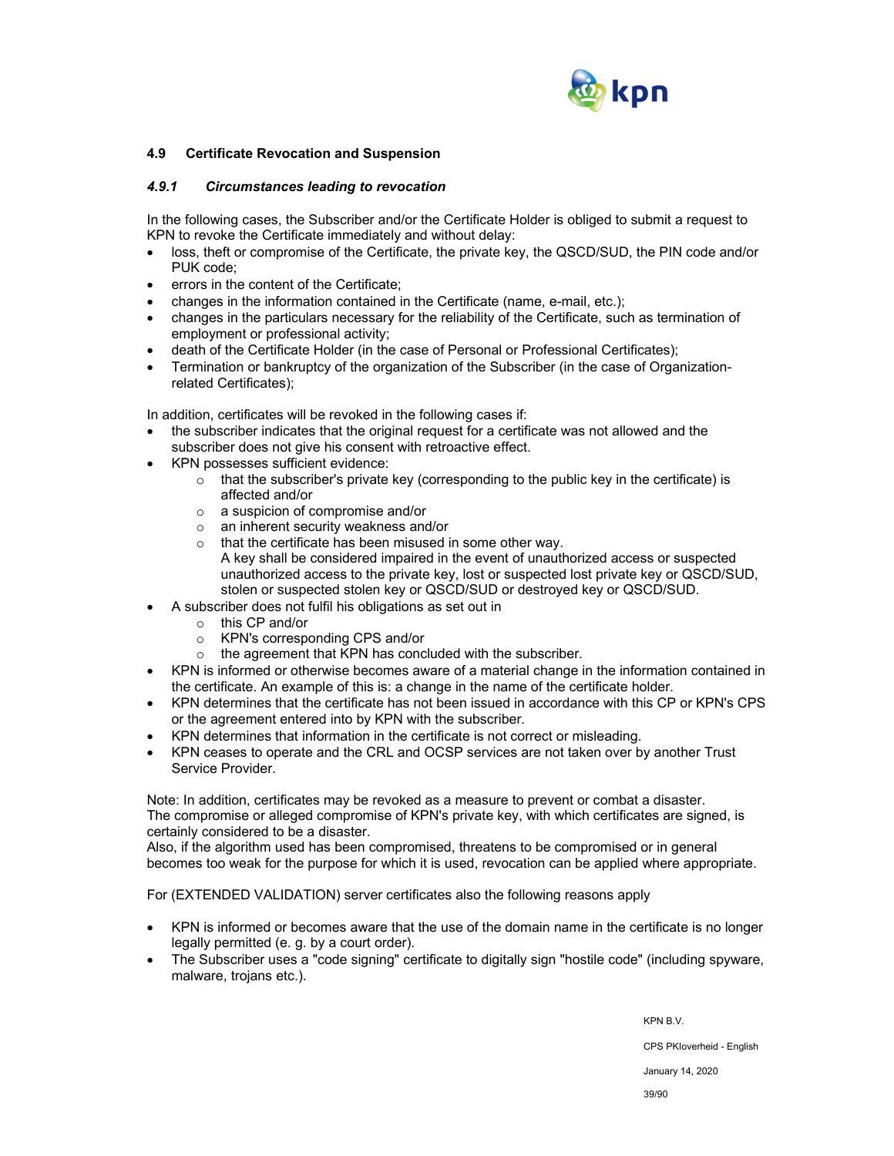

#### **4.9 Certificate Revocation and Suspension**

#### *4.9.1 Circumstances leading to revocation*

In the following cases, the Subscriber and/or the Certificate Holder is obliged to submit a request to KPN to revoke the Certificate immediately and without delay:

- loss, theft or compromise of the Certificate, the private key, the QSCD/SUD, the PIN code and/or PUK code;
- errors in the content of the Certificate;
- changes in the information contained in the Certificate (name, e-mail, etc.);
- changes in the particulars necessary for the reliability of the Certificate, such as termination of employment or professional activity;
- death of the Certificate Holder (in the case of Personal or Professional Certificates);
- Termination or bankruptcy of the organization of the Subscriber (in the case of Organizationrelated Certificates);

In addition, certificates will be revoked in the following cases if:

- the subscriber indicates that the original request for a certificate was not allowed and the subscriber does not give his consent with retroactive effect.
- KPN possesses sufficient evidence:
	- $\circ$  that the subscriber's private key (corresponding to the public key in the certificate) is affected and/or
	- o a suspicion of compromise and/or
	- o an inherent security weakness and/or
	- o that the certificate has been misused in some other way. A key shall be considered impaired in the event of unauthorized access or suspected unauthorized access to the private key, lost or suspected lost private key or QSCD/SUD, stolen or suspected stolen key or QSCD/SUD or destroyed key or QSCD/SUD.
- A subscriber does not fulfil his obligations as set out in
	- o this CP and/or
	- o KPN's corresponding CPS and/or
	- o the agreement that KPN has concluded with the subscriber.
- KPN is informed or otherwise becomes aware of a material change in the information contained in the certificate. An example of this is: a change in the name of the certificate holder.
- KPN determines that the certificate has not been issued in accordance with this CP or KPN's CPS or the agreement entered into by KPN with the subscriber.
- KPN determines that information in the certificate is not correct or misleading.
- KPN ceases to operate and the CRL and OCSP services are not taken over by another Trust Service Provider.

Note: In addition, certificates may be revoked as a measure to prevent or combat a disaster. The compromise or alleged compromise of KPN's private key, with which certificates are signed, is certainly considered to be a disaster.

Also, if the algorithm used has been compromised, threatens to be compromised or in general becomes too weak for the purpose for which it is used, revocation can be applied where appropriate.

For (EXTENDED VALIDATION) server certificates also the following reasons apply

- KPN is informed or becomes aware that the use of the domain name in the certificate is no longer legally permitted (e. g. by a court order).
- The Subscriber uses a "code signing" certificate to digitally sign "hostile code" (including spyware, malware, trojans etc.).

KPN B.V. CPS PKIoverheid - English January 14, 2020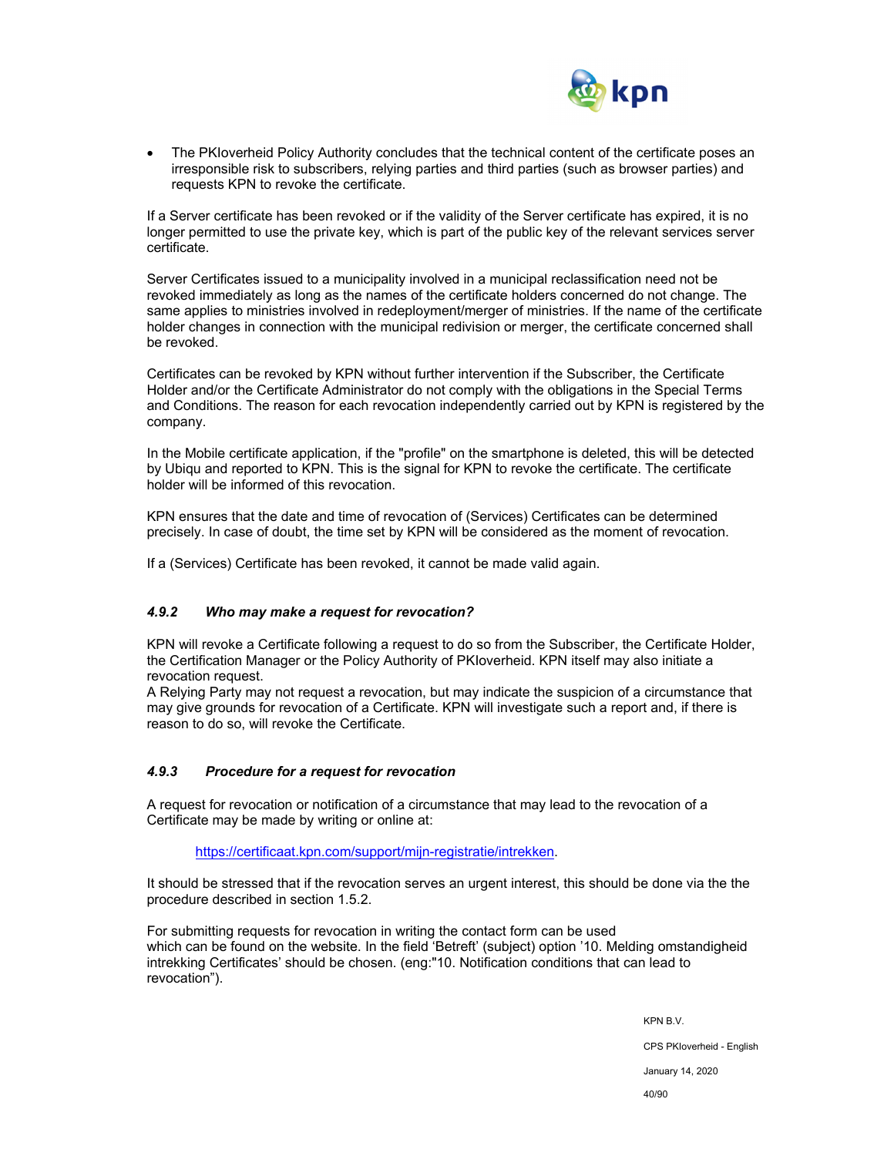

 The PKIoverheid Policy Authority concludes that the technical content of the certificate poses an irresponsible risk to subscribers, relying parties and third parties (such as browser parties) and requests KPN to revoke the certificate.

If a Server certificate has been revoked or if the validity of the Server certificate has expired, it is no longer permitted to use the private key, which is part of the public key of the relevant services server certificate.

Server Certificates issued to a municipality involved in a municipal reclassification need not be revoked immediately as long as the names of the certificate holders concerned do not change. The same applies to ministries involved in redeployment/merger of ministries. If the name of the certificate holder changes in connection with the municipal redivision or merger, the certificate concerned shall be revoked.

Certificates can be revoked by KPN without further intervention if the Subscriber, the Certificate Holder and/or the Certificate Administrator do not comply with the obligations in the Special Terms and Conditions. The reason for each revocation independently carried out by KPN is registered by the company.

In the Mobile certificate application, if the "profile" on the smartphone is deleted, this will be detected by Ubiqu and reported to KPN. This is the signal for KPN to revoke the certificate. The certificate holder will be informed of this revocation.

KPN ensures that the date and time of revocation of (Services) Certificates can be determined precisely. In case of doubt, the time set by KPN will be considered as the moment of revocation.

If a (Services) Certificate has been revoked, it cannot be made valid again.

## *4.9.2 Who may make a request for revocation?*

KPN will revoke a Certificate following a request to do so from the Subscriber, the Certificate Holder, the Certification Manager or the Policy Authority of PKIoverheid. KPN itself may also initiate a revocation request.

A Relying Party may not request a revocation, but may indicate the suspicion of a circumstance that may give grounds for revocation of a Certificate. KPN will investigate such a report and, if there is reason to do so, will revoke the Certificate.

#### *4.9.3 Procedure for a request for revocation*

A request for revocation or notification of a circumstance that may lead to the revocation of a Certificate may be made by writing or online at:

https://certificaat.kpn.com/support/mijn-registratie/intrekken.

It should be stressed that if the revocation serves an urgent interest, this should be done via the the procedure described in section 1.5.2.

For submitting requests for revocation in writing the contact form can be used which can be found on the website. In the field 'Betreft' (subject) option '10. Melding omstandigheid intrekking Certificates' should be chosen. (eng:"10. Notification conditions that can lead to revocation").

> KPN B.V. CPS PKIoverheid - English January 14, 2020

40/90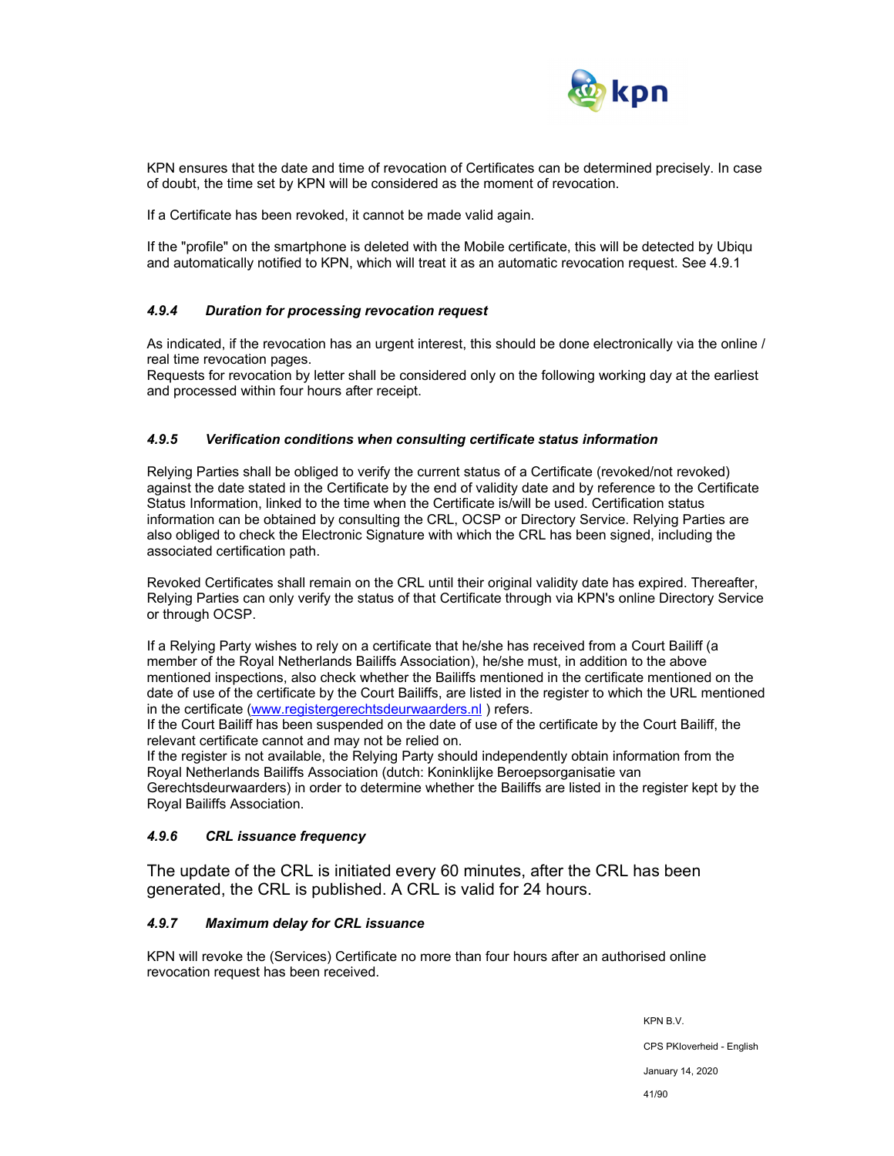

KPN ensures that the date and time of revocation of Certificates can be determined precisely. In case of doubt, the time set by KPN will be considered as the moment of revocation.

If a Certificate has been revoked, it cannot be made valid again.

If the "profile" on the smartphone is deleted with the Mobile certificate, this will be detected by Ubiqu and automatically notified to KPN, which will treat it as an automatic revocation request. See 4.9.1

#### *4.9.4 Duration for processing revocation request*

As indicated, if the revocation has an urgent interest, this should be done electronically via the online / real time revocation pages.

Requests for revocation by letter shall be considered only on the following working day at the earliest and processed within four hours after receipt.

#### *4.9.5 Verification conditions when consulting certificate status information*

Relying Parties shall be obliged to verify the current status of a Certificate (revoked/not revoked) against the date stated in the Certificate by the end of validity date and by reference to the Certificate Status Information, linked to the time when the Certificate is/will be used. Certification status information can be obtained by consulting the CRL, OCSP or Directory Service. Relying Parties are also obliged to check the Electronic Signature with which the CRL has been signed, including the associated certification path.

Revoked Certificates shall remain on the CRL until their original validity date has expired. Thereafter, Relying Parties can only verify the status of that Certificate through via KPN's online Directory Service or through OCSP.

If a Relying Party wishes to rely on a certificate that he/she has received from a Court Bailiff (a member of the Royal Netherlands Bailiffs Association), he/she must, in addition to the above mentioned inspections, also check whether the Bailiffs mentioned in the certificate mentioned on the date of use of the certificate by the Court Bailiffs, are listed in the register to which the URL mentioned in the certificate (www.registergerechtsdeurwaarders.nl) refers.

If the Court Bailiff has been suspended on the date of use of the certificate by the Court Bailiff, the relevant certificate cannot and may not be relied on.

If the register is not available, the Relying Party should independently obtain information from the Royal Netherlands Bailiffs Association (dutch: Koninklijke Beroepsorganisatie van Gerechtsdeurwaarders) in order to determine whether the Bailiffs are listed in the register kept by the Royal Bailiffs Association.

#### *4.9.6 CRL issuance frequency*

The update of the CRL is initiated every 60 minutes, after the CRL has been generated, the CRL is published. A CRL is valid for 24 hours.

## *4.9.7 Maximum delay for CRL issuance*

KPN will revoke the (Services) Certificate no more than four hours after an authorised online revocation request has been received.

> KPN B.V. CPS PKIoverheid - English January 14, 2020 41/90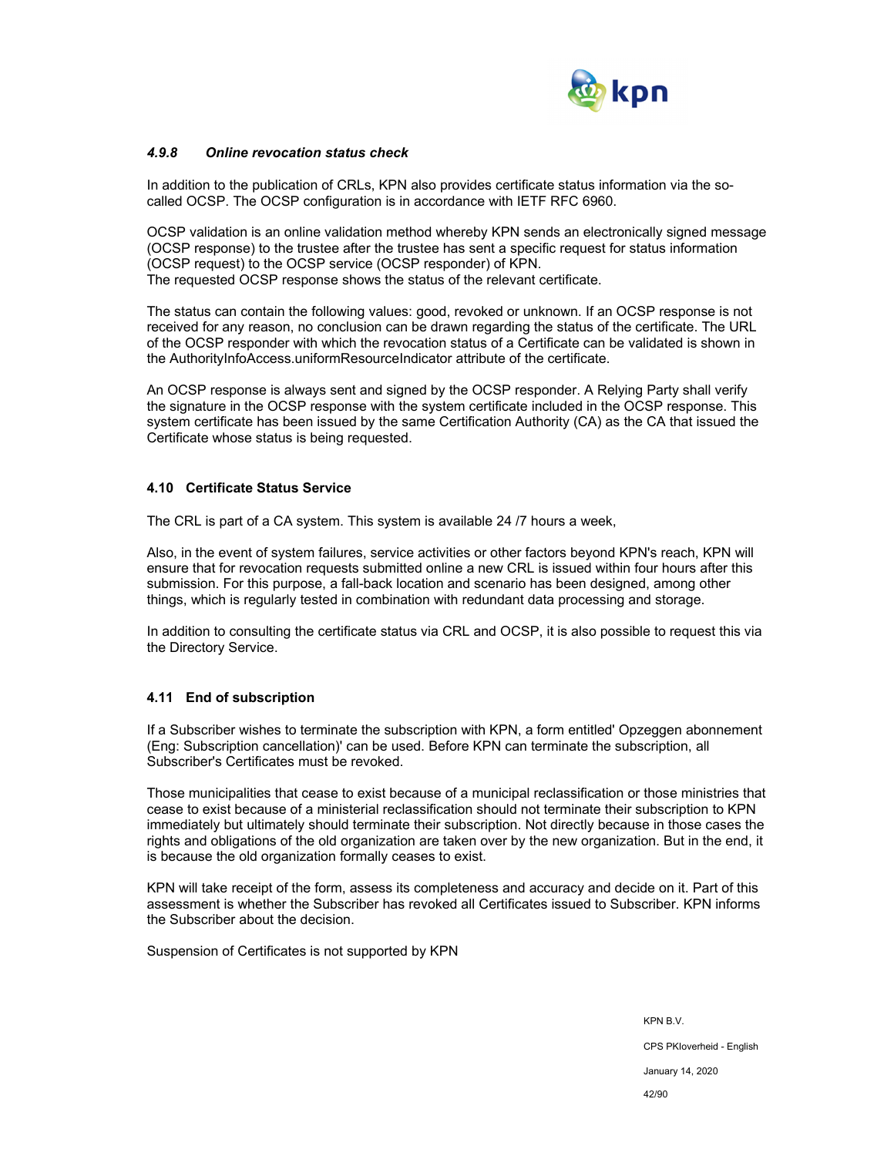

#### *4.9.8 Online revocation status check*

In addition to the publication of CRLs, KPN also provides certificate status information via the socalled OCSP. The OCSP configuration is in accordance with IETF RFC 6960.

OCSP validation is an online validation method whereby KPN sends an electronically signed message (OCSP response) to the trustee after the trustee has sent a specific request for status information (OCSP request) to the OCSP service (OCSP responder) of KPN. The requested OCSP response shows the status of the relevant certificate.

The status can contain the following values: good, revoked or unknown. If an OCSP response is not received for any reason, no conclusion can be drawn regarding the status of the certificate. The URL of the OCSP responder with which the revocation status of a Certificate can be validated is shown in the AuthorityInfoAccess.uniformResourceIndicator attribute of the certificate.

An OCSP response is always sent and signed by the OCSP responder. A Relying Party shall verify the signature in the OCSP response with the system certificate included in the OCSP response. This system certificate has been issued by the same Certification Authority (CA) as the CA that issued the Certificate whose status is being requested.

#### **4.10 Certificate Status Service**

The CRL is part of a CA system. This system is available 24 /7 hours a week,

Also, in the event of system failures, service activities or other factors beyond KPN's reach, KPN will ensure that for revocation requests submitted online a new CRL is issued within four hours after this submission. For this purpose, a fall-back location and scenario has been designed, among other things, which is regularly tested in combination with redundant data processing and storage.

In addition to consulting the certificate status via CRL and OCSP, it is also possible to request this via the Directory Service.

#### **4.11 End of subscription**

If a Subscriber wishes to terminate the subscription with KPN, a form entitled' Opzeggen abonnement (Eng: Subscription cancellation)' can be used. Before KPN can terminate the subscription, all Subscriber's Certificates must be revoked.

Those municipalities that cease to exist because of a municipal reclassification or those ministries that cease to exist because of a ministerial reclassification should not terminate their subscription to KPN immediately but ultimately should terminate their subscription. Not directly because in those cases the rights and obligations of the old organization are taken over by the new organization. But in the end, it is because the old organization formally ceases to exist.

KPN will take receipt of the form, assess its completeness and accuracy and decide on it. Part of this assessment is whether the Subscriber has revoked all Certificates issued to Subscriber. KPN informs the Subscriber about the decision.

Suspension of Certificates is not supported by KPN

KPN B.V. CPS PKIoverheid - English January 14, 2020 42/90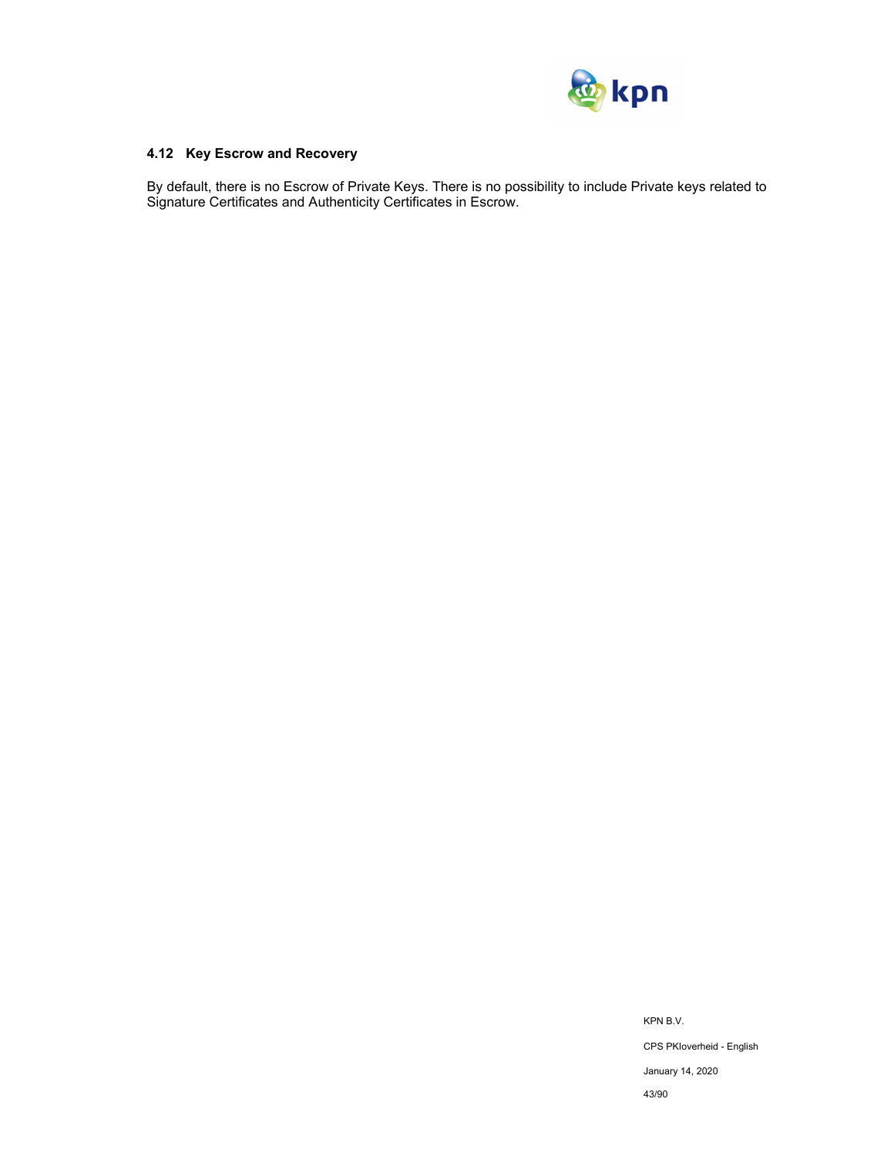

## **4.12 Key Escrow and Recovery**

By default, there is no Escrow of Private Keys. There is no possibility to include Private keys related to Signature Certificates and Authenticity Certificates in Escrow.

> KPN B.V. CPS PKIoverheid - English January 14, 2020 43/90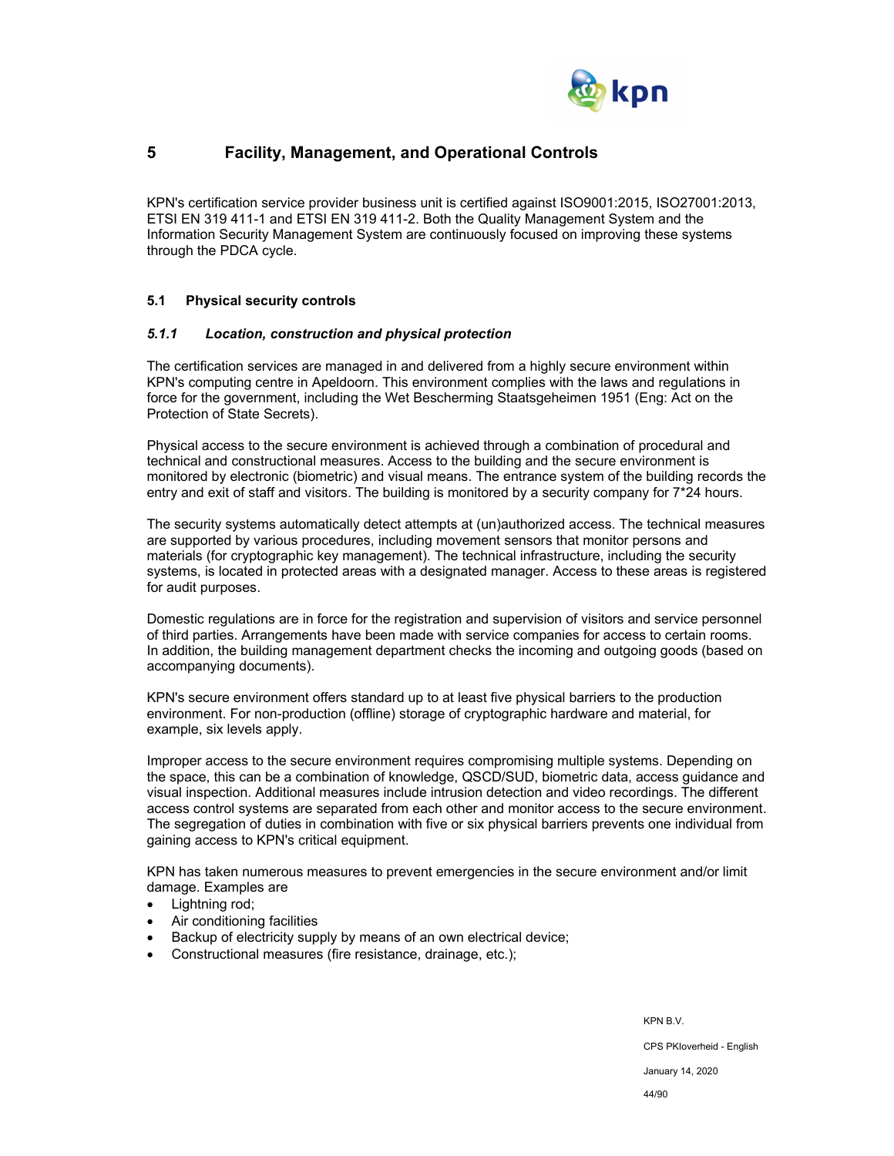

# **5 Facility, Management, and Operational Controls**

KPN's certification service provider business unit is certified against ISO9001:2015, ISO27001:2013, ETSI EN 319 411-1 and ETSI EN 319 411-2. Both the Quality Management System and the Information Security Management System are continuously focused on improving these systems through the PDCA cycle.

## **5.1 Physical security controls**

#### *5.1.1 Location, construction and physical protection*

The certification services are managed in and delivered from a highly secure environment within KPN's computing centre in Apeldoorn. This environment complies with the laws and regulations in force for the government, including the Wet Bescherming Staatsgeheimen 1951 (Eng: Act on the Protection of State Secrets).

Physical access to the secure environment is achieved through a combination of procedural and technical and constructional measures. Access to the building and the secure environment is monitored by electronic (biometric) and visual means. The entrance system of the building records the entry and exit of staff and visitors. The building is monitored by a security company for 7\*24 hours.

The security systems automatically detect attempts at (un)authorized access. The technical measures are supported by various procedures, including movement sensors that monitor persons and materials (for cryptographic key management). The technical infrastructure, including the security systems, is located in protected areas with a designated manager. Access to these areas is registered for audit purposes.

Domestic regulations are in force for the registration and supervision of visitors and service personnel of third parties. Arrangements have been made with service companies for access to certain rooms. In addition, the building management department checks the incoming and outgoing goods (based on accompanying documents).

KPN's secure environment offers standard up to at least five physical barriers to the production environment. For non-production (offline) storage of cryptographic hardware and material, for example, six levels apply.

Improper access to the secure environment requires compromising multiple systems. Depending on the space, this can be a combination of knowledge, QSCD/SUD, biometric data, access guidance and visual inspection. Additional measures include intrusion detection and video recordings. The different access control systems are separated from each other and monitor access to the secure environment. The segregation of duties in combination with five or six physical barriers prevents one individual from gaining access to KPN's critical equipment.

KPN has taken numerous measures to prevent emergencies in the secure environment and/or limit damage. Examples are

- Lightning rod;
- Air conditioning facilities
- Backup of electricity supply by means of an own electrical device;
- Constructional measures (fire resistance, drainage, etc.);

KPN B.V. CPS PKIoverheid - English January 14, 2020 44/90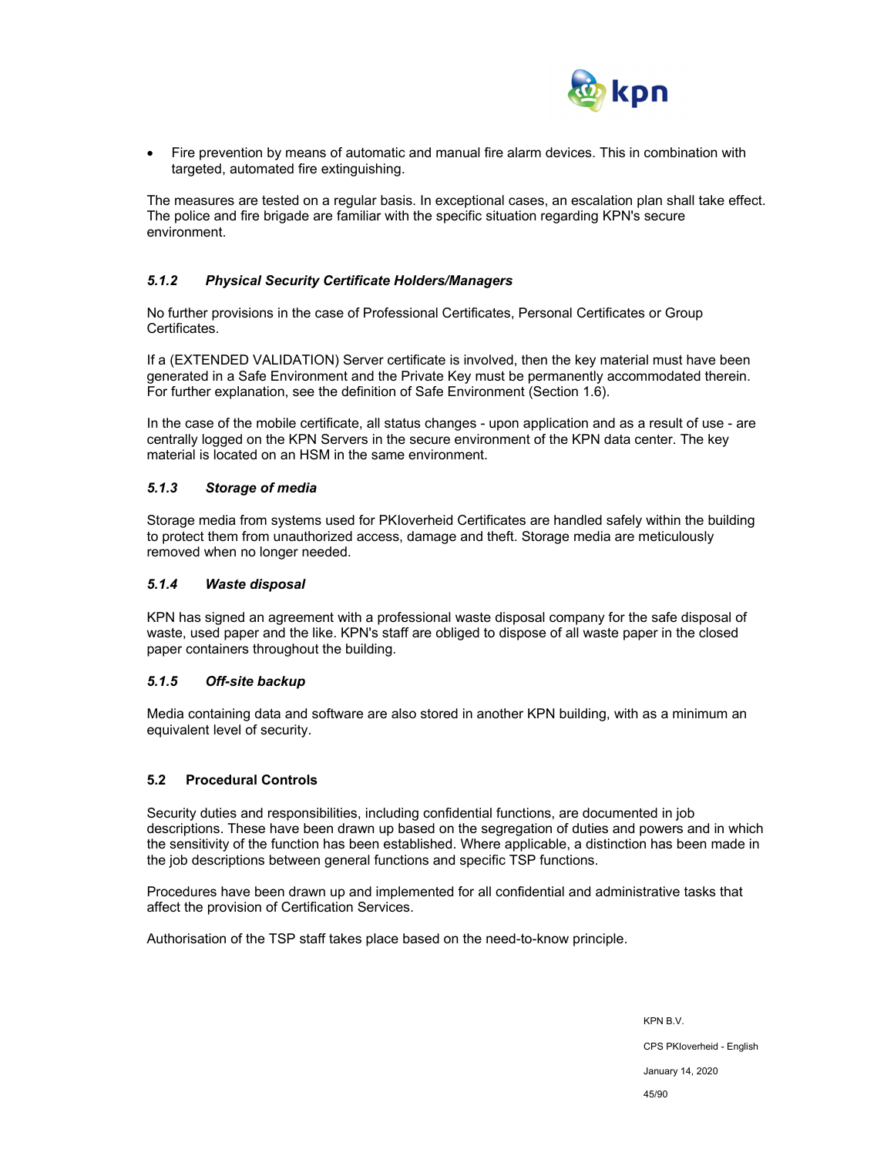

 Fire prevention by means of automatic and manual fire alarm devices. This in combination with targeted, automated fire extinguishing.

The measures are tested on a regular basis. In exceptional cases, an escalation plan shall take effect. The police and fire brigade are familiar with the specific situation regarding KPN's secure environment.

## *5.1.2 Physical Security Certificate Holders/Managers*

No further provisions in the case of Professional Certificates, Personal Certificates or Group Certificates.

If a (EXTENDED VALIDATION) Server certificate is involved, then the key material must have been generated in a Safe Environment and the Private Key must be permanently accommodated therein. For further explanation, see the definition of Safe Environment (Section 1.6).

In the case of the mobile certificate, all status changes - upon application and as a result of use - are centrally logged on the KPN Servers in the secure environment of the KPN data center. The key material is located on an HSM in the same environment.

#### *5.1.3 Storage of media*

Storage media from systems used for PKIoverheid Certificates are handled safely within the building to protect them from unauthorized access, damage and theft. Storage media are meticulously removed when no longer needed.

#### *5.1.4 Waste disposal*

KPN has signed an agreement with a professional waste disposal company for the safe disposal of waste, used paper and the like. KPN's staff are obliged to dispose of all waste paper in the closed paper containers throughout the building.

## *5.1.5 Off-site backup*

Media containing data and software are also stored in another KPN building, with as a minimum an equivalent level of security.

## **5.2 Procedural Controls**

Security duties and responsibilities, including confidential functions, are documented in job descriptions. These have been drawn up based on the segregation of duties and powers and in which the sensitivity of the function has been established. Where applicable, a distinction has been made in the job descriptions between general functions and specific TSP functions.

Procedures have been drawn up and implemented for all confidential and administrative tasks that affect the provision of Certification Services.

Authorisation of the TSP staff takes place based on the need-to-know principle.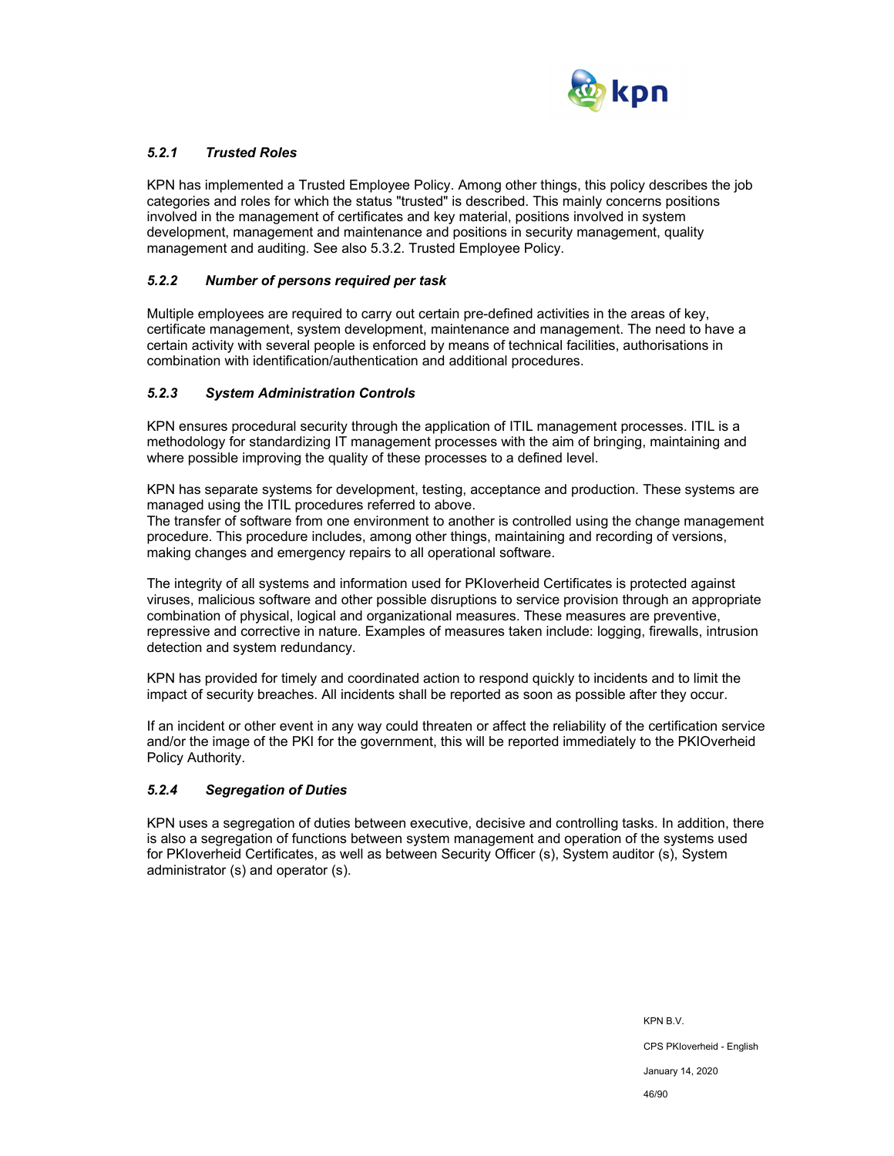

## *5.2.1 Trusted Roles*

KPN has implemented a Trusted Employee Policy. Among other things, this policy describes the job categories and roles for which the status "trusted" is described. This mainly concerns positions involved in the management of certificates and key material, positions involved in system development, management and maintenance and positions in security management, quality management and auditing. See also 5.3.2. Trusted Employee Policy.

### *5.2.2 Number of persons required per task*

Multiple employees are required to carry out certain pre-defined activities in the areas of key, certificate management, system development, maintenance and management. The need to have a certain activity with several people is enforced by means of technical facilities, authorisations in combination with identification/authentication and additional procedures.

#### *5.2.3 System Administration Controls*

KPN ensures procedural security through the application of ITIL management processes. ITIL is a methodology for standardizing IT management processes with the aim of bringing, maintaining and where possible improving the quality of these processes to a defined level.

KPN has separate systems for development, testing, acceptance and production. These systems are managed using the ITIL procedures referred to above.

The transfer of software from one environment to another is controlled using the change management procedure. This procedure includes, among other things, maintaining and recording of versions, making changes and emergency repairs to all operational software.

The integrity of all systems and information used for PKIoverheid Certificates is protected against viruses, malicious software and other possible disruptions to service provision through an appropriate combination of physical, logical and organizational measures. These measures are preventive, repressive and corrective in nature. Examples of measures taken include: logging, firewalls, intrusion detection and system redundancy.

KPN has provided for timely and coordinated action to respond quickly to incidents and to limit the impact of security breaches. All incidents shall be reported as soon as possible after they occur.

If an incident or other event in any way could threaten or affect the reliability of the certification service and/or the image of the PKI for the government, this will be reported immediately to the PKIOverheid Policy Authority.

## *5.2.4 Segregation of Duties*

KPN uses a segregation of duties between executive, decisive and controlling tasks. In addition, there is also a segregation of functions between system management and operation of the systems used for PKIoverheid Certificates, as well as between Security Officer (s), System auditor (s), System administrator (s) and operator (s).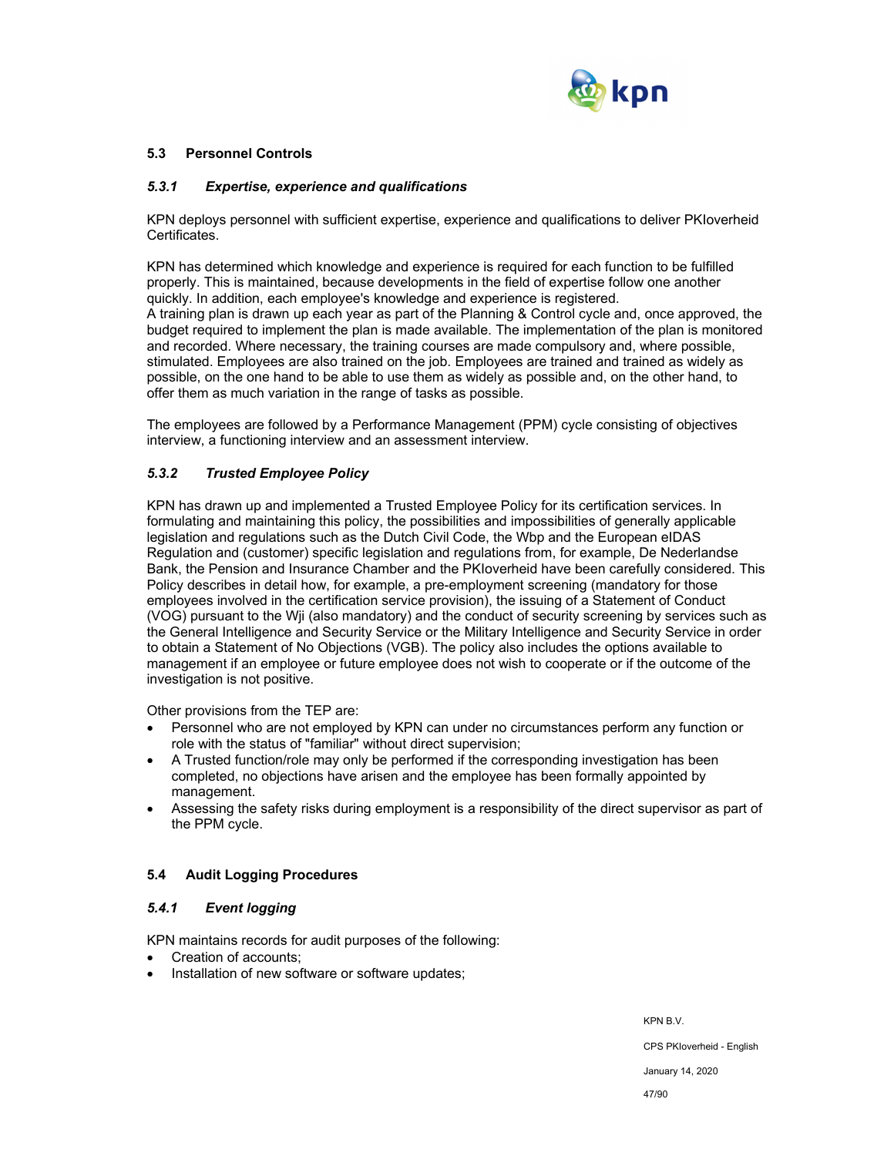

### **5.3 Personnel Controls**

#### *5.3.1 Expertise, experience and qualifications*

KPN deploys personnel with sufficient expertise, experience and qualifications to deliver PKIoverheid Certificates.

KPN has determined which knowledge and experience is required for each function to be fulfilled properly. This is maintained, because developments in the field of expertise follow one another quickly. In addition, each employee's knowledge and experience is registered. A training plan is drawn up each year as part of the Planning & Control cycle and, once approved, the budget required to implement the plan is made available. The implementation of the plan is monitored and recorded. Where necessary, the training courses are made compulsory and, where possible, stimulated. Employees are also trained on the job. Employees are trained and trained as widely as possible, on the one hand to be able to use them as widely as possible and, on the other hand, to offer them as much variation in the range of tasks as possible.

The employees are followed by a Performance Management (PPM) cycle consisting of objectives interview, a functioning interview and an assessment interview.

## *5.3.2 Trusted Employee Policy*

KPN has drawn up and implemented a Trusted Employee Policy for its certification services. In formulating and maintaining this policy, the possibilities and impossibilities of generally applicable legislation and regulations such as the Dutch Civil Code, the Wbp and the European eIDAS Regulation and (customer) specific legislation and regulations from, for example, De Nederlandse Bank, the Pension and Insurance Chamber and the PKIoverheid have been carefully considered. This Policy describes in detail how, for example, a pre-employment screening (mandatory for those employees involved in the certification service provision), the issuing of a Statement of Conduct (VOG) pursuant to the Wji (also mandatory) and the conduct of security screening by services such as the General Intelligence and Security Service or the Military Intelligence and Security Service in order to obtain a Statement of No Objections (VGB). The policy also includes the options available to management if an employee or future employee does not wish to cooperate or if the outcome of the investigation is not positive.

Other provisions from the TEP are:

- Personnel who are not employed by KPN can under no circumstances perform any function or role with the status of "familiar" without direct supervision;
- A Trusted function/role may only be performed if the corresponding investigation has been completed, no objections have arisen and the employee has been formally appointed by management.
- Assessing the safety risks during employment is a responsibility of the direct supervisor as part of the PPM cycle.

## **5.4 Audit Logging Procedures**

#### *5.4.1 Event logging*

KPN maintains records for audit purposes of the following:

- Creation of accounts;
- Installation of new software or software updates;

KPN B.V. CPS PKIoverheid - English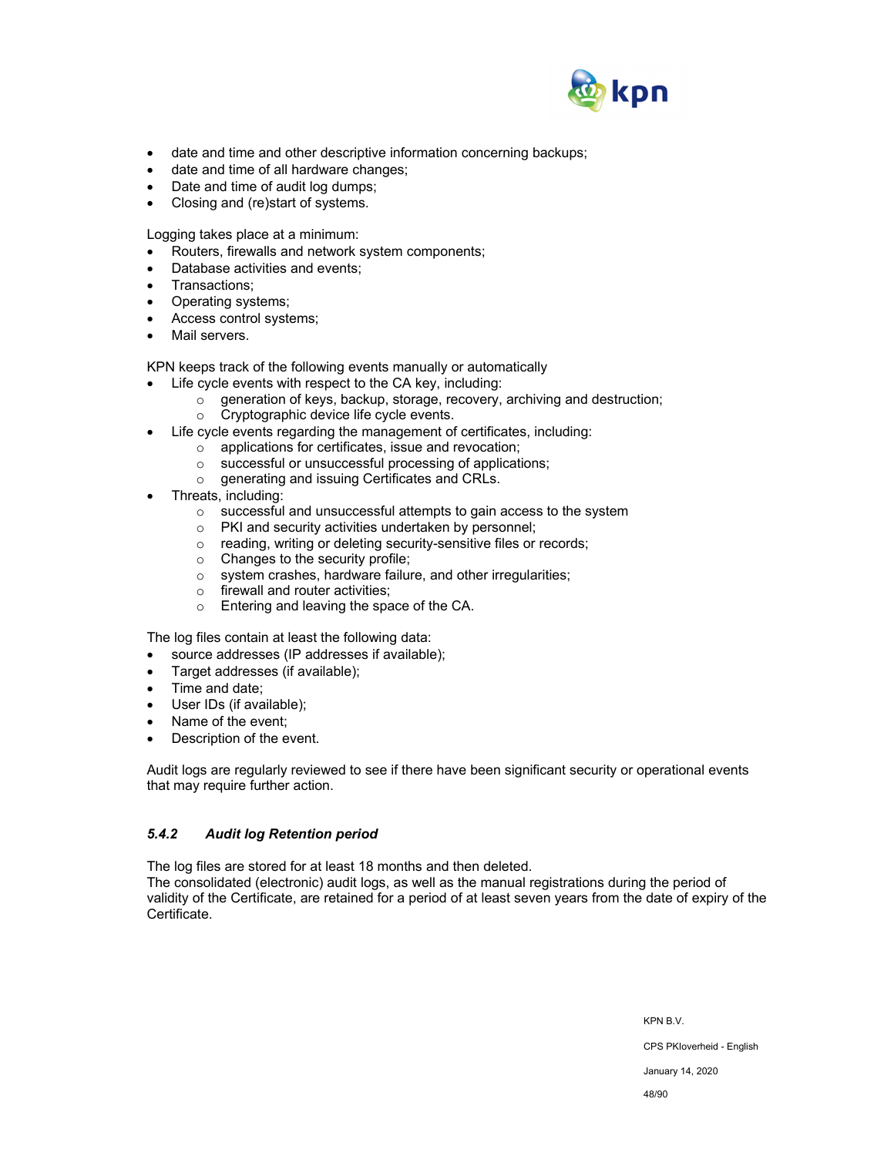

- date and time and other descriptive information concerning backups;
- date and time of all hardware changes;
- Date and time of audit log dumps;
- Closing and (re)start of systems.

Logging takes place at a minimum:

- Routers, firewalls and network system components;
- Database activities and events;
- Transactions;
- Operating systems;
- Access control systems;
- Mail servers.

KPN keeps track of the following events manually or automatically

- Life cycle events with respect to the CA key, including:
	- o generation of keys, backup, storage, recovery, archiving and destruction;
	- o Cryptographic device life cycle events.
- Life cycle events regarding the management of certificates, including:
	- o applications for certificates, issue and revocation;
		- o successful or unsuccessful processing of applications;
		- o generating and issuing Certificates and CRLs.
- Threats, including:
	- o successful and unsuccessful attempts to gain access to the system
	- o PKI and security activities undertaken by personnel;
	- o reading, writing or deleting security-sensitive files or records;
	- o Changes to the security profile;
	- o system crashes, hardware failure, and other irregularities;
	- o firewall and router activities;
	- o Entering and leaving the space of the CA.

The log files contain at least the following data:

- source addresses (IP addresses if available);
- Target addresses (if available);
- Time and date;
- User IDs (if available);
- Name of the event;
- Description of the event.

Audit logs are regularly reviewed to see if there have been significant security or operational events that may require further action.

## *5.4.2 Audit log Retention period*

The log files are stored for at least 18 months and then deleted.

The consolidated (electronic) audit logs, as well as the manual registrations during the period of validity of the Certificate, are retained for a period of at least seven years from the date of expiry of the Certificate.

> KPN B.V. CPS PKIoverheid - English January 14, 2020

48/90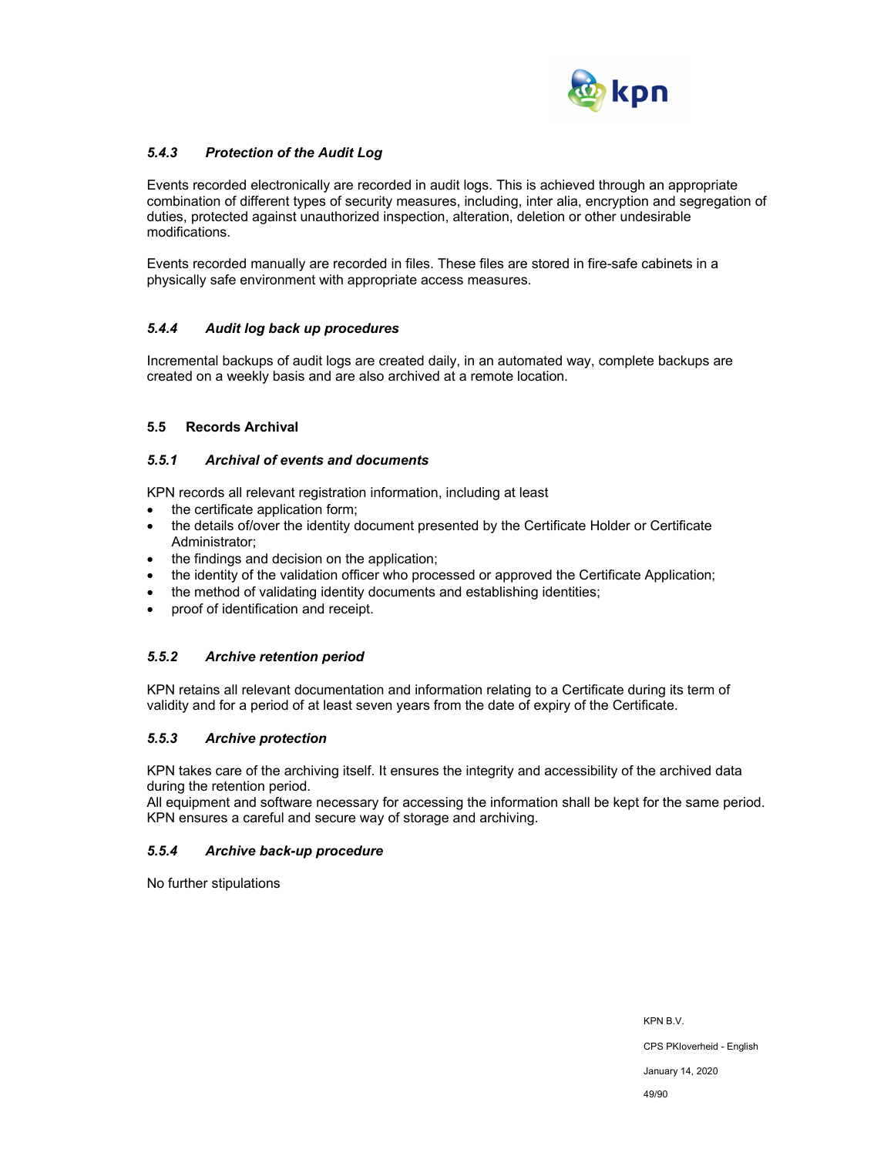

## *5.4.3 Protection of the Audit Log*

Events recorded electronically are recorded in audit logs. This is achieved through an appropriate combination of different types of security measures, including, inter alia, encryption and segregation of duties, protected against unauthorized inspection, alteration, deletion or other undesirable modifications.

Events recorded manually are recorded in files. These files are stored in fire-safe cabinets in a physically safe environment with appropriate access measures.

## *5.4.4 Audit log back up procedures*

Incremental backups of audit logs are created daily, in an automated way, complete backups are created on a weekly basis and are also archived at a remote location.

#### **5.5 Records Archival**

#### *5.5.1 Archival of events and documents*

KPN records all relevant registration information, including at least

- the certificate application form:
- the details of/over the identity document presented by the Certificate Holder or Certificate Administrator;
- the findings and decision on the application;
- the identity of the validation officer who processed or approved the Certificate Application;
- the method of validating identity documents and establishing identities;
- proof of identification and receipt.

## *5.5.2 Archive retention period*

KPN retains all relevant documentation and information relating to a Certificate during its term of validity and for a period of at least seven years from the date of expiry of the Certificate.

## *5.5.3 Archive protection*

KPN takes care of the archiving itself. It ensures the integrity and accessibility of the archived data during the retention period.

All equipment and software necessary for accessing the information shall be kept for the same period. KPN ensures a careful and secure way of storage and archiving.

## *5.5.4 Archive back-up procedure*

No further stipulations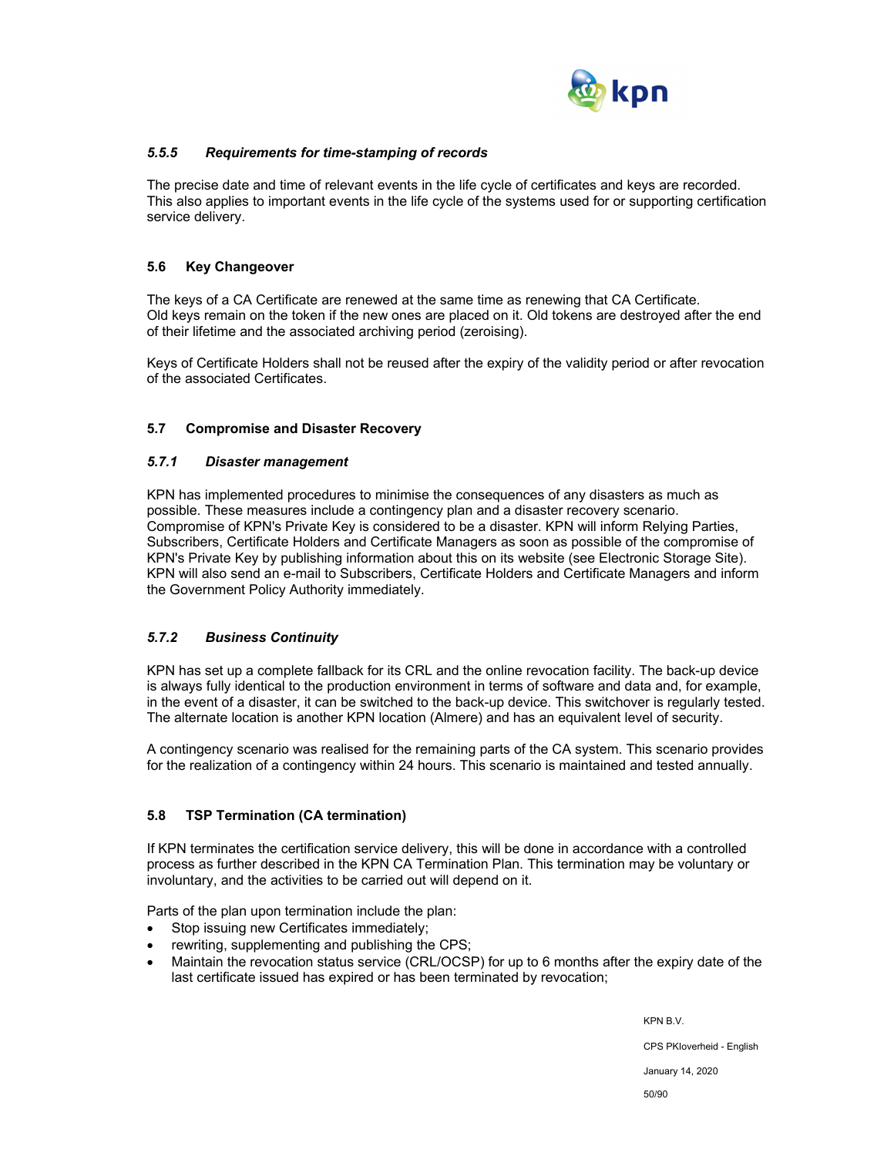

## *5.5.5 Requirements for time-stamping of records*

The precise date and time of relevant events in the life cycle of certificates and keys are recorded. This also applies to important events in the life cycle of the systems used for or supporting certification service delivery.

## **5.6 Key Changeover**

The keys of a CA Certificate are renewed at the same time as renewing that CA Certificate. Old keys remain on the token if the new ones are placed on it. Old tokens are destroyed after the end of their lifetime and the associated archiving period (zeroising).

Keys of Certificate Holders shall not be reused after the expiry of the validity period or after revocation of the associated Certificates.

## **5.7 Compromise and Disaster Recovery**

## *5.7.1 Disaster management*

KPN has implemented procedures to minimise the consequences of any disasters as much as possible. These measures include a contingency plan and a disaster recovery scenario. Compromise of KPN's Private Key is considered to be a disaster. KPN will inform Relying Parties, Subscribers, Certificate Holders and Certificate Managers as soon as possible of the compromise of KPN's Private Key by publishing information about this on its website (see Electronic Storage Site). KPN will also send an e-mail to Subscribers, Certificate Holders and Certificate Managers and inform the Government Policy Authority immediately.

## *5.7.2 Business Continuity*

KPN has set up a complete fallback for its CRL and the online revocation facility. The back-up device is always fully identical to the production environment in terms of software and data and, for example, in the event of a disaster, it can be switched to the back-up device. This switchover is regularly tested. The alternate location is another KPN location (Almere) and has an equivalent level of security.

A contingency scenario was realised for the remaining parts of the CA system. This scenario provides for the realization of a contingency within 24 hours. This scenario is maintained and tested annually.

## **5.8 TSP Termination (CA termination)**

If KPN terminates the certification service delivery, this will be done in accordance with a controlled process as further described in the KPN CA Termination Plan. This termination may be voluntary or involuntary, and the activities to be carried out will depend on it.

Parts of the plan upon termination include the plan:

- Stop issuing new Certificates immediately;
- rewriting, supplementing and publishing the CPS;
- Maintain the revocation status service (CRL/OCSP) for up to 6 months after the expiry date of the last certificate issued has expired or has been terminated by revocation;

KPN B.V.

CPS PKIoverheid - English

January 14, 2020

50/90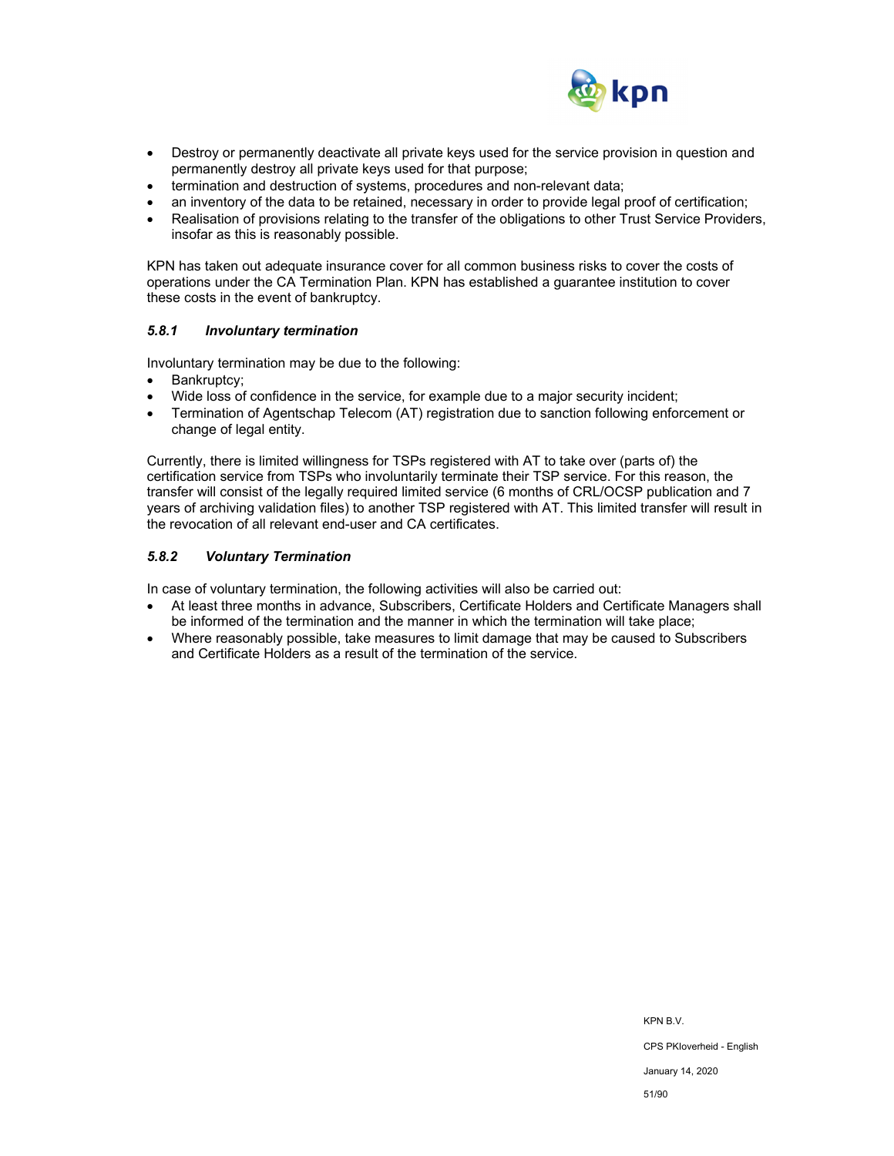

- Destroy or permanently deactivate all private keys used for the service provision in question and permanently destroy all private keys used for that purpose;
- termination and destruction of systems, procedures and non-relevant data;
- an inventory of the data to be retained, necessary in order to provide legal proof of certification;
- Realisation of provisions relating to the transfer of the obligations to other Trust Service Providers, insofar as this is reasonably possible.

KPN has taken out adequate insurance cover for all common business risks to cover the costs of operations under the CA Termination Plan. KPN has established a guarantee institution to cover these costs in the event of bankruptcy.

#### *5.8.1 Involuntary termination*

Involuntary termination may be due to the following:

- Bankruptcy;
- Wide loss of confidence in the service, for example due to a major security incident;
- Termination of Agentschap Telecom (AT) registration due to sanction following enforcement or change of legal entity.

Currently, there is limited willingness for TSPs registered with AT to take over (parts of) the certification service from TSPs who involuntarily terminate their TSP service. For this reason, the transfer will consist of the legally required limited service (6 months of CRL/OCSP publication and 7 years of archiving validation files) to another TSP registered with AT. This limited transfer will result in the revocation of all relevant end-user and CA certificates.

#### *5.8.2 Voluntary Termination*

In case of voluntary termination, the following activities will also be carried out:

- At least three months in advance, Subscribers, Certificate Holders and Certificate Managers shall be informed of the termination and the manner in which the termination will take place;
- Where reasonably possible, take measures to limit damage that may be caused to Subscribers and Certificate Holders as a result of the termination of the service.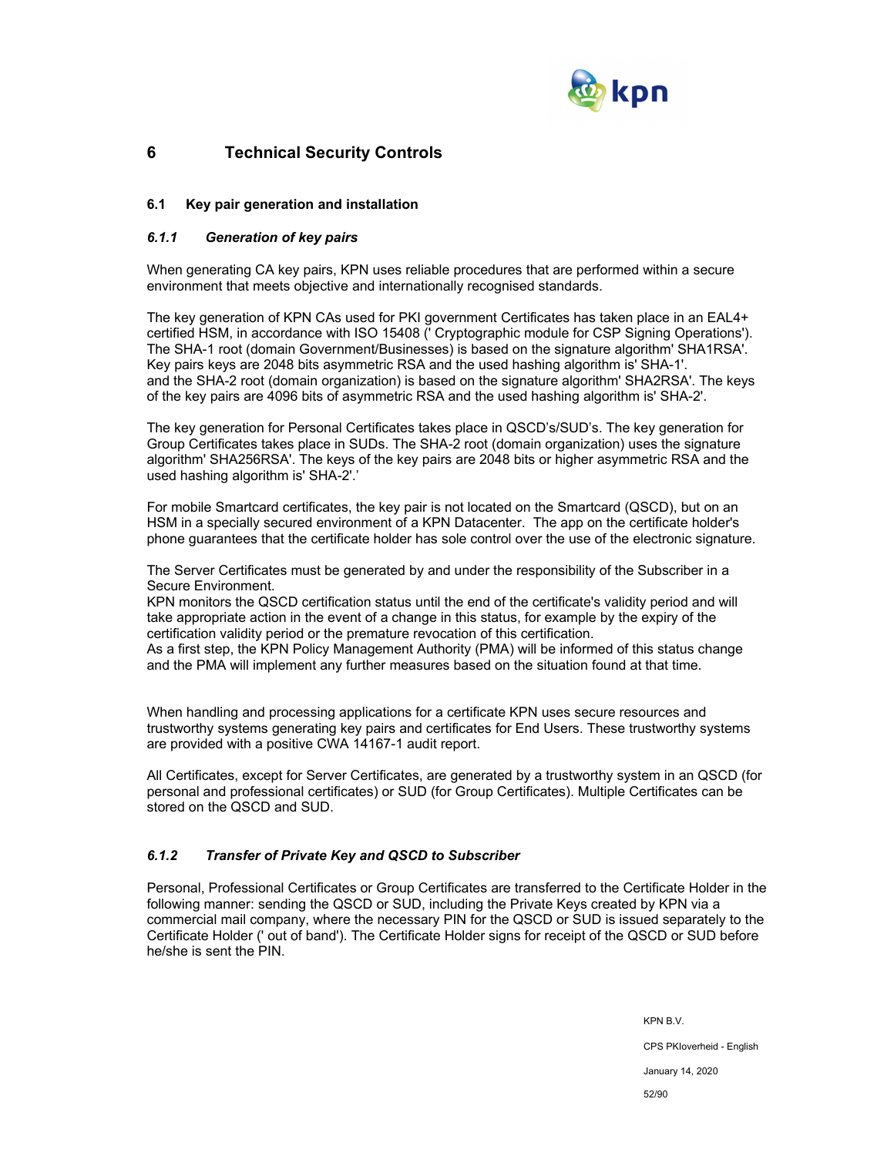

# **6 Technical Security Controls**

## **6.1 Key pair generation and installation**

## *6.1.1 Generation of key pairs*

When generating CA key pairs, KPN uses reliable procedures that are performed within a secure environment that meets objective and internationally recognised standards.

The key generation of KPN CAs used for PKI government Certificates has taken place in an EAL4+ certified HSM, in accordance with ISO 15408 (' Cryptographic module for CSP Signing Operations'). The SHA-1 root (domain Government/Businesses) is based on the signature algorithm' SHA1RSA'. Key pairs keys are 2048 bits asymmetric RSA and the used hashing algorithm is' SHA-1'. and the SHA-2 root (domain organization) is based on the signature algorithm' SHA2RSA'. The keys of the key pairs are 4096 bits of asymmetric RSA and the used hashing algorithm is' SHA-2'.

The key generation for Personal Certificates takes place in QSCD's/SUD's. The key generation for Group Certificates takes place in SUDs. The SHA-2 root (domain organization) uses the signature algorithm' SHA256RSA'. The keys of the key pairs are 2048 bits or higher asymmetric RSA and the used hashing algorithm is' SHA-2'.'

For mobile Smartcard certificates, the key pair is not located on the Smartcard (QSCD), but on an HSM in a specially secured environment of a KPN Datacenter. The app on the certificate holder's phone guarantees that the certificate holder has sole control over the use of the electronic signature.

The Server Certificates must be generated by and under the responsibility of the Subscriber in a Secure Environment.

KPN monitors the QSCD certification status until the end of the certificate's validity period and will take appropriate action in the event of a change in this status, for example by the expiry of the certification validity period or the premature revocation of this certification.

As a first step, the KPN Policy Management Authority (PMA) will be informed of this status change and the PMA will implement any further measures based on the situation found at that time.

When handling and processing applications for a certificate KPN uses secure resources and trustworthy systems generating key pairs and certificates for End Users. These trustworthy systems are provided with a positive CWA 14167-1 audit report.

All Certificates, except for Server Certificates, are generated by a trustworthy system in an QSCD (for personal and professional certificates) or SUD (for Group Certificates). Multiple Certificates can be stored on the QSCD and SUD.

## *6.1.2 Transfer of Private Key and QSCD to Subscriber*

Personal, Professional Certificates or Group Certificates are transferred to the Certificate Holder in the following manner: sending the QSCD or SUD, including the Private Keys created by KPN via a commercial mail company, where the necessary PIN for the QSCD or SUD is issued separately to the Certificate Holder (' out of band'). The Certificate Holder signs for receipt of the QSCD or SUD before he/she is sent the PIN.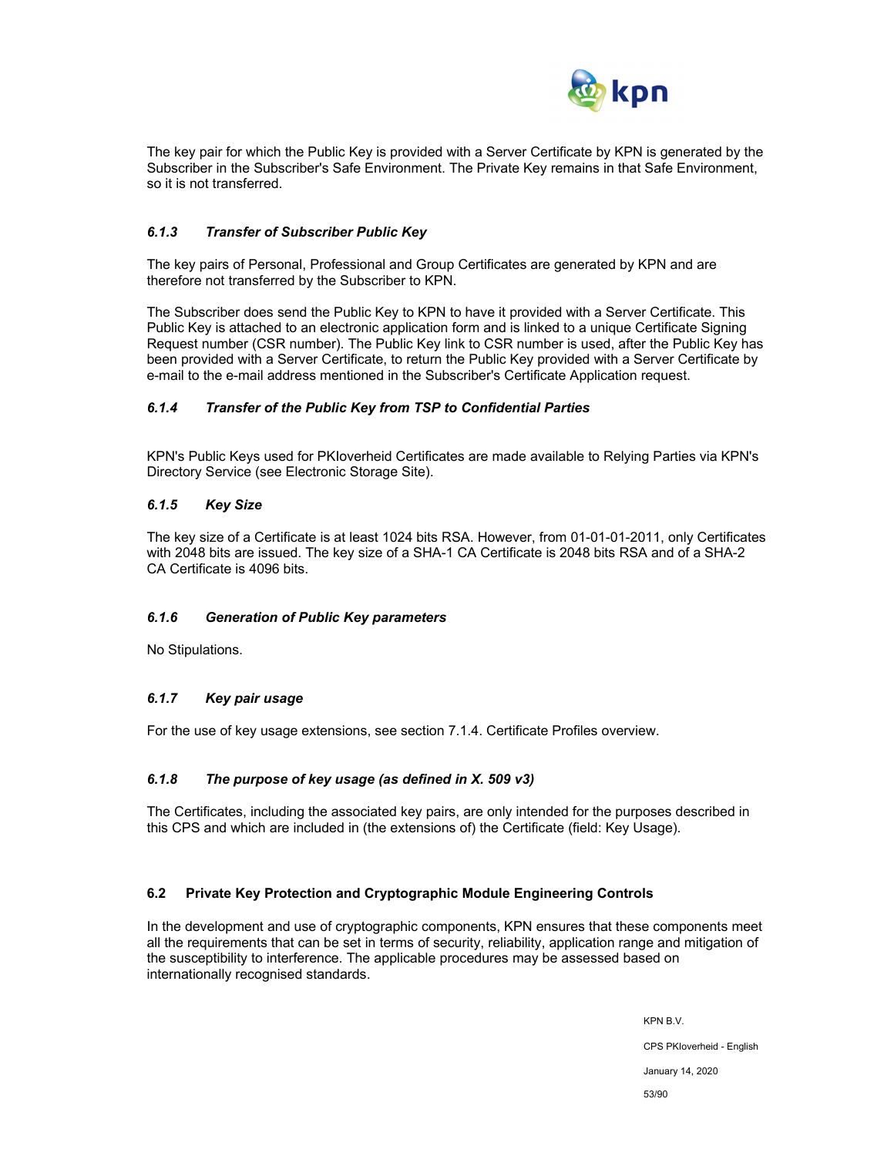

The key pair for which the Public Key is provided with a Server Certificate by KPN is generated by the Subscriber in the Subscriber's Safe Environment. The Private Key remains in that Safe Environment, so it is not transferred.

## *6.1.3 Transfer of Subscriber Public Key*

The key pairs of Personal, Professional and Group Certificates are generated by KPN and are therefore not transferred by the Subscriber to KPN.

The Subscriber does send the Public Key to KPN to have it provided with a Server Certificate. This Public Key is attached to an electronic application form and is linked to a unique Certificate Signing Request number (CSR number). The Public Key link to CSR number is used, after the Public Key has been provided with a Server Certificate, to return the Public Key provided with a Server Certificate by e-mail to the e-mail address mentioned in the Subscriber's Certificate Application request.

## *6.1.4 Transfer of the Public Key from TSP to Confidential Parties*

KPN's Public Keys used for PKIoverheid Certificates are made available to Relying Parties via KPN's Directory Service (see Electronic Storage Site).

#### *6.1.5 Key Size*

The key size of a Certificate is at least 1024 bits RSA. However, from 01-01-01-2011, only Certificates with 2048 bits are issued. The key size of a SHA-1 CA Certificate is 2048 bits RSA and of a SHA-2 CA Certificate is 4096 bits.

#### *6.1.6 Generation of Public Key parameters*

No Stipulations.

#### *6.1.7 Key pair usage*

For the use of key usage extensions, see section 7.1.4. Certificate Profiles overview.

## *6.1.8 The purpose of key usage (as defined in X. 509 v3)*

The Certificates, including the associated key pairs, are only intended for the purposes described in this CPS and which are included in (the extensions of) the Certificate (field: Key Usage).

#### **6.2 Private Key Protection and Cryptographic Module Engineering Controls**

In the development and use of cryptographic components, KPN ensures that these components meet all the requirements that can be set in terms of security, reliability, application range and mitigation of the susceptibility to interference. The applicable procedures may be assessed based on internationally recognised standards.

> KPN B.V. CPS PKIoverheid - English January 14, 2020 53/90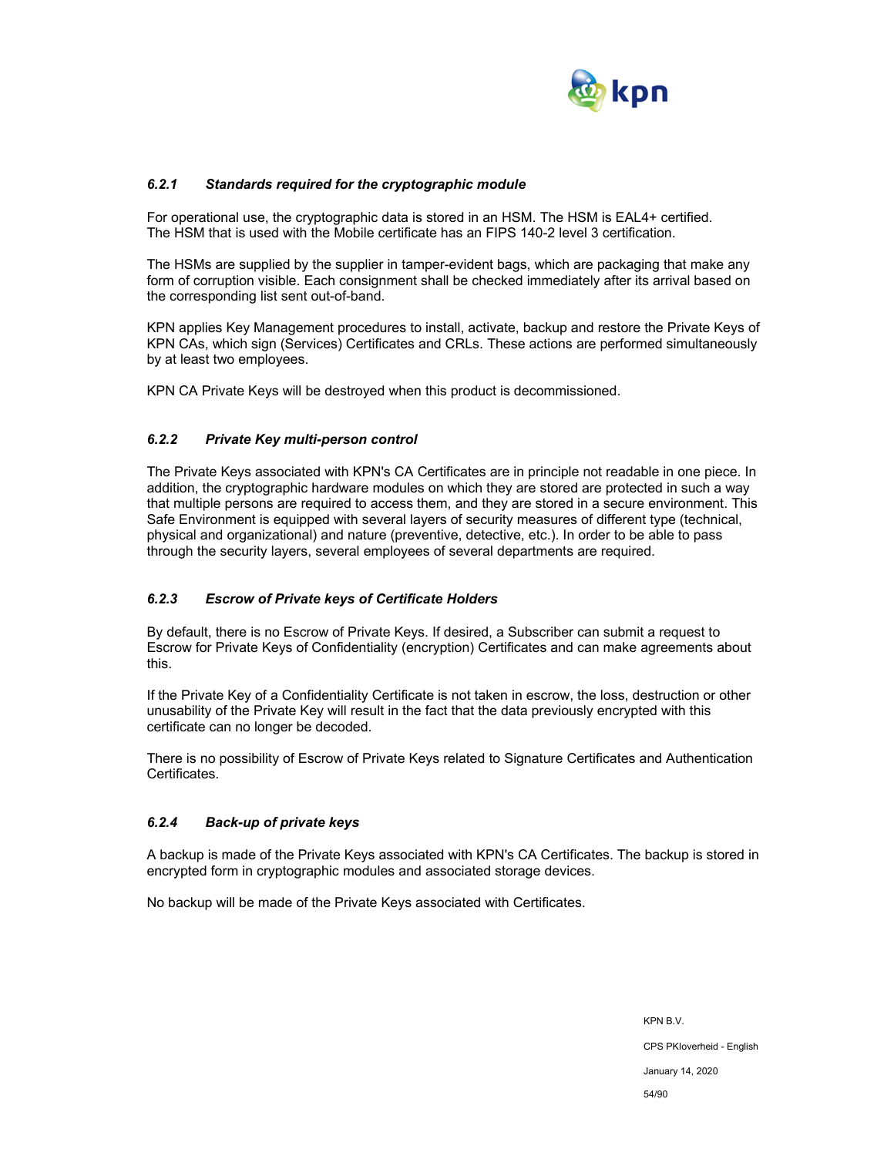

## *6.2.1 Standards required for the cryptographic module*

For operational use, the cryptographic data is stored in an HSM. The HSM is EAL4+ certified. The HSM that is used with the Mobile certificate has an FIPS 140-2 level 3 certification.

The HSMs are supplied by the supplier in tamper-evident bags, which are packaging that make any form of corruption visible. Each consignment shall be checked immediately after its arrival based on the corresponding list sent out-of-band.

KPN applies Key Management procedures to install, activate, backup and restore the Private Keys of KPN CAs, which sign (Services) Certificates and CRLs. These actions are performed simultaneously by at least two employees.

KPN CA Private Keys will be destroyed when this product is decommissioned.

#### *6.2.2 Private Key multi-person control*

The Private Keys associated with KPN's CA Certificates are in principle not readable in one piece. In addition, the cryptographic hardware modules on which they are stored are protected in such a way that multiple persons are required to access them, and they are stored in a secure environment. This Safe Environment is equipped with several layers of security measures of different type (technical, physical and organizational) and nature (preventive, detective, etc.). In order to be able to pass through the security layers, several employees of several departments are required.

#### *6.2.3 Escrow of Private keys of Certificate Holders*

By default, there is no Escrow of Private Keys. If desired, a Subscriber can submit a request to Escrow for Private Keys of Confidentiality (encryption) Certificates and can make agreements about this.

If the Private Key of a Confidentiality Certificate is not taken in escrow, the loss, destruction or other unusability of the Private Key will result in the fact that the data previously encrypted with this certificate can no longer be decoded.

There is no possibility of Escrow of Private Keys related to Signature Certificates and Authentication Certificates.

#### *6.2.4 Back-up of private keys*

A backup is made of the Private Keys associated with KPN's CA Certificates. The backup is stored in encrypted form in cryptographic modules and associated storage devices.

No backup will be made of the Private Keys associated with Certificates.

KPN B.V. CPS PKIoverheid - English January 14, 2020 54/90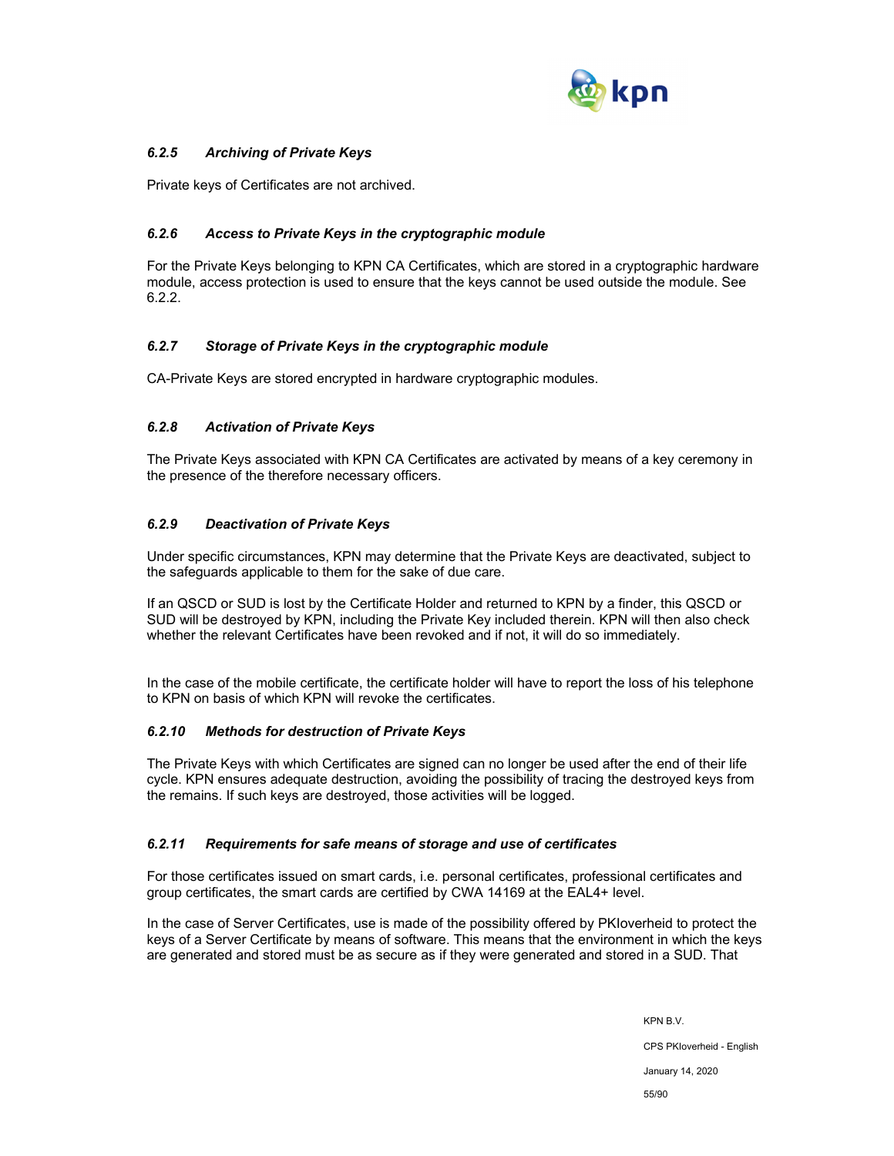

## *6.2.5 Archiving of Private Keys*

Private keys of Certificates are not archived.

## *6.2.6 Access to Private Keys in the cryptographic module*

For the Private Keys belonging to KPN CA Certificates, which are stored in a cryptographic hardware module, access protection is used to ensure that the keys cannot be used outside the module. See 6.2.2.

## *6.2.7 Storage of Private Keys in the cryptographic module*

CA-Private Keys are stored encrypted in hardware cryptographic modules.

## *6.2.8 Activation of Private Keys*

The Private Keys associated with KPN CA Certificates are activated by means of a key ceremony in the presence of the therefore necessary officers.

## *6.2.9 Deactivation of Private Keys*

Under specific circumstances, KPN may determine that the Private Keys are deactivated, subject to the safeguards applicable to them for the sake of due care.

If an QSCD or SUD is lost by the Certificate Holder and returned to KPN by a finder, this QSCD or SUD will be destroyed by KPN, including the Private Key included therein. KPN will then also check whether the relevant Certificates have been revoked and if not, it will do so immediately.

In the case of the mobile certificate, the certificate holder will have to report the loss of his telephone to KPN on basis of which KPN will revoke the certificates.

## *6.2.10 Methods for destruction of Private Keys*

The Private Keys with which Certificates are signed can no longer be used after the end of their life cycle. KPN ensures adequate destruction, avoiding the possibility of tracing the destroyed keys from the remains. If such keys are destroyed, those activities will be logged.

## *6.2.11 Requirements for safe means of storage and use of certificates*

For those certificates issued on smart cards, i.e. personal certificates, professional certificates and group certificates, the smart cards are certified by CWA 14169 at the EAL4+ level.

In the case of Server Certificates, use is made of the possibility offered by PKIoverheid to protect the keys of a Server Certificate by means of software. This means that the environment in which the keys are generated and stored must be as secure as if they were generated and stored in a SUD. That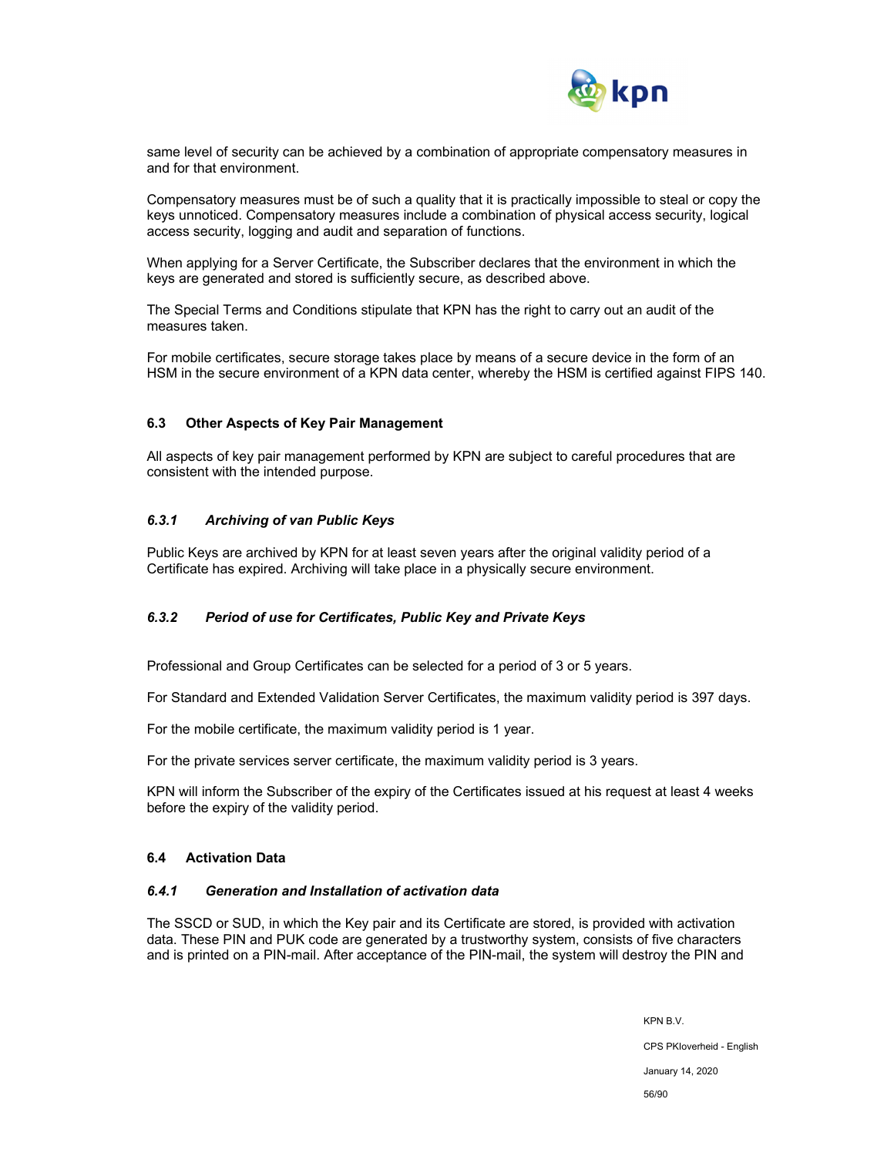

same level of security can be achieved by a combination of appropriate compensatory measures in and for that environment.

Compensatory measures must be of such a quality that it is practically impossible to steal or copy the keys unnoticed. Compensatory measures include a combination of physical access security, logical access security, logging and audit and separation of functions.

When applying for a Server Certificate, the Subscriber declares that the environment in which the keys are generated and stored is sufficiently secure, as described above.

The Special Terms and Conditions stipulate that KPN has the right to carry out an audit of the measures taken.

For mobile certificates, secure storage takes place by means of a secure device in the form of an HSM in the secure environment of a KPN data center, whereby the HSM is certified against FIPS 140.

#### **6.3 Other Aspects of Key Pair Management**

All aspects of key pair management performed by KPN are subject to careful procedures that are consistent with the intended purpose.

#### *6.3.1 Archiving of van Public Keys*

Public Keys are archived by KPN for at least seven years after the original validity period of a Certificate has expired. Archiving will take place in a physically secure environment.

## *6.3.2 Period of use for Certificates, Public Key and Private Keys*

Professional and Group Certificates can be selected for a period of 3 or 5 years.

For Standard and Extended Validation Server Certificates, the maximum validity period is 397 days.

For the mobile certificate, the maximum validity period is 1 year.

For the private services server certificate, the maximum validity period is 3 years.

KPN will inform the Subscriber of the expiry of the Certificates issued at his request at least 4 weeks before the expiry of the validity period.

#### **6.4 Activation Data**

#### *6.4.1 Generation and Installation of activation data*

The SSCD or SUD, in which the Key pair and its Certificate are stored, is provided with activation data. These PIN and PUK code are generated by a trustworthy system, consists of five characters and is printed on a PIN-mail. After acceptance of the PIN-mail, the system will destroy the PIN and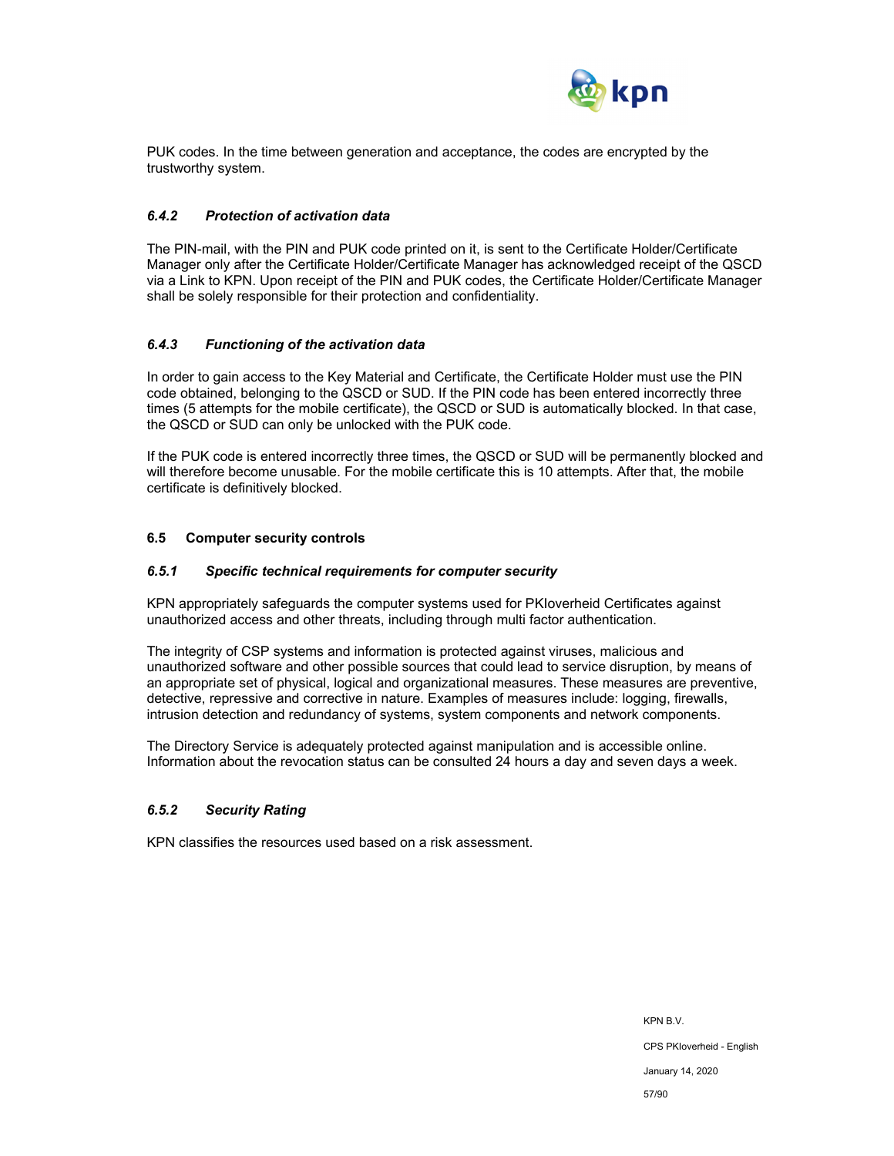

PUK codes. In the time between generation and acceptance, the codes are encrypted by the trustworthy system.

### *6.4.2 Protection of activation data*

The PIN-mail, with the PIN and PUK code printed on it, is sent to the Certificate Holder/Certificate Manager only after the Certificate Holder/Certificate Manager has acknowledged receipt of the QSCD via a Link to KPN. Upon receipt of the PIN and PUK codes, the Certificate Holder/Certificate Manager shall be solely responsible for their protection and confidentiality.

#### *6.4.3 Functioning of the activation data*

In order to gain access to the Key Material and Certificate, the Certificate Holder must use the PIN code obtained, belonging to the QSCD or SUD. If the PIN code has been entered incorrectly three times (5 attempts for the mobile certificate), the QSCD or SUD is automatically blocked. In that case, the QSCD or SUD can only be unlocked with the PUK code.

If the PUK code is entered incorrectly three times, the QSCD or SUD will be permanently blocked and will therefore become unusable. For the mobile certificate this is 10 attempts. After that, the mobile certificate is definitively blocked.

#### **6.5 Computer security controls**

## *6.5.1 Specific technical requirements for computer security*

KPN appropriately safeguards the computer systems used for PKIoverheid Certificates against unauthorized access and other threats, including through multi factor authentication.

The integrity of CSP systems and information is protected against viruses, malicious and unauthorized software and other possible sources that could lead to service disruption, by means of an appropriate set of physical, logical and organizational measures. These measures are preventive, detective, repressive and corrective in nature. Examples of measures include: logging, firewalls, intrusion detection and redundancy of systems, system components and network components.

The Directory Service is adequately protected against manipulation and is accessible online. Information about the revocation status can be consulted 24 hours a day and seven days a week.

#### *6.5.2 Security Rating*

KPN classifies the resources used based on a risk assessment.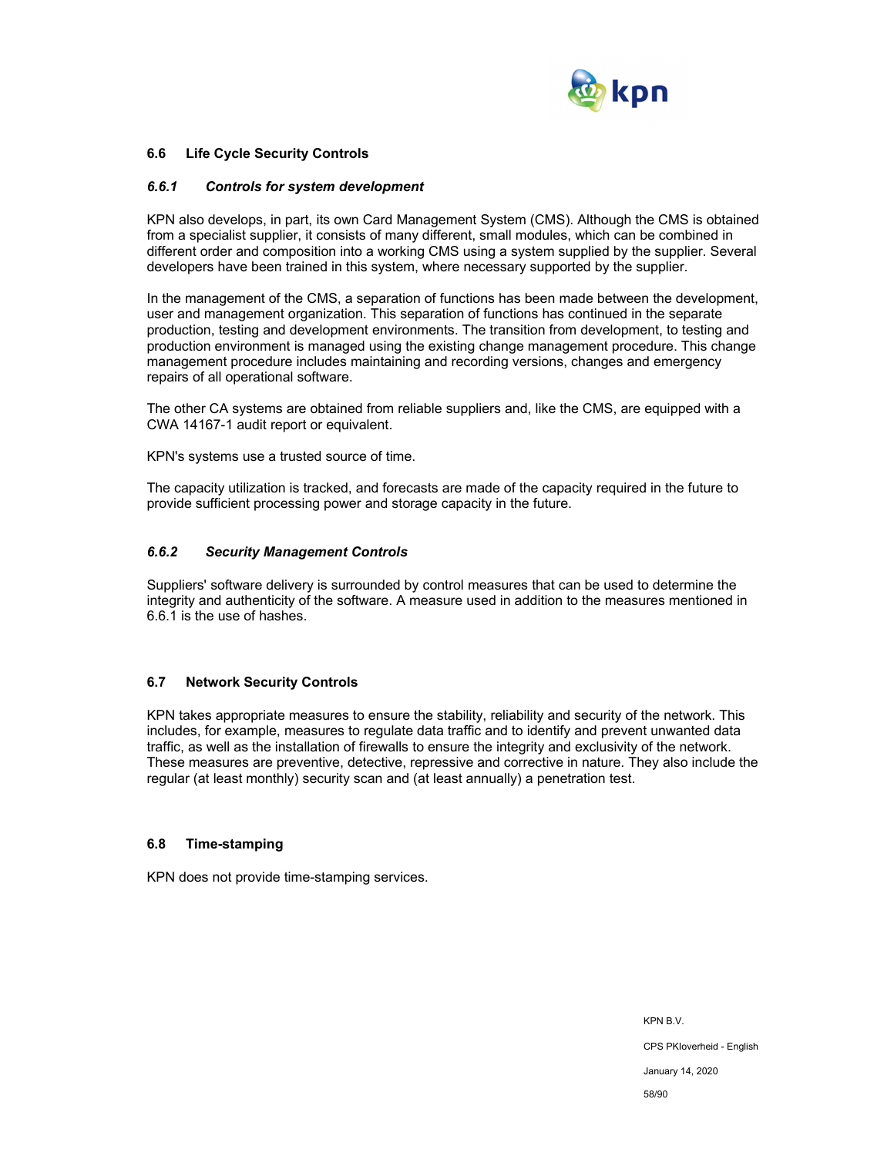

#### **6.6 Life Cycle Security Controls**

#### *6.6.1 Controls for system development*

KPN also develops, in part, its own Card Management System (CMS). Although the CMS is obtained from a specialist supplier, it consists of many different, small modules, which can be combined in different order and composition into a working CMS using a system supplied by the supplier. Several developers have been trained in this system, where necessary supported by the supplier.

In the management of the CMS, a separation of functions has been made between the development, user and management organization. This separation of functions has continued in the separate production, testing and development environments. The transition from development, to testing and production environment is managed using the existing change management procedure. This change management procedure includes maintaining and recording versions, changes and emergency repairs of all operational software.

The other CA systems are obtained from reliable suppliers and, like the CMS, are equipped with a CWA 14167-1 audit report or equivalent.

KPN's systems use a trusted source of time.

The capacity utilization is tracked, and forecasts are made of the capacity required in the future to provide sufficient processing power and storage capacity in the future.

#### *6.6.2 Security Management Controls*

Suppliers' software delivery is surrounded by control measures that can be used to determine the integrity and authenticity of the software. A measure used in addition to the measures mentioned in 6.6.1 is the use of hashes.

#### **6.7 Network Security Controls**

KPN takes appropriate measures to ensure the stability, reliability and security of the network. This includes, for example, measures to regulate data traffic and to identify and prevent unwanted data traffic, as well as the installation of firewalls to ensure the integrity and exclusivity of the network. These measures are preventive, detective, repressive and corrective in nature. They also include the regular (at least monthly) security scan and (at least annually) a penetration test.

#### **6.8 Time-stamping**

KPN does not provide time-stamping services.

KPN B.V. CPS PKIoverheid - English January 14, 2020 58/90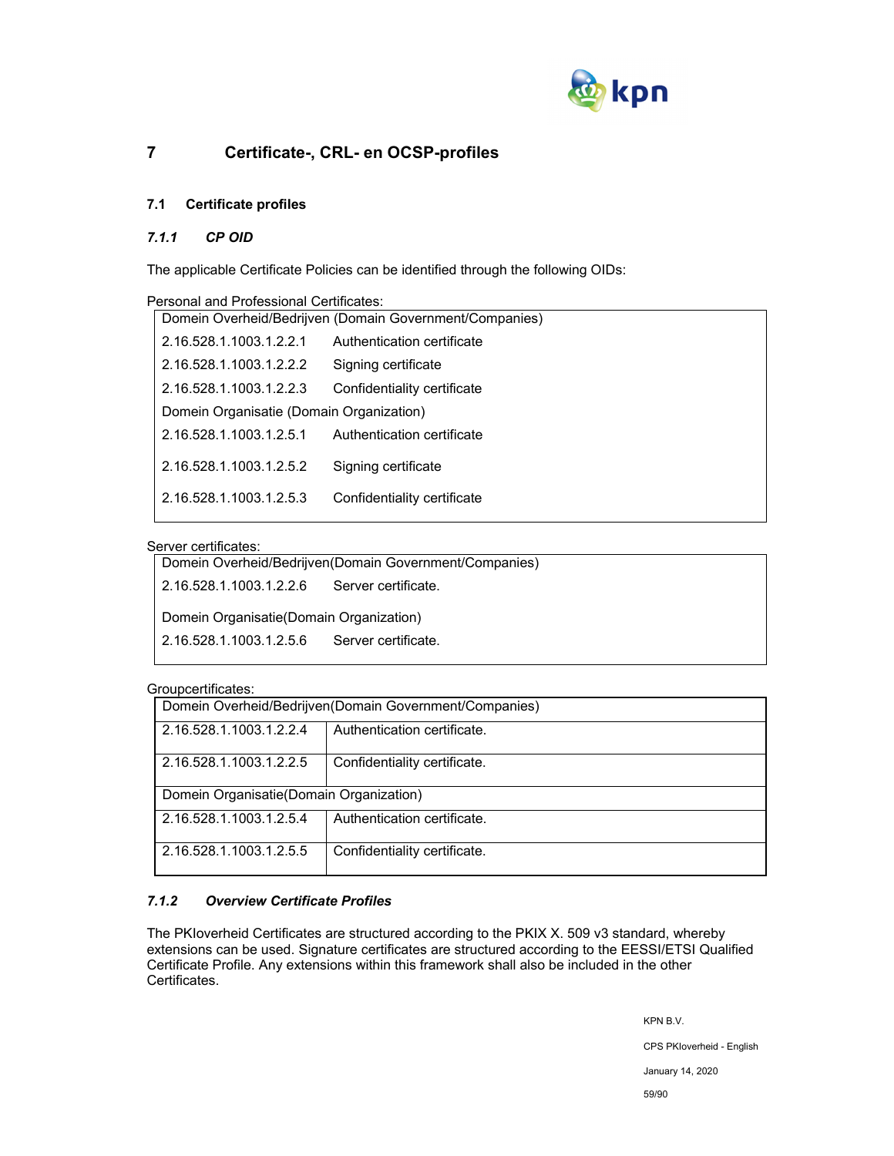

# **7 Certificate-, CRL- en OCSP-profiles**

## **7.1 Certificate profiles**

## *7.1.1 CP OID*

The applicable Certificate Policies can be identified through the following OIDs:

| Personal and Professional Certificates:                 |                             |  |
|---------------------------------------------------------|-----------------------------|--|
| Domein Overheid/Bedrijven (Domain Government/Companies) |                             |  |
| 2.16.528.1.1003.1.2.2.1                                 | Authentication certificate  |  |
| 2.16.528.1.1003.1.2.2.2                                 | Signing certificate         |  |
| 2.16.528.1.1003.1.2.2.3                                 | Confidentiality certificate |  |
| Domein Organisatie (Domain Organization)                |                             |  |
| 2.16.528.1.1003.1.2.5.1                                 | Authentication certificate  |  |
| 2.16.528.1.1003.1.2.5.2                                 | Signing certificate         |  |
| 2.16.528.1.1003.1.2.5.3                                 | Confidentiality certificate |  |

## Server certificates:

| Domein Overheid/Bedrijven(Domain Government/Companies) |  |  |
|--------------------------------------------------------|--|--|
| 2.16.528.1.1003.1.2.2.6<br>Server certificate.         |  |  |
| Domein Organisatie (Domain Organization)               |  |  |
| 2.16.528.1.1003.1.2.5.6<br>Server certificate.         |  |  |
|                                                        |  |  |

#### Groupcertificates:

|                                                        | -----------------                                       |  |  |  |
|--------------------------------------------------------|---------------------------------------------------------|--|--|--|
|                                                        | Domein Overheid/Bedrijven(Domain Government/Companies)  |  |  |  |
| Authentication certificate.<br>2.16.528.1.1003.1.2.2.4 |                                                         |  |  |  |
|                                                        | Confidentiality certificate.<br>2.16.528.1.1003.1.2.2.5 |  |  |  |
|                                                        | Domein Organisatie (Domain Organization)                |  |  |  |
|                                                        | Authentication certificate.<br>2.16.528.1.1003.1.2.5.4  |  |  |  |
|                                                        | Confidentiality certificate.<br>2.16.528.1.1003.1.2.5.5 |  |  |  |

## *7.1.2 Overview Certificate Profiles*

The PKIoverheid Certificates are structured according to the PKIX X. 509 v3 standard, whereby extensions can be used. Signature certificates are structured according to the EESSI/ETSI Qualified Certificate Profile. Any extensions within this framework shall also be included in the other Certificates.

> KPN B.V. CPS PKIoverheid - English January 14, 2020 59/90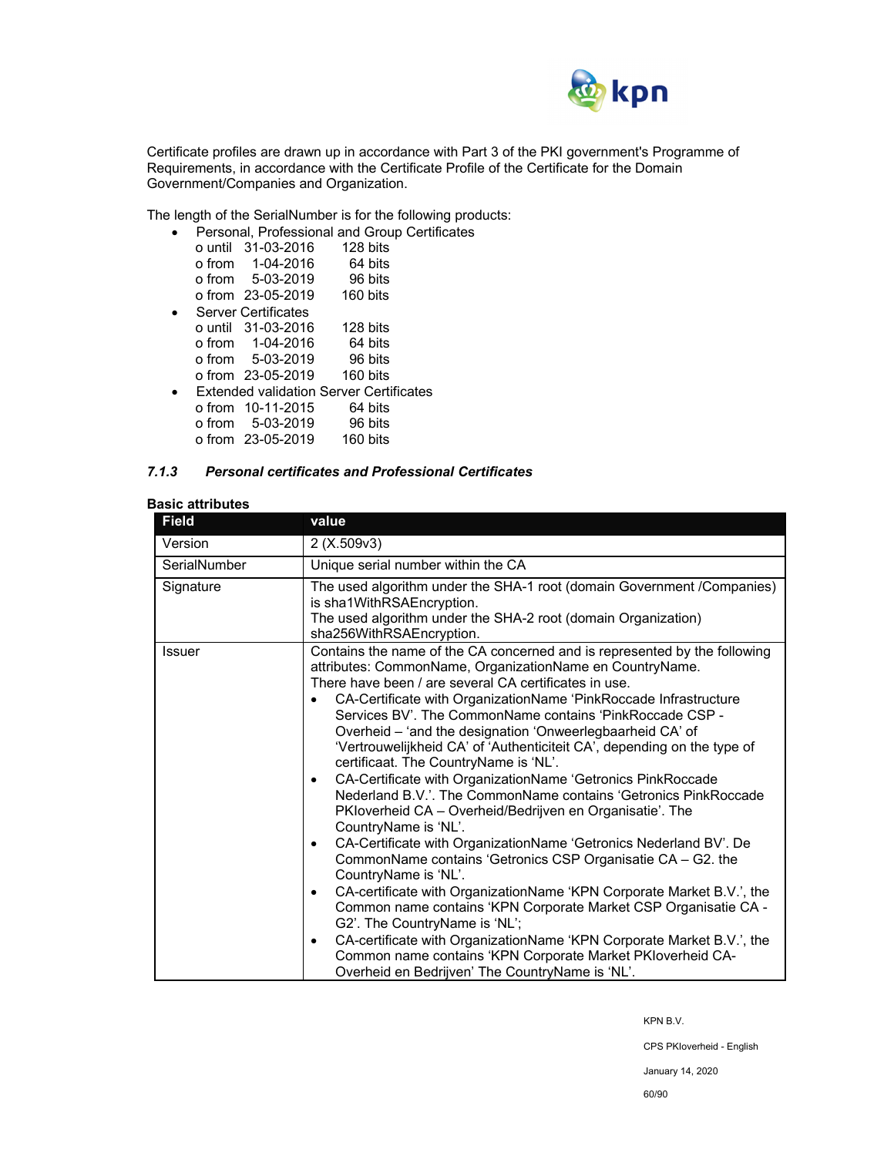

Certificate profiles are drawn up in accordance with Part 3 of the PKI government's Programme of Requirements, in accordance with the Certificate Profile of the Certificate for the Domain Government/Companies and Organization.

The length of the SerialNumber is for the following products:

|  |                            | Personal, Professional and Group Certificates |  |
|--|----------------------------|-----------------------------------------------|--|
|  | o until 31-03-2016         | 128 bits                                      |  |
|  | o from  1-04-2016          | 64 bits                                       |  |
|  | o from 5-03-2019           | 96 bits                                       |  |
|  | o from 23-05-2019 160 bits |                                               |  |
|  | <b>Server Certificates</b> |                                               |  |
|  | o until 31-03-2016         | 128 bits                                      |  |
|  | o from 1-04-2016           | 64 bits                                       |  |
|  | o from 5-03-2019           | 96 bits                                       |  |
|  | o from 23-05-2019          | 160 bits                                      |  |
|  |                            | Extended validation Server Certificates       |  |
|  | o from 10-11-2015          | 64 bits                                       |  |
|  | o from 5-03-2019           | 96 bits                                       |  |
|  | o from 23-05-2019          | 160 bits                                      |  |
|  |                            |                                               |  |

#### *7.1.3 Personal certificates and Professional Certificates*

## **Basic attributes**

| <b>Field</b>  | value                                                                                                                                                                                                                                                                                                                                                                                                                                                                                                                                                                                                                                                                                                                                                                                                                                                                                                                                                                                                                                                                                                                                                                                                                                                                                                                |  |  |
|---------------|----------------------------------------------------------------------------------------------------------------------------------------------------------------------------------------------------------------------------------------------------------------------------------------------------------------------------------------------------------------------------------------------------------------------------------------------------------------------------------------------------------------------------------------------------------------------------------------------------------------------------------------------------------------------------------------------------------------------------------------------------------------------------------------------------------------------------------------------------------------------------------------------------------------------------------------------------------------------------------------------------------------------------------------------------------------------------------------------------------------------------------------------------------------------------------------------------------------------------------------------------------------------------------------------------------------------|--|--|
| Version       | 2(X.509v3)                                                                                                                                                                                                                                                                                                                                                                                                                                                                                                                                                                                                                                                                                                                                                                                                                                                                                                                                                                                                                                                                                                                                                                                                                                                                                                           |  |  |
| SerialNumber  | Unique serial number within the CA                                                                                                                                                                                                                                                                                                                                                                                                                                                                                                                                                                                                                                                                                                                                                                                                                                                                                                                                                                                                                                                                                                                                                                                                                                                                                   |  |  |
| Signature     | The used algorithm under the SHA-1 root (domain Government /Companies)<br>is sha1WithRSAEncryption.<br>The used algorithm under the SHA-2 root (domain Organization)<br>sha256WithRSAEncryption.                                                                                                                                                                                                                                                                                                                                                                                                                                                                                                                                                                                                                                                                                                                                                                                                                                                                                                                                                                                                                                                                                                                     |  |  |
| <b>Issuer</b> | Contains the name of the CA concerned and is represented by the following<br>attributes: CommonName, OrganizationName en CountryName.<br>There have been / are several CA certificates in use.<br>CA-Certificate with OrganizationName 'PinkRoccade Infrastructure<br>Services BV'. The CommonName contains 'PinkRoccade CSP -<br>Overheid - 'and the designation 'Onweerlegbaarheid CA' of<br>'Vertrouwelijkheid CA' of 'Authenticiteit CA', depending on the type of<br>certificaat. The CountryName is 'NL'.<br>CA-Certificate with OrganizationName 'Getronics PinkRoccade<br>$\bullet$<br>Nederland B.V.'. The CommonName contains 'Getronics PinkRoccade<br>PKloverheid CA - Overheid/Bedrijven en Organisatie'. The<br>CountryName is 'NL'.<br>CA-Certificate with OrganizationName 'Getronics Nederland BV'. De<br>$\bullet$<br>CommonName contains 'Getronics CSP Organisatie CA - G2. the<br>CountryName is 'NL'.<br>CA-certificate with OrganizationName 'KPN Corporate Market B.V.', the<br>٠<br>Common name contains 'KPN Corporate Market CSP Organisatie CA -<br>G2'. The CountryName is 'NL';<br>CA-certificate with OrganizationName 'KPN Corporate Market B.V.', the<br>$\bullet$<br>Common name contains 'KPN Corporate Market PKIoverheid CA-<br>Overheid en Bedrijven' The CountryName is 'NL'. |  |  |

KPN B.V.

CPS PKIoverheid - English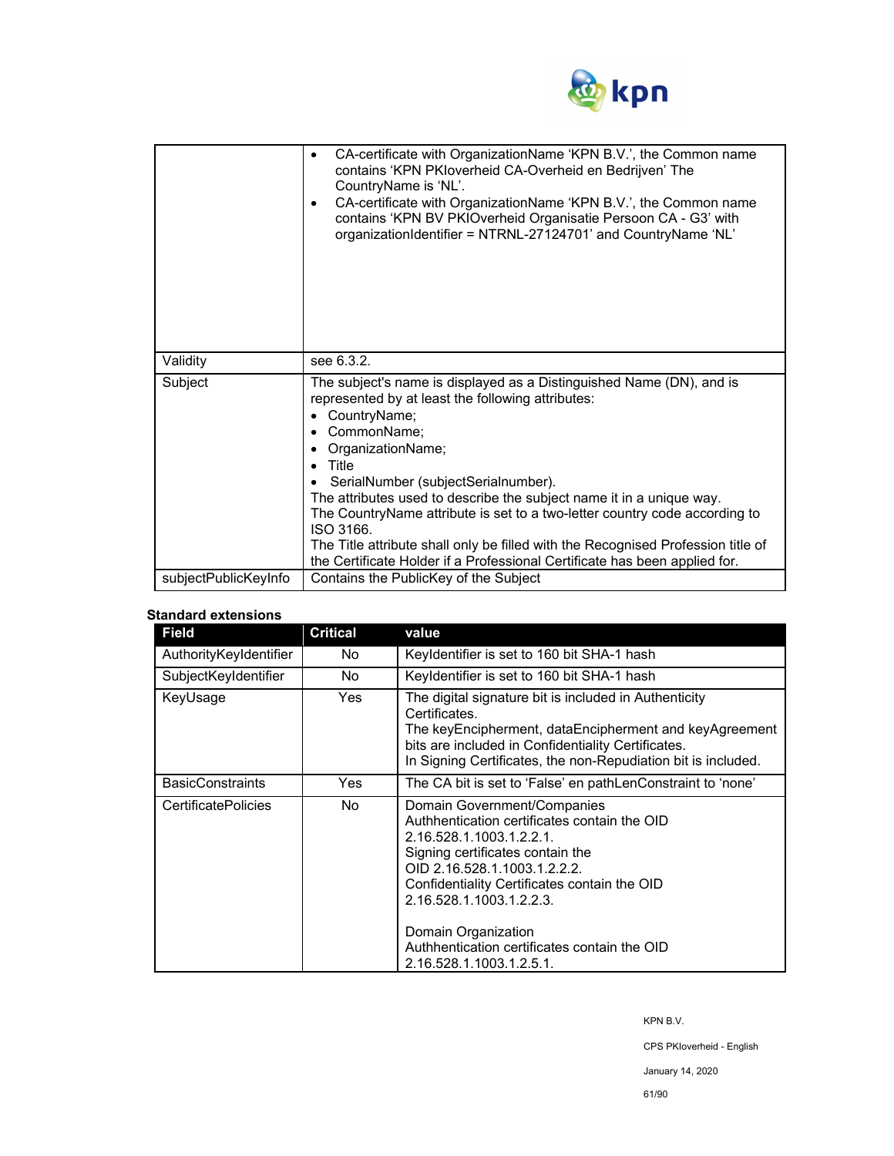

|                      | CA-certificate with OrganizationName 'KPN B.V.', the Common name<br>٠<br>contains 'KPN PKIoverheid CA-Overheid en Bedrijven' The<br>CountryName is 'NL'.<br>CA-certificate with OrganizationName 'KPN B.V.', the Common name<br>٠<br>contains 'KPN BV PKIOverheid Organisatie Persoon CA - G3' with<br>organizationIdentifier = NTRNL-27124701' and CountryName 'NL'                                                                                                                                                                                                    |  |
|----------------------|-------------------------------------------------------------------------------------------------------------------------------------------------------------------------------------------------------------------------------------------------------------------------------------------------------------------------------------------------------------------------------------------------------------------------------------------------------------------------------------------------------------------------------------------------------------------------|--|
| Validity             | see 6.3.2.                                                                                                                                                                                                                                                                                                                                                                                                                                                                                                                                                              |  |
| Subject              | The subject's name is displayed as a Distinguished Name (DN), and is<br>represented by at least the following attributes:<br>CountryName;<br>٠<br>CommonName;<br>OrganizationName;<br>Title<br>SerialNumber (subjectSerialnumber).<br>The attributes used to describe the subject name it in a unique way.<br>The CountryName attribute is set to a two-letter country code according to<br>ISO 3166.<br>The Title attribute shall only be filled with the Recognised Profession title of<br>the Certificate Holder if a Professional Certificate has been applied for. |  |
| subjectPublicKeyInfo | Contains the PublicKey of the Subject                                                                                                                                                                                                                                                                                                                                                                                                                                                                                                                                   |  |

## **Standard extensions**

| <b>Field</b>               | <b>Critical</b> | value                                                                                                                                                                                                                                                                                                                                                      |
|----------------------------|-----------------|------------------------------------------------------------------------------------------------------------------------------------------------------------------------------------------------------------------------------------------------------------------------------------------------------------------------------------------------------------|
| AuthorityKeyIdentifier     | No.             | Keyldentifier is set to 160 bit SHA-1 hash                                                                                                                                                                                                                                                                                                                 |
| SubjectKeyIdentifier       | No.             | Keyldentifier is set to 160 bit SHA-1 hash                                                                                                                                                                                                                                                                                                                 |
| KeyUsage                   | <b>Yes</b>      | The digital signature bit is included in Authenticity<br>Certificates.<br>The keyEncipherment, dataEncipherment and keyAgreement<br>bits are included in Confidentiality Certificates.<br>In Signing Certificates, the non-Repudiation bit is included.                                                                                                    |
| <b>BasicConstraints</b>    | Yes             | The CA bit is set to 'False' en pathLenConstraint to 'none'                                                                                                                                                                                                                                                                                                |
| <b>CertificatePolicies</b> | No.             | Domain Government/Companies<br>Authhentication certificates contain the OID<br>2.16.528.1.1003.1.2.2.1.<br>Signing certificates contain the<br>OID 2.16.528.1.1003.1.2.2.2.<br>Confidentiality Certificates contain the OID<br>2.16.528.1.1003.1.2.2.3.<br>Domain Organization<br>Authhentication certificates contain the OID<br>2.16.528.1.1003.1.2.5.1. |

KPN B.V.

CPS PKIoverheid - English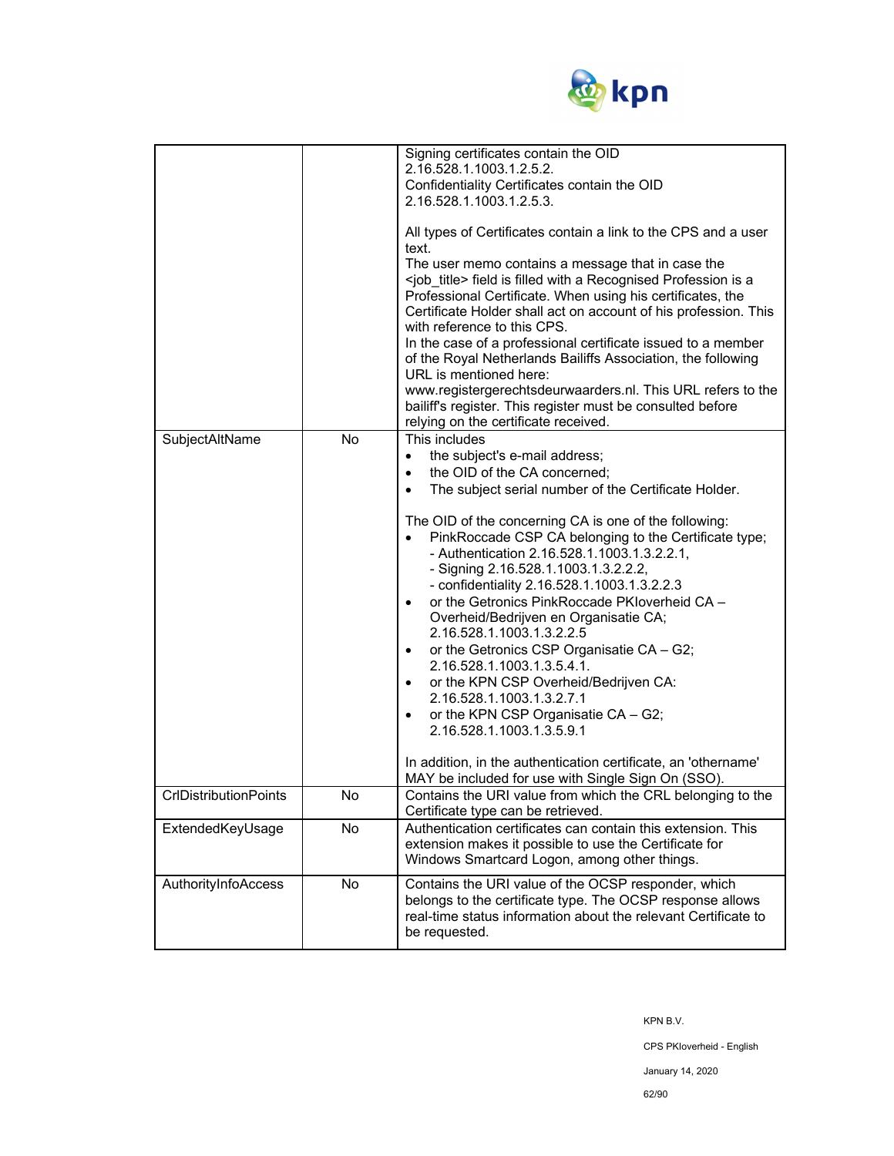

| SubjectAltName               | No | Signing certificates contain the OID<br>2.16.528.1.1003.1.2.5.2.<br>Confidentiality Certificates contain the OID<br>2.16.528.1.1003.1.2.5.3.<br>All types of Certificates contain a link to the CPS and a user<br>text.<br>The user memo contains a message that in case the<br><job_title> field is filled with a Recognised Profession is a<br/>Professional Certificate. When using his certificates, the<br/>Certificate Holder shall act on account of his profession. This<br/>with reference to this CPS.<br/>In the case of a professional certificate issued to a member<br/>of the Royal Netherlands Bailiffs Association, the following<br/>URL is mentioned here:<br/>www.registergerechtsdeurwaarders.nl. This URL refers to the<br/>bailiff's register. This register must be consulted before<br/>relying on the certificate received.<br/>This includes<br/>the subject's e-mail address;<br/><math>\bullet</math><br/>the OID of the CA concerned;<br/><math display="inline">\bullet</math><br/>The subject serial number of the Certificate Holder.<br/><math display="inline">\bullet</math><br/>The OID of the concerning CA is one of the following:<br/>PinkRoccade CSP CA belonging to the Certificate type;<br/>- Authentication 2.16.528.1.1003.1.3.2.2.1,<br/>- Signing 2.16.528.1.1003.1.3.2.2.2,<br/>- confidentiality 2.16.528.1.1003.1.3.2.2.3<br/>or the Getronics PinkRoccade PKIoverheid CA -<br/><math display="inline">\bullet</math><br/>Overheid/Bedrijven en Organisatie CA;<br/>2.16.528.1.1003.1.3.2.2.5<br/>or the Getronics CSP Organisatie CA - G2;<br/><math display="inline">\bullet</math><br/>2.16.528.1.1003.1.3.5.4.1.<br/>or the KPN CSP Overheid/Bedrijven CA:<br/><math display="inline">\bullet</math><br/>2.16.528.1.1003.1.3.2.7.1<br/>or the KPN CSP Organisatie CA - G2;<br/><math display="inline">\bullet</math><br/>2.16.528.1.1003.1.3.5.9.1<br/>In addition, in the authentication certificate, an 'othername'</job_title> |
|------------------------------|----|-------------------------------------------------------------------------------------------------------------------------------------------------------------------------------------------------------------------------------------------------------------------------------------------------------------------------------------------------------------------------------------------------------------------------------------------------------------------------------------------------------------------------------------------------------------------------------------------------------------------------------------------------------------------------------------------------------------------------------------------------------------------------------------------------------------------------------------------------------------------------------------------------------------------------------------------------------------------------------------------------------------------------------------------------------------------------------------------------------------------------------------------------------------------------------------------------------------------------------------------------------------------------------------------------------------------------------------------------------------------------------------------------------------------------------------------------------------------------------------------------------------------------------------------------------------------------------------------------------------------------------------------------------------------------------------------------------------------------------------------------------------------------------------------------------------------------------------------------------------------------------------------------------------------------------------------------------------------------------------------|
| <b>CrIDistributionPoints</b> | No | MAY be included for use with Single Sign On (SSO).<br>Contains the URI value from which the CRL belonging to the<br>Certificate type can be retrieved.                                                                                                                                                                                                                                                                                                                                                                                                                                                                                                                                                                                                                                                                                                                                                                                                                                                                                                                                                                                                                                                                                                                                                                                                                                                                                                                                                                                                                                                                                                                                                                                                                                                                                                                                                                                                                                    |
| ExtendedKeyUsage             | No | Authentication certificates can contain this extension. This<br>extension makes it possible to use the Certificate for<br>Windows Smartcard Logon, among other things.                                                                                                                                                                                                                                                                                                                                                                                                                                                                                                                                                                                                                                                                                                                                                                                                                                                                                                                                                                                                                                                                                                                                                                                                                                                                                                                                                                                                                                                                                                                                                                                                                                                                                                                                                                                                                    |
| AuthorityInfoAccess          | No | Contains the URI value of the OCSP responder, which<br>belongs to the certificate type. The OCSP response allows<br>real-time status information about the relevant Certificate to<br>be requested.                                                                                                                                                                                                                                                                                                                                                                                                                                                                                                                                                                                                                                                                                                                                                                                                                                                                                                                                                                                                                                                                                                                                                                                                                                                                                                                                                                                                                                                                                                                                                                                                                                                                                                                                                                                       |

KPN B.V.

CPS PKIoverheid - English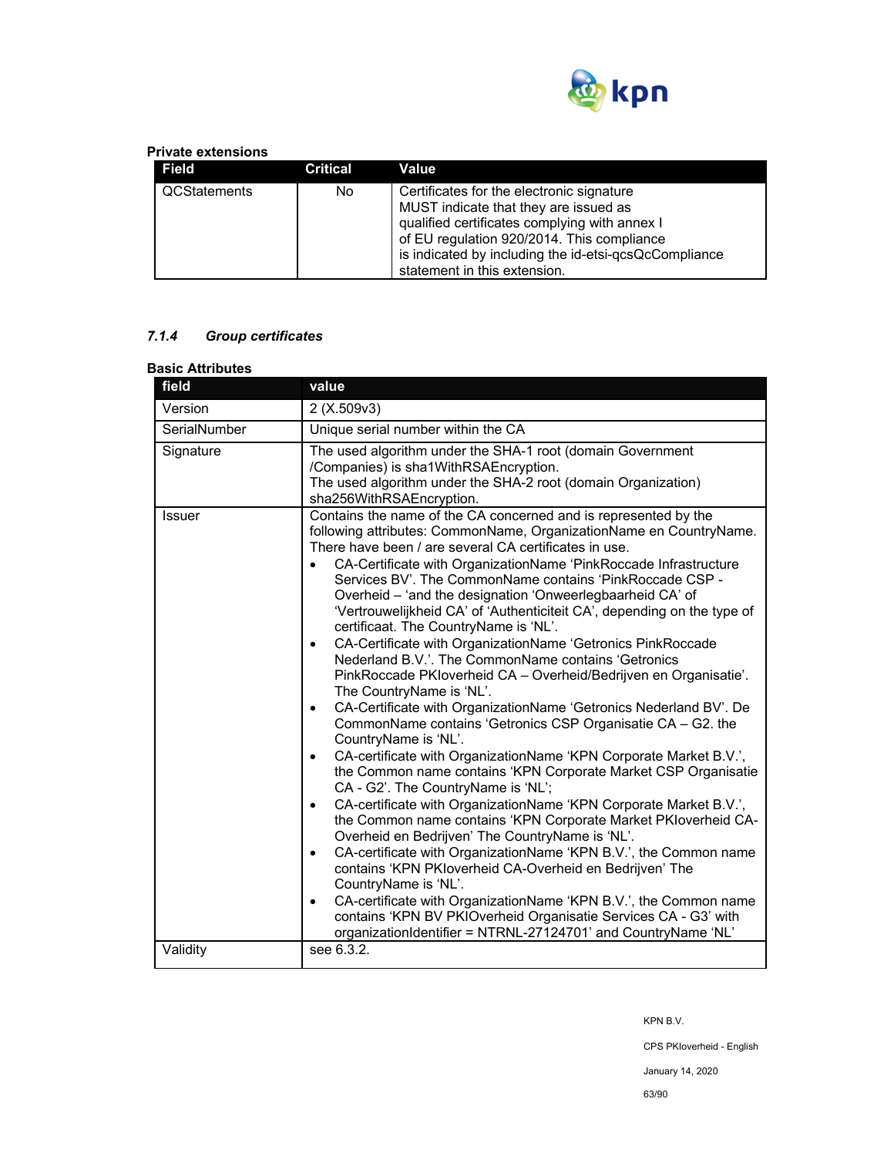

## **Private extensions**

| Field        | Critical | Value                                                                                                                                                                                                                                                                      |
|--------------|----------|----------------------------------------------------------------------------------------------------------------------------------------------------------------------------------------------------------------------------------------------------------------------------|
| QCStatements | No       | Certificates for the electronic signature<br>MUST indicate that they are issued as<br>qualified certificates complying with annex I<br>of EU regulation 920/2014. This compliance<br>is indicated by including the id-etsi-qcsQcCompliance<br>statement in this extension. |

# *7.1.4 Group certificates*

| <b>Basic Attributes</b> |                                                                                                                                                                                                                                                                                                                                                                                                                                                                                                                                                                                                                                                                                                                                                                                                                                                                                                                                                                                                                                                                                                                                                                                                                                                                                                                                                                                                                                                                                                                                                                                                                                                                                                                                    |
|-------------------------|------------------------------------------------------------------------------------------------------------------------------------------------------------------------------------------------------------------------------------------------------------------------------------------------------------------------------------------------------------------------------------------------------------------------------------------------------------------------------------------------------------------------------------------------------------------------------------------------------------------------------------------------------------------------------------------------------------------------------------------------------------------------------------------------------------------------------------------------------------------------------------------------------------------------------------------------------------------------------------------------------------------------------------------------------------------------------------------------------------------------------------------------------------------------------------------------------------------------------------------------------------------------------------------------------------------------------------------------------------------------------------------------------------------------------------------------------------------------------------------------------------------------------------------------------------------------------------------------------------------------------------------------------------------------------------------------------------------------------------|
| field                   | value                                                                                                                                                                                                                                                                                                                                                                                                                                                                                                                                                                                                                                                                                                                                                                                                                                                                                                                                                                                                                                                                                                                                                                                                                                                                                                                                                                                                                                                                                                                                                                                                                                                                                                                              |
| Version                 | 2 (X.509v3)                                                                                                                                                                                                                                                                                                                                                                                                                                                                                                                                                                                                                                                                                                                                                                                                                                                                                                                                                                                                                                                                                                                                                                                                                                                                                                                                                                                                                                                                                                                                                                                                                                                                                                                        |
| SerialNumber            | Unique serial number within the CA                                                                                                                                                                                                                                                                                                                                                                                                                                                                                                                                                                                                                                                                                                                                                                                                                                                                                                                                                                                                                                                                                                                                                                                                                                                                                                                                                                                                                                                                                                                                                                                                                                                                                                 |
| Signature               | The used algorithm under the SHA-1 root (domain Government<br>/Companies) is sha1WithRSAEncryption.<br>The used algorithm under the SHA-2 root (domain Organization)<br>sha256WithRSAEncryption.                                                                                                                                                                                                                                                                                                                                                                                                                                                                                                                                                                                                                                                                                                                                                                                                                                                                                                                                                                                                                                                                                                                                                                                                                                                                                                                                                                                                                                                                                                                                   |
| <b>Issuer</b>           | Contains the name of the CA concerned and is represented by the<br>following attributes: CommonName, OrganizationName en CountryName.<br>There have been / are several CA certificates in use.<br>CA-Certificate with OrganizationName 'PinkRoccade Infrastructure<br>$\bullet$<br>Services BV'. The CommonName contains 'PinkRoccade CSP -<br>Overheid - 'and the designation 'Onweerlegbaarheid CA' of<br>'Vertrouwelijkheid CA' of 'Authenticiteit CA', depending on the type of<br>certificaat. The CountryName is 'NL'.<br>CA-Certificate with OrganizationName 'Getronics PinkRoccade<br>$\bullet$<br>Nederland B.V.'. The CommonName contains 'Getronics<br>PinkRoccade PKIoverheid CA - Overheid/Bedrijven en Organisatie'.<br>The CountryName is 'NL'.<br>CA-Certificate with OrganizationName 'Getronics Nederland BV'. De<br>$\bullet$<br>CommonName contains 'Getronics CSP Organisatie CA - G2. the<br>CountryName is 'NL'.<br>CA-certificate with OrganizationName 'KPN Corporate Market B.V.',<br>$\bullet$<br>the Common name contains 'KPN Corporate Market CSP Organisatie<br>CA - G2'. The CountryName is 'NL';<br>CA-certificate with OrganizationName 'KPN Corporate Market B.V.',<br>$\bullet$<br>the Common name contains 'KPN Corporate Market PKIoverheid CA-<br>Overheid en Bedrijven' The CountryName is 'NL'.<br>CA-certificate with OrganizationName 'KPN B.V.', the Common name<br>$\bullet$<br>contains 'KPN PKIoverheid CA-Overheid en Bedrijven' The<br>CountryName is 'NL'.<br>CA-certificate with OrganizationName 'KPN B.V.', the Common name<br>$\bullet$<br>contains 'KPN BV PKIOverheid Organisatie Services CA - G3' with<br>organizationIdentifier = NTRNL-27124701' and CountryName 'NL' |
| Validity                | see 6.3.2.                                                                                                                                                                                                                                                                                                                                                                                                                                                                                                                                                                                                                                                                                                                                                                                                                                                                                                                                                                                                                                                                                                                                                                                                                                                                                                                                                                                                                                                                                                                                                                                                                                                                                                                         |

KPN B.V.

CPS PKIoverheid - English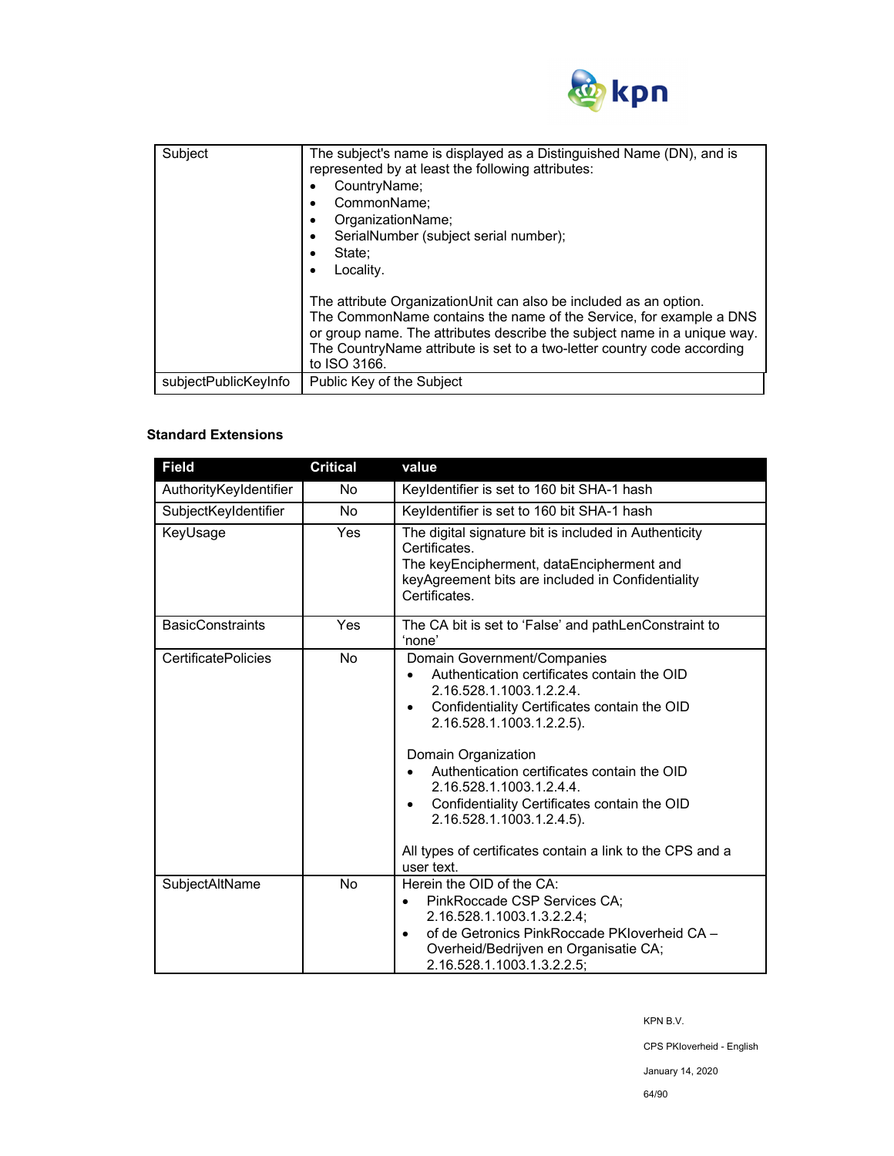

| Subject              | The subject's name is displayed as a Distinguished Name (DN), and is<br>represented by at least the following attributes:<br>CountryName;<br>CommonName;<br>٠<br>OrganizationName;<br>٠<br>SerialNumber (subject serial number);<br>$\bullet$<br>State:<br>Locality.<br>٠                                      |
|----------------------|----------------------------------------------------------------------------------------------------------------------------------------------------------------------------------------------------------------------------------------------------------------------------------------------------------------|
|                      | The attribute OrganizationUnit can also be included as an option.<br>The CommonName contains the name of the Service, for example a DNS<br>or group name. The attributes describe the subject name in a unique way.<br>The CountryName attribute is set to a two-letter country code according<br>to ISO 3166. |
| subjectPublicKeyInfo | Public Key of the Subject                                                                                                                                                                                                                                                                                      |

# **Standard Extensions**

| <b>Field</b>               | <b>Critical</b> | value                                                                                                                                                                                                                                                                                                                                                                                                                                                   |
|----------------------------|-----------------|---------------------------------------------------------------------------------------------------------------------------------------------------------------------------------------------------------------------------------------------------------------------------------------------------------------------------------------------------------------------------------------------------------------------------------------------------------|
| AuthorityKeyIdentifier     | No              | Keyldentifier is set to 160 bit SHA-1 hash                                                                                                                                                                                                                                                                                                                                                                                                              |
| SubjectKeyIdentifier       | No.             | Keyldentifier is set to 160 bit SHA-1 hash                                                                                                                                                                                                                                                                                                                                                                                                              |
| KeyUsage                   | Yes             | The digital signature bit is included in Authenticity<br>Certificates.<br>The keyEncipherment, dataEncipherment and<br>keyAgreement bits are included in Confidentiality<br>Certificates.                                                                                                                                                                                                                                                               |
| <b>BasicConstraints</b>    | Yes             | The CA bit is set to 'False' and pathLenConstraint to<br>'none'                                                                                                                                                                                                                                                                                                                                                                                         |
| <b>CertificatePolicies</b> | No.             | Domain Government/Companies<br>Authentication certificates contain the OID<br>2.16.528.1.1003.1.2.2.4.<br>Confidentiality Certificates contain the OID<br>٠<br>2.16.528.1.1003.1.2.2.5).<br>Domain Organization<br>Authentication certificates contain the OID<br>2.16.528.1.1003.1.2.4.4.<br>Confidentiality Certificates contain the OID<br>٠<br>2.16.528.1.1003.1.2.4.5).<br>All types of certificates contain a link to the CPS and a<br>user text. |
| SubjectAltName             | <b>No</b>       | Herein the OID of the CA:<br>PinkRoccade CSP Services CA;<br>$\bullet$<br>2.16.528.1.1003.1.3.2.2.4;<br>of de Getronics PinkRoccade PKIoverheid CA -<br>Overheid/Bedrijven en Organisatie CA;<br>2.16.528.1.1003.1.3.2.2.5:                                                                                                                                                                                                                             |

KPN B.V.

CPS PKIoverheid - English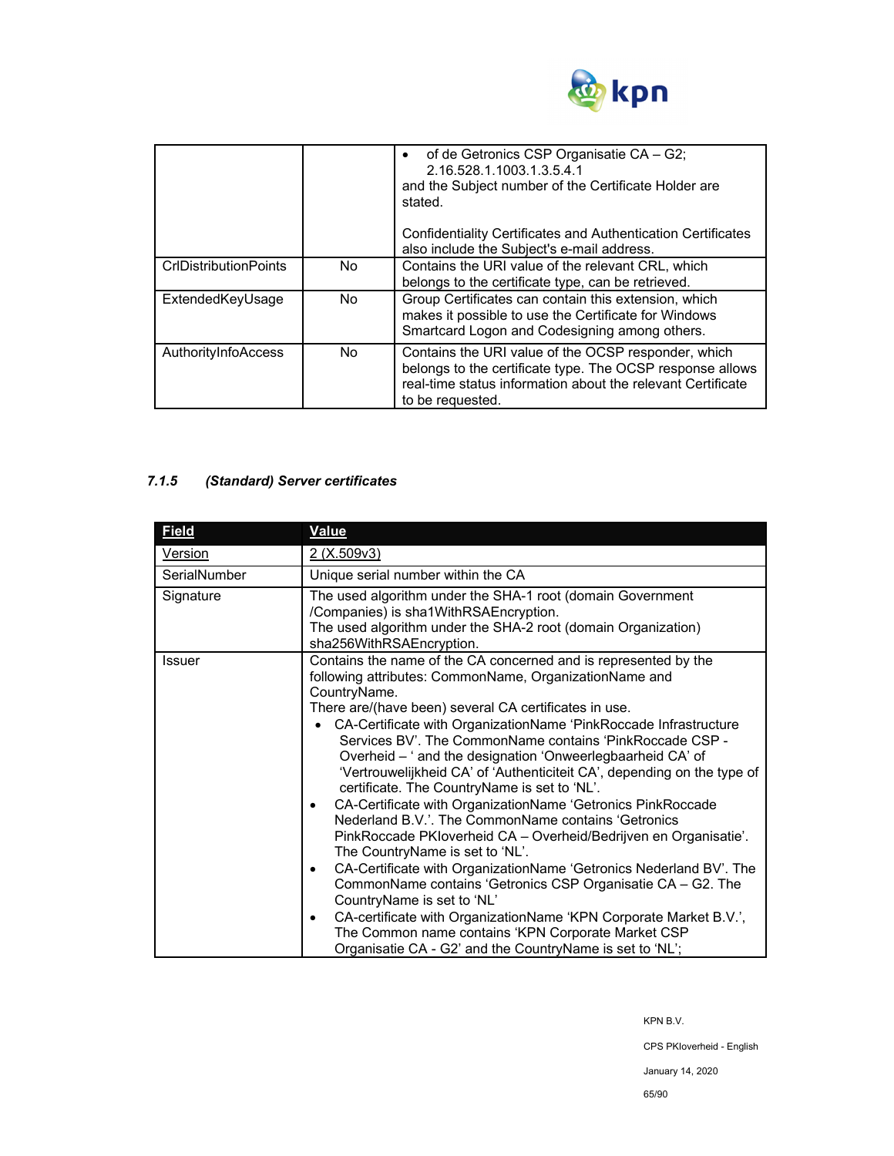

|                              |     | of de Getronics CSP Organisatie CA - G2;<br>2.16.528.1.1003.1.3.5.4.1<br>and the Subject number of the Certificate Holder are<br>stated.<br>Confidentiality Certificates and Authentication Certificates<br>also include the Subject's e-mail address. |
|------------------------------|-----|--------------------------------------------------------------------------------------------------------------------------------------------------------------------------------------------------------------------------------------------------------|
|                              |     |                                                                                                                                                                                                                                                        |
| <b>CrIDistributionPoints</b> | No. | Contains the URI value of the relevant CRL, which<br>belongs to the certificate type, can be retrieved.                                                                                                                                                |
| ExtendedKeyUsage             | No. | Group Certificates can contain this extension, which<br>makes it possible to use the Certificate for Windows<br>Smartcard Logon and Codesigning among others.                                                                                          |
| AuthorityInfoAccess          | No. | Contains the URI value of the OCSP responder, which<br>belongs to the certificate type. The OCSP response allows<br>real-time status information about the relevant Certificate<br>to be requested.                                                    |

# *7.1.5 (Standard) Server certificates*

| <b>Field</b>  | <b>Value</b>                                                                                                                                                                                                                                                                                                                                                                                                                                                                                                                                                                                                                                                                                                                                                                                                                                                                                                                                                                                                                                                                                                                                                          |  |  |
|---------------|-----------------------------------------------------------------------------------------------------------------------------------------------------------------------------------------------------------------------------------------------------------------------------------------------------------------------------------------------------------------------------------------------------------------------------------------------------------------------------------------------------------------------------------------------------------------------------------------------------------------------------------------------------------------------------------------------------------------------------------------------------------------------------------------------------------------------------------------------------------------------------------------------------------------------------------------------------------------------------------------------------------------------------------------------------------------------------------------------------------------------------------------------------------------------|--|--|
| Version       | 2 (X.509v3)                                                                                                                                                                                                                                                                                                                                                                                                                                                                                                                                                                                                                                                                                                                                                                                                                                                                                                                                                                                                                                                                                                                                                           |  |  |
| SerialNumber  | Unique serial number within the CA                                                                                                                                                                                                                                                                                                                                                                                                                                                                                                                                                                                                                                                                                                                                                                                                                                                                                                                                                                                                                                                                                                                                    |  |  |
| Signature     | The used algorithm under the SHA-1 root (domain Government<br>/Companies) is sha1WithRSAEncryption.<br>The used algorithm under the SHA-2 root (domain Organization)                                                                                                                                                                                                                                                                                                                                                                                                                                                                                                                                                                                                                                                                                                                                                                                                                                                                                                                                                                                                  |  |  |
| <b>Issuer</b> | sha256WithRSAEncryption.<br>Contains the name of the CA concerned and is represented by the<br>following attributes: CommonName, OrganizationName and<br>CountryName.<br>There are/(have been) several CA certificates in use.<br>CA-Certificate with OrganizationName 'PinkRoccade Infrastructure<br>Services BV'. The CommonName contains 'PinkRoccade CSP -<br>Overheid - ' and the designation 'Onweerlegbaarheid CA' of<br>'Vertrouwelijkheid CA' of 'Authenticiteit CA', depending on the type of<br>certificate. The CountryName is set to 'NL'.<br>CA-Certificate with OrganizationName 'Getronics PinkRoccade<br>$\bullet$<br>Nederland B.V.'. The CommonName contains 'Getronics<br>PinkRoccade PKIoverheid CA - Overheid/Bedrijven en Organisatie'.<br>The CountryName is set to 'NL'.<br>CA-Certificate with OrganizationName 'Getronics Nederland BV'. The<br>٠<br>CommonName contains 'Getronics CSP Organisatie CA - G2. The<br>CountryName is set to 'NL'<br>CA-certificate with OrganizationName 'KPN Corporate Market B.V.',<br>٠<br>The Common name contains 'KPN Corporate Market CSP<br>Organisatie CA - G2' and the CountryName is set to 'NL'; |  |  |

KPN B.V.

CPS PKIoverheid - English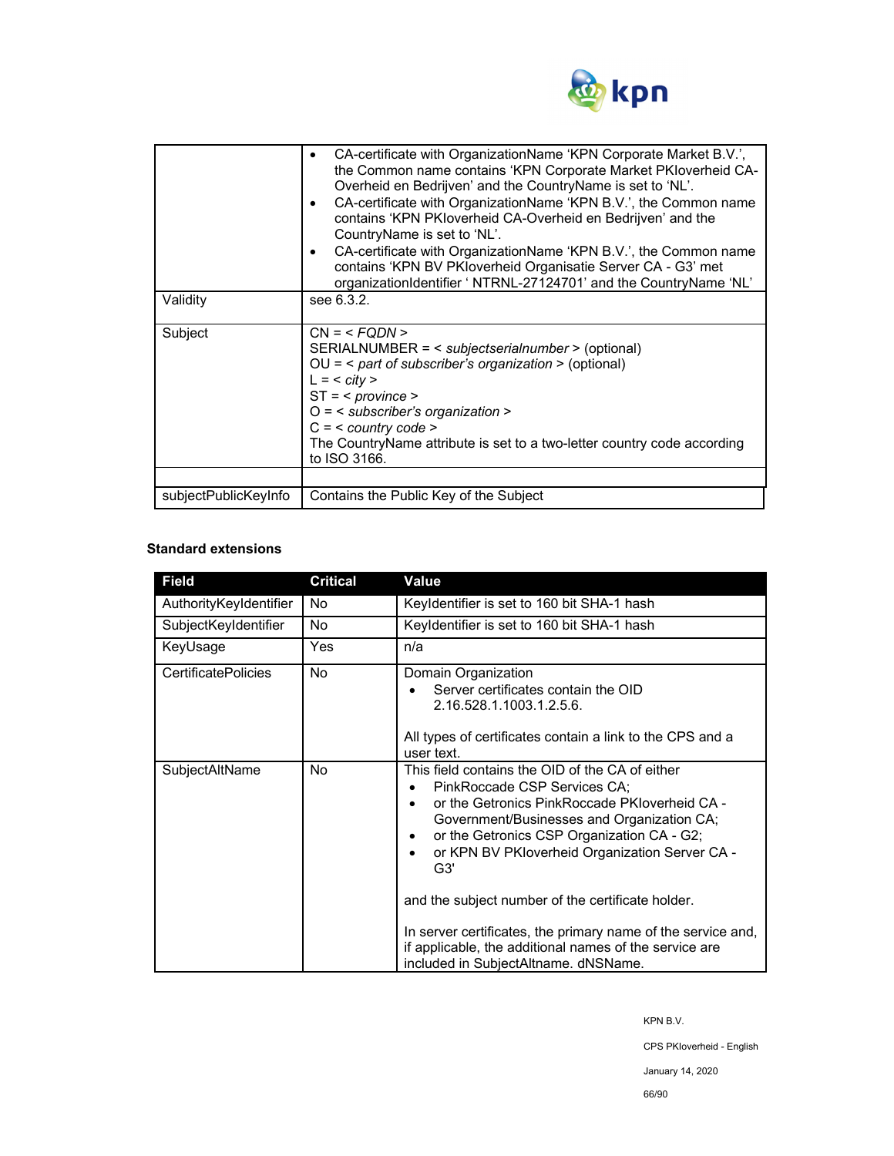

| Validity             | CA-certificate with OrganizationName 'KPN Corporate Market B.V.',<br>٠<br>the Common name contains 'KPN Corporate Market PKIoverheid CA-<br>Overheid en Bedrijven' and the CountryName is set to 'NL'.<br>CA-certificate with OrganizationName 'KPN B.V.', the Common name<br>٠<br>contains 'KPN PKloverheid CA-Overheid en Bedrijven' and the<br>CountryName is set to 'NL'.<br>CA-certificate with OrganizationName 'KPN B.V.', the Common name<br>$\bullet$<br>contains 'KPN BV PKloverheid Organisatie Server CA - G3' met<br>organizationIdentifier ' NTRNL-27124701' and the CountryName 'NL'<br>see 6.3.2. |  |
|----------------------|-------------------------------------------------------------------------------------------------------------------------------------------------------------------------------------------------------------------------------------------------------------------------------------------------------------------------------------------------------------------------------------------------------------------------------------------------------------------------------------------------------------------------------------------------------------------------------------------------------------------|--|
| Subject              | $CN = $<br>SERIALNUMBER = < subjectserialnumber > (optional)<br>$OU =$ < part of subscriber's organization > (optional)<br>$L = <$ city ><br>$ST = <$ province ><br>$O =$ < subscriber's organization ><br>$C = <$ country code ><br>The CountryName attribute is set to a two-letter country code according<br>to ISO 3166.                                                                                                                                                                                                                                                                                      |  |
|                      |                                                                                                                                                                                                                                                                                                                                                                                                                                                                                                                                                                                                                   |  |
| subjectPublicKeyInfo | Contains the Public Key of the Subject                                                                                                                                                                                                                                                                                                                                                                                                                                                                                                                                                                            |  |

## **Standard extensions**

| <b>Field</b>               | <b>Critical</b> | Value                                                                                                                                                                                                                                                                                                                                                                                                                                                                                                        |
|----------------------------|-----------------|--------------------------------------------------------------------------------------------------------------------------------------------------------------------------------------------------------------------------------------------------------------------------------------------------------------------------------------------------------------------------------------------------------------------------------------------------------------------------------------------------------------|
| AuthorityKeyIdentifier     | No.             | Keyldentifier is set to 160 bit SHA-1 hash                                                                                                                                                                                                                                                                                                                                                                                                                                                                   |
| SubjectKeyIdentifier       | No              | Keyldentifier is set to 160 bit SHA-1 hash                                                                                                                                                                                                                                                                                                                                                                                                                                                                   |
| KeyUsage                   | Yes             | n/a                                                                                                                                                                                                                                                                                                                                                                                                                                                                                                          |
| <b>CertificatePolicies</b> | No.             | Domain Organization<br>Server certificates contain the OID<br>2.16.528.1.1003.1.2.5.6.<br>All types of certificates contain a link to the CPS and a<br>user text.                                                                                                                                                                                                                                                                                                                                            |
| SubjectAltName             | <b>No</b>       | This field contains the OID of the CA of either<br>PinkRoccade CSP Services CA:<br>or the Getronics PinkRoccade PKIoverheid CA -<br>Government/Businesses and Organization CA;<br>or the Getronics CSP Organization CA - G2;<br>or KPN BV PKloverheid Organization Server CA -<br>G3'<br>and the subject number of the certificate holder.<br>In server certificates, the primary name of the service and,<br>if applicable, the additional names of the service are<br>included in SubjectAltname. dNSName. |

KPN B.V.

CPS PKIoverheid - English

January 14, 2020

66/90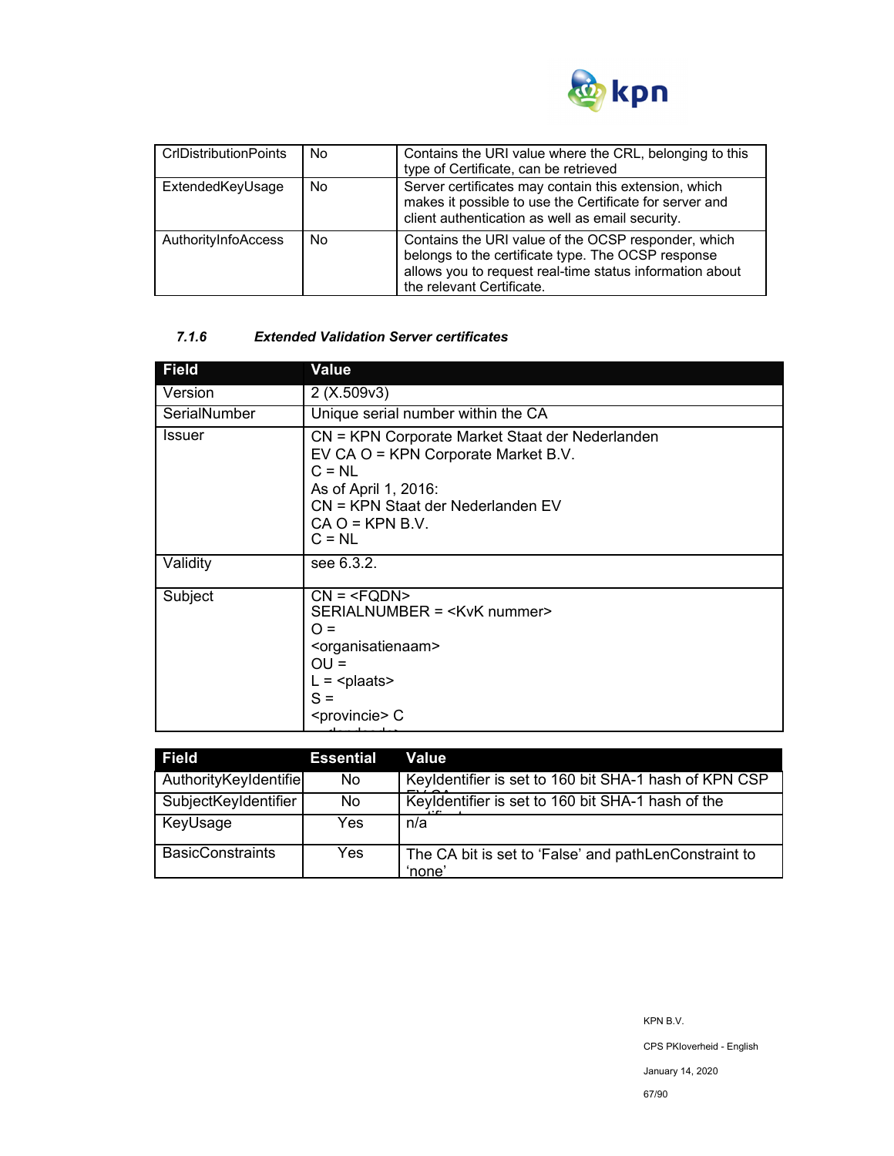

| <b>CrIDistributionPoints</b> | No | Contains the URI value where the CRL, belonging to this<br>type of Certificate, can be retrieved                                                                                                   |
|------------------------------|----|----------------------------------------------------------------------------------------------------------------------------------------------------------------------------------------------------|
| ExtendedKeyUsage             | No | Server certificates may contain this extension, which<br>makes it possible to use the Certificate for server and<br>client authentication as well as email security.                               |
| AuthorityInfoAccess          | No | Contains the URI value of the OCSP responder, which<br>belongs to the certificate type. The OCSP response<br>allows you to request real-time status information about<br>the relevant Certificate. |

## *7.1.6 Extended Validation Server certificates*

| <b>Field</b> | Value                                                                                                                                                                                            |
|--------------|--------------------------------------------------------------------------------------------------------------------------------------------------------------------------------------------------|
| Version      | 2(X.509v3)                                                                                                                                                                                       |
| SerialNumber | Unique serial number within the CA                                                                                                                                                               |
| Issuer       | CN = KPN Corporate Market Staat der Nederlanden<br>EV CA O = KPN Corporate Market B.V.<br>$C = NL$<br>As of April 1, 2016:<br>CN = KPN Staat der Nederlanden EV<br>$CA O = KPN B.V.$<br>$C = NL$ |
| Validity     | see 6.3.2.                                                                                                                                                                                       |
| Subject      | $CN = SERIALNUMBER = ∩ =OU =L = plaatsS = C$                                                                                                                                                     |

| <b>Field</b>            | <b>Essential</b> | Value                                                           |
|-------------------------|------------------|-----------------------------------------------------------------|
| AuthorityKeyIdentifie   | No.              | Keyldentifier is set to 160 bit SHA-1 hash of KPN CSP           |
| SubjectKeyIdentifier    | No.              | Keyldentifier is set to 160 bit SHA-1 hash of the               |
| KeyUsage                | Yes.             | n/a                                                             |
| <b>BasicConstraints</b> | Yes.             | The CA bit is set to 'False' and pathLenConstraint to<br>'none' |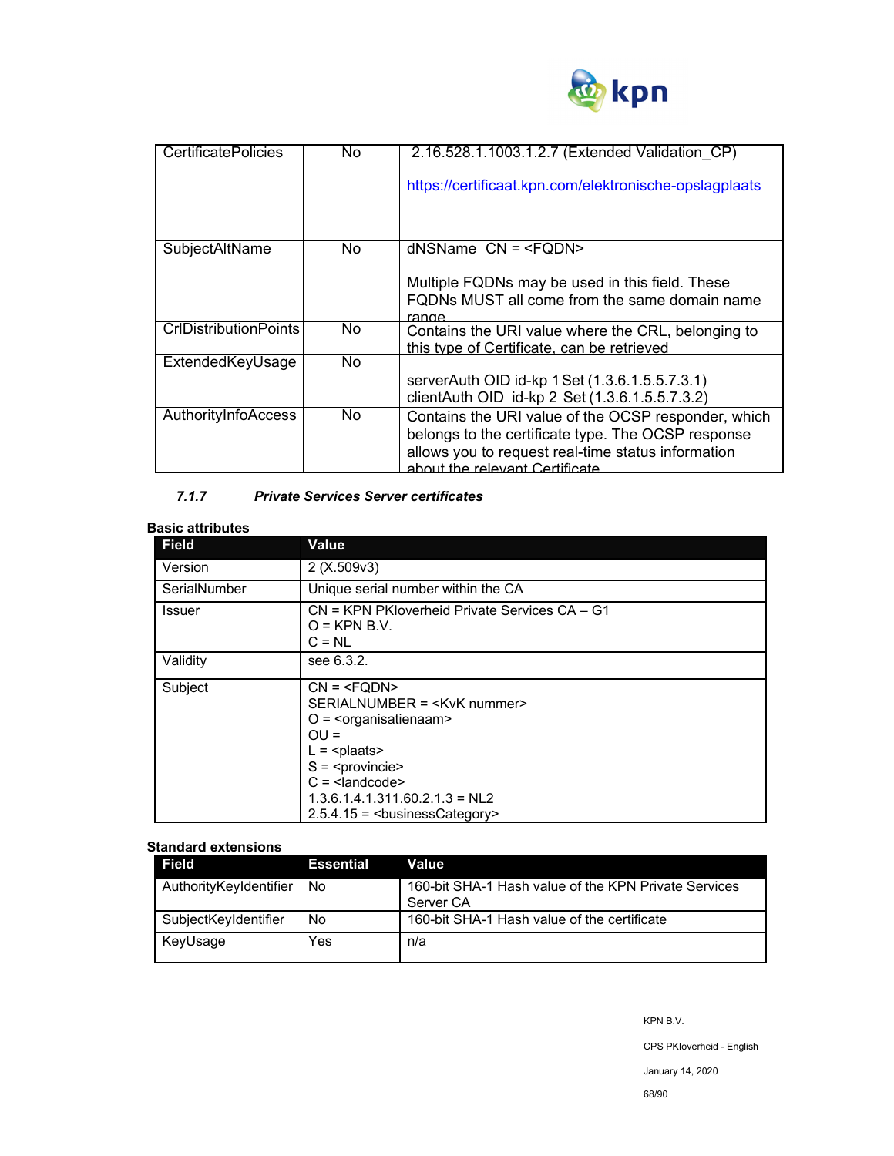

| <b>CertificatePolicies</b>   | No. | 2.16.528.1.1003.1.2.7 (Extended Validation CP)                                                                                                                                                    |
|------------------------------|-----|---------------------------------------------------------------------------------------------------------------------------------------------------------------------------------------------------|
|                              |     | https://certificaat.kpn.com/elektronische-opslagplaats                                                                                                                                            |
|                              |     |                                                                                                                                                                                                   |
| SubjectAltName               | No. | $d$ NSName $CN = $                                                                                                                                                                                |
|                              |     | Multiple FQDNs may be used in this field. These<br>FQDNs MUST all come from the same domain name<br>range                                                                                         |
| <b>CrIDistributionPoints</b> | No. | Contains the URI value where the CRL, belonging to<br>this type of Certificate, can be retrieved                                                                                                  |
| ExtendedKeyUsage             | No. |                                                                                                                                                                                                   |
|                              |     | serverAuth OID id-kp 1 Set (1.3.6.1.5.5.7.3.1)                                                                                                                                                    |
|                              |     | clientAuth OID id-kp 2 Set (1.3.6.1.5.5.7.3.2)                                                                                                                                                    |
| AuthorityInfoAccess          | No. | Contains the URI value of the OCSP responder, which<br>belongs to the certificate type. The OCSP response<br>allows you to request real-time status information<br>about the relevant Certificate |

## *7.1.7 Private Services Server certificates*

## **Basic attributes**

| JUJIU ULLI INULUJ<br><b>Field</b> | <b>Value</b>                                                                                                                |  |  |
|-----------------------------------|-----------------------------------------------------------------------------------------------------------------------------|--|--|
| Version                           | 2(X.509v3)                                                                                                                  |  |  |
| SerialNumber                      | Unique serial number within the CA                                                                                          |  |  |
| <b>Issuer</b>                     | CN = KPN PKloverheid Private Services CA – G1<br>$O = KPN B.V.$<br>$C = NL$                                                 |  |  |
| Validity                          | see 6.3.2.                                                                                                                  |  |  |
| Subject                           | $CN = SERIALNUMBER = O = \langleorganisatienaam>OU =L = S = C = 1.3.6.1.4.1.311.60.2.1.3 = NL22.5.4.15 = businessCategory>$ |  |  |

#### **Standard extensions**

| Field                  | <b>Essential</b> | Value                                                             |
|------------------------|------------------|-------------------------------------------------------------------|
| AuthorityKeyIdentifier | No               | 160-bit SHA-1 Hash value of the KPN Private Services<br>Server CA |
| SubjectKeyIdentifier   | No               | 160-bit SHA-1 Hash value of the certificate                       |
| KeyUsage               | Yes              | n/a                                                               |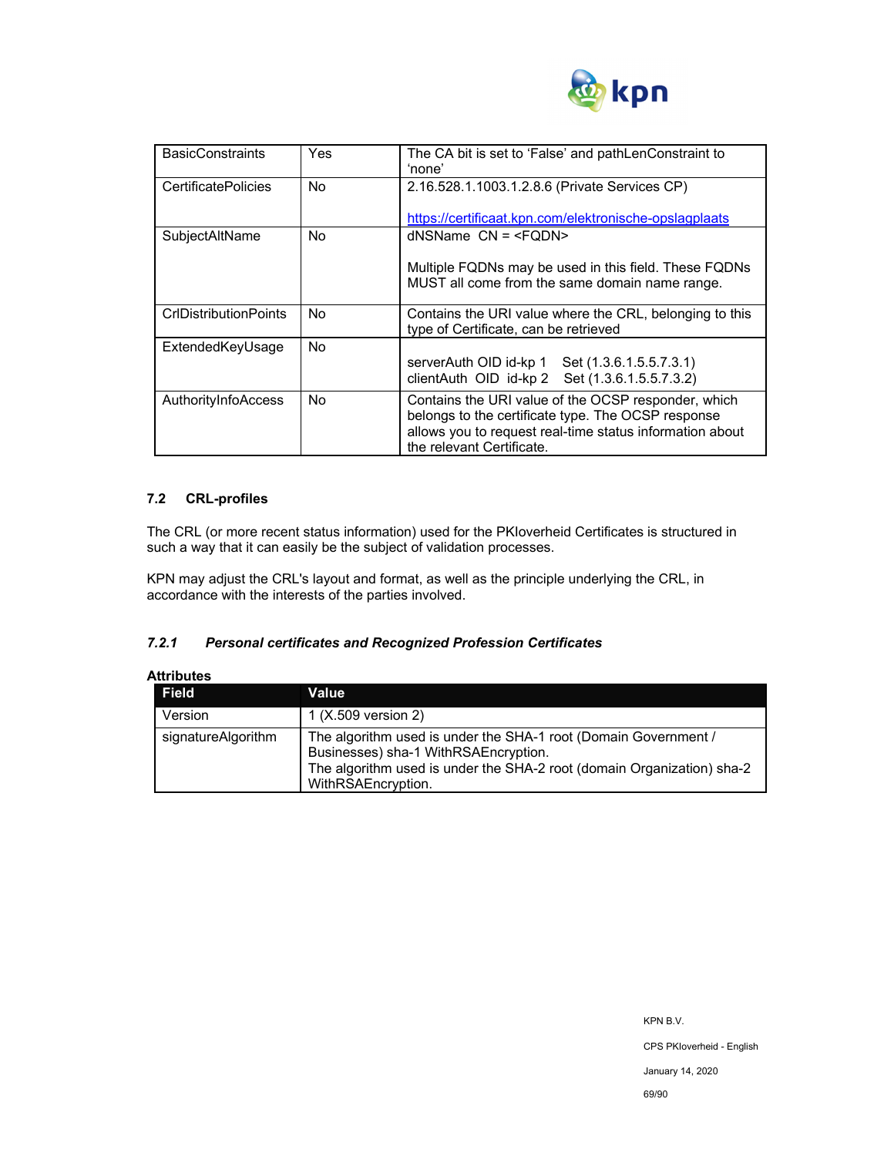

| <b>BasicConstraints</b>      | Yes | The CA bit is set to 'False' and pathLenConstraint to<br>'none'                                                                                                                                    |
|------------------------------|-----|----------------------------------------------------------------------------------------------------------------------------------------------------------------------------------------------------|
| <b>CertificatePolicies</b>   | No. | 2.16.528.1.1003.1.2.8.6 (Private Services CP)                                                                                                                                                      |
|                              |     | https://certificaat.kpn.com/elektronische-opslagplaats                                                                                                                                             |
| SubjectAltName               | No. | $d$ NSName $CN = $                                                                                                                                                                                 |
|                              |     | Multiple FQDNs may be used in this field. These FQDNs<br>MUST all come from the same domain name range.                                                                                            |
| <b>CrIDistributionPoints</b> | No  | Contains the URI value where the CRL, belonging to this<br>type of Certificate, can be retrieved                                                                                                   |
| ExtendedKeyUsage             | No. | serverAuth OID id-kp 1 Set (1.3.6.1.5.5.7.3.1)<br>clientAuth OID id-kp 2 Set (1.3.6.1.5.5.7.3.2)                                                                                                   |
| AuthorityInfoAccess          | No. | Contains the URI value of the OCSP responder, which<br>belongs to the certificate type. The OCSP response<br>allows you to request real-time status information about<br>the relevant Certificate. |

## **7.2 CRL-profiles**

The CRL (or more recent status information) used for the PKIoverheid Certificates is structured in such a way that it can easily be the subject of validation processes.

KPN may adjust the CRL's layout and format, as well as the principle underlying the CRL, in accordance with the interests of the parties involved.

## *7.2.1 Personal certificates and Recognized Profession Certificates*

| Attributes         |                                                                                                                                                                                                         |
|--------------------|---------------------------------------------------------------------------------------------------------------------------------------------------------------------------------------------------------|
| <b>Field</b>       | Value                                                                                                                                                                                                   |
| Version            | 1 (X.509 version 2)                                                                                                                                                                                     |
| signatureAlgorithm | The algorithm used is under the SHA-1 root (Domain Government /<br>Businesses) sha-1 WithRSAEncryption.<br>The algorithm used is under the SHA-2 root (domain Organization) sha-2<br>WithRSAEncryption. |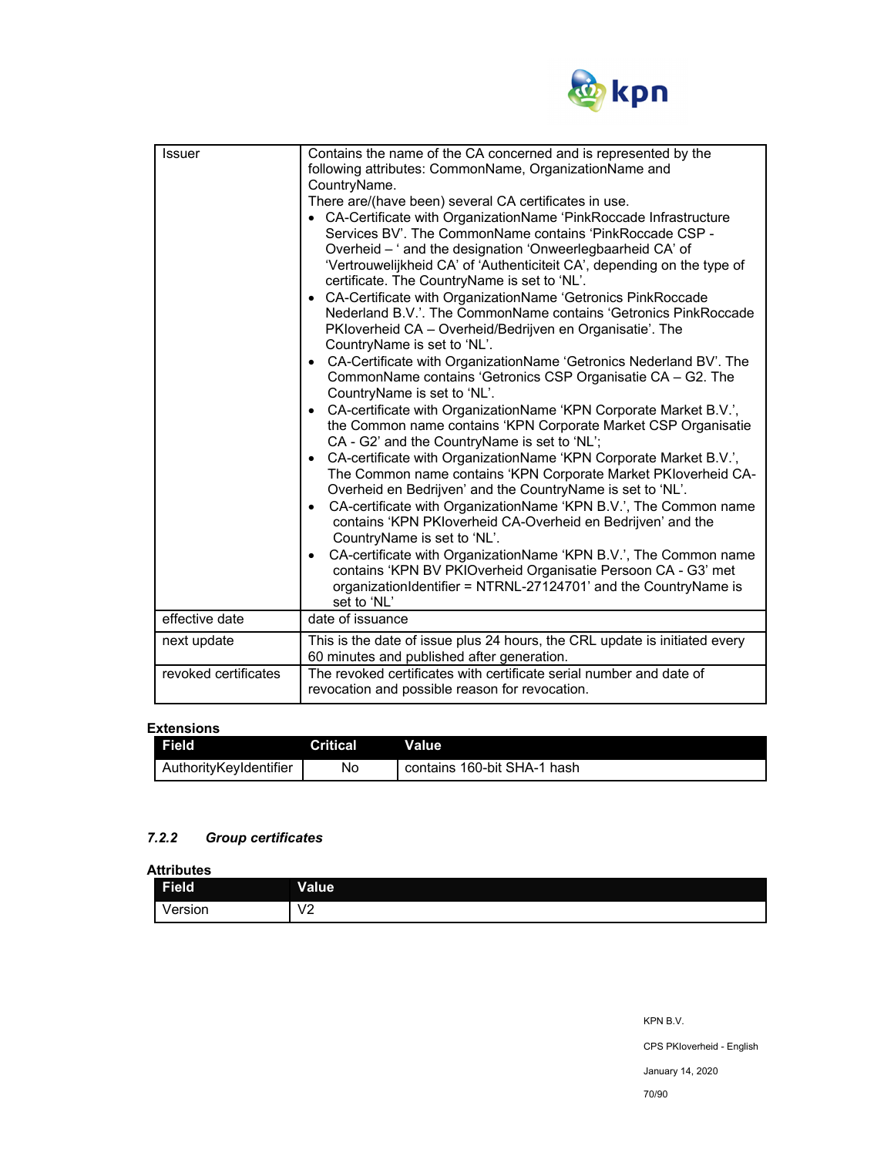

| Issuer               | Contains the name of the CA concerned and is represented by the<br>following attributes: CommonName, OrganizationName and<br>CountryName.<br>There are/(have been) several CA certificates in use.<br>• CA-Certificate with OrganizationName 'PinkRoccade Infrastructure<br>Services BV'. The CommonName contains 'PinkRoccade CSP -<br>Overheid - ' and the designation 'Onweerlegbaarheid CA' of<br>'Vertrouwelijkheid CA' of 'Authenticiteit CA', depending on the type of<br>certificate. The CountryName is set to 'NL'.<br>CA-Certificate with OrganizationName 'Getronics PinkRoccade<br>Nederland B.V.'. The CommonName contains 'Getronics PinkRoccade<br>PKIoverheid CA – Overheid/Bedrijven en Organisatie'. The<br>CountryName is set to 'NL'.<br>CA-Certificate with OrganizationName 'Getronics Nederland BV'. The<br>$\bullet$<br>CommonName contains 'Getronics CSP Organisatie CA - G2. The<br>CountryName is set to 'NL'.<br>CA-certificate with OrganizationName 'KPN Corporate Market B.V.',<br>$\bullet$<br>the Common name contains 'KPN Corporate Market CSP Organisatie<br>CA - G2' and the CountryName is set to 'NL';<br>CA-certificate with OrganizationName 'KPN Corporate Market B.V.',<br>$\bullet$<br>The Common name contains 'KPN Corporate Market PKloverheid CA-<br>Overheid en Bedrijven' and the CountryName is set to 'NL'.<br>CA-certificate with OrganizationName 'KPN B.V.', The Common name<br>$\bullet$<br>contains 'KPN PKIoverheid CA-Overheid en Bedrijven' and the<br>CountryName is set to 'NL'.<br>CA-certificate with OrganizationName 'KPN B.V.', The Common name<br>$\bullet$<br>contains 'KPN BV PKIOverheid Organisatie Persoon CA - G3' met<br>organizationIdentifier = NTRNL-27124701' and the CountryName is |
|----------------------|-----------------------------------------------------------------------------------------------------------------------------------------------------------------------------------------------------------------------------------------------------------------------------------------------------------------------------------------------------------------------------------------------------------------------------------------------------------------------------------------------------------------------------------------------------------------------------------------------------------------------------------------------------------------------------------------------------------------------------------------------------------------------------------------------------------------------------------------------------------------------------------------------------------------------------------------------------------------------------------------------------------------------------------------------------------------------------------------------------------------------------------------------------------------------------------------------------------------------------------------------------------------------------------------------------------------------------------------------------------------------------------------------------------------------------------------------------------------------------------------------------------------------------------------------------------------------------------------------------------------------------------------------------------------------------------------------------------------------------------------------------------------------|
|                      | set to 'NL'                                                                                                                                                                                                                                                                                                                                                                                                                                                                                                                                                                                                                                                                                                                                                                                                                                                                                                                                                                                                                                                                                                                                                                                                                                                                                                                                                                                                                                                                                                                                                                                                                                                                                                                                                           |
| effective date       | date of issuance                                                                                                                                                                                                                                                                                                                                                                                                                                                                                                                                                                                                                                                                                                                                                                                                                                                                                                                                                                                                                                                                                                                                                                                                                                                                                                                                                                                                                                                                                                                                                                                                                                                                                                                                                      |
| next update          | This is the date of issue plus 24 hours, the CRL update is initiated every<br>60 minutes and published after generation.                                                                                                                                                                                                                                                                                                                                                                                                                                                                                                                                                                                                                                                                                                                                                                                                                                                                                                                                                                                                                                                                                                                                                                                                                                                                                                                                                                                                                                                                                                                                                                                                                                              |
| revoked certificates | The revoked certificates with certificate serial number and date of<br>revocation and possible reason for revocation.                                                                                                                                                                                                                                                                                                                                                                                                                                                                                                                                                                                                                                                                                                                                                                                                                                                                                                                                                                                                                                                                                                                                                                                                                                                                                                                                                                                                                                                                                                                                                                                                                                                 |

#### **Extensions**

| Field                  | <b>Critical</b> | Value                       |
|------------------------|-----------------|-----------------------------|
| AuthorityKevIdentifier | No              | contains 160-bit SHA-1 hash |

## *7.2.2 Group certificates*

**Attributes** 

| .<br>Field | Value                  |
|------------|------------------------|
| Version    | $\sqrt{2}$<br>v<br>0 Z |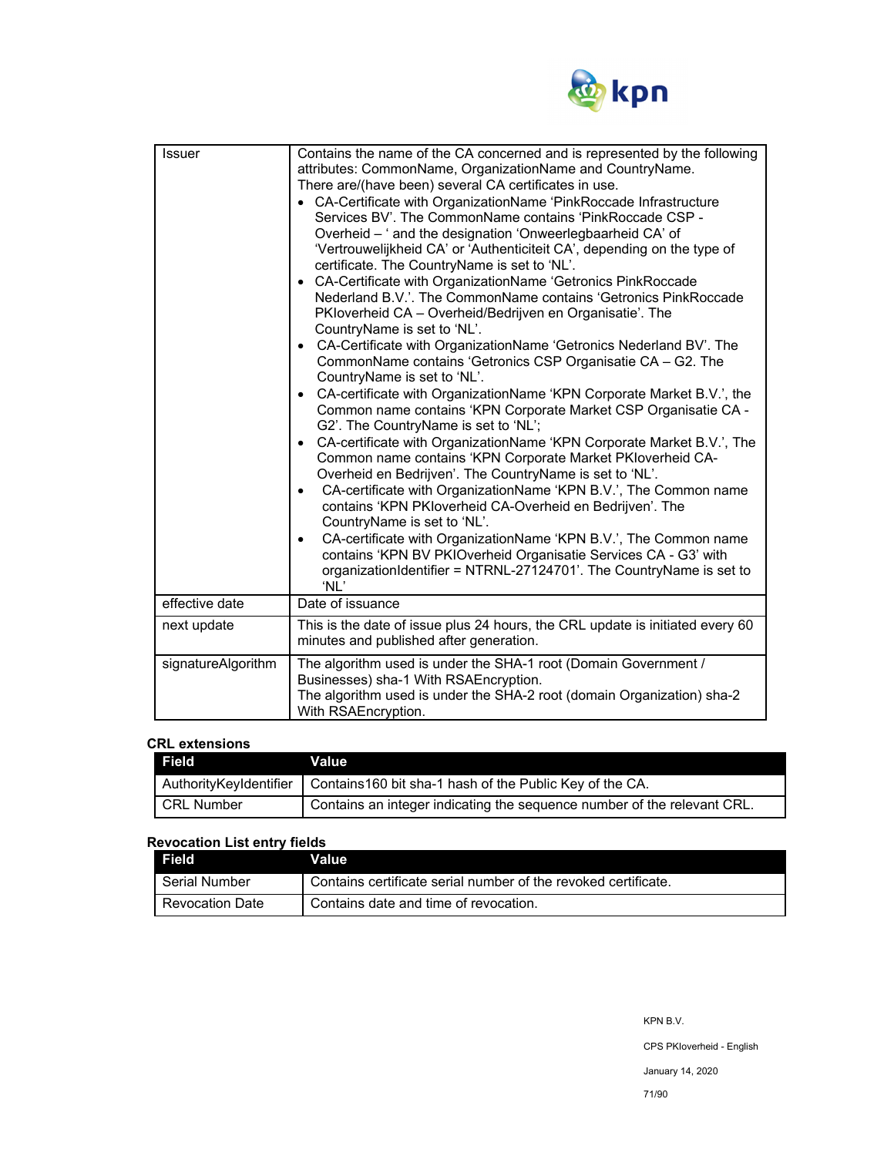

| <b>Issuer</b>      | Contains the name of the CA concerned and is represented by the following<br>attributes: CommonName, OrganizationName and CountryName.<br>There are/(have been) several CA certificates in use.<br>• CA-Certificate with OrganizationName 'PinkRoccade Infrastructure<br>Services BV'. The CommonName contains 'PinkRoccade CSP -<br>Overheid - ' and the designation 'Onweerlegbaarheid CA' of<br>'Vertrouwelijkheid CA' or 'Authenticiteit CA', depending on the type of<br>certificate. The CountryName is set to 'NL'.<br>• CA-Certificate with OrganizationName 'Getronics PinkRoccade<br>Nederland B.V.'. The CommonName contains 'Getronics PinkRoccade<br>PKloverheid CA - Overheid/Bedrijven en Organisatie'. The<br>CountryName is set to 'NL'.<br>• CA-Certificate with OrganizationName 'Getronics Nederland BV'. The<br>CommonName contains 'Getronics CSP Organisatie CA - G2. The<br>CountryName is set to 'NL'.<br>• CA-certificate with OrganizationName 'KPN Corporate Market B.V.', the<br>Common name contains 'KPN Corporate Market CSP Organisatie CA -<br>G2'. The CountryName is set to 'NL';<br>CA-certificate with OrganizationName 'KPN Corporate Market B.V.', The<br>$\bullet$<br>Common name contains 'KPN Corporate Market PKIoverheid CA-<br>Overheid en Bedrijven'. The CountryName is set to 'NL'.<br>CA-certificate with OrganizationName 'KPN B.V.', The Common name<br>$\bullet$<br>contains 'KPN PKIoverheid CA-Overheid en Bedrijven'. The<br>CountryName is set to 'NL'.<br>CA-certificate with OrganizationName 'KPN B.V.', The Common name<br>$\bullet$<br>contains 'KPN BV PKIOverheid Organisatie Services CA - G3' with<br>organizationIdentifier = NTRNL-27124701'. The CountryName is set to<br>'NL' |
|--------------------|-----------------------------------------------------------------------------------------------------------------------------------------------------------------------------------------------------------------------------------------------------------------------------------------------------------------------------------------------------------------------------------------------------------------------------------------------------------------------------------------------------------------------------------------------------------------------------------------------------------------------------------------------------------------------------------------------------------------------------------------------------------------------------------------------------------------------------------------------------------------------------------------------------------------------------------------------------------------------------------------------------------------------------------------------------------------------------------------------------------------------------------------------------------------------------------------------------------------------------------------------------------------------------------------------------------------------------------------------------------------------------------------------------------------------------------------------------------------------------------------------------------------------------------------------------------------------------------------------------------------------------------------------------------------------------------------------------------------------------------------------------|
| effective date     | Date of issuance                                                                                                                                                                                                                                                                                                                                                                                                                                                                                                                                                                                                                                                                                                                                                                                                                                                                                                                                                                                                                                                                                                                                                                                                                                                                                                                                                                                                                                                                                                                                                                                                                                                                                                                                    |
| next update        | This is the date of issue plus 24 hours, the CRL update is initiated every 60<br>minutes and published after generation.                                                                                                                                                                                                                                                                                                                                                                                                                                                                                                                                                                                                                                                                                                                                                                                                                                                                                                                                                                                                                                                                                                                                                                                                                                                                                                                                                                                                                                                                                                                                                                                                                            |
| signatureAlgorithm | The algorithm used is under the SHA-1 root (Domain Government /<br>Businesses) sha-1 With RSAEncryption.<br>The algorithm used is under the SHA-2 root (domain Organization) sha-2<br>With RSAEncryption.                                                                                                                                                                                                                                                                                                                                                                                                                                                                                                                                                                                                                                                                                                                                                                                                                                                                                                                                                                                                                                                                                                                                                                                                                                                                                                                                                                                                                                                                                                                                           |

#### **CRL extensions**

| Field        | <b>Value</b>                                                                     |
|--------------|----------------------------------------------------------------------------------|
|              | AuthorityKeyIdentifier   Contains160 bit sha-1 hash of the Public Key of the CA. |
| I CRL Number | Contains an integer indicating the sequence number of the relevant CRL.          |

## **Revocation List entry fields**

| Field           | Value                                                          |
|-----------------|----------------------------------------------------------------|
| Serial Number   | Contains certificate serial number of the revoked certificate. |
| Revocation Date | Contains date and time of revocation.                          |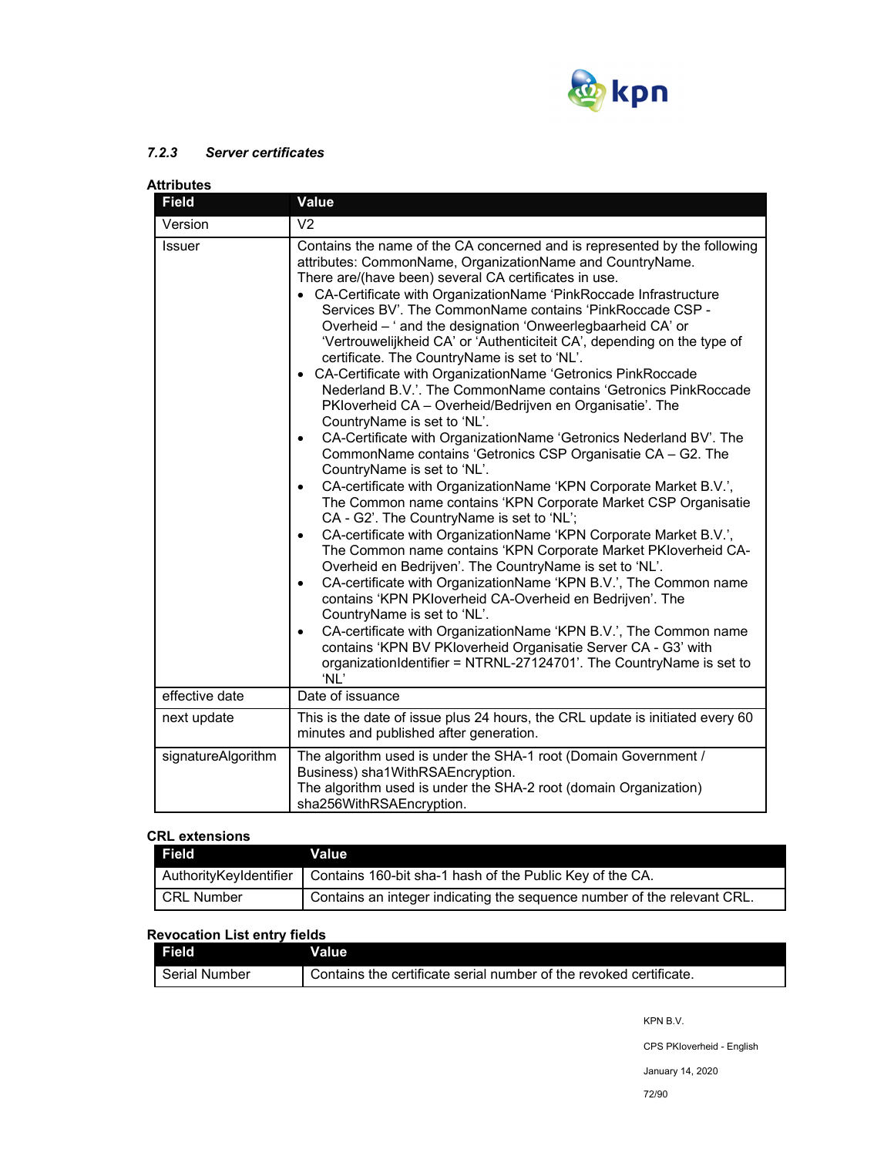

## *7.2.3 Server certificates*

| Attributes         |                                                                                                                                                                                                                                                                                                                                                                                                                                                                                                                                                                                                                                                                                                                                                                                                                                                                                                                                                                                                                                                                                                                                                                                                                                                                                                                                                                                                                                                                                                                                                                                                                                                                                                                                                                         |  |
|--------------------|-------------------------------------------------------------------------------------------------------------------------------------------------------------------------------------------------------------------------------------------------------------------------------------------------------------------------------------------------------------------------------------------------------------------------------------------------------------------------------------------------------------------------------------------------------------------------------------------------------------------------------------------------------------------------------------------------------------------------------------------------------------------------------------------------------------------------------------------------------------------------------------------------------------------------------------------------------------------------------------------------------------------------------------------------------------------------------------------------------------------------------------------------------------------------------------------------------------------------------------------------------------------------------------------------------------------------------------------------------------------------------------------------------------------------------------------------------------------------------------------------------------------------------------------------------------------------------------------------------------------------------------------------------------------------------------------------------------------------------------------------------------------------|--|
| <b>Field</b>       | Value                                                                                                                                                                                                                                                                                                                                                                                                                                                                                                                                                                                                                                                                                                                                                                                                                                                                                                                                                                                                                                                                                                                                                                                                                                                                                                                                                                                                                                                                                                                                                                                                                                                                                                                                                                   |  |
| Version            | V <sub>2</sub>                                                                                                                                                                                                                                                                                                                                                                                                                                                                                                                                                                                                                                                                                                                                                                                                                                                                                                                                                                                                                                                                                                                                                                                                                                                                                                                                                                                                                                                                                                                                                                                                                                                                                                                                                          |  |
| <b>Issuer</b>      | Contains the name of the CA concerned and is represented by the following<br>attributes: CommonName, OrganizationName and CountryName.<br>There are/(have been) several CA certificates in use.<br>• CA-Certificate with OrganizationName 'PinkRoccade Infrastructure<br>Services BV'. The CommonName contains 'PinkRoccade CSP -<br>Overheid - ' and the designation 'Onweerlegbaarheid CA' or<br>'Vertrouwelijkheid CA' or 'Authenticiteit CA', depending on the type of<br>certificate. The CountryName is set to 'NL'.<br>• CA-Certificate with OrganizationName 'Getronics PinkRoccade<br>Nederland B.V.'. The CommonName contains 'Getronics PinkRoccade<br>PKloverheid CA - Overheid/Bedrijven en Organisatie'. The<br>CountryName is set to 'NL'.<br>CA-Certificate with OrganizationName 'Getronics Nederland BV'. The<br>$\bullet$<br>CommonName contains 'Getronics CSP Organisatie CA - G2. The<br>CountryName is set to 'NL'.<br>CA-certificate with OrganizationName 'KPN Corporate Market B.V.',<br>$\bullet$<br>The Common name contains 'KPN Corporate Market CSP Organisatie<br>CA - G2'. The CountryName is set to 'NL';<br>CA-certificate with OrganizationName 'KPN Corporate Market B.V.',<br>$\bullet$<br>The Common name contains 'KPN Corporate Market PKIoverheid CA-<br>Overheid en Bedrijven'. The CountryName is set to 'NL'.<br>CA-certificate with OrganizationName 'KPN B.V.', The Common name<br>$\bullet$<br>contains 'KPN PKloverheid CA-Overheid en Bedrijven'. The<br>CountryName is set to 'NL'.<br>CA-certificate with OrganizationName 'KPN B.V.', The Common name<br>$\bullet$<br>contains 'KPN BV PKloverheid Organisatie Server CA - G3' with<br>organizationIdentifier = NTRNL-27124701'. The CountryName is set to<br>'NL' |  |
| effective date     | Date of issuance                                                                                                                                                                                                                                                                                                                                                                                                                                                                                                                                                                                                                                                                                                                                                                                                                                                                                                                                                                                                                                                                                                                                                                                                                                                                                                                                                                                                                                                                                                                                                                                                                                                                                                                                                        |  |
| next update        | This is the date of issue plus 24 hours, the CRL update is initiated every 60<br>minutes and published after generation.                                                                                                                                                                                                                                                                                                                                                                                                                                                                                                                                                                                                                                                                                                                                                                                                                                                                                                                                                                                                                                                                                                                                                                                                                                                                                                                                                                                                                                                                                                                                                                                                                                                |  |
| signatureAlgorithm | The algorithm used is under the SHA-1 root (Domain Government /<br>Business) sha1WithRSAEncryption.<br>The algorithm used is under the SHA-2 root (domain Organization)<br>sha256WithRSAEncryption.                                                                                                                                                                                                                                                                                                                                                                                                                                                                                                                                                                                                                                                                                                                                                                                                                                                                                                                                                                                                                                                                                                                                                                                                                                                                                                                                                                                                                                                                                                                                                                     |  |

#### **CRL extensions**

| Field                  | Value                                                                   |
|------------------------|-------------------------------------------------------------------------|
| AuthorityKeyIdentifier | Contains 160-bit sha-1 hash of the Public Key of the CA.                |
| CRL Number             | Contains an integer indicating the sequence number of the relevant CRL. |

## **Revocation List entry fields**

| Field                | Value                                                              |
|----------------------|--------------------------------------------------------------------|
| <b>Serial Number</b> | Contains the certificate serial number of the revoked certificate. |

KPN B.V.

CPS PKIoverheid - English

January 14, 2020

72/90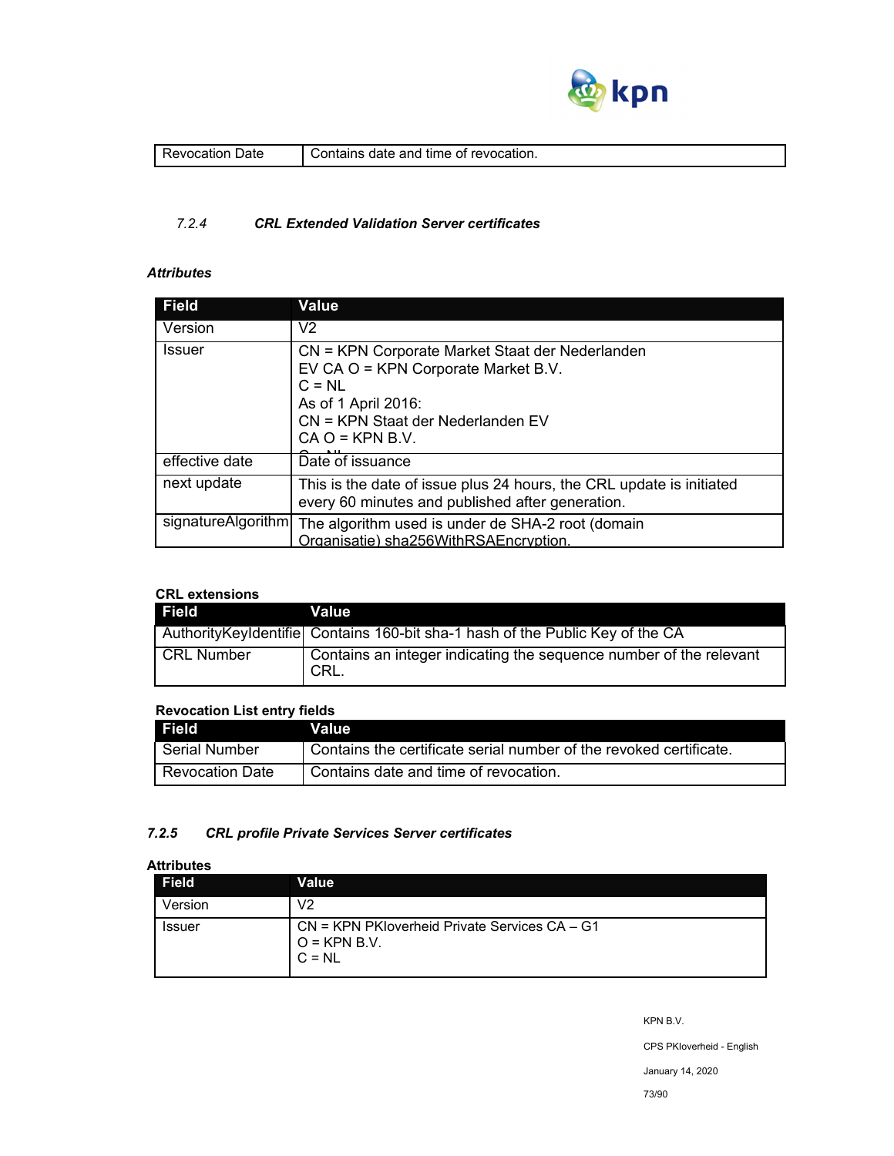

| )ate<br>'evocation | of revocation.<br>. date and<br>∴ontains<br>time |
|--------------------|--------------------------------------------------|
|                    |                                                  |

### *7.2.4 CRL Extended Validation Server certificates*

## *Attributes*

| <b>Field</b>       | <b>Value</b>                                                                                                                                                                        |
|--------------------|-------------------------------------------------------------------------------------------------------------------------------------------------------------------------------------|
| Version            | V <sub>2</sub>                                                                                                                                                                      |
| <b>Issuer</b>      | CN = KPN Corporate Market Staat der Nederlanden<br>EV CA O = KPN Corporate Market B.V.<br>$C = NL$<br>As of 1 April 2016:<br>CN = KPN Staat der Nederlanden EV<br>$CA O = KPN B.V.$ |
| effective date     | Date of issuance                                                                                                                                                                    |
| next update        | This is the date of issue plus 24 hours, the CRL update is initiated<br>every 60 minutes and published after generation.                                                            |
| signatureAlgorithm | The algorithm used is under de SHA-2 root (domain<br>Organisatie) sha256WithRSAEncryption.                                                                                          |

## **CRL extensions**

| Field             | Value                                                                          |
|-------------------|--------------------------------------------------------------------------------|
|                   | Authority Keyldentifie Contains 160-bit sha-1 hash of the Public Key of the CA |
| <b>CRL Number</b> | Contains an integer indicating the sequence number of the relevant<br>I CRL.   |

### **Revocation List entry fields**

| Field <sup>1</sup>     | Value                                                              |
|------------------------|--------------------------------------------------------------------|
| l Serial Number        | Contains the certificate serial number of the revoked certificate. |
| <b>Revocation Date</b> | Contains date and time of revocation.                              |

### *7.2.5 CRL profile Private Services Server certificates*

### **Attributes**

| <b>Field</b>  | Value                                                                           |
|---------------|---------------------------------------------------------------------------------|
| Version       | V2                                                                              |
| <b>Issuer</b> | $CN = KPN$ PKIoverheid Private Services $CA - G1$<br>$O =$ KPN B.V.<br>$C = NL$ |

KPN B.V.

CPS PKIoverheid - English

January 14, 2020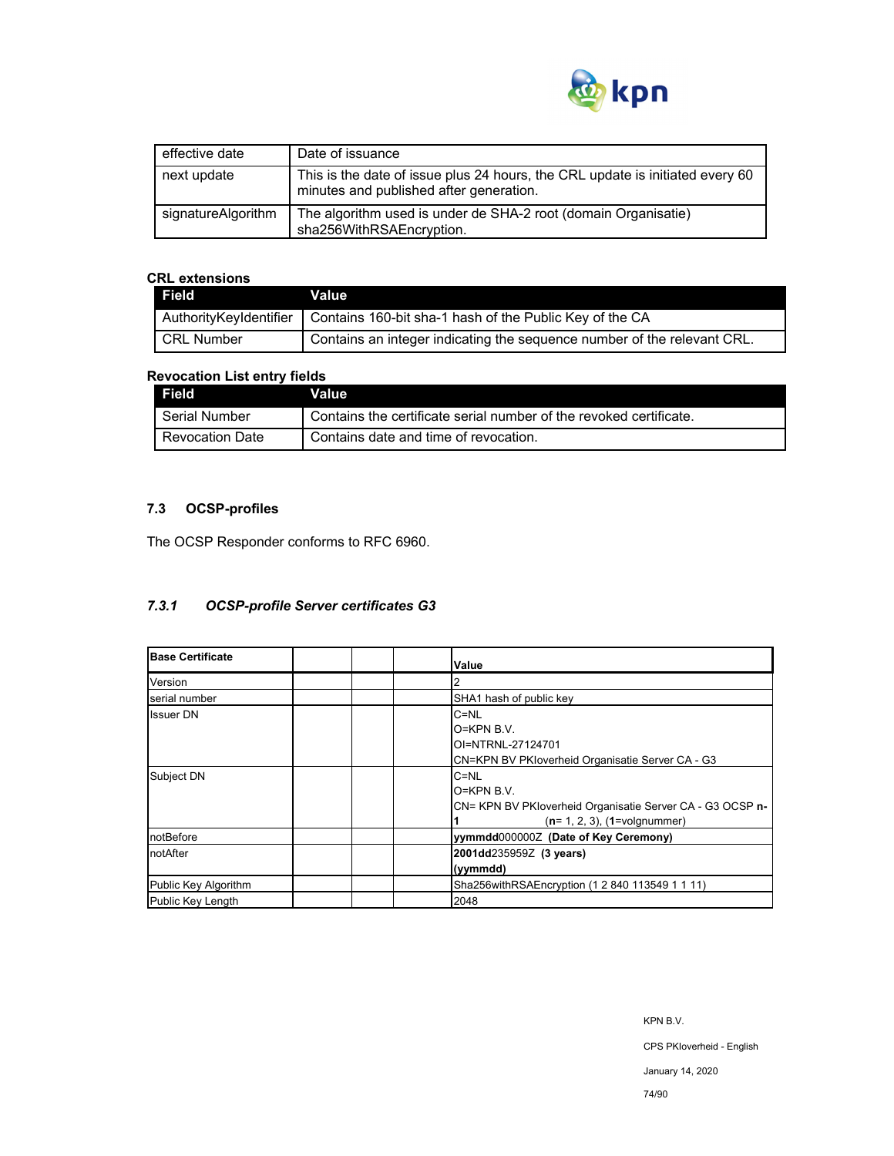

| effective date     | Date of issuance                                                                                                         |
|--------------------|--------------------------------------------------------------------------------------------------------------------------|
| next update        | This is the date of issue plus 24 hours, the CRL update is initiated every 60<br>minutes and published after generation. |
| signatureAlgorithm | The algorithm used is under de SHA-2 root (domain Organisatie)<br>sha256WithRSAEncryption.                               |

### **CRL extensions**

| <b>Field</b>           | Value                                                                   |
|------------------------|-------------------------------------------------------------------------|
| AuthorityKeyIdentifier | Contains 160-bit sha-1 hash of the Public Key of the CA                 |
| l CRL Number           | Contains an integer indicating the sequence number of the relevant CRL. |

### **Revocation List entry fields**

| Field                  | Value                                                              |
|------------------------|--------------------------------------------------------------------|
| Serial Number          | Contains the certificate serial number of the revoked certificate. |
| <b>Revocation Date</b> | Contains date and time of revocation.                              |

# **7.3 OCSP-profiles**

The OCSP Responder conforms to RFC 6960.

## *7.3.1 OCSP-profile Server certificates G3*

| <b>Base Certificate</b> | Value                                                                                                                      |
|-------------------------|----------------------------------------------------------------------------------------------------------------------------|
| Version                 |                                                                                                                            |
| serial number           | SHA1 hash of public key                                                                                                    |
| <b>Issuer DN</b>        | $C = NL$<br>$O=KPN B.V.$<br>OI=NTRNL-27124701<br>CN=KPN BV PKIoverheid Organisatie Server CA - G3                          |
| Subject DN              | $C = NL$<br>$O=KPN B.V.$<br>CN= KPN BV PKloverheid Organisatie Server CA - G3 OCSP n-<br>$(n=1, 2, 3)$ , $(1=$ volgnummer) |
| notBefore               | yymmdd0000002 (Date of Key Ceremony)                                                                                       |
| notAfter                | 2001dd235959Z (3 years)<br>(yymmdd)                                                                                        |
| Public Key Algorithm    | Sha256withRSAEncryption (1 2 840 113549 1 1 11)                                                                            |
| Public Key Length       | 2048                                                                                                                       |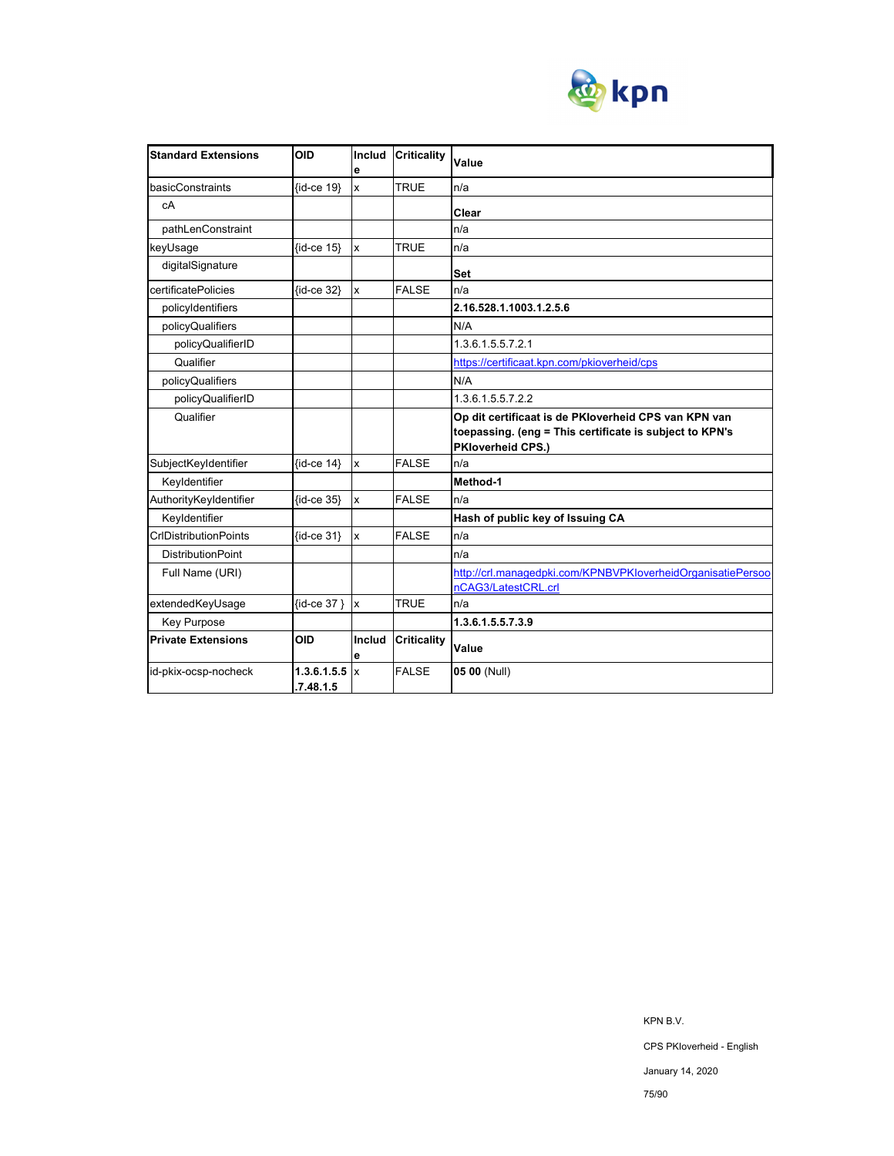

| <b>Standard Extensions</b>   | <b>OID</b>               | Includ<br>e             | <b>Criticality</b> | Value                                                                                                                                |
|------------------------------|--------------------------|-------------------------|--------------------|--------------------------------------------------------------------------------------------------------------------------------------|
| basicConstraints             | {id-ce 19}               | $\overline{\mathsf{x}}$ | <b>TRUE</b>        | n/a                                                                                                                                  |
| cA                           |                          |                         |                    | Clear                                                                                                                                |
| pathLenConstraint            |                          |                         |                    | n/a                                                                                                                                  |
| keyUsage                     | $\{id-ce 15\}$           | $\mathbf{x}$            | <b>TRUE</b>        | n/a                                                                                                                                  |
| digitalSignature             |                          |                         |                    | Set                                                                                                                                  |
| certificatePolicies          | {id-ce 32}               | $\mathbf{x}$            | <b>FALSE</b>       | n/a                                                                                                                                  |
| policyIdentifiers            |                          |                         |                    | 2.16.528.1.1003.1.2.5.6                                                                                                              |
| policyQualifiers             |                          |                         |                    | N/A                                                                                                                                  |
| policyQualifierID            |                          |                         |                    | 1.3.6.1.5.5.7.2.1                                                                                                                    |
| Qualifier                    |                          |                         |                    | https://certificaat.kpn.com/pkioverheid/cps                                                                                          |
| policyQualifiers             |                          |                         |                    | N/A                                                                                                                                  |
| policyQualifierID            |                          |                         |                    | 1.3.6.1.5.5.7.2.2                                                                                                                    |
| Qualifier                    |                          |                         |                    | Op dit certificaat is de PKIoverheid CPS van KPN van<br>toepassing. (eng = This certificate is subject to KPN's<br>PKloverheid CPS.) |
| SubjectKeyIdentifier         | $\{id-ce 14\}$           | Ιx                      | <b>FALSE</b>       | n/a                                                                                                                                  |
| Keyldentifier                |                          |                         |                    | Method-1                                                                                                                             |
| AuthorityKeyIdentifier       | $\{id-ce 35\}$           | $\mathbf{x}$            | <b>FALSE</b>       | n/a                                                                                                                                  |
| Keyldentifier                |                          |                         |                    | Hash of public key of Issuing CA                                                                                                     |
| <b>CrIDistributionPoints</b> | $\{id$ -ce 31}           | $\mathbf{x}$            | <b>FALSE</b>       | n/a                                                                                                                                  |
| <b>DistributionPoint</b>     |                          |                         |                    | n/a                                                                                                                                  |
| Full Name (URI)              |                          |                         |                    | http://crl.managedpki.com/KPNBVPKloverheidOrganisatiePersoo                                                                          |
|                              |                          |                         |                    | nCAG3/LatestCRL.crl                                                                                                                  |
| extendedKeyUsage             | {id-ce 37 } x            |                         | <b>TRUE</b>        | n/a                                                                                                                                  |
| Key Purpose                  |                          |                         |                    | 1.3.6.1.5.5.7.3.9                                                                                                                    |
| <b>Private Extensions</b>    | <b>OID</b>               | Includ<br>е             | <b>Criticality</b> | Value                                                                                                                                |
| id-pkix-ocsp-nocheck         | 1.3.6.1.5.5<br>.7.48.1.5 | $\mathsf{I}$            | <b>FALSE</b>       | 05 00 (Null)                                                                                                                         |

KPN B.V. CPS PKIoverheid - English January 14, 2020

#### 75/90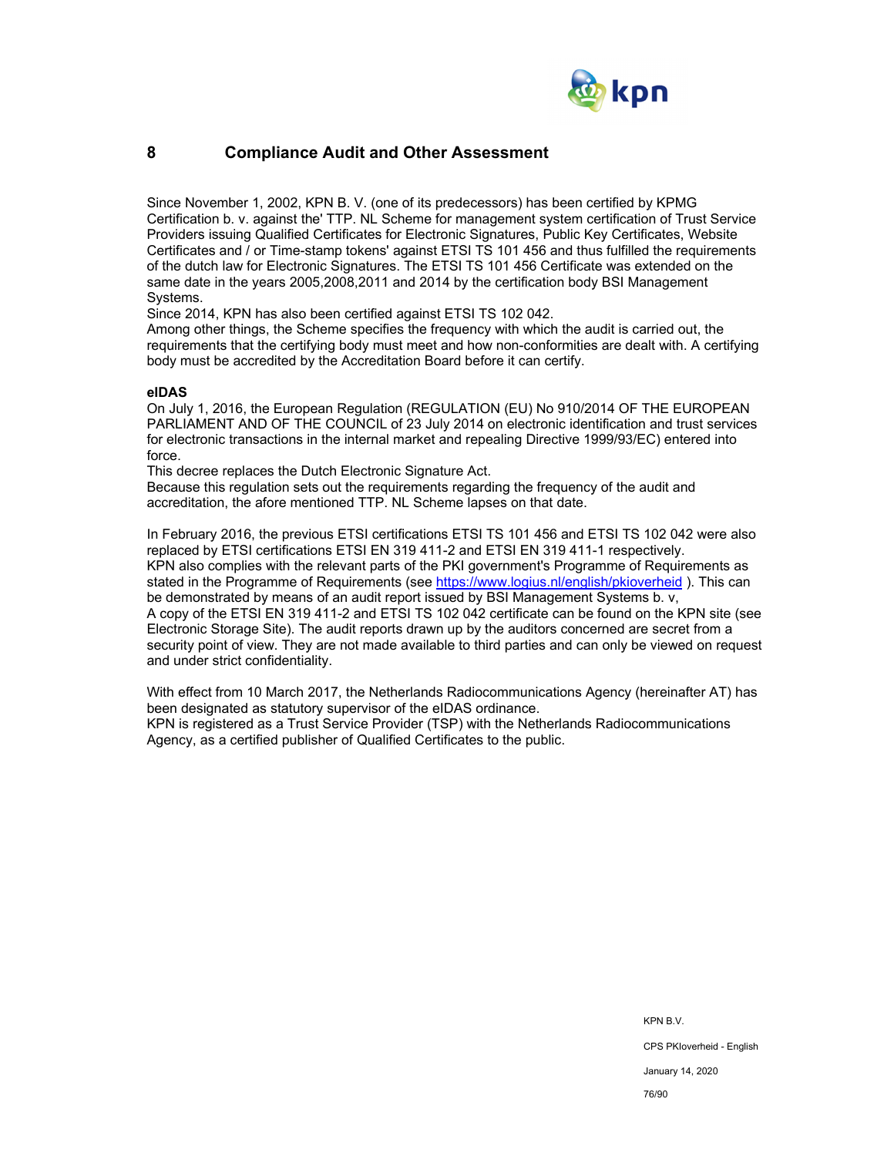

## **8 Compliance Audit and Other Assessment**

Since November 1, 2002, KPN B. V. (one of its predecessors) has been certified by KPMG Certification b. v. against the' TTP. NL Scheme for management system certification of Trust Service Providers issuing Qualified Certificates for Electronic Signatures, Public Key Certificates, Website Certificates and / or Time-stamp tokens' against ETSI TS 101 456 and thus fulfilled the requirements of the dutch law for Electronic Signatures. The ETSI TS 101 456 Certificate was extended on the same date in the years 2005,2008,2011 and 2014 by the certification body BSI Management Systems.

Since 2014, KPN has also been certified against ETSI TS 102 042.

Among other things, the Scheme specifies the frequency with which the audit is carried out, the requirements that the certifying body must meet and how non-conformities are dealt with. A certifying body must be accredited by the Accreditation Board before it can certify.

#### **eIDAS**

On July 1, 2016, the European Regulation (REGULATION (EU) No 910/2014 OF THE EUROPEAN PARLIAMENT AND OF THE COUNCIL of 23 July 2014 on electronic identification and trust services for electronic transactions in the internal market and repealing Directive 1999/93/EC) entered into force.

This decree replaces the Dutch Electronic Signature Act.

Because this regulation sets out the requirements regarding the frequency of the audit and accreditation, the afore mentioned TTP. NL Scheme lapses on that date.

In February 2016, the previous ETSI certifications ETSI TS 101 456 and ETSI TS 102 042 were also replaced by ETSI certifications ETSI EN 319 411-2 and ETSI EN 319 411-1 respectively. KPN also complies with the relevant parts of the PKI government's Programme of Requirements as stated in the Programme of Requirements (see https://www.logius.nl/english/pkioverheid ). This can be demonstrated by means of an audit report issued by BSI Management Systems b. v, A copy of the ETSI EN 319 411-2 and ETSI TS 102 042 certificate can be found on the KPN site (see Electronic Storage Site). The audit reports drawn up by the auditors concerned are secret from a security point of view. They are not made available to third parties and can only be viewed on request and under strict confidentiality.

With effect from 10 March 2017, the Netherlands Radiocommunications Agency (hereinafter AT) has been designated as statutory supervisor of the eIDAS ordinance. KPN is registered as a Trust Service Provider (TSP) with the Netherlands Radiocommunications Agency, as a certified publisher of Qualified Certificates to the public.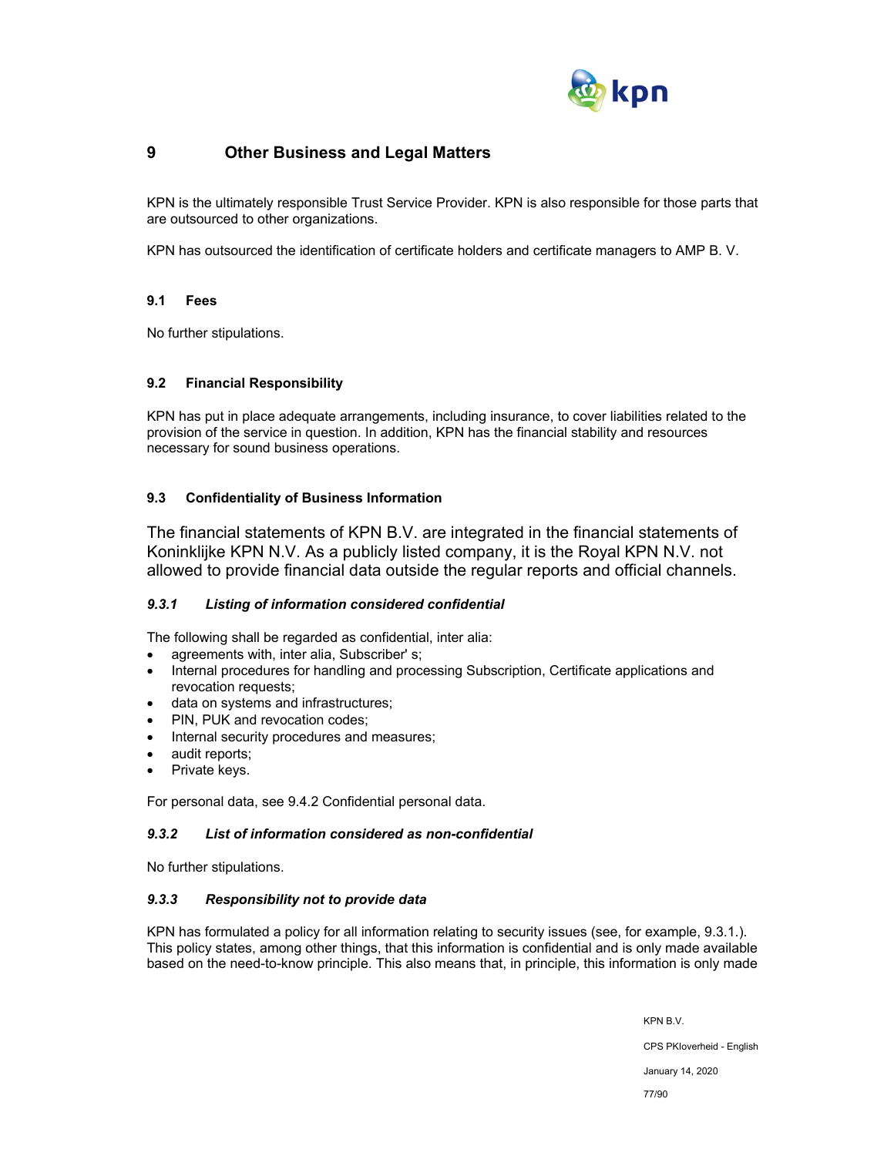

## **9 Other Business and Legal Matters**

KPN is the ultimately responsible Trust Service Provider. KPN is also responsible for those parts that are outsourced to other organizations.

KPN has outsourced the identification of certificate holders and certificate managers to AMP B. V.

### **9.1 Fees**

No further stipulations.

### **9.2 Financial Responsibility**

KPN has put in place adequate arrangements, including insurance, to cover liabilities related to the provision of the service in question. In addition, KPN has the financial stability and resources necessary for sound business operations.

### **9.3 Confidentiality of Business Information**

The financial statements of KPN B.V. are integrated in the financial statements of Koninklijke KPN N.V. As a publicly listed company, it is the Royal KPN N.V. not allowed to provide financial data outside the regular reports and official channels.

### *9.3.1 Listing of information considered confidential*

The following shall be regarded as confidential, inter alia:

- agreements with, inter alia, Subscriber' s;
- Internal procedures for handling and processing Subscription, Certificate applications and revocation requests;
- data on systems and infrastructures;
- PIN, PUK and revocation codes;
- Internal security procedures and measures;
- audit reports;
- Private keys.

For personal data, see 9.4.2 Confidential personal data.

### *9.3.2 List of information considered as non-confidential*

No further stipulations.

### *9.3.3 Responsibility not to provide data*

KPN has formulated a policy for all information relating to security issues (see, for example, 9.3.1.). This policy states, among other things, that this information is confidential and is only made available based on the need-to-know principle. This also means that, in principle, this information is only made

KPN B.V.

CPS PKIoverheid - English

January 14, 2020

77/90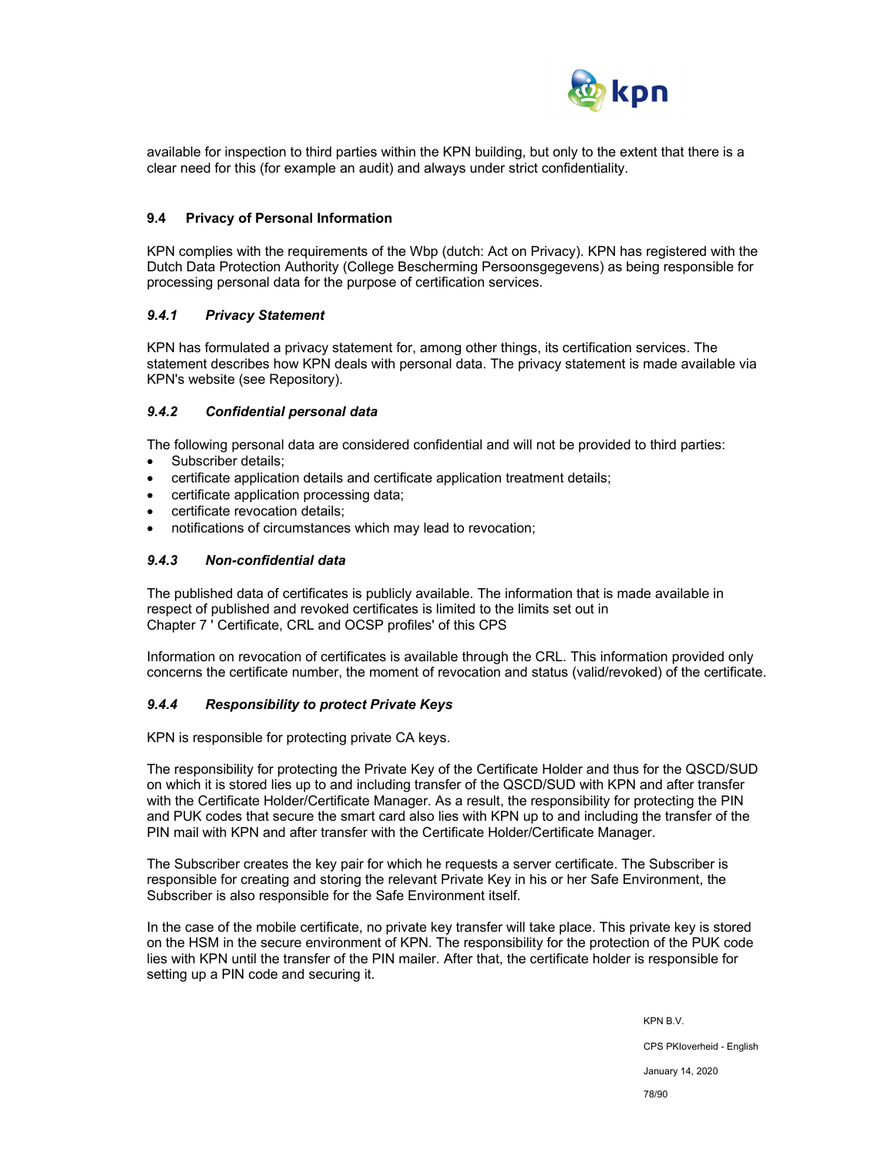

available for inspection to third parties within the KPN building, but only to the extent that there is a clear need for this (for example an audit) and always under strict confidentiality.

#### **9.4 Privacy of Personal Information**

KPN complies with the requirements of the Wbp (dutch: Act on Privacy). KPN has registered with the Dutch Data Protection Authority (College Bescherming Persoonsgegevens) as being responsible for processing personal data for the purpose of certification services.

#### *9.4.1 Privacy Statement*

KPN has formulated a privacy statement for, among other things, its certification services. The statement describes how KPN deals with personal data. The privacy statement is made available via KPN's website (see Repository).

### *9.4.2 Confidential personal data*

The following personal data are considered confidential and will not be provided to third parties:

- Subscriber details;
- certificate application details and certificate application treatment details;
- certificate application processing data;
- certificate revocation details;
- notifications of circumstances which may lead to revocation;

### *9.4.3 Non-confidential data*

The published data of certificates is publicly available. The information that is made available in respect of published and revoked certificates is limited to the limits set out in Chapter 7 ' Certificate, CRL and OCSP profiles' of this CPS

Information on revocation of certificates is available through the CRL. This information provided only concerns the certificate number, the moment of revocation and status (valid/revoked) of the certificate.

#### *9.4.4 Responsibility to protect Private Keys*

KPN is responsible for protecting private CA keys.

The responsibility for protecting the Private Key of the Certificate Holder and thus for the QSCD/SUD on which it is stored lies up to and including transfer of the QSCD/SUD with KPN and after transfer with the Certificate Holder/Certificate Manager. As a result, the responsibility for protecting the PIN and PUK codes that secure the smart card also lies with KPN up to and including the transfer of the PIN mail with KPN and after transfer with the Certificate Holder/Certificate Manager.

The Subscriber creates the key pair for which he requests a server certificate. The Subscriber is responsible for creating and storing the relevant Private Key in his or her Safe Environment, the Subscriber is also responsible for the Safe Environment itself.

In the case of the mobile certificate, no private key transfer will take place. This private key is stored on the HSM in the secure environment of KPN. The responsibility for the protection of the PUK code lies with KPN until the transfer of the PIN mailer. After that, the certificate holder is responsible for setting up a PIN code and securing it.

> KPN B.V. CPS PKIoverheid - English January 14, 2020 78/90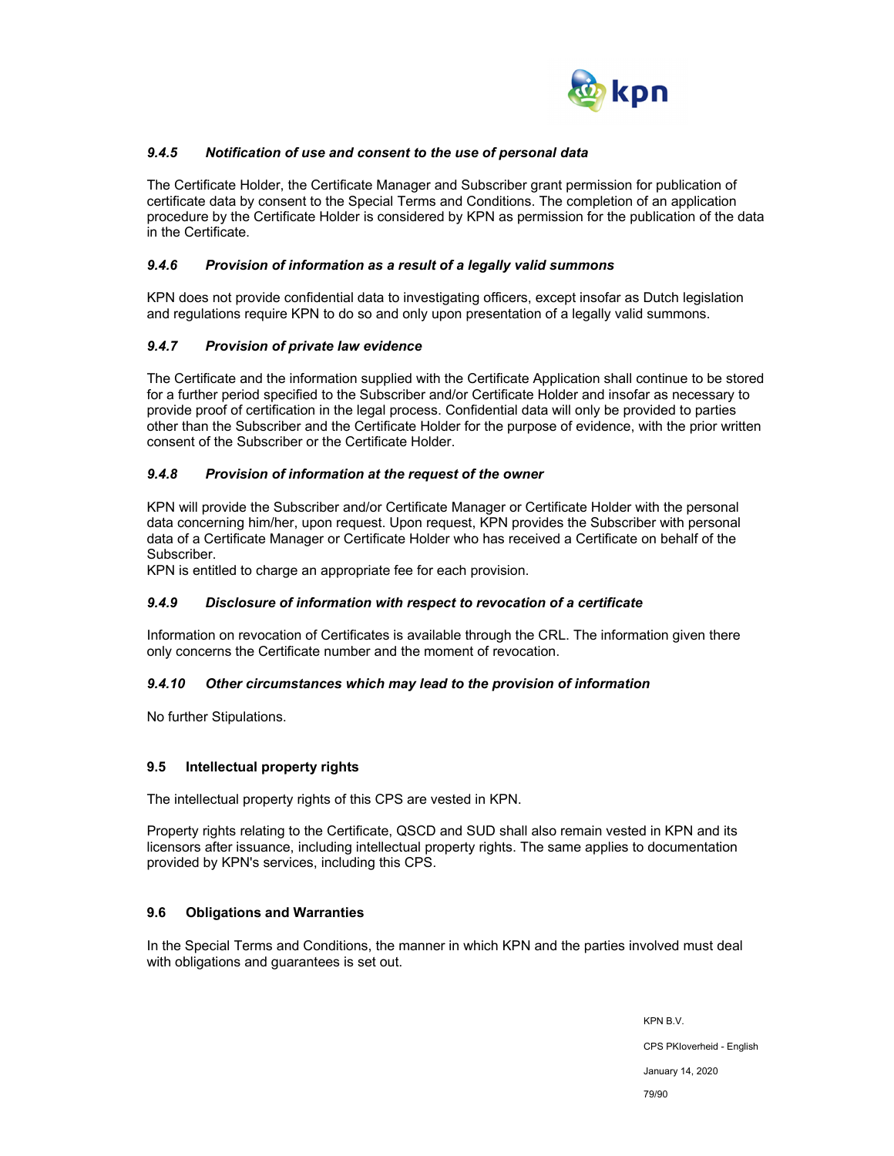

### *9.4.5 Notification of use and consent to the use of personal data*

The Certificate Holder, the Certificate Manager and Subscriber grant permission for publication of certificate data by consent to the Special Terms and Conditions. The completion of an application procedure by the Certificate Holder is considered by KPN as permission for the publication of the data in the Certificate.

### *9.4.6 Provision of information as a result of a legally valid summons*

KPN does not provide confidential data to investigating officers, except insofar as Dutch legislation and regulations require KPN to do so and only upon presentation of a legally valid summons.

### *9.4.7 Provision of private law evidence*

The Certificate and the information supplied with the Certificate Application shall continue to be stored for a further period specified to the Subscriber and/or Certificate Holder and insofar as necessary to provide proof of certification in the legal process. Confidential data will only be provided to parties other than the Subscriber and the Certificate Holder for the purpose of evidence, with the prior written consent of the Subscriber or the Certificate Holder.

### *9.4.8 Provision of information at the request of the owner*

KPN will provide the Subscriber and/or Certificate Manager or Certificate Holder with the personal data concerning him/her, upon request. Upon request, KPN provides the Subscriber with personal data of a Certificate Manager or Certificate Holder who has received a Certificate on behalf of the Subscriber.

KPN is entitled to charge an appropriate fee for each provision.

### *9.4.9 Disclosure of information with respect to revocation of a certificate*

Information on revocation of Certificates is available through the CRL. The information given there only concerns the Certificate number and the moment of revocation.

#### *9.4.10 Other circumstances which may lead to the provision of information*

No further Stipulations.

### **9.5 Intellectual property rights**

The intellectual property rights of this CPS are vested in KPN.

Property rights relating to the Certificate, QSCD and SUD shall also remain vested in KPN and its licensors after issuance, including intellectual property rights. The same applies to documentation provided by KPN's services, including this CPS.

### **9.6 Obligations and Warranties**

In the Special Terms and Conditions, the manner in which KPN and the parties involved must deal with obligations and guarantees is set out.

> KPN B.V. CPS PKIoverheid - English January 14, 2020 79/90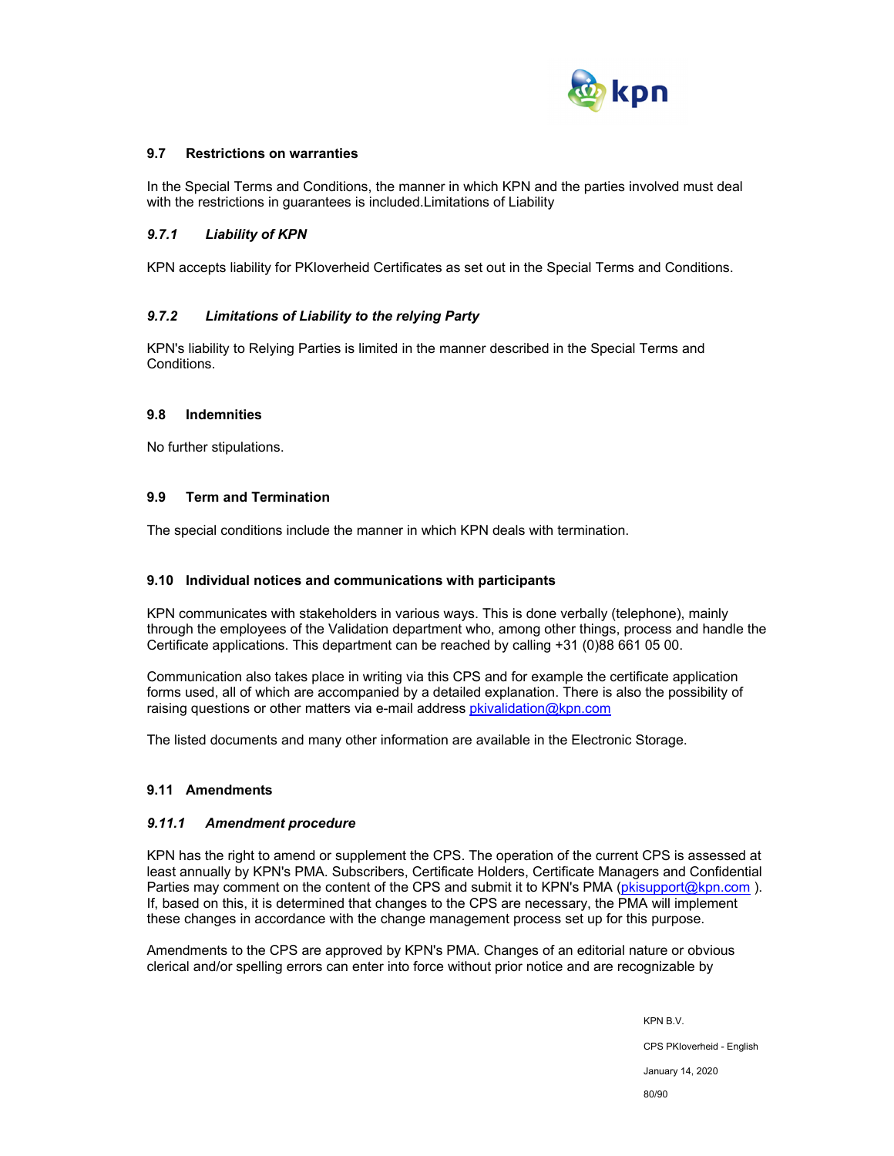

### **9.7 Restrictions on warranties**

In the Special Terms and Conditions, the manner in which KPN and the parties involved must deal with the restrictions in guarantees is included.Limitations of Liability

### *9.7.1 Liability of KPN*

KPN accepts liability for PKIoverheid Certificates as set out in the Special Terms and Conditions.

### *9.7.2 Limitations of Liability to the relying Party*

KPN's liability to Relying Parties is limited in the manner described in the Special Terms and Conditions.

#### **9.8 Indemnities**

No further stipulations.

### **9.9 Term and Termination**

The special conditions include the manner in which KPN deals with termination.

#### **9.10 Individual notices and communications with participants**

KPN communicates with stakeholders in various ways. This is done verbally (telephone), mainly through the employees of the Validation department who, among other things, process and handle the Certificate applications. This department can be reached by calling +31 (0)88 661 05 00.

Communication also takes place in writing via this CPS and for example the certificate application forms used, all of which are accompanied by a detailed explanation. There is also the possibility of raising questions or other matters via e-mail address pkivalidation@kpn.com

The listed documents and many other information are available in the Electronic Storage.

### **9.11 Amendments**

#### *9.11.1 Amendment procedure*

KPN has the right to amend or supplement the CPS. The operation of the current CPS is assessed at least annually by KPN's PMA. Subscribers, Certificate Holders, Certificate Managers and Confidential Parties may comment on the content of the CPS and submit it to KPN's PMA (pkisupport@kpn.com). If, based on this, it is determined that changes to the CPS are necessary, the PMA will implement these changes in accordance with the change management process set up for this purpose.

Amendments to the CPS are approved by KPN's PMA. Changes of an editorial nature or obvious clerical and/or spelling errors can enter into force without prior notice and are recognizable by

> KPN B.V. CPS PKIoverheid - English January 14, 2020 80/90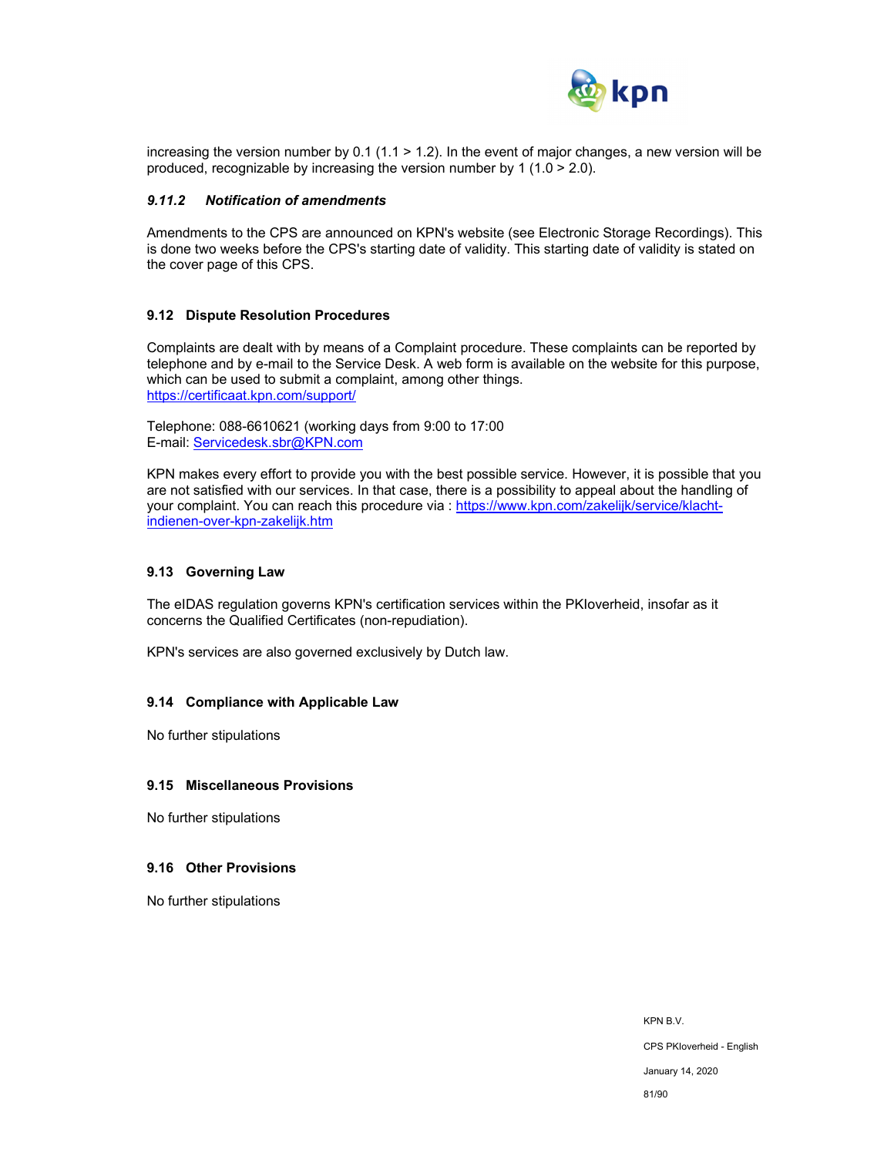

increasing the version number by 0.1 (1.1 > 1.2). In the event of major changes, a new version will be produced, recognizable by increasing the version number by 1 (1.0  $>$  2.0).

#### *9.11.2 Notification of amendments*

Amendments to the CPS are announced on KPN's website (see Electronic Storage Recordings). This is done two weeks before the CPS's starting date of validity. This starting date of validity is stated on the cover page of this CPS.

#### **9.12 Dispute Resolution Procedures**

Complaints are dealt with by means of a Complaint procedure. These complaints can be reported by telephone and by e-mail to the Service Desk. A web form is available on the website for this purpose, which can be used to submit a complaint, among other things. https://certificaat.kpn.com/support/

Telephone: 088-6610621 (working days from 9:00 to 17:00 E-mail: Servicedesk.sbr@KPN.com

KPN makes every effort to provide you with the best possible service. However, it is possible that you are not satisfied with our services. In that case, there is a possibility to appeal about the handling of your complaint. You can reach this procedure via : https://www.kpn.com/zakelijk/service/klachtindienen-over-kpn-zakelijk.htm

#### **9.13 Governing Law**

The eIDAS regulation governs KPN's certification services within the PKIoverheid, insofar as it concerns the Qualified Certificates (non-repudiation).

KPN's services are also governed exclusively by Dutch law.

#### **9.14 Compliance with Applicable Law**

No further stipulations

#### **9.15 Miscellaneous Provisions**

No further stipulations

#### **9.16 Other Provisions**

No further stipulations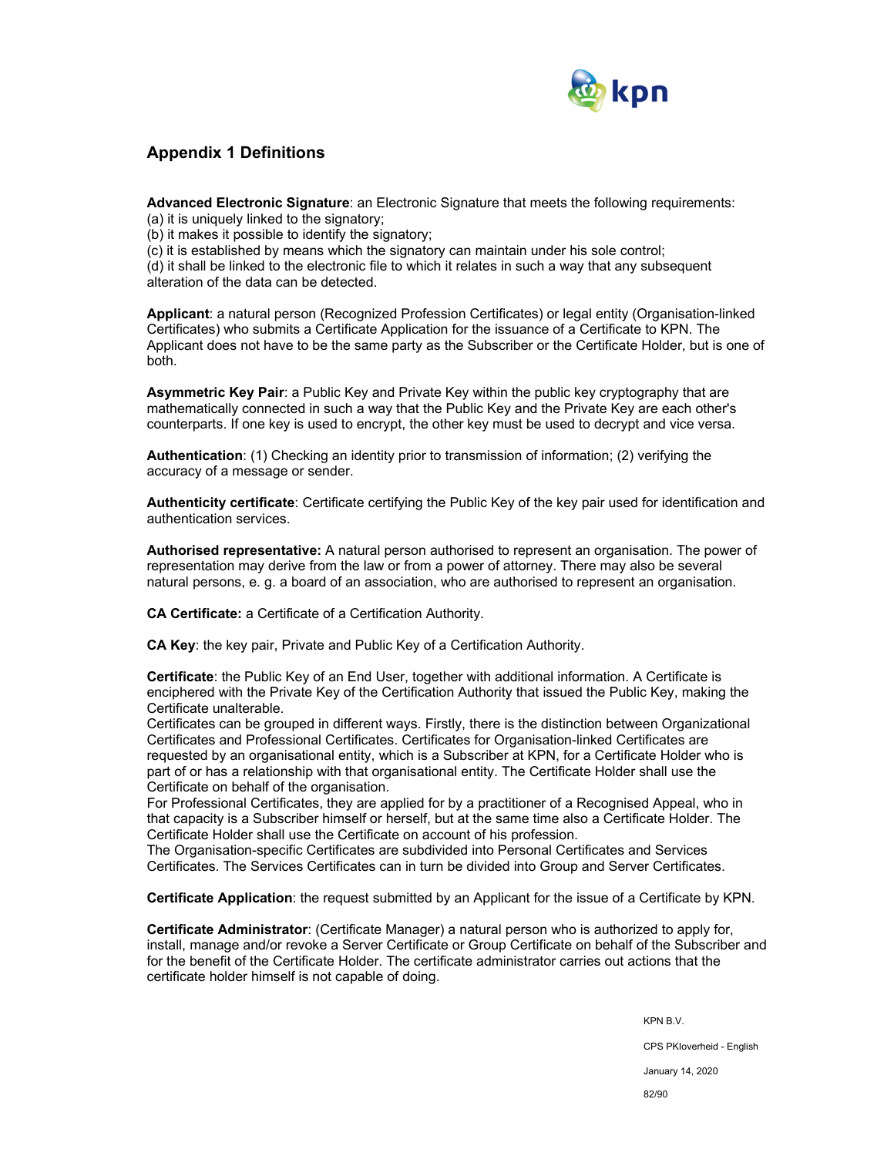

## **Appendix 1 Definitions**

**Advanced Electronic Signature**: an Electronic Signature that meets the following requirements:

(a) it is uniquely linked to the signatory;

(b) it makes it possible to identify the signatory;

(c) it is established by means which the signatory can maintain under his sole control;

(d) it shall be linked to the electronic file to which it relates in such a way that any subsequent alteration of the data can be detected.

**Applicant**: a natural person (Recognized Profession Certificates) or legal entity (Organisation-linked Certificates) who submits a Certificate Application for the issuance of a Certificate to KPN. The Applicant does not have to be the same party as the Subscriber or the Certificate Holder, but is one of both.

**Asymmetric Key Pair**: a Public Key and Private Key within the public key cryptography that are mathematically connected in such a way that the Public Key and the Private Key are each other's counterparts. If one key is used to encrypt, the other key must be used to decrypt and vice versa.

**Authentication**: (1) Checking an identity prior to transmission of information; (2) verifying the accuracy of a message or sender.

**Authenticity certificate**: Certificate certifying the Public Key of the key pair used for identification and authentication services.

**Authorised representative:** A natural person authorised to represent an organisation. The power of representation may derive from the law or from a power of attorney. There may also be several natural persons, e. g. a board of an association, who are authorised to represent an organisation.

**CA Certificate:** a Certificate of a Certification Authority.

**CA Key**: the key pair, Private and Public Key of a Certification Authority.

**Certificate**: the Public Key of an End User, together with additional information. A Certificate is enciphered with the Private Key of the Certification Authority that issued the Public Key, making the Certificate unalterable.

Certificates can be grouped in different ways. Firstly, there is the distinction between Organizational Certificates and Professional Certificates. Certificates for Organisation-linked Certificates are requested by an organisational entity, which is a Subscriber at KPN, for a Certificate Holder who is part of or has a relationship with that organisational entity. The Certificate Holder shall use the Certificate on behalf of the organisation.

For Professional Certificates, they are applied for by a practitioner of a Recognised Appeal, who in that capacity is a Subscriber himself or herself, but at the same time also a Certificate Holder. The Certificate Holder shall use the Certificate on account of his profession.

The Organisation-specific Certificates are subdivided into Personal Certificates and Services Certificates. The Services Certificates can in turn be divided into Group and Server Certificates.

**Certificate Application**: the request submitted by an Applicant for the issue of a Certificate by KPN.

**Certificate Administrator**: (Certificate Manager) a natural person who is authorized to apply for, install, manage and/or revoke a Server Certificate or Group Certificate on behalf of the Subscriber and for the benefit of the Certificate Holder. The certificate administrator carries out actions that the certificate holder himself is not capable of doing.

> KPN B.V. CPS PKIoverheid - English January 14, 2020 82/90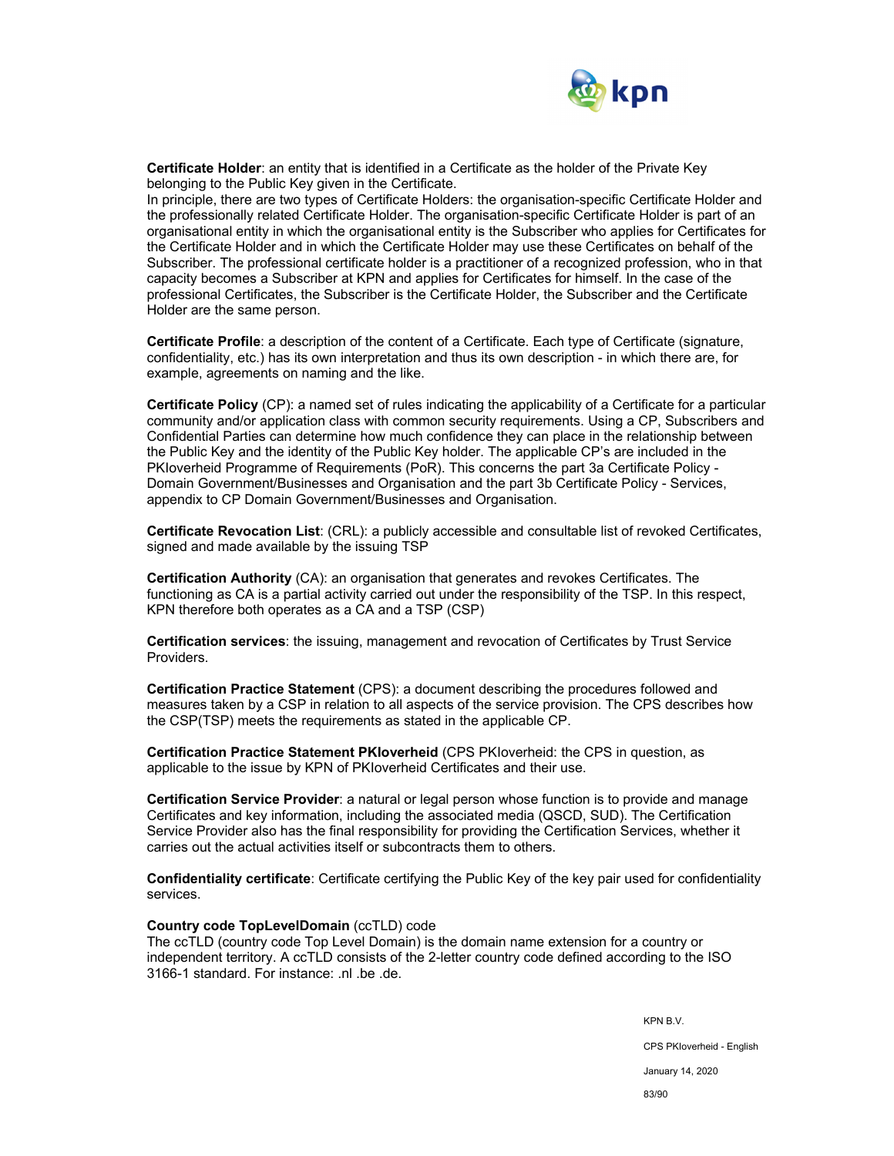

**Certificate Holder**: an entity that is identified in a Certificate as the holder of the Private Key belonging to the Public Key given in the Certificate.

In principle, there are two types of Certificate Holders: the organisation-specific Certificate Holder and the professionally related Certificate Holder. The organisation-specific Certificate Holder is part of an organisational entity in which the organisational entity is the Subscriber who applies for Certificates for the Certificate Holder and in which the Certificate Holder may use these Certificates on behalf of the Subscriber. The professional certificate holder is a practitioner of a recognized profession, who in that capacity becomes a Subscriber at KPN and applies for Certificates for himself. In the case of the professional Certificates, the Subscriber is the Certificate Holder, the Subscriber and the Certificate Holder are the same person.

**Certificate Profile**: a description of the content of a Certificate. Each type of Certificate (signature, confidentiality, etc.) has its own interpretation and thus its own description - in which there are, for example, agreements on naming and the like.

**Certificate Policy** (CP): a named set of rules indicating the applicability of a Certificate for a particular community and/or application class with common security requirements. Using a CP, Subscribers and Confidential Parties can determine how much confidence they can place in the relationship between the Public Key and the identity of the Public Key holder. The applicable CP's are included in the PKIoverheid Programme of Requirements (PoR). This concerns the part 3a Certificate Policy - Domain Government/Businesses and Organisation and the part 3b Certificate Policy - Services, appendix to CP Domain Government/Businesses and Organisation.

**Certificate Revocation List**: (CRL): a publicly accessible and consultable list of revoked Certificates, signed and made available by the issuing TSP

**Certification Authority** (CA): an organisation that generates and revokes Certificates. The functioning as CA is a partial activity carried out under the responsibility of the TSP. In this respect, KPN therefore both operates as a CA and a TSP (CSP)

**Certification services**: the issuing, management and revocation of Certificates by Trust Service Providers.

**Certification Practice Statement** (CPS): a document describing the procedures followed and measures taken by a CSP in relation to all aspects of the service provision. The CPS describes how the CSP(TSP) meets the requirements as stated in the applicable CP.

**Certification Practice Statement PKIoverheid** (CPS PKIoverheid: the CPS in question, as applicable to the issue by KPN of PKIoverheid Certificates and their use.

**Certification Service Provider**: a natural or legal person whose function is to provide and manage Certificates and key information, including the associated media (QSCD, SUD). The Certification Service Provider also has the final responsibility for providing the Certification Services, whether it carries out the actual activities itself or subcontracts them to others.

**Confidentiality certificate**: Certificate certifying the Public Key of the key pair used for confidentiality services.

#### **Country code TopLevelDomain** (ccTLD) code

The ccTLD (country code Top Level Domain) is the domain name extension for a country or independent territory. A ccTLD consists of the 2-letter country code defined according to the ISO 3166-1 standard. For instance: .nl .be .de.

KPN B.V.

CPS PKIoverheid - English

January 14, 2020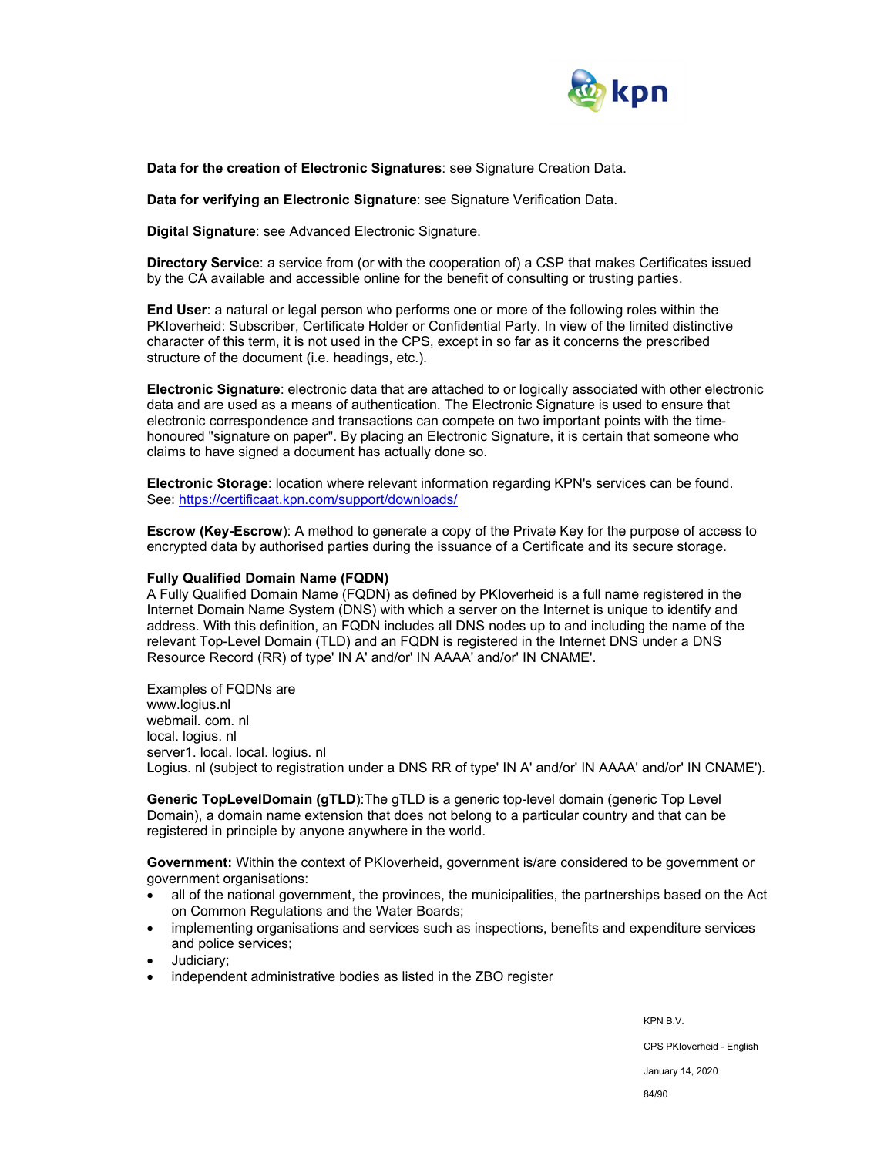

**Data for the creation of Electronic Signatures**: see Signature Creation Data.

**Data for verifying an Electronic Signature**: see Signature Verification Data.

**Digital Signature**: see Advanced Electronic Signature.

**Directory Service**: a service from (or with the cooperation of) a CSP that makes Certificates issued by the CA available and accessible online for the benefit of consulting or trusting parties.

**End User**: a natural or legal person who performs one or more of the following roles within the PKIoverheid: Subscriber, Certificate Holder or Confidential Party. In view of the limited distinctive character of this term, it is not used in the CPS, except in so far as it concerns the prescribed structure of the document (i.e. headings, etc.).

**Electronic Signature**: electronic data that are attached to or logically associated with other electronic data and are used as a means of authentication. The Electronic Signature is used to ensure that electronic correspondence and transactions can compete on two important points with the timehonoured "signature on paper". By placing an Electronic Signature, it is certain that someone who claims to have signed a document has actually done so.

**Electronic Storage**: location where relevant information regarding KPN's services can be found. See: https://certificaat.kpn.com/support/downloads/

**Escrow (Key-Escrow**): A method to generate a copy of the Private Key for the purpose of access to encrypted data by authorised parties during the issuance of a Certificate and its secure storage.

#### **Fully Qualified Domain Name (FQDN)**

A Fully Qualified Domain Name (FQDN) as defined by PKIoverheid is a full name registered in the Internet Domain Name System (DNS) with which a server on the Internet is unique to identify and address. With this definition, an FQDN includes all DNS nodes up to and including the name of the relevant Top-Level Domain (TLD) and an FQDN is registered in the Internet DNS under a DNS Resource Record (RR) of type' IN A' and/or' IN AAAA' and/or' IN CNAME'.

Examples of FQDNs are www.logius.nl webmail. com. nl local. logius. nl server1. local. local. logius. nl Logius. nl (subject to registration under a DNS RR of type' IN A' and/or' IN AAAA' and/or' IN CNAME').

**Generic TopLevelDomain (gTLD**):The gTLD is a generic top-level domain (generic Top Level Domain), a domain name extension that does not belong to a particular country and that can be registered in principle by anyone anywhere in the world.

**Government:** Within the context of PKIoverheid, government is/are considered to be government or government organisations:

- all of the national government, the provinces, the municipalities, the partnerships based on the Act on Common Regulations and the Water Boards;
- implementing organisations and services such as inspections, benefits and expenditure services and police services;
- Judiciary;
- independent administrative bodies as listed in the ZBO register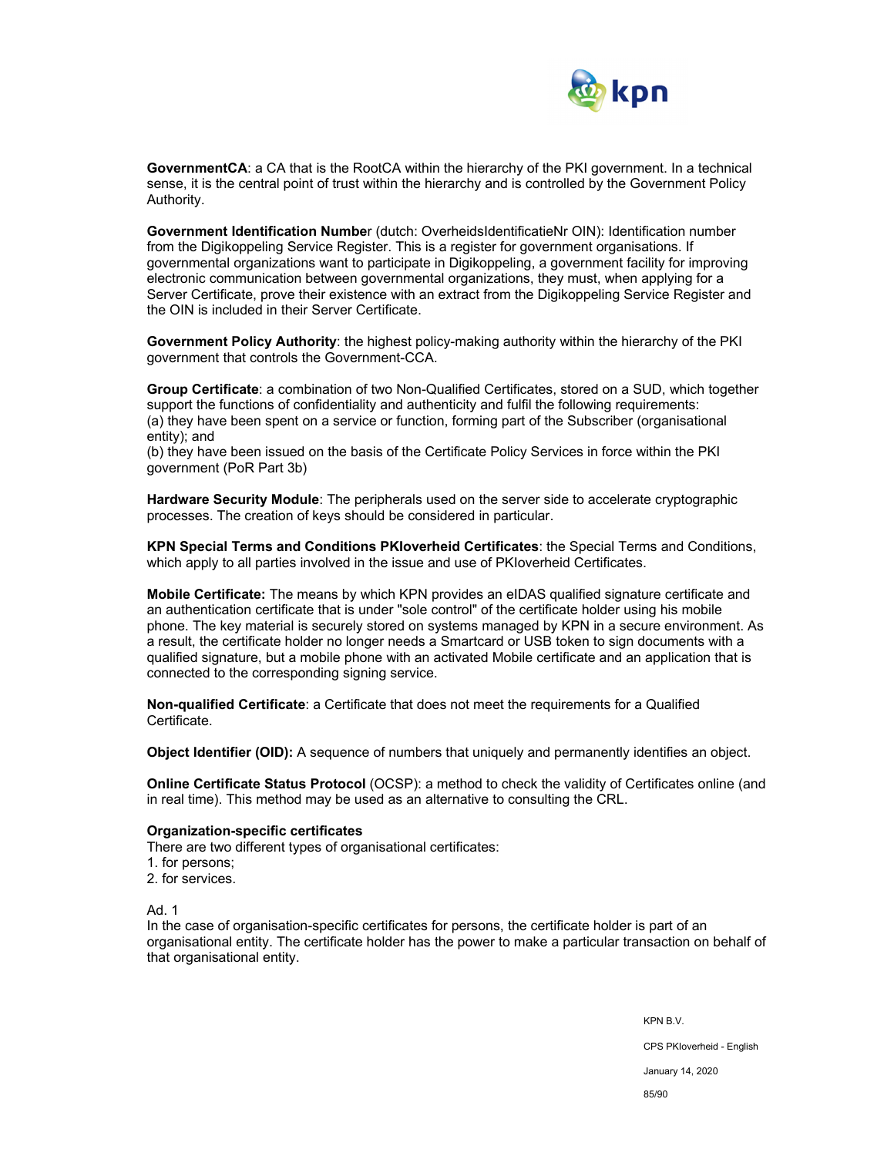

**GovernmentCA**: a CA that is the RootCA within the hierarchy of the PKI government. In a technical sense, it is the central point of trust within the hierarchy and is controlled by the Government Policy Authority.

**Government Identification Numbe**r (dutch: OverheidsIdentificatieNr OIN): Identification number from the Digikoppeling Service Register. This is a register for government organisations. If governmental organizations want to participate in Digikoppeling, a government facility for improving electronic communication between governmental organizations, they must, when applying for a Server Certificate, prove their existence with an extract from the Digikoppeling Service Register and the OIN is included in their Server Certificate.

**Government Policy Authority**: the highest policy-making authority within the hierarchy of the PKI government that controls the Government-CCA.

**Group Certificate**: a combination of two Non-Qualified Certificates, stored on a SUD, which together support the functions of confidentiality and authenticity and fulfil the following requirements: (a) they have been spent on a service or function, forming part of the Subscriber (organisational entity); and

(b) they have been issued on the basis of the Certificate Policy Services in force within the PKI government (PoR Part 3b)

**Hardware Security Module**: The peripherals used on the server side to accelerate cryptographic processes. The creation of keys should be considered in particular.

**KPN Special Terms and Conditions PKIoverheid Certificates**: the Special Terms and Conditions, which apply to all parties involved in the issue and use of PKIoverheid Certificates.

**Mobile Certificate:** The means by which KPN provides an eIDAS qualified signature certificate and an authentication certificate that is under "sole control" of the certificate holder using his mobile phone. The key material is securely stored on systems managed by KPN in a secure environment. As a result, the certificate holder no longer needs a Smartcard or USB token to sign documents with a qualified signature, but a mobile phone with an activated Mobile certificate and an application that is connected to the corresponding signing service.

**Non-qualified Certificate**: a Certificate that does not meet the requirements for a Qualified Certificate.

**Object Identifier (OID):** A sequence of numbers that uniquely and permanently identifies an object.

**Online Certificate Status Protocol** (OCSP): a method to check the validity of Certificates online (and in real time). This method may be used as an alternative to consulting the CRL.

#### **Organization-specific certificates**

There are two different types of organisational certificates:

- 1. for persons;
- 2. for services.

Ad. 1

In the case of organisation-specific certificates for persons, the certificate holder is part of an organisational entity. The certificate holder has the power to make a particular transaction on behalf of that organisational entity.

> KPN B.V. CPS PKIoverheid - English January 14, 2020 85/90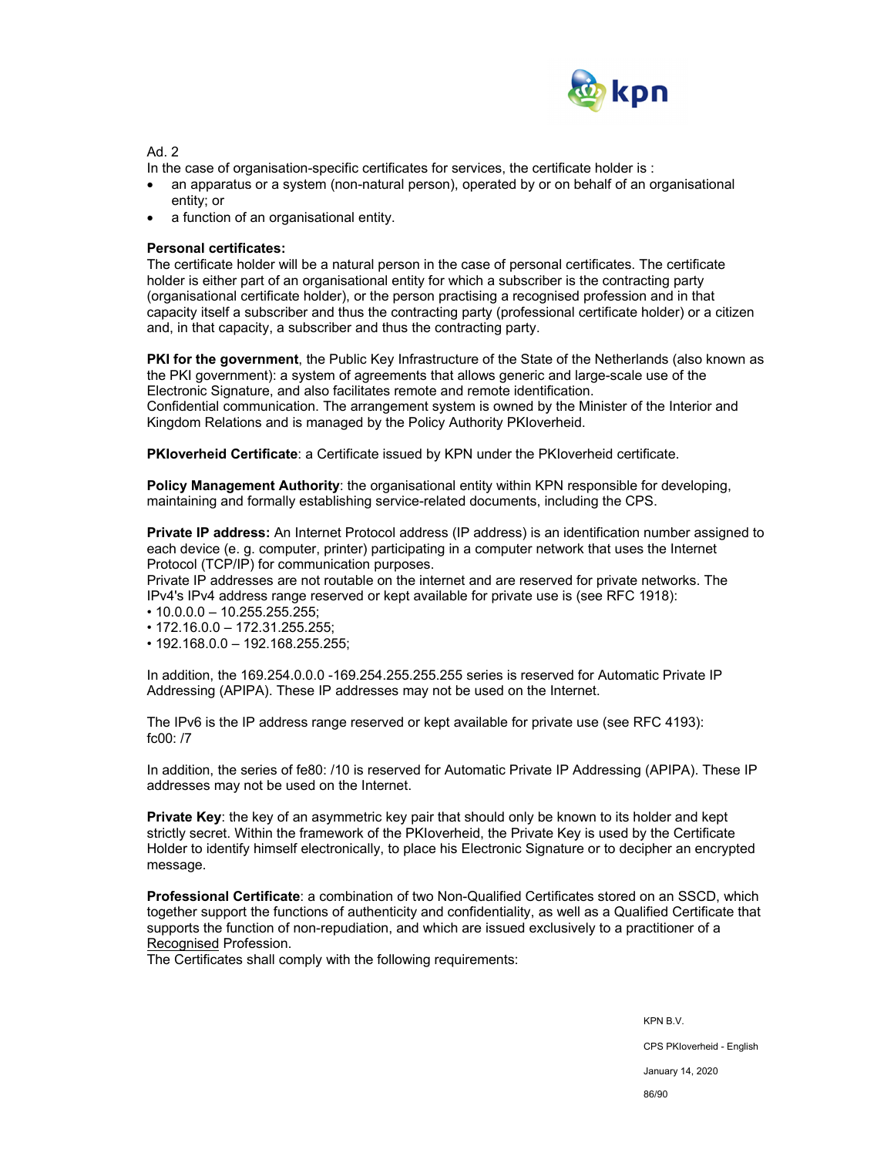

Ad<sub>2</sub>

In the case of organisation-specific certificates for services, the certificate holder is :

- an apparatus or a system (non-natural person), operated by or on behalf of an organisational entity; or
- a function of an organisational entity.

### **Personal certificates:**

The certificate holder will be a natural person in the case of personal certificates. The certificate holder is either part of an organisational entity for which a subscriber is the contracting party (organisational certificate holder), or the person practising a recognised profession and in that capacity itself a subscriber and thus the contracting party (professional certificate holder) or a citizen and, in that capacity, a subscriber and thus the contracting party.

**PKI for the government**, the Public Key Infrastructure of the State of the Netherlands (also known as the PKI government): a system of agreements that allows generic and large-scale use of the Electronic Signature, and also facilitates remote and remote identification. Confidential communication. The arrangement system is owned by the Minister of the Interior and Kingdom Relations and is managed by the Policy Authority PKIoverheid.

**PKIoverheid Certificate**: a Certificate issued by KPN under the PKIoverheid certificate.

**Policy Management Authority**: the organisational entity within KPN responsible for developing. maintaining and formally establishing service-related documents, including the CPS.

**Private IP address:** An Internet Protocol address (IP address) is an identification number assigned to each device (e. g. computer, printer) participating in a computer network that uses the Internet Protocol (TCP/IP) for communication purposes.

Private IP addresses are not routable on the internet and are reserved for private networks. The IPv4's IPv4 address range reserved or kept available for private use is (see RFC 1918):

- 10.0.0.0 10.255.255.255;
- 172.16.0.0 172.31.255.255;
- 192.168.0.0 192.168.255.255;

In addition, the 169.254.0.0.0 -169.254.255.255.255 series is reserved for Automatic Private IP Addressing (APIPA). These IP addresses may not be used on the Internet.

The IPv6 is the IP address range reserved or kept available for private use (see RFC 4193): fc00: /7

In addition, the series of fe80: /10 is reserved for Automatic Private IP Addressing (APIPA). These IP addresses may not be used on the Internet.

**Private Key**: the key of an asymmetric key pair that should only be known to its holder and kept strictly secret. Within the framework of the PKIoverheid, the Private Key is used by the Certificate Holder to identify himself electronically, to place his Electronic Signature or to decipher an encrypted message.

**Professional Certificate**: a combination of two Non-Qualified Certificates stored on an SSCD, which together support the functions of authenticity and confidentiality, as well as a Qualified Certificate that supports the function of non-repudiation, and which are issued exclusively to a practitioner of a Recognised Profession.

The Certificates shall comply with the following requirements:

KPN B.V. CPS PKIoverheid - English January 14, 2020

86/90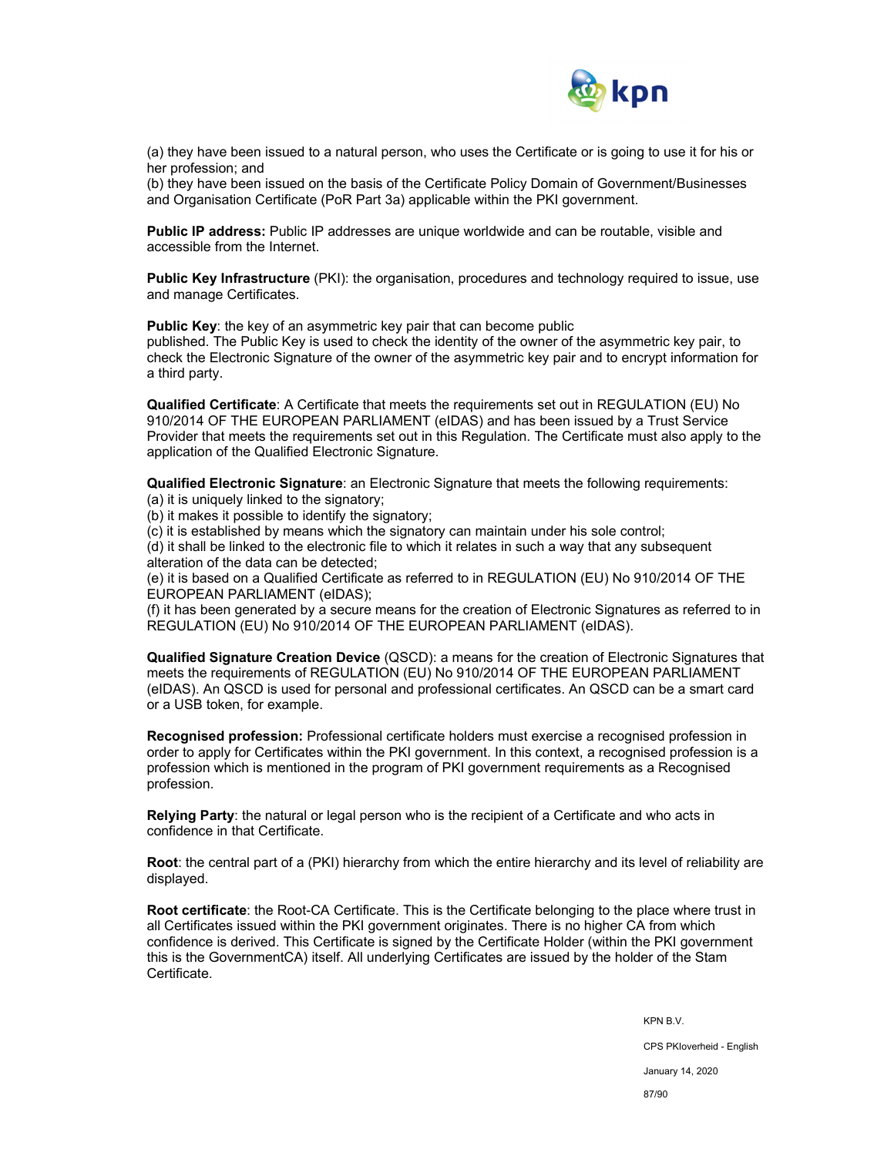

(a) they have been issued to a natural person, who uses the Certificate or is going to use it for his or her profession; and

(b) they have been issued on the basis of the Certificate Policy Domain of Government/Businesses and Organisation Certificate (PoR Part 3a) applicable within the PKI government.

**Public IP address:** Public IP addresses are unique worldwide and can be routable, visible and accessible from the Internet.

**Public Key Infrastructure** (PKI): the organisation, procedures and technology required to issue, use and manage Certificates.

**Public Key**: the key of an asymmetric key pair that can become public

published. The Public Key is used to check the identity of the owner of the asymmetric key pair, to check the Electronic Signature of the owner of the asymmetric key pair and to encrypt information for a third party.

**Qualified Certificate**: A Certificate that meets the requirements set out in REGULATION (EU) No 910/2014 OF THE EUROPEAN PARLIAMENT (eIDAS) and has been issued by a Trust Service Provider that meets the requirements set out in this Regulation. The Certificate must also apply to the application of the Qualified Electronic Signature.

**Qualified Electronic Signature**: an Electronic Signature that meets the following requirements:

(a) it is uniquely linked to the signatory;

(b) it makes it possible to identify the signatory;

(c) it is established by means which the signatory can maintain under his sole control;

(d) it shall be linked to the electronic file to which it relates in such a way that any subsequent alteration of the data can be detected;

(e) it is based on a Qualified Certificate as referred to in REGULATION (EU) No 910/2014 OF THE EUROPEAN PARLIAMENT (eIDAS);

(f) it has been generated by a secure means for the creation of Electronic Signatures as referred to in REGULATION (EU) No 910/2014 OF THE EUROPEAN PARLIAMENT (eIDAS).

**Qualified Signature Creation Device** (QSCD): a means for the creation of Electronic Signatures that meets the requirements of REGULATION (EU) No 910/2014 OF THE EUROPEAN PARLIAMENT (eIDAS). An QSCD is used for personal and professional certificates. An QSCD can be a smart card or a USB token, for example.

**Recognised profession:** Professional certificate holders must exercise a recognised profession in order to apply for Certificates within the PKI government. In this context, a recognised profession is a profession which is mentioned in the program of PKI government requirements as a Recognised profession.

**Relying Party**: the natural or legal person who is the recipient of a Certificate and who acts in confidence in that Certificate.

**Root**: the central part of a (PKI) hierarchy from which the entire hierarchy and its level of reliability are displayed.

**Root certificate**: the Root-CA Certificate. This is the Certificate belonging to the place where trust in all Certificates issued within the PKI government originates. There is no higher CA from which confidence is derived. This Certificate is signed by the Certificate Holder (within the PKI government this is the GovernmentCA) itself. All underlying Certificates are issued by the holder of the Stam Certificate.

> KPN B.V. CPS PKIoverheid - English January 14, 2020 87/90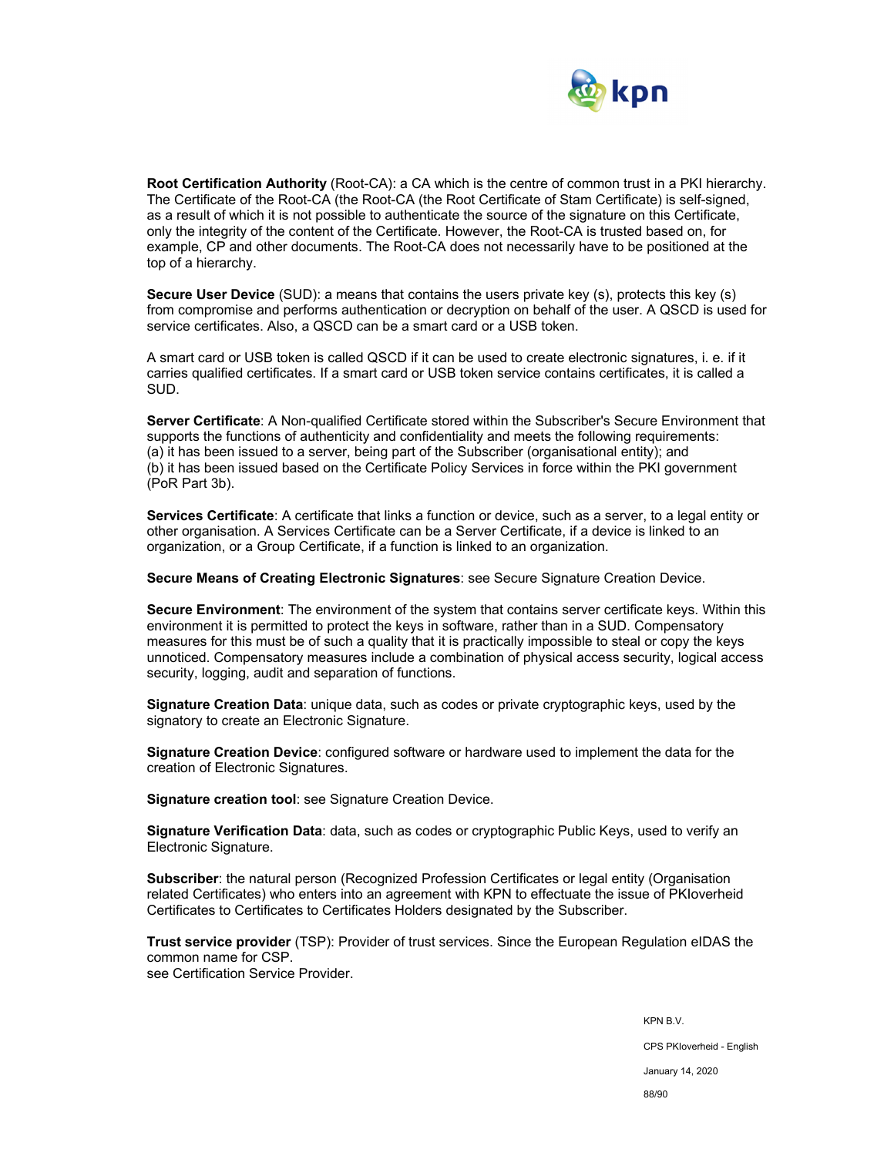

**Root Certification Authority** (Root-CA): a CA which is the centre of common trust in a PKI hierarchy. The Certificate of the Root-CA (the Root-CA (the Root Certificate of Stam Certificate) is self-signed, as a result of which it is not possible to authenticate the source of the signature on this Certificate, only the integrity of the content of the Certificate. However, the Root-CA is trusted based on, for example, CP and other documents. The Root-CA does not necessarily have to be positioned at the top of a hierarchy.

**Secure User Device** (SUD): a means that contains the users private key (s), protects this key (s) from compromise and performs authentication or decryption on behalf of the user. A QSCD is used for service certificates. Also, a QSCD can be a smart card or a USB token.

A smart card or USB token is called QSCD if it can be used to create electronic signatures, i. e. if it carries qualified certificates. If a smart card or USB token service contains certificates, it is called a SUD.

**Server Certificate**: A Non-qualified Certificate stored within the Subscriber's Secure Environment that supports the functions of authenticity and confidentiality and meets the following requirements: (a) it has been issued to a server, being part of the Subscriber (organisational entity); and (b) it has been issued based on the Certificate Policy Services in force within the PKI government (PoR Part 3b).

**Services Certificate**: A certificate that links a function or device, such as a server, to a legal entity or other organisation. A Services Certificate can be a Server Certificate, if a device is linked to an organization, or a Group Certificate, if a function is linked to an organization.

**Secure Means of Creating Electronic Signatures**: see Secure Signature Creation Device.

**Secure Environment**: The environment of the system that contains server certificate keys. Within this environment it is permitted to protect the keys in software, rather than in a SUD. Compensatory measures for this must be of such a quality that it is practically impossible to steal or copy the keys unnoticed. Compensatory measures include a combination of physical access security, logical access security, logging, audit and separation of functions.

**Signature Creation Data**: unique data, such as codes or private cryptographic keys, used by the signatory to create an Electronic Signature.

**Signature Creation Device**: configured software or hardware used to implement the data for the creation of Electronic Signatures.

**Signature creation tool**: see Signature Creation Device.

**Signature Verification Data**: data, such as codes or cryptographic Public Keys, used to verify an Electronic Signature.

**Subscriber:** the natural person (Recognized Profession Certificates or legal entity (Organisation related Certificates) who enters into an agreement with KPN to effectuate the issue of PKIoverheid Certificates to Certificates to Certificates Holders designated by the Subscriber.

**Trust service provider** (TSP): Provider of trust services. Since the European Regulation eIDAS the common name for CSP. see Certification Service Provider.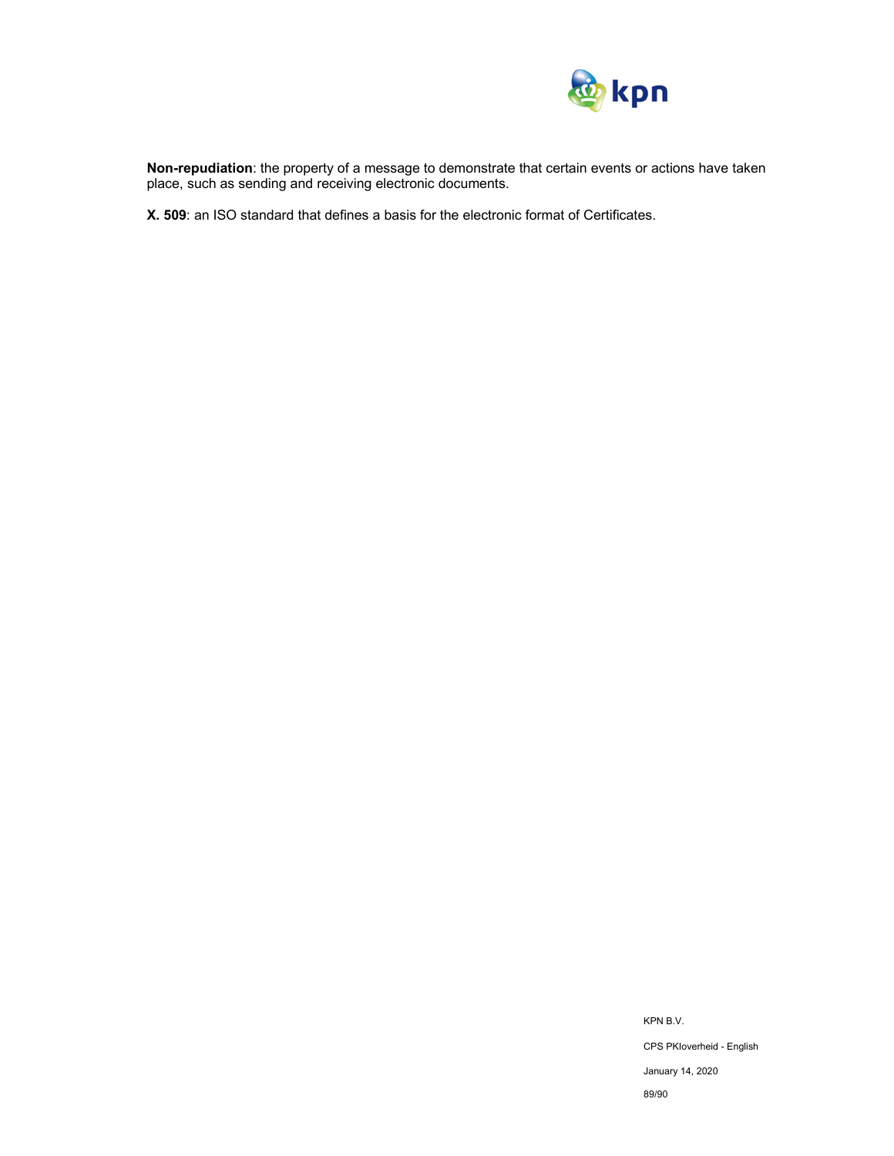

**Non-repudiation**: the property of a message to demonstrate that certain events or actions have taken place, such as sending and receiving electronic documents.

**X. 509**: an ISO standard that defines a basis for the electronic format of Certificates.

KPN B.V. CPS PKIoverheid - English January 14, 2020 89/90